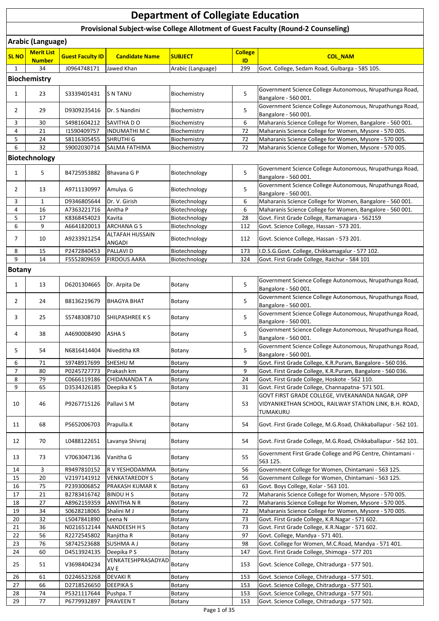## **SL NO Merit List Number Guest Faculty ID Candidate Name SUBJECT College ID COLLEGE** 1 34 J0964748171 Jawed Khan Arabic (Language) 299 Govt. College, Sedam Road, Gulbarga - 585 105 1 23 S3339401431 SN TANU Biochemistry 5 Government Science College Autonomous, Nrupathunga Road, Bangalore - 560 001. 2 29 D9309235416 Dr. S Nandini Biochemistry 5 Government Science College Autonomous, Nrupathunga Road, Bangalore - 560 001. 3 30 S4981604212 SAVITHA D O Biochemistry 6 Maharanis Science College for Women, Bangalore - 560 001. 4 21 | 11590409757 |INDUMATHI M C | Biochemistry | 72 | Maharanis Science College for Women, Mysore - 570 005 5 24 S8116305455 SHRUTHI G Biochemistry 72 Maharanis Science College for Women, Mysore - 570 005. 6 32 S9002030714 SALMA FATHIMA Biochemistry 72 Maharanis Science College for Women, Mysore - 570 005. 1 5 B4725953882 Bhavana G P Biotechnology 5 Government Science College Autonomous, Nrupathunga Road, Bangalore - 560 001. 2 13 A9711130997 Amulya. G Biotechnology 5 Government Science College Autonomous, Nrupathunga Road, Bangalore - 560 001. 3 1 D9346805644 Dr. V. Girish Biotechnology 6 Maharanis Science College for Women, Bangalore - 560 001. 4 16 A7363221716 Anitha P Biotechnology 6 Maharanis Science College for Women, Bangalore - 560 001. 5 17 K8368454023 Kavita Biotechnology 28 Govt. First Grade College, Ramanagara - 562159 6 9 | A6641820013 | ARCHANA G S | Biotechnology | 112 | Govt. Science College, Hassan - 573 201 7 10 A9233921254 ALTAFAH HUSSAIN Biotechnology 112 Govt. Science College, Hassan - 573 201. 8 15 P2472840453 PALLAVI D | Biotechnology | 173 | I.D.S.G.Govt. College, Chikkamagalur - 577 102 9 14 F5552809659 FIRDOUS AARA Biotechnology 324 Govt. First Grade College, Raichur - 584 101 1 13 D6201304665 Dr. Arpita De Botany Botany 5 Government Science College Autonomous, Nrupathunga Road, Bangalore - 560 001. 2 24 B8136219679 BHAGYA BHAT Botany Botany 5 Government Science College Autonomous, Nrupathunga Road, Bangalore - 560 001. 3 25 S5748308710 SHILPASHREE K S Botany 5 Government Science College Autonomous, Nrupathunga Road, Bangalore - 560 001. 4 38 A4690008490 ASHA S Botany Botany 5 Government Science College Autonomous, Nrupathunga Road, Bangalore - 560 001. 5 54 N6816414404 Niveditha KR Botany 5 Government Science College Autonomous, Nrupathunga Road, Bangalore - 560 001. 6 71 S9748917699 SHESHU M Botany 8 Govt. First Grade College, K.R.Puram, Bangalore - 560 036. 7 80 P0245727773 Prakash km Botany 9 Govt. First Grade College, K.R.Puram, Bangalore - 560 036. 8 79 C0666119186 CHIDANANDA TA Botany 24 Govt. First Grade College, Hoskote - 562 110. 9 65 D3534326185 Deepika K S Botany 31 Govt. First Grade College, Channapatna- 571 501 10 46 P9267715126 Pallavi S M Botany 16 53 GOVT FIRST GRADE COLLEGE, VIVEKANANDA NAGAR, OPP VIDYANIKETHAN SCHOOL, RAILWAY STATION LINK, B.H. ROAD, TUMAKURU 11 68 P5652006703 Prapulla.K Botany 154 Govt. First Grade College, M.G.Road, Chikkaballapur - 562 101. 12 70 L0488122651 Lavanya Shivraj Botany 54 Govt. First Grade College, M.G.Road, Chikkaballapur - 562 101. 13 V7063047136 Vanitha G Botany 55 Government First Grade College and PG Centre, Chintamani -563 125. 14 3 R9497810152 RV YESHODAMMA Botany 56 Government College for Women, Chintamani - 563 125. 15 20 | V2197141912 | VENKATAREDDY S | Botany | S6 | Government College for Women, Chintamani - 563 125. 16 75 P2393006852 PRAKASH KUMAR K Botany 63 Govt. Boys College, Kolar - 563 101. 17 21 B2783416742 BINDU H S Botany Botany 72 Maharanis Science College for Women, Mysore - 570 005. 18 27 A8962159359 ANVITHA N R Botany 12 Maharanis Science College for Women, Mysore - 570 005. 19 34 S0628218065 Shalini M J Botany 72 Maharanis Science College for Women, Mysore - 570 005. 20 32 | L5047841890 | Leena N | Botany | 73 | Govt. First Grade College, K.R.Nagar - 571 602. 21 36 | N0216512144 | NANDEESH H S | Botany | 73 | Govt. First Grade College, K.R.Nagar - 571 602. 22 | 56 | R2272545802 | Ranjitha R | Botany | 97 | Govt. College, Mandya - 571 401. 23 | 76 | S8742523688 |SUSHMA A J | Botany | 98 | Govt. College for Women, M.C.Road, Mandya - 571 401. 24 60 D4513924135 Deepika P S Botany 147 Govt. First Grade College, Shimoga - 577 201 25 51 V3698404234 VENKATESHPRASADYAI Botany 153 Govt. Science College, Chitradurga - 577 501. 26 | 61 | D2246523268 |DEVAKI R | Botany | 153 | Govt. Science College, Chitradurga - 577 501. 27 | 66 | D2718526650 | DEEPIKA S | Botany | 153 | Govt. Science College, Chitradurga - 577 501. 28 | 74 | P5321117644 | Pushpa. T | Botany | 153 | Govt. Science College, Chitradurga - 577 501. **Department of Collegiate Education Provisional Subject-wise College Allotment of Guest Faculty (Round-2 Counseling) Arabic (Language) Biochemistry Biotechnology Botany**

29 | 77 | P6779932897 |PRAVEEN T | Botany | 153 | Govt. Science College, Chitradurga - 577 501.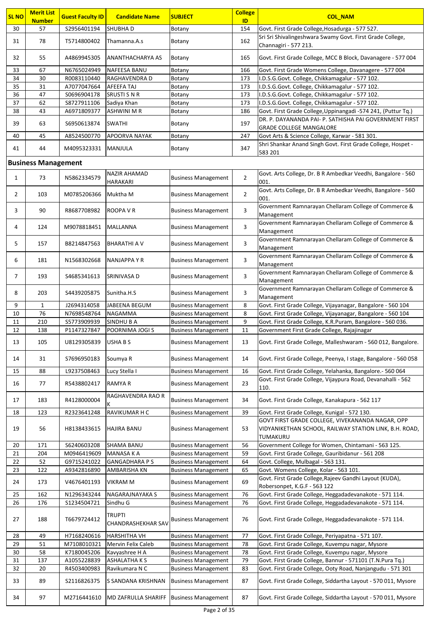| <b>SL NO</b>               | <b>Merit List</b>   | <b>Guest Faculty ID</b>    | <b>Candidate Name</b>                      | <b>SUBJECT</b>                                           | <b>College</b> | <b>COL_NAM</b>                                                                                                          |  |  |
|----------------------------|---------------------|----------------------------|--------------------------------------------|----------------------------------------------------------|----------------|-------------------------------------------------------------------------------------------------------------------------|--|--|
| 30                         | <b>Number</b><br>57 | S2956401194                | <b>SHUBHAD</b>                             | Botany                                                   | ID<br>154      | Govt. First Grade College, Hosadurga - 577 527.                                                                         |  |  |
|                            |                     |                            |                                            |                                                          |                | Sri Sri Shivalingeshwara Swamy Govt. First Grade College,                                                               |  |  |
| 31                         | 78                  | T5714800402                | Thamanna.A.s                               | Botany                                                   | 162            | Channagiri - 577 213.                                                                                                   |  |  |
| 32                         | 55                  | A4869945305                | <b>ANANTHACHARYA AS</b>                    | Botany                                                   | 165            | Govt. First Grade College, MCC B Block, Davanagere - 577 004                                                            |  |  |
| 33                         | 67                  | N6765024949                | <b>NAFEESA BANU</b>                        | Botany                                                   | 166            | Govt. First Grade Womens College, Davanagere - 577 004                                                                  |  |  |
| 34                         | 30                  | R0083110440                | RAGHAVENDRA D                              | Botany                                                   | 173            | I.D.S.G.Govt. College, Chikkamagalur - 577 102.                                                                         |  |  |
| 35                         | 31                  | A7077047664                | AFEEFA TAJ                                 | Botany                                                   | 173            | I.D.S.G.Govt. College, Chikkamagalur - 577 102.                                                                         |  |  |
| 36                         | 47                  | S0696904178                | <b>SRUSTI S N R</b>                        | Botany                                                   | 173            | I.D.S.G.Govt. College, Chikkamagalur - 577 102.                                                                         |  |  |
| 37                         | 62                  | S8727911106                | Sadiya Khan                                | Botany                                                   | 173            | I.D.S.G.Govt. College, Chikkamagalur - 577 102.                                                                         |  |  |
| 38                         | 43                  | A6971809377                | <b>ASHWINI M R</b>                         | Botany                                                   | 186            | Govt. First Grade College, Uppinangadi -574 241, (Puttur Tq.)<br>DR. P. DAYANANDA PAI- P. SATHISHA PAI GOVERNMENT FIRST |  |  |
| 39                         | 63                  | S6950613874                | <b>SWATHI</b>                              | Botany                                                   | 197            | <b>GRADE COLLEGE MANGALORE</b>                                                                                          |  |  |
| 40                         | 45                  | A8524500770                | <b>APOORVA NAYAK</b>                       | Botany                                                   | 247            | Govt Arts & Science College, Karwar - 581 301.                                                                          |  |  |
| 41                         | 44                  | M4095323331                | <b>MANJULA</b>                             | Botany                                                   | 347            | Shri Shankar Anand Singh Govt. First Grade College, Hospet -<br>583 201                                                 |  |  |
| <b>Business Management</b> |                     |                            |                                            |                                                          |                |                                                                                                                         |  |  |
| $\mathbf{1}$               | 73                  | N5862334579                | <b>NAZIR AHAMAD</b><br><b>HARAKARI</b>     | <b>Business Management</b>                               | $\overline{2}$ | Govt. Arts College, Dr. B R Ambedkar Veedhi, Bangalore - 560<br>001.                                                    |  |  |
| $\overline{2}$             | 103                 | M0785206366                | Muktha M                                   | <b>Business Management</b>                               | $\overline{2}$ | Govt. Arts College, Dr. B R Ambedkar Veedhi, Bangalore - 560<br>001.                                                    |  |  |
| 3                          | 90                  | R8687708982                | ROOPA V R                                  | <b>Business Management</b>                               | 3              | Government Ramnarayan Chellaram College of Commerce &<br>Management                                                     |  |  |
| 4                          | 124                 | M9078818451                | MALLANNA                                   | <b>Business Management</b>                               | 3              | Government Ramnarayan Chellaram College of Commerce &                                                                   |  |  |
| 5                          | 157                 | B8214847563                | BHARATHI A V                               | <b>Business Management</b>                               | 3              | Management<br>Government Ramnarayan Chellaram College of Commerce &                                                     |  |  |
|                            |                     |                            |                                            |                                                          |                | Management<br>Government Ramnarayan Chellaram College of Commerce &                                                     |  |  |
| 6                          | 181                 | N1568302668                | NANJAPPA Y R                               | <b>Business Management</b>                               | 3              | Management                                                                                                              |  |  |
| 7                          | 193                 | S4685341613                | SRINIVASA D                                | <b>Business Management</b>                               | 3              | Government Ramnarayan Chellaram College of Commerce &<br>Management                                                     |  |  |
| 8                          | 203                 | S4439205875                | Sunitha.H.S                                | <b>Business Management</b>                               | 3              | Government Ramnarayan Chellaram College of Commerce &<br>Management                                                     |  |  |
| 9                          | $\mathbf{1}$        | J2694314058                | JABEENA BEGUM                              | <b>Business Management</b>                               | 8              | Govt. First Grade College, Vijayanagar, Bangalore - 560 104                                                             |  |  |
| 10                         | 76                  | N7698548764                | <b>NAGAMMA</b>                             | <b>Business Management</b>                               | 8              | Govt. First Grade College, Vijayanagar, Bangalore - 560 104                                                             |  |  |
| 11<br>12                   | 210<br>138          | S5773909939<br>P1147327847 | <b>SINDHU B A</b><br>POORNIMA JOGI S       | <b>Business Management</b>                               | 9<br>11        | Govt. First Grade College, K.R.Puram, Bangalore - 560 036.<br>Government First Grade College, Rajajinagar               |  |  |
|                            |                     |                            |                                            | <b>Business Management</b>                               |                |                                                                                                                         |  |  |
| 13                         | 105                 | U8129305839                | USHA B S                                   | <b>Business Management</b>                               | 13             | Govt. First Grade College, Malleshwaram - 560 012, Bangalore.                                                           |  |  |
| 14                         | 31                  | S7696950183                | Soumya R                                   | <b>Business Management</b>                               | 14             | Govt. First Grade College, Peenya, I stage, Bangalore - 560 058                                                         |  |  |
| 15                         | 88                  | L9237508463                | Lucy Stella I                              | <b>Business Management</b>                               | 16             | Govt. First Grade College, Yelahanka, Bangalore.- 560 064                                                               |  |  |
| 16                         | 77                  | R5438802417                | <b>RAMYA R</b>                             | <b>Business Management</b>                               | 23             | Govt. First Grade College, Vijaypura Road, Devanahalli - 562<br>110.                                                    |  |  |
| 17                         | 183                 | R4128000004                | RAGHAVENDRA RAO R<br>К                     | <b>Business Management</b>                               | 34             | Govt. First Grade College, Kanakapura - 562 117                                                                         |  |  |
| 18                         | 123                 | R2323641248                | RAVIKUMAR H C                              | <b>Business Management</b>                               | 39             | Govt. First Grade College, Kunigal - 572 130.                                                                           |  |  |
| 19                         | 56                  | H8138433615                | <b>HAJIRA BANU</b>                         | <b>Business Management</b>                               | 53             | GOVT FIRST GRADE COLLEGE, VIVEKANANDA NAGAR, OPP<br>VIDYANIKETHAN SCHOOL, RAILWAY STATION LINK, B.H. ROAD,<br>TUMAKURU  |  |  |
| 20                         | 171                 | \$6240603208               | <b>SHAMA BANU</b>                          | <b>Business Management</b>                               | 56             | Government College for Women, Chintamani - 563 125.                                                                     |  |  |
| 21                         | 204                 | M0946419609                | <b>MANASA K A</b>                          | <b>Business Management</b>                               | 59             | Govt. First Grade College, Gauribidanur - 561 208                                                                       |  |  |
| 22                         | 52                  | G9715241022                | <b>GANGADHARA PS</b>                       | <b>Business Management</b>                               | 64             | Govt. College, Mulbagal - 563 131.                                                                                      |  |  |
| 23                         | 122                 | A9342816890                | AMBARISHA KN                               | <b>Business Management</b>                               | 65             | Govt. Womens College, Kolar - 563 101.                                                                                  |  |  |
| 24                         | 173                 | V4676401193                | <b>VIKRAM M</b>                            | <b>Business Management</b>                               | 69             | Govt. First Grade College, Rajeev Gandhi Layout (KUDA),<br>Robersonpet, K.G.F - 563 122                                 |  |  |
| 25                         | 162                 | N1296343244                | NAGARAJNAYAKA S                            | <b>Business Management</b>                               | 76             | Govt. First Grade College, Heggadadevanakote - 571 114.                                                                 |  |  |
| 26                         | 176                 | \$1234504721               | Sindhu G                                   | <b>Business Management</b>                               | 76             | Govt. First Grade College, Heggadadevanakote - 571 114.                                                                 |  |  |
| 27                         | 188                 | T6679724412                | <b>TRUPTI</b><br><b>CHANDRASHEKHAR SAV</b> | <b>Business Management</b>                               | 76             | Govt. First Grade College, Heggadadevanakote - 571 114.                                                                 |  |  |
| 28                         | 49                  | H7168240616                | <b>HARSHITHA VH</b>                        | <b>Business Management</b>                               | 77             | Govt. First Grade College, Periyapatna - 571 107.                                                                       |  |  |
| 29                         | 51                  | M7108010321                | Mervin Felix Caleb                         | <b>Business Management</b>                               | 78             | Govt. First Grade College, Kuvempu nagar, Mysore                                                                        |  |  |
| 30                         | 58                  | K7180045206                | Kavyashree H A                             | <b>Business Management</b>                               | 78             | Govt. First Grade College, Kuvempu nagar, Mysore                                                                        |  |  |
| 31<br>32                   | 137<br>20           | A1055228839<br>R4503400983 | <b>ASHALATHAKS</b><br>Ravikumara N C       | <b>Business Management</b><br><b>Business Management</b> | 79<br>83       | Govt. First Grade College, Bannur - 571101 (T.N.Pura Tq.)<br>Govt. First Grade College, Ooty Road, Nanjangudu - 571 301 |  |  |
| 33                         | 89                  | S2116826375                | S SANDANA KRISHNAN                         | <b>Business Management</b>                               | 87             | Govt. First Grade College, Siddartha Layout - 570 011, Mysore                                                           |  |  |
| 34                         | 97                  | M2716441610                | <b>MD ZAFRULLA SHARIFF</b>                 | <b>Business Management</b>                               | 87             | Govt. First Grade College, Siddartha Layout - 570 011, Mysore                                                           |  |  |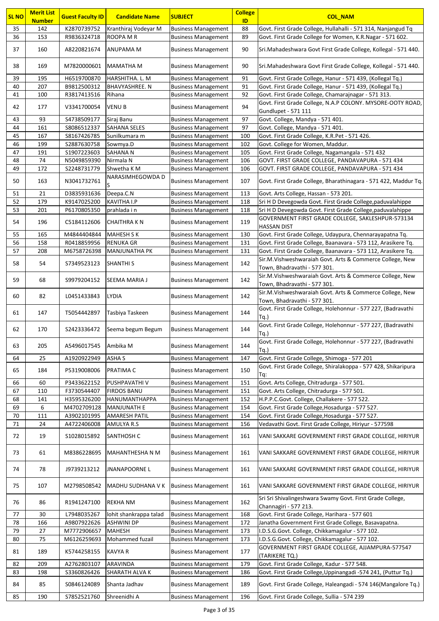| <b>SL NO</b> | <b>Merit List</b><br><b>Number</b> | <b>Guest Faculty ID</b> | <b>Candidate Name</b>  | <b>SUBJECT</b>             | <b>College</b><br>ID | <b>COL_NAM</b>                                                                           |
|--------------|------------------------------------|-------------------------|------------------------|----------------------------|----------------------|------------------------------------------------------------------------------------------|
| 35           | 142                                | K2870739752             | Kranthiraj Vodeyar M   | <b>Business Management</b> | 88                   | Govt. First Grade College, Hullahalli - 571 314, Nanjangud Tq                            |
| 36           | 153                                | R9836324718             | ROOPA M R              | <b>Business Management</b> | 89                   | Govt. First Grade College for Women, K.R.Nagar - 571 602.                                |
| 37           | 160                                | A8220821674             | <b>ANUPAMA M</b>       | <b>Business Management</b> | 90                   | Sri.Mahadeshwara Govt First Grade College, Kollegal - 571 440.                           |
| 38           | 169                                | M7820000601             | MAMATHA M              | <b>Business Management</b> | 90                   | Sri.Mahadeshwara Govt First Grade College, Kollegal - 571 440.                           |
| 39           | 195                                | H6519700870             | HARSHITHA. L. M        | <b>Business Management</b> | 91                   | Govt. First Grade College, Hanur - 571 439, (Kollegal Tq.)                               |
| 40           | 207                                | B9812500312             | BHAVYASHREE. N         | <b>Business Management</b> | 91                   | Govt. First Grade College, Hanur - 571 439, (Kollegal Tq.)                               |
| 41           | 100                                | R3817413516             | Rihana                 | <b>Business Management</b> | 92                   | Govt. First Grade College, Chamarajnagar - 571 313.                                      |
| 42           | 177                                | V3341700054             | <b>VENUB</b>           | <b>Business Management</b> | 94                   | Govt. First Grade College, N.A.P COLONY. MYSORE-OOTY ROAD,<br>Gundlupet - 571 111        |
| 43           | 93                                 | S4738509177             | Siraj Banu             | <b>Business Management</b> | 97                   | Govt. College, Mandya - 571 401.                                                         |
| 44           | 161                                | \$8086512337            | <b>SAHANA SELES</b>    | <b>Business Management</b> | 97                   | Govt. College, Mandya - 571 401.                                                         |
| 45           | 167                                | S8167426785             | Sunilkumara m          | <b>Business Management</b> | 100                  | Govt. First Grade College, K.R.Pet - 571 426.                                            |
| 46           | 199                                |                         |                        |                            | 102                  | Govt. College for Women, Maddur.                                                         |
|              |                                    | S2887630758             | Sowmya.D               | <b>Business Management</b> | 105                  |                                                                                          |
| 47           | 191                                | \$1907223603            | SAHANA N               | <b>Business Management</b> |                      | Govt. First Grade College, Nagamangala - 571 432                                         |
| 48           | 74                                 | N5049859390             | Nirmala N              | <b>Business Management</b> | 106                  | GOVT. FIRST GRADE COLLEGE, PANDAVAPURA - 571 434                                         |
| 49           | 172                                | S2248731779             | Shwetha K M            | <b>Business Management</b> | 106                  | GOVT. FIRST GRADE COLLEGE, PANDAVAPURA - 571 434                                         |
| 50           | 163                                | N3041732761             | NARASIMHEGOWDA D<br>S  | <b>Business Management</b> | 107                  | Govt. First Grade College, Bharathinagara - 571 422, Maddur Tq.                          |
| 51           | 21                                 | D3835931636             | Deepa.C.N              | <b>Business Management</b> | 113                  | Govt. Arts College, Hassan - 573 201.                                                    |
| 52           | 179                                | K9147025200             | <b>KAVITHA I.P</b>     | <b>Business Management</b> | 118                  | Sri H D Devegowda Govt. First Grade College, paduvalahippe                               |
| 53           | 201                                | P6170805350             | prahlada i n           | <b>Business Management</b> | 118                  | Sri H D Devegowda Govt. First Grade College, paduvalahippe                               |
|              |                                    |                         |                        |                            |                      | GOVERNMENT FIRST GRADE COLLEGE, SAKLESHPUR-573134                                        |
| 54           | 196                                | C5184112606             | <b>CHAITHRAKN</b>      | <b>Business Management</b> | 119                  | <b>HASSAN DIST</b>                                                                       |
| 55           | 165                                | M4844404844             | <b>MAHESH S K</b>      | <b>Business Management</b> | 130                  | Govt. First Grade College, Udaypura, Chennarayapatna Tq.                                 |
| 56           | 158                                | R0418859956             | <b>RENUKA GR</b>       | <b>Business Management</b> | 131                  | Govt. First Grade College, Baanavara - 573 112, Arasikere Tq.                            |
| 57           | 208                                |                         |                        |                            |                      |                                                                                          |
|              |                                    | M6758726398             | <b>MANJUNATHA PK</b>   | <b>Business Management</b> | 131                  | Govt. First Grade College, Baanavara - 573 112, Arasikere Tq.                            |
| 58           | 54                                 | \$7349523123            | <b>SHANTHI S</b>       | <b>Business Management</b> | 142                  | Sir.M.Vishweshwaraiah Govt. Arts & Commerce College, New<br>Town, Bhadravathi - 577 301. |
| 59           | 68                                 | S9979204152             | SEEMA MARIA J          | <b>Business Management</b> | 142                  | Sir.M.Vishweshwaraiah Govt. Arts & Commerce College, New<br>Town, Bhadravathi - 577 301. |
| 60           | 82                                 | L0451433843             | <b>LYDIA</b>           | <b>Business Management</b> | 142                  | Sir.M.Vishweshwaraiah Govt. Arts & Commerce College, New<br>Town, Bhadravathi - 577 301. |
| 61           | 147                                | T5054442897             | Tasbiya Taskeen        | <b>Business Management</b> | 144                  | Govt. First Grade College, Holehonnur - 577 227, (Badravathi<br>$Tq.$ )                  |
| 62           | 170                                | S2423336472             | Seema begum Begum      | <b>Business Management</b> | 144                  | Govt. First Grade College, Holehonnur - 577 227, (Badravathi<br>$Tq.$ )                  |
| 63           | 205                                | A5496017545             | Ambika M               | <b>Business Management</b> | 144                  | Govt. First Grade College, Holehonnur - 577 227, (Badravathi<br>Tq.)                     |
| 64           | 25                                 | A1920922949             | <b>ASHA S</b>          | <b>Business Management</b> | 147                  | Govt. First Grade College, Shimoga - 577 201                                             |
| 65           | 184                                | P5319008006             | PRATIMA C              | <b>Business Management</b> | 150                  | Govt. First Grade College, Shiralakoppa - 577 428, Shikaripura<br>Tq:                    |
| 66           | 60                                 | P3433622152             | PUSHPAVATHI V          | <b>Business Management</b> | 151                  | Govt. Arts College, Chitradurga - 577 501.                                               |
| 67           | 110                                | F3730544407             | <b>FIRDOS BANU</b>     | <b>Business Management</b> | 151                  | Govt. Arts College, Chitradurga - 577 501.                                               |
| 68           | 141                                | H3595326200             | HANUMANTHAPPA          | <b>Business Management</b> | 152                  | H.P.P.C.Govt. College, Challakere - 577 522.                                             |
| 69           | 6                                  | M4702709128             | <b>MANJUNATH E</b>     | <b>Business Management</b> | 154                  | Govt. First Grade College, Hosadurga - 577 527.                                          |
| 70           | 111                                | A3902101995             | <b>AMARESH PATIL</b>   | <b>Business Management</b> | 154                  | Govt. First Grade College, Hosadurga - 577 527.                                          |
| 71           | 24                                 |                         | AMULYA R.S             | <b>Business Management</b> | 156                  | Vedavathi Govt. First Grade College, Hiriyur - 577598                                    |
|              |                                    | A4722406008             |                        |                            |                      |                                                                                          |
| 72           | 19                                 | S1028015892             | <b>SANTHOSH C</b>      | <b>Business Management</b> | 161                  | VANI SAKKARE GOVERNMENT FIRST GRADE COLLEGE, HIRIYUR                                     |
| 73           | 61                                 | M8386228695             | MAHANTHESHA N M        | <b>Business Management</b> | 161                  | VANI SAKKARE GOVERNMENT FIRST GRADE COLLEGE, HIRIYUR                                     |
| 74           | 78                                 | J9739213212             | JNANAPOORNE L          | <b>Business Management</b> | 161                  | VANI SAKKARE GOVERNMENT FIRST GRADE COLLEGE, HIRIYUR                                     |
| 75           | 107                                | M2798508542             | MADHU SUDHANA V K      | <b>Business Management</b> | 161                  | VANI SAKKARE GOVERNMENT FIRST GRADE COLLEGE, HIRIYUR                                     |
| 76           | 86                                 | R1941247100             | <b>REKHA NM</b>        | <b>Business Management</b> | 162                  | Sri Sri Shivalingeshwara Swamy Govt. First Grade College,<br>Channagiri - 577 213.       |
| 77           | 30                                 | L7948035267             | lohit shankrappa talad | <b>Business Management</b> | 168                  | Govt. First Grade College, Harihara - 577 601                                            |
| 78           | 166                                | A9807922626             | <b>ASHWINI DP</b>      | <b>Business Management</b> | 172                  | Janatha Government First Grade College, Basavapatna.                                     |
| 79           | 27                                 | M7772906657             | MAHESH                 | <b>Business Management</b> | 173                  | I.D.S.G.Govt. College, Chikkamagalur - 577 102.                                          |
| 80           | 75                                 | M6126259693             | Mohammed fuzail        | <b>Business Management</b> | 173                  | I.D.S.G.Govt. College, Chikkamagalur - 577 102.                                          |
| 81           | 189                                | K5744258155             | <b>KAVYA R</b>         | <b>Business Management</b> | 177                  | GOVERNMENT FIRST GRADE COLLEGE, AJJAMPURA-577547<br>(TARIKERE TQ.)                       |
| 82           | 209                                | A2762803107             | ARAVINDA               | <b>Business Management</b> | 179                  | Govt. First Grade College, Kadur - 577 548.                                              |
|              |                                    |                         |                        |                            |                      |                                                                                          |
| 83           | 198                                | \$3360826426            | SHARATH ALVA K         | <b>Business Management</b> | 186                  | Govt. First Grade College, Uppinangadi -574 241, (Puttur Tq.)                            |
| 84           | 85                                 | S0846124089             | Shanta Jadhav          | <b>Business Management</b> | 189                  | Govt. First Grade College, Haleangadi - 574 146 (Mangalore Tq.)                          |
| 85           | 190                                | S7852521760             | Shreenidhi A           | <b>Business Management</b> | 196                  | Govt. First Grade College, Sullia - 574 239                                              |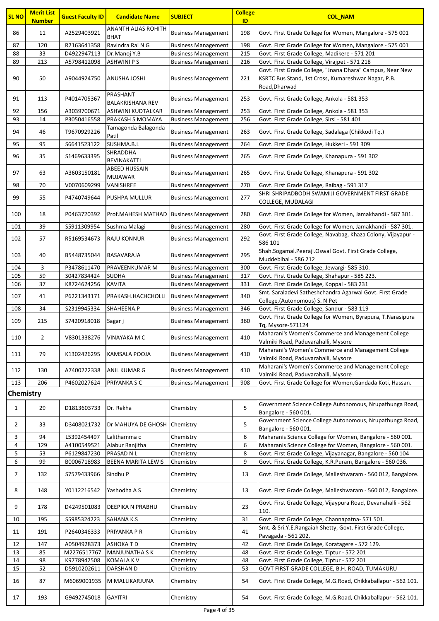| <b>SL NO</b>   | <b>Merit List</b><br><b>Number</b> | <b>Guest Faculty ID</b>    | <b>Candidate Name</b>                 | <b>SUBJECT</b>             | <b>College</b><br>ID | <b>COL_NAM</b>                                                                                             |
|----------------|------------------------------------|----------------------------|---------------------------------------|----------------------------|----------------------|------------------------------------------------------------------------------------------------------------|
|                |                                    |                            | <b>ANANTH ALIAS ROHITH</b>            |                            |                      |                                                                                                            |
| 86             | 11                                 | A2529403921                | <b>BHAT</b>                           | <b>Business Management</b> | 198                  | Govt. First Grade College for Women, Mangalore - 575 001                                                   |
| 87             | 120                                | R2163641358                | Ravindra Rai N G                      | <b>Business Management</b> | 198                  | Govt. First Grade College for Women, Mangalore - 575 001                                                   |
| 88             | 33                                 | D4922947113                | Dr.Manoj Y.B                          | <b>Business Management</b> | 215                  | Govt. First Grade College, Madikere - 571 201                                                              |
| 89             | 213                                | A5798412098                | <b>ASHWINI PS</b>                     | <b>Business Management</b> | 216                  | Govt. First Grade College, Virajpet - 571 218<br>Govt. First Grade College, "Jnana Dhara" Campus, Near New |
| 90             | 50                                 | A9044924750                | <b>ANUSHA JOSHI</b>                   | <b>Business Management</b> | 221                  | KSRTC Bus Stand, 1st Cross, Kumareshwar Nagar, P.B.<br>Road, Dharwad                                       |
| 91             | 113                                | P4014705367                | PRASHANT<br><b>BALAKRISHANA REV</b>   | <b>Business Management</b> | 253                  | Govt. First Grade College, Ankola - 581 353                                                                |
| 92             | 156                                | A3039700671                | ASHWINI KUDTALKAR                     | <b>Business Management</b> | 253                  | Govt. First Grade College, Ankola - 581 353                                                                |
| 93             | 14                                 | P3050416558                | <b>PRAKASH S MOMAYA</b>               | <b>Business Management</b> | 256                  | Govt. First Grade College, Sirsi - 581 401                                                                 |
| 94             | 46                                 | T9670929226                | Tamagonda Balagonda<br>Patil          | <b>Business Management</b> | 263                  | Govt. First Grade College, Sadalaga (Chikkodi Tq.)                                                         |
| 95             | 95                                 | S6641523122                | SUSHMA.B.L                            | <b>Business Management</b> | 264                  | Govt. First Grade College, Hukkeri - 591 309                                                               |
| 96             | 35                                 | S1469633395                | <b>SHRADDHA</b><br><b>BEVINAKATTI</b> | <b>Business Management</b> | 265                  | Govt. First Grade College, Khanapura - 591 302                                                             |
| 97             | 63                                 | A3603150181                | <b>ABEED HUSSAIN</b><br>MUJAWAR       | <b>Business Management</b> | 265                  | Govt. First Grade College, Khanapura - 591 302                                                             |
| 98             | 70                                 | V0070609299                | VANISHREE                             | <b>Business Management</b> | 270                  | Govt. First Grade College, Raibag - 591 317                                                                |
| 99             | 55                                 | P4740749644                | <b>PUSHPA MULLUR</b>                  | <b>Business Management</b> | 277                  | SHRI SHRIPADBODH SWAMIJI GOVERNMENT FIRST GRADE<br>COLLEGE, MUDALAGI                                       |
| 100            | 18                                 | P0463720392                | <b>Prof.MAHESH MATHAD</b>             | <b>Business Management</b> | 280                  | Govt. First Grade College for Women, Jamakhandi - 587 301.                                                 |
| 101            | 39                                 | S5911309954                | Sushma Malagi                         | <b>Business Management</b> | 280                  | Govt. First Grade College for Women, Jamakhandi - 587 301.                                                 |
| 102            | 57                                 | R5169534673                | <b>RAJU KONNUR</b>                    | <b>Business Management</b> | 292                  | Govt. First Grade College, Navabag, Khaza Colony, Vijayapur -<br>586 101                                   |
| 103            | 40                                 | B5448735044                | BASAVARAJA                            | <b>Business Management</b> | 295                  | Shah.Sogamal.Peeraji.Oswal Govt. First Grade College,<br>Muddebihal - 586 212                              |
| 104            | 3                                  | P3478611470                | <b>PRAVEENKUMAR M</b>                 | <b>Business Management</b> | 300                  | Govt. First Grade College, Jewargi- 585 310.                                                               |
| 105            | 59                                 | S0427834424                | <b>SUDHA</b>                          | <b>Business Management</b> | 317                  | Govt. First Grade College, Shahapur - 585 223.                                                             |
| 106            | 37                                 | K8724624256                | <b>KAVITA</b>                         | <b>Business Management</b> | 331                  | Govt. First Grade College, Koppal - 583 231                                                                |
| 107            | 41                                 | P6221343171                | PRAKASH.HACHCHOLLI                    | <b>Business Management</b> | 340                  | Smt. Saraladevi Satheshchandra Agarwal Govt. First Grade<br>College, (Autonomous) S. N Pet                 |
| 108            | 34                                 | S2319945334                | SHAHEENA.P                            | <b>Business Management</b> | 346                  | Govt. First Grade College, Sandur - 583 119                                                                |
| 109            | 215                                | S7420918018                | Sagar j                               | <b>Business Management</b> | 360                  | Govt. First Grade College for Women, Byrapura, T.Narasipura<br>Tq, Mysore-571124                           |
| 110            | 2                                  | V8301338276   VINAYAKA M C |                                       | <b>Business Management</b> | 410                  | Maharani's Women's Commerce and Management College<br>Valmiki Road, Paduvarahalli, Mysore                  |
| 111            | 79                                 | K1302426295                | KAMSALA POOJA                         | <b>Business Management</b> | 410                  | Maharani's Women's Commerce and Management College<br>Valmiki Road, Paduvarahalli, Mysore                  |
| 112            | 130                                | A7400222338                | ANIL KUMAR G                          | <b>Business Management</b> | 410                  | Maharani's Women's Commerce and Management College<br>Valmiki Road, Paduvarahalli, Mysore                  |
| 113            | 206                                | P4602027624                | PRIYANKA S C                          | <b>Business Management</b> | 908                  | Govt. First Grade College for Women, Gandada Koti, Hassan.                                                 |
| Chemistry      |                                    |                            |                                       |                            |                      |                                                                                                            |
| $\mathbf{1}$   | 29                                 | D1813603733                | Dr. Rekha                             | Chemistry                  | 5                    | Government Science College Autonomous, Nrupathunga Road,<br>Bangalore - 560 001.                           |
| $\overline{2}$ | 33                                 | D3408021732                | Dr MAHUYA DE GHOSH                    | Chemistry                  | 5                    | Government Science College Autonomous, Nrupathunga Road,                                                   |
| 3              | 94                                 | L5392454497                | Lalithamma c                          | Chemistry                  | 6                    | Bangalore - 560 001.<br>Maharanis Science College for Women, Bangalore - 560 001.                          |
| 4              | 129                                | A4100549521                | Alabur Ranjitha                       | Chemistry                  | 6                    | Maharanis Science College for Women, Bangalore - 560 001.                                                  |
| 5              | 53                                 | P6129847230                | PRASAD N L                            | Chemistry                  | 8                    | Govt. First Grade College, Vijayanagar, Bangalore - 560 104                                                |
| 6              | 99                                 | B0006718983                | <b>BEENA MARITA LEWIS</b>             | Chemistry                  | 9                    | Govt. First Grade College, K.R.Puram, Bangalore - 560 036.                                                 |
| 7              | 132                                | S7579433966                | Sindhu P                              | Chemistry                  | 13                   | Govt. First Grade College, Malleshwaram - 560 012, Bangalore.                                              |
| 8              | 148                                | Y0112216542                | Yashodha A S                          | Chemistry                  | 13                   | Govt. First Grade College, Malleshwaram - 560 012, Bangalore.                                              |
| 9              | 178                                | D4249501083                | <b>DEEPIKA N PRABHU</b>               | Chemistry                  | 23                   | Govt. First Grade College, Vijaypura Road, Devanahalli - 562<br>110.                                       |
| 10             | 195                                | \$5985324223               | <b>SAHANA K.S</b>                     | Chemistry                  | 31                   | Govt. First Grade College, Channapatna- 571 501.                                                           |
| 11             | 191                                | P2640346333                | PRIYANKA P R                          | Chemistry                  | 41                   | Smt. & Sri.Y.E.Rangaiah Shetty, Govt. First Grade College,<br>Pavagada - 561 202.                          |
| 12             | 147                                | A0504928373                | <b>ASHOKATD</b>                       | Chemistry                  | 42                   | Govt. First Grade College, Koratagere - 572 129.                                                           |
| 13             | 85                                 | M2276517767                | <b>MANJUNATHA SK</b>                  | Chemistry                  | 48                   | Govt. First Grade College, Tiptur - 572 201                                                                |
| 14             | 98                                 | K9778942508                | <b>KOMALA KV</b>                      | Chemistry                  | 48                   | Govt. First Grade College, Tiptur - 572 201                                                                |
| 15             | 52                                 | D5910202611                | DARSHAN D                             | Chemistry                  | 53                   | GOVT FIRST GRADE COLLEGE, B.H. ROAD, TUMAKURU                                                              |
| 16             | 87                                 | M6069001935                | M MALLIKARJUNA                        | Chemistry                  | 54                   | Govt. First Grade College, M.G.Road, Chikkaballapur - 562 101.                                             |
| 17             | 193                                | G9492745018                | <b>GAYITRI</b>                        | Chemistry                  | 54                   | Govt. First Grade College, M.G.Road, Chikkaballapur - 562 101.                                             |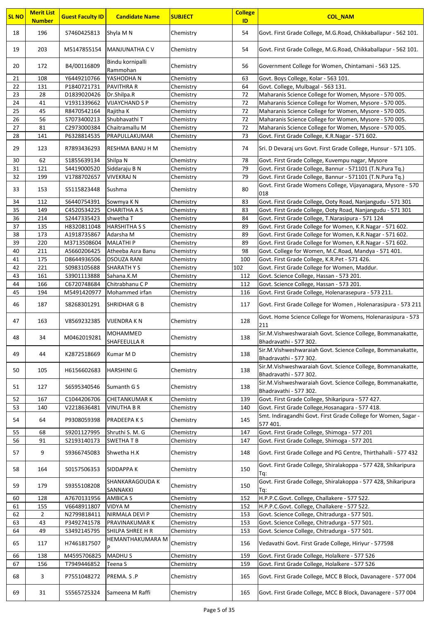| <b>SL NO</b>    | <b>Merit List</b><br><b>Number</b> | <b>Guest Faculty ID</b>     | <b>Candidate Name</b>                  | <b>SUBJECT</b>         | <b>College</b><br>ID | <b>COL_NAM</b>                                                                                                   |
|-----------------|------------------------------------|-----------------------------|----------------------------------------|------------------------|----------------------|------------------------------------------------------------------------------------------------------------------|
| 18              | 196                                | S7460425813                 | Shyla M N                              | Chemistry              | 54                   | Govt. First Grade College, M.G.Road, Chikkaballapur - 562 101.                                                   |
| 19              | 203                                | M5147855154                 | <b>MANJUNATHA CV</b>                   | Chemistry              | 54                   | Govt. First Grade College, M.G.Road, Chikkaballapur - 562 101.                                                   |
| 20              | 172                                | B4/00116809                 | Bindu kornipalli<br>Rammohan           | Chemistry              | 56                   | Government College for Women, Chintamani - 563 125.                                                              |
| 21              | 108                                | Y6449210766                 | YASHODHA N                             | Chemistry              | 63                   | Govt. Boys College, Kolar - 563 101.                                                                             |
| 22              | 131                                | P1840721731                 | <b>PAVITHRA R</b>                      | Chemistry              | 64                   | Govt. College, Mulbagal - 563 131.                                                                               |
| 23              | 28                                 | D1839020426                 | Dr.Shilpa.R                            | Chemistry              | 72                   | Maharanis Science College for Women, Mysore - 570 005.                                                           |
| 24              | 41                                 | V1931339662                 | <b>VIJAYCHAND S P</b>                  | Chemistry              | 72                   | Maharanis Science College for Women, Mysore - 570 005.                                                           |
| 25<br>26        | 45<br>56                           | R8470542164<br>S7073400213  | Rajitha K<br>Shubhavathi T             | Chemistry              | 72<br>72             | Maharanis Science College for Women, Mysore - 570 005.<br>Maharanis Science College for Women, Mysore - 570 005. |
| $\overline{27}$ | 81                                 | C2973000384                 | Chaitramallu M                         | Chemistry<br>Chemistry | 72                   | Maharanis Science College for Women, Mysore - 570 005.                                                           |
| 28              | 141                                | P6328814535                 | PRAPULLAKUMAR                          | Chemistry              | 73                   | Govt. First Grade College, K.R.Nagar - 571 602.                                                                  |
| 29              | 123                                | R7893436293                 | RESHMA BANU H M                        | Chemistry              | 74                   | Sri. D Devaraj urs Govt. First Grade College, Hunsur - 571 105.                                                  |
| 30              | 62                                 | \$1855639134                | Shilpa N                               | Chemistry              | 78                   | Govt. First Grade College, Kuvempu nagar, Mysore                                                                 |
| 31              | 121                                | S4419000520                 | Siddaraju B N                          | Chemistry              | 79                   | Govt. First Grade College, Bannur - 571101 (T.N.Pura Tq.)                                                        |
| 32              | 199                                | V1788702657                 | <b>VIVEKRAJ N</b>                      | Chemistry              | 79                   | Govt. First Grade College, Bannur - 571101 (T.N.Pura Tq.)                                                        |
| 33              | 153                                | S5115823448                 | Sushma                                 | Chemistry              | 80                   | Govt. First Grade Womens College, Vijayanagara, Mysore - 570<br>018                                              |
| 34              | 112                                | S6440754391                 | Sowmya K N                             | Chemistry              | 83                   | Govt. First Grade College, Ooty Road, Nanjangudu - 571 301                                                       |
| 35              | 149                                | C4520534225                 | <b>CHARITHA A S</b>                    | Chemistry              | 83                   | Govt. First Grade College, Ooty Road, Nanjangudu - 571 301                                                       |
| 36              | 214                                | S2447335423                 | shwetha T                              | Chemistry              | 84                   | Govt. First Grade College, T.Narasipura - 571 124                                                                |
| 37              | 135                                | H8320811048                 | <b>HARSHITHA S S</b>                   | Chemistry              | 89                   | Govt. First Grade College for Women, K.R.Nagar - 571 602.                                                        |
| 38              | 173                                | A1918735867                 | Adarsha M                              | Chemistry              | 89                   | Govt. First Grade College for Women, K.R.Nagar - 571 602.                                                        |
| 39              | 220                                | M3713508604                 | <b>MALATHIP</b>                        | Chemistry              | 89                   | Govt. First Grade College for Women, K.R.Nagar - 571 602.                                                        |
| 40              | 211                                | A5660206425                 | Atheeba Asra Banu                      | Chemistry              | 98                   | Govt. College for Women, M.C.Road, Mandya - 571 401.                                                             |
| 41<br>42        | 175<br>221                         | D8644936506<br>\$0983105688 | <b>DSOUZA RANI</b><br><b>SHARATHYS</b> | Chemistry<br>Chemistry | 100<br>102           | Govt. First Grade College, K.R.Pet - 571 426.<br>Govt. First Grade College for Women, Maddur.                    |
| 43              | 161                                | S3901113888                 | Sahana.K.M                             | Chemistry              | 112                  | Govt. Science College, Hassan - 573 201.                                                                         |
| 44              | 166                                | C6720748684                 | Chitrabhanu C P                        | Chemistry              | 112                  | Govt. Science College, Hassan - 573 201.                                                                         |
| 45              | 194                                | M5491420977                 | Mohammed irfan                         | Chemistry              | 116                  | Govt. First Grade College, Holenarasepura - 573 211.                                                             |
| 46              | 187                                | S8268301291                 | <b>SHRIDHAR G B</b>                    | Chemistry              | 117                  | Govt. First Grade College for Women, Holenarasipura - 573 211                                                    |
| 47              | 163                                | V8569232385                 | <b>VIJENDRAKN</b>                      | Chemistry              | 128                  | Govt. Home Science College for Womens, Holenarasipura - 573<br>211                                               |
| 48              | 34                                 | M0462019281                 | <b>MOHAMMED</b><br>SHAFEEULLA R        | Chemistry              | 138                  | Sir.M.Vishweshwaraiah Govt. Science College, Bommanakatte,<br>Bhadravathi - 577 302.                             |
| 49              | 44                                 | K2872518669                 | Kumar M D                              | Chemistry              | 138                  | Sir.M.Vishweshwaraiah Govt. Science College, Bommanakatte,<br>Bhadravathi - 577 302.                             |
| 50              | 105                                | H6156602683                 | <b>HARSHINI G</b>                      | Chemistry              | 138                  | Sir.M.Vishweshwaraiah Govt. Science College, Bommanakatte,<br>Bhadravathi - 577 302.                             |
| 51              | 127                                | \$6595340546                | Sumanth G S                            | Chemistry              | 138                  | Sir.M.Vishweshwaraiah Govt. Science College, Bommanakatte,<br>Bhadravathi - 577 302.                             |
| 52              | 167                                | C1044206706                 | <b>CHETANKUMARK</b>                    | Chemistry              | 139                  | Govt. First Grade College, Shikaripura - 577 427.                                                                |
| 53              | 140                                | V2218636481                 | VINUTHA B R                            | Chemistry              | 140                  | Govt. First Grade College, Hosanagara - 577 418.                                                                 |
| 54              | 64                                 | P9308059398                 | <b>PRADEEPAKS</b>                      | Chemistry              | 145                  | Smt. Indiragandhi Govt. First Grade College for Women, Sagar -<br>577 401.                                       |
| 55              | 68                                 | S9201127995                 | Shruthi S. M. G                        | Chemistry              | 147                  | Govt. First Grade College, Shimoga - 577 201                                                                     |
| 56              | 91                                 | S2193140173                 | <b>SWETHATB</b>                        | Chemistry              | 147                  | Govt. First Grade College, Shimoga - 577 201                                                                     |
| 57              | 9                                  | \$9366745083                | Shwetha H.K                            | Chemistry              | 148                  | Govt. First Grade College and PG Centre, Thirthahalli - 577 432                                                  |
| 58              | 164                                | S0157506353                 | <b>SIDDAPPA K</b>                      | Chemistry              | 150                  | Govt. First Grade College, Shiralakoppa - 577 428, Shikaripura<br>Tq:                                            |
| 59              | 179                                | \$9355108208                | SHANKARAGOUDA K<br>SANNAKKI            | Chemistry              | 150                  | Govt. First Grade College, Shiralakoppa - 577 428, Shikaripura<br>Tq:                                            |
| 60              | 128                                | A7670131956                 | <b>AMBICA S</b>                        | Chemistry              | 152                  | H.P.P.C.Govt. College, Challakere - 577 522.                                                                     |
| 61              | 155                                | V6648911807                 | VIDYA M                                | Chemistry              | 152                  | H.P.P.C.Govt. College, Challakere - 577 522.                                                                     |
| 62              | 2                                  | N2799818411                 | NIRMALA DEVI P                         | Chemistry              | 153                  | Govt. Science College, Chitradurga - 577 501.                                                                    |
| 63              | 43                                 | P3492741578                 | PRAVINAKUMAR K                         | Chemistry              | 153                  | Govt. Science College, Chitradurga - 577 501.                                                                    |
| 64<br>65        | 49<br>117                          | S3492145795<br>H7461817507  | SHILPA SHREE H R<br>HEMANTHAKUMARA M   | Chemistry<br>Chemistry | 153<br>156           | Govt. Science College, Chitradurga - 577 501.<br>Vedavathi Govt. First Grade College, Hiriyur - 577598           |
|                 |                                    |                             |                                        |                        |                      |                                                                                                                  |
| 66              | 138                                | M4595706825                 | <b>MADHUS</b>                          | Chemistry              | 159                  | Govt. First Grade College, Holalkere - 577 526                                                                   |
| 67              | 156                                | T7949446852                 | Teena S                                | Chemistry              | 159                  | Govt. First Grade College, Holalkere - 577 526                                                                   |
| 68              | 3                                  | P7551048272                 | PREMA. S.P                             | Chemistry              | 165                  | Govt. First Grade College, MCC B Block, Davanagere - 577 004                                                     |
| 69              | 31                                 | \$5565725324                | Sameena M Raffi                        | Chemistry              | 165                  | Govt. First Grade College, MCC B Block, Davanagere - 577 004                                                     |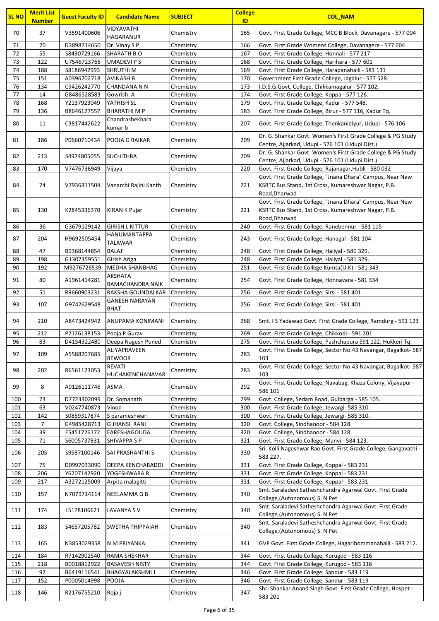| <b>SL NO</b> | <b>Merit List</b><br><b>Number</b> | <b>Guest Faculty ID</b>     | <b>Candidate Name</b>                | <b>SUBJECT</b>         | <b>College</b><br>ID | <b>COL_NAM</b>                                                                                                                    |
|--------------|------------------------------------|-----------------------------|--------------------------------------|------------------------|----------------------|-----------------------------------------------------------------------------------------------------------------------------------|
| 70           | 37                                 | V3591400606                 | VIDYAVATHI                           | Chemistry              | 165                  | Govt. First Grade College, MCC B Block, Davanagere - 577 004                                                                      |
| 71           | 70                                 | D3898714650                 | <b>HAGARANUR</b><br>Dr. Vinay SP     | Chemistry              | 166                  | Govt. First Grade Womens College, Davanagere - 577 004                                                                            |
| 72           | 55                                 | S8490729166                 | <b>SHARATH B.O</b>                   | Chemistry              | 167                  | Govt. First Grade College, Honnali - 577 217                                                                                      |
| 73           | 122                                | U7546723766                 | <b>UMADEVIPS</b>                     | Chemistry              | 168                  | Govt. First Grade College, Harihara - 577 601                                                                                     |
| 74           | 188                                | S8186942993                 | <b>SHRUTHIM</b>                      | Chemistry              | 169                  | Govt. First Grade College, Harapanahalli - 583 131                                                                                |
| 75           | 151                                | A0396702718                 | <b>AVINASH B</b>                     | Chemistry              | 170                  | Government First Grade College, Jagalur - 577 528                                                                                 |
| 76           | 134                                | C9426242770                 | <b>CHANDANA N N</b>                  | Chemistry              | 173                  | I.D.S.G.Govt. College, Chikkamagalur - 577 102.                                                                                   |
| 77           | 14                                 | G8486528583                 | Gowrish. A                           | Chemistry              | 174                  | Govt. First Grade College, Koppa - 577 126.                                                                                       |
| 78           | 168                                | Y2137923049                 | YATHISH SL                           | Chemistry              | 179                  | Govt. First Grade College, Kadur - 577 548.                                                                                       |
| 79           | 136                                | B8646127557                 | <b>BHARATHIMP</b>                    | Chemistry              | 183                  | Govt. First Grade College, Birur - 577 116, Kadur Tq.                                                                             |
| 80           | 11                                 | C3817442622                 | Chandrashekhara<br>kumar b           | Chemistry              | 207                  | Govt. First Grade College, Thenkanidiyur, Udupi - 576 106                                                                         |
| 81           | 186                                | P0660710434                 | POOJA G RAIKAR                       | Chemistry              | 209                  | Dr. G. Shankar Govt. Women's First Grade College & PG Study<br>Centre, Ajjarkad, Udupi - 576 101 (Udupi Dist.)                    |
| 82           | 213                                | S4974805055                 | <b>SUCHITHRA</b>                     | Chemistry              | 209                  | Dr. G. Shankar Govt. Women's First Grade College & PG Study<br>Centre, Ajjarkad, Udupi - 576 101 (Udupi Dist.)                    |
| 83           | 170                                | V7476736949                 | Vijaya                               | Chemistry              | 220                  | Govt. First Grade College, Rajanagar, Hubli - 580 032                                                                             |
| 84           | 74                                 | V7936311504                 | Vanarchi Rajini Kanth                | Chemistry              | 221                  | Govt. First Grade College, "Jnana Dhara" Campus, Near New<br>KSRTC Bus Stand, 1st Cross, Kumareshwar Nagar, P.B.<br>Road, Dharwad |
| 85           | 130                                | K2845336370                 | <b>KIRAN K Pujar</b>                 | Chemistry              | 221                  | Govt. First Grade College, "Jnana Dhara" Campus, Near New<br>KSRTC Bus Stand, 1st Cross, Kumareshwar Nagar, P.B.<br>Road, Dharwad |
| 86           | 36                                 | G3679129142                 | <b>GIRISH L KITTUR</b>               | Chemistry              | 240                  | Govt. First Grade College, Ranebennur - 581 115                                                                                   |
| 87           | 204                                | H9692505454                 | HANUMANTAPPA<br><b>TALAWAR</b>       | Chemistry              | 243                  | Govt. First Grade College, Hanagal - 581 104                                                                                      |
| 88           | 47                                 | B9368144854                 | <b>BALAJI</b>                        | Chemistry              | 248                  | Govt. First Grade College, Haliyal - 581 329.                                                                                     |
| 89           | 198                                | G1307359551                 | Girish Ariga                         | Chemistry              | 248                  | Govt. First Grade College, Haliyal - 581 329.                                                                                     |
| 90           | 192                                | M9276726539                 | <b>MEDHA SHANBHAG</b>                | Chemistry              | 251                  | Govt. First Grade College Kumta(U.K) - 581 343                                                                                    |
| 91           | 80                                 | A1961414281                 | <b>AKSHATA</b><br>RAMACHANDRA NAIK   | Chemistry              | 254                  | Govt. First Grade College, Honnavara - 581 334                                                                                    |
| 92           | 51                                 | R9660903231                 | RAKSHA GOUNDALKAR                    | Chemistry              | 256                  | Govt. First Grade College, Sirsi - 581 401                                                                                        |
| 93           | 107                                | G9742629548                 | <b>GANESH NARAYAN</b><br><b>BHAT</b> | Chemistry              | 256                  | Govt. First Grade College, Sirsi - 581 401                                                                                        |
| 94           | 210                                | A8473424942                 | ANUPAMA KONIMANI                     | Chemistry              | 268                  | Smt. I S Yadawad Govt. First Grade College, Ramdurg - 591 123                                                                     |
| 95           | 212                                | P2126138153                 | Pooja P Gurav                        | Chemistry              | 269                  | Govt. First Grade College, Chikkodi - 591 201                                                                                     |
| 96           | 83                                 | D4154322480                 | Deepa Nagesh Puned                   | Chemistry              | 275                  | Govt. First Grade College, Pashchapura 591 122, Hukkeri Tq.                                                                       |
| 97           | 109                                | A5588207685                 | ALIYAPRAVEEN<br><b>BEWOOR</b>        | Chemistry              | 283                  | Govt. First Grade College, Sector No.43 Navangar, Bagalkot-587<br>103                                                             |
| 98           | 202                                | R6561123053                 | <b>REVATI</b><br>HUCHAKENCHANAVAR    | Chemistry              | 283                  | Govt. First Grade College, Sector No.43 Navangar, Bagalkot-587<br>103                                                             |
| 99           | 8                                  | A0126111746                 | <b>ASMA</b>                          | Chemistry              | 292                  | Govt. First Grade College, Navabag, Khaza Colony, Vijayapur -<br>586 101                                                          |
| 100          | 73                                 | D7723302099                 | Dr. Somanath                         | Chemistry              | 299                  | Govt. College, Sedam Road, Gulbarga - 585 105.                                                                                    |
| 101          | 63                                 | V0247740873                 | Vinod                                | Chemistry              | 300                  | Govt. First Grade College, Jewargi- 585 310.                                                                                      |
| 102          | 142                                | S0859317874                 | S parameshwari                       | Chemistry              | 300                  | Govt. First Grade College, Jewargi- 585 310.                                                                                      |
| 103          | $\overline{7}$                     | G4985428713                 | <b>GJHANSI RANI</b>                  | Chemistry              | 320                  | Govt. College, Sindhanoor - 584 128.                                                                                              |
| 104<br>105   | 39<br>71                           | E5451726172                 | EARESHAGOUDA<br><b>SHIVAPPA S P</b>  | Chemistry              | 320<br>321           | Govt. College, Sindhanoor - 584 128.<br>Govt. First Grade College, Manvi - 584 123.                                               |
| 106          | 205                                | \$6005737831<br>S9587100146 | <b>SAI PRASHANTHI S</b>              | Chemistry<br>Chemistry | 330                  | Sri. Kolli Nageshwar Rao Govt. First Grade College, Gangavathi -                                                                  |
| 107          | 75                                 | D0997033090                 | <b>DEEPA KENCHARADDI</b>             | Chemistry              | 331                  | 583 227.<br>Govt. First Grade College, Koppal - 583 231                                                                           |
| 108          | 206                                | Y6207142920                 | YOGESHWARA R                         | Chemistry              | 331                  | Govt. First Grade College, Koppal - 583 231                                                                                       |
| 109          | 217                                | A3272125009                 | Arpita malagitti                     | Chemistry              | 331                  | Govt. First Grade College, Koppal - 583 231                                                                                       |
| 110          | 157                                | N7079714114                 | NEELAMMA G B                         | Chemistry              | 340                  | Smt. Saraladevi Satheshchandra Agarwal Govt. First Grade<br>College, (Autonomous) S. N Pet                                        |
| 111          | 174                                | L5178106621                 | LAVANYA S V                          | Chemistry              | 340                  | Smt. Saraladevi Satheshchandra Agarwal Govt. First Grade<br>College, (Autonomous) S. N Pet                                        |
| 112          | 183                                | S4657205782                 | <b>SWETHA THIPPAIAH</b>              | Chemistry              | 340                  | Smt. Saraladevi Satheshchandra Agarwal Govt. First Grade<br>College, (Autonomous) S. N Pet                                        |
| 113          | 165                                | N3853029358                 | N M PRIYANKA                         | Chemistry              | 341                  | GVP Govt. First Grade College, Hagaribommanahalli - 583 212.                                                                      |
| 114          | 184                                | R7142902540                 | RAMA SHEKHAR                         | Chemistry              | 344                  | Govt. First Grade College, Kurugod - 583 116                                                                                      |
| 115          | 218                                | B0018812922                 | <b>BASAVESH NISTY</b>                | Chemistry              | 344                  | Govt. First Grade College, Kurugod - 583 116                                                                                      |
| 116          | 92                                 | B6419116541                 | <b>BHAGYALAKSHMI J</b>               | Chemistry              | 346                  | Govt. First Grade College, Sandur - 583 119                                                                                       |
| 117          | 152                                | P0005014998                 | POOJA                                | Chemistry              | 346                  | Govt. First Grade College, Sandur - 583 119                                                                                       |
| 118          | 146                                | R2176755210                 | Roja j                               | Chemistry              | 347                  | Shri Shankar Anand Singh Govt. First Grade College, Hospet -<br>583 201                                                           |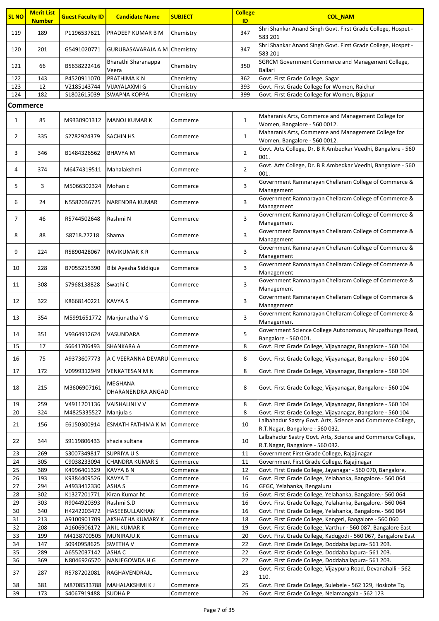| <b>SL NO</b> | <b>Merit List</b> | <b>Guest Faculty ID</b>    | <b>Candidate Name</b>             | <b>SUBJECT</b>         | <b>College</b> | <b>COL NAM</b>                                                                                                                |
|--------------|-------------------|----------------------------|-----------------------------------|------------------------|----------------|-------------------------------------------------------------------------------------------------------------------------------|
|              | <b>Number</b>     |                            |                                   |                        | ID             | Shri Shankar Anand Singh Govt. First Grade College, Hospet -                                                                  |
| 119          | 189               | P1196537621                | PRADEEP KUMAR B M                 | Chemistry              | 347            | 583 201                                                                                                                       |
|              |                   |                            |                                   |                        | 347            | Shri Shankar Anand Singh Govt. First Grade College, Hospet -                                                                  |
| 120          | 201               | G5491020771                | GURUBASAVARAJA A M Chemistry      |                        |                | 583 201                                                                                                                       |
| 121          | 66                | B5638222416                | Bharathi Sharanappa               | Chemistry              | 350            | SGRCM Government Commerce and Management College,                                                                             |
|              |                   |                            | Veera                             |                        |                | Ballari                                                                                                                       |
| 122<br>123   | 143<br>12         | P4520911070<br>V2185143744 | PRATHIMA K N<br>VIJAYALAXMI G     | Chemistry<br>Chemistry | 362<br>393     | Govt. First Grade College, Sagar<br>Govt. First Grade College for Women, Raichur                                              |
| 124          | 182               | \$1802615039               | <b>SWAPNA KOPPA</b>               | Chemistry              | 399            | Govt. First Grade College for Women, Bijapur                                                                                  |
|              | <b>Commerce</b>   |                            |                                   |                        |                |                                                                                                                               |
|              |                   |                            |                                   |                        |                | Maharanis Arts, Commerce and Management College for                                                                           |
| $\mathbf{1}$ | 85                | M9330901312                | <b>IMANOJ KUMAR K</b>             | Commerce               | $\mathbf{1}$   | Women, Bangalore - 560 0012.                                                                                                  |
|              |                   |                            |                                   |                        |                | Maharanis Arts, Commerce and Management College for                                                                           |
| $\mathbf{2}$ | 335               | S2782924379                | <b>SACHIN HS</b>                  | Commerce               | 1              | Women, Bangalore - 560 0012.                                                                                                  |
| 3            | 346               | B1484326562                | <b>BHAVYA M</b>                   | Commerce               | $\overline{2}$ | Govt. Arts College, Dr. B R Ambedkar Veedhi, Bangalore - 560                                                                  |
|              |                   |                            |                                   |                        |                | 001.                                                                                                                          |
| 4            | 374               | M6474319511                | Mahalakshmi                       | Commerce               | $\overline{2}$ | Govt. Arts College, Dr. B R Ambedkar Veedhi, Bangalore - 560<br>001.                                                          |
|              |                   |                            |                                   |                        |                | Government Ramnarayan Chellaram College of Commerce &                                                                         |
| 5            | 3                 | M5066302324                | Mohan c                           | Commerce               | 3              | Management                                                                                                                    |
| 6            | 24                | N5582036725                | <b>NARENDRA KUMAR</b>             | Commerce               | 3              | Government Ramnarayan Chellaram College of Commerce &                                                                         |
|              |                   |                            |                                   |                        |                | Management                                                                                                                    |
| 7            | 46                | R5744502648                | Rashmi N                          | Commerce               | 3              | Government Ramnarayan Chellaram College of Commerce &<br>Management                                                           |
|              |                   |                            |                                   |                        |                | Government Ramnarayan Chellaram College of Commerce &                                                                         |
| 8            | 88                | S8718.27218                | Shama                             | Commerce               | 3              | Management                                                                                                                    |
| 9            | 224               | R5890428067                | <b>RAVIKUMAR K R</b>              | Commerce               | 3              | Government Ramnarayan Chellaram College of Commerce &                                                                         |
|              |                   |                            |                                   |                        |                | Management                                                                                                                    |
| 10           | 228               | B7055215390                | Bibi Ayesha Siddique              | Commerce               | 3              | Government Ramnarayan Chellaram College of Commerce &                                                                         |
|              |                   |                            |                                   |                        |                | Management<br>Government Ramnarayan Chellaram College of Commerce &                                                           |
| 11           | 308               | S7968138828                | Swathi C                          | Commerce               | 3              | Management                                                                                                                    |
| 12           | 322               | K8668140221                | KAVYA S                           |                        | 3              | Government Ramnarayan Chellaram College of Commerce &                                                                         |
|              |                   |                            |                                   | Commerce               |                | Management                                                                                                                    |
| 13           | 354               | M5991651772                | Manjunatha V G                    | Commerce               | 3              | Government Ramnarayan Chellaram College of Commerce &                                                                         |
|              |                   |                            |                                   |                        |                | Management<br>Government Science College Autonomous, Nrupathunga Road,                                                        |
| 14           | 351               | V9364912624                | <b>VASUNDARA</b>                  | Commerce               | 5              | Bangalore - 560 001.                                                                                                          |
| 15           | 17                | S6641706493                | <b>SHANKARA A</b>                 | Commerce               | 8              | Govt. First Grade College, Vijayanagar, Bangalore - 560 104                                                                   |
| 16           | 75                | A9373607773                | A C VEERANNA DEVARU Commerce      |                        | 8              | Govt. First Grade College, Vijayanagar, Bangalore - 560 104                                                                   |
|              |                   |                            |                                   |                        |                |                                                                                                                               |
| 17           | 172               | V0999312949                | VENKATESAN M N                    | Commerce               | 8              | Govt. First Grade College, Vijayanagar, Bangalore - 560 104                                                                   |
| 18           | 215               | M3606907161                | MEGHANA                           | Commerce               | 8              | Govt. First Grade College, Vijayanagar, Bangalore - 560 104                                                                   |
|              |                   |                            | DHARANENDRA ANGAD                 |                        |                |                                                                                                                               |
| 19           | 259               | V4911201136                | VAISHALINI V V                    | Commerce               | 8              | Govt. First Grade College, Vijayanagar, Bangalore - 560 104                                                                   |
| 20           | 324               | M4825335527                | Manjula s                         | Commerce               | 8              | Govt. First Grade College, Vijayanagar, Bangalore - 560 104                                                                   |
| 21           | 156               | E6150300914                | ESMATH FATHIMA K M                | Commerce               | 10             | Lalbahadur Sastry Govt. Arts, Science and Commerce College,<br>R.T.Nagar, Bangalore - 560 032.                                |
|              |                   |                            |                                   |                        |                | Lalbahadur Sastry Govt. Arts, Science and Commerce College,                                                                   |
| 22           | 344               | S9119806433                | shazia sultana                    | Commerce               | 10             | R.T.Nagar, Bangalore - 560 032.                                                                                               |
| 23           | 269               | S3007349817                | <b>SUPRIYAUS</b>                  | Commerce               | 11             | Government First Grade College, Rajajinagar                                                                                   |
| 24           | 305               | C9038233094                | <b>CHANDRA KUMAR S</b>            | Commerce               | 11             | Government First Grade College, Rajajinagar                                                                                   |
| 25<br>26     | 389<br>193        | K4996401329<br>K9384409526 | <b>KAVYA B N</b><br><b>KAVYAT</b> | Commerce               | 12<br>16       | Govt. First Grade College, Jayanagar - 560 070, Bangalore.<br>Govt. First Grade College, Yelahanka, Bangalore.- 560 064       |
| 27           | 294               | A4933412330                | <b>ASHA S</b>                     | Commerce<br>Commerce   | 16             | GFGC, Yelahanka, Bengaluru                                                                                                    |
| 28           | 302               | K1327201771                | Kiran Kumar ht                    | Commerce               | 16             | Govt. First Grade College, Yelahanka, Bangalore.- 560 064                                                                     |
| 29           | 303               | R9044920393                | Rashmi S.D                        | Commerce               | 16             | Govt. First Grade College, Yelahanka, Bangalore.- 560 064                                                                     |
| 30           | 340               | H4242203472                | HASEEBULLAKHAN                    | Commerce               | 16             | Govt. First Grade College, Yelahanka, Bangalore.- 560 064                                                                     |
| 31           | 213               | A9100901709                | <b>AKSHATHA KUMARY K</b>          | Commerce               | 18             | Govt. First Grade College, Kengeri, Bangalore - 560 060                                                                       |
| 32<br>33     | 208<br>199        | A1606906172<br>M4138700505 | ANIL KUMAR K<br>MUNIRAJU.K        | Commerce<br>Commerce   | 19<br>20       | Govt. First Grade College, Varthur - 560 087, Bangalore East<br>Govt. First Grade College, Kadugodi - 560 067, Bangalore East |
| 34           | 147               | S0940958625                | <b>SWETHAV</b>                    | Commerce               | 22             | Govt. First Grade College, Doddaballapura- 561 203.                                                                           |
| 35           | 289               | A6552037142                | ASHA C                            | Commerce               | 22             | Govt. First Grade College, Doddaballapura- 561 203.                                                                           |
| 36           | 369               | N8046926570                | NANJEGOWDA H G                    | Commerce               | 22             | Govt. First Grade College, Doddaballapura- 561 203.                                                                           |
| 37           | 287               | R5787202081                | RAGHAVENDRAJL                     | Commerce               | 23             | Govt. First Grade College, Vijaypura Road, Devanahalli - 562                                                                  |
|              |                   |                            |                                   |                        |                | 110.                                                                                                                          |
| 38<br>39     | 381<br>173        | M8708533788<br>S4067919488 | MAHALAKSHMI K J<br><b>SUDHAP</b>  | Commerce<br>Commerce   | 25<br>26       | Govt. First Grade College, Sulebele - 562 129, Hoskote Tq.<br>Govt. First Grade College, Nelamangala - 562 123                |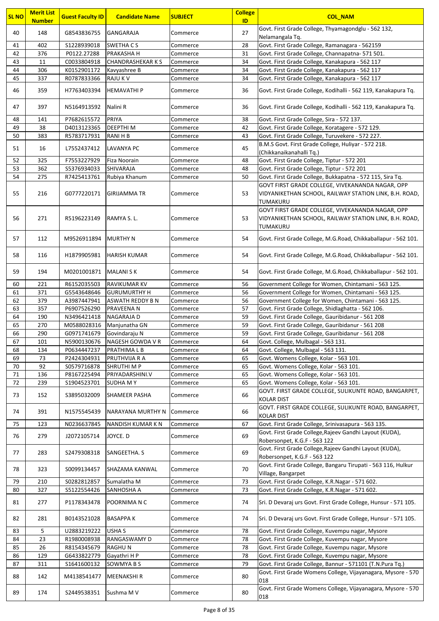| <b>SL NO</b> | <b>Merit List</b><br><b>Number</b> | <b>Guest Faculty ID</b>     | <b>Candidate Name</b>            | <b>SUBJECT</b>       | <b>College</b><br>ID | <b>COL_NAM</b>                                                                                                         |
|--------------|------------------------------------|-----------------------------|----------------------------------|----------------------|----------------------|------------------------------------------------------------------------------------------------------------------------|
| 40           | 148                                | G8543836755                 | GANGARAJA                        | Commerce             | 27                   | Govt. First Grade College, Thyamagondglu - 562 132,                                                                    |
|              |                                    |                             |                                  |                      |                      | Nelamangala Tq.                                                                                                        |
| 41<br>42     | 402<br>376                         | \$1228939018<br>P0122.27288 | <b>SWETHA CS</b><br>PRAKASHA H   | Commerce             | 28<br>31             | Govt. First Grade College, Ramanagara - 562159<br>Govt. First Grade College, Channapatna- 571 501.                     |
| 43           | 11                                 | C0033804918                 | <b>CHANDRASHEKAR K S</b>         | Commerce<br>Commerce | 34                   | Govt. First Grade College, Kanakapura - 562 117                                                                        |
| 44           | 306                                | K0152901172                 | Kavyashree B                     | Commerce             | 34                   | Govt. First Grade College, Kanakapura - 562 117                                                                        |
| 45           | 337                                | R0787833366                 | <b>RAJUKV</b>                    | Commerce             | 34                   | Govt. First Grade College, Kanakapura - 562 117                                                                        |
|              |                                    |                             |                                  |                      |                      |                                                                                                                        |
| 46           | 359                                | H7763403394                 | HEMAVATHI P                      | Commerce             | 36                   | Govt. First Grade College, Kodihalli - 562 119, Kanakapura Tq.                                                         |
| 47           | 397                                | N5164913592                 | Nalini R                         | Commerce             | 36                   | Govt. First Grade College, Kodihalli - 562 119, Kanakapura Tq.                                                         |
| 48           | 141                                | P7682615572                 | PRIYA                            | Commerce             | 38                   | Govt. First Grade College, Sira - 572 137.                                                                             |
| 49           | 38                                 | D4013123365                 | <b>DEEPTHIM</b>                  | Commerce             | 42                   | Govt. First Grade College, Koratagere - 572 129.                                                                       |
| 50           | 383                                | R5783717931                 | <b>RANIHB</b>                    | Commerce             | 43                   | Govt. First Grade College, Turuvekere - 572 227.<br>B.M.S Govt. First Grade College, Huliyar - 572 218.                |
| 51           | 16                                 | L7552437412                 | LAVANYA PC                       | Commerce             | 45                   | (Chikkanaikanahalli Tq.)                                                                                               |
| 52           | 325                                | F7553227929                 | Fiza Noorain                     | Commerce             | 48                   | Govt. First Grade College, Tiptur - 572 201                                                                            |
| 53           | 362                                | \$5376934033                | SHIVARAJA                        | Commerce             | 48                   | Govt. First Grade College, Tiptur - 572 201                                                                            |
| 54           | 275                                | R7425413761                 | Rubiya Khanum                    | Commerce             | 50                   | Govt. First Grade College, Bukkapatna - 572 115, Sira Tq.                                                              |
| 55           | 216                                | G0777220171                 | GIRIJAMMA TR                     | Commerce             | 53                   | GOVT FIRST GRADE COLLEGE, VIVEKANANDA NAGAR, OPP<br>VIDYANIKETHAN SCHOOL, RAILWAY STATION LINK, B.H. ROAD,<br>TUMAKURU |
|              |                                    |                             |                                  |                      |                      | GOVT FIRST GRADE COLLEGE, VIVEKANANDA NAGAR, OPP                                                                       |
| 56           | 271                                | R5196223149                 | RAMYA S.L.                       | Commerce             | 53                   | VIDYANIKETHAN SCHOOL, RAILWAY STATION LINK, B.H. ROAD,                                                                 |
|              |                                    |                             |                                  |                      |                      | TUMAKURU                                                                                                               |
| 57           | 112                                | M9526911894                 | <b>MURTHY N</b>                  | Commerce             | 54                   | Govt. First Grade College, M.G.Road, Chikkaballapur - 562 101.                                                         |
| 58           | 116                                | H1879905981                 | <b>HARISH KUMAR</b>              | Commerce             | 54                   | Govt. First Grade College, M.G.Road, Chikkaballapur - 562 101.                                                         |
| 59           | 194                                | M0201001871                 | <b>MALANISK</b>                  | Commerce             | 54                   | Govt. First Grade College, M.G.Road, Chikkaballapur - 562 101.                                                         |
| 60           | 221                                | R6152035503                 | RAVIKUMAR KV                     | Commerce             | 56                   | Government College for Women, Chintamani - 563 125.                                                                    |
| 61           | 371                                | G5543648646                 | <b>GURUMURTHY H</b>              | Commerce             | 56                   | Government College for Women, Chintamani - 563 125.                                                                    |
| 62           | 379                                | A3987447941                 | <b>ASWATH REDDY B N</b>          | Commerce             | 56                   | Government College for Women, Chintamani - 563 125.                                                                    |
| 63           | 357                                | P6907526290                 | PRAVEENA N                       | Commerce             | 57                   | Govt. First Grade College, Shidlaghatta - 562 106.                                                                     |
| 64           | 190                                | N3496421418                 | NAGARAJA D                       | Commerce             | 59                   | Govt. First Grade College, Gauribidanur - 561 208                                                                      |
| 65           | 270                                | M0588028316                 | Manjunatha GN                    | Commerce             | 59                   | Govt. First Grade College, Gauribidanur - 561 208                                                                      |
| 66           | 290                                | G0971741679                 | Govindaraju N                    | Commerce             | 59                   | Govt. First Grade College, Gauribidanur - 561 208                                                                      |
| 67<br>68     | 101<br>134                         | N5900130676<br>P0634447237  | NAGESH GOWDA V R<br>PRATHIMA L B | Commerce<br>Commerce | 64<br>64             | Govt. College, Mulbagal - 563 131.<br>Govt. College, Mulbagal - 563 131.                                               |
| 69           | 73                                 | P2424304931                 | PRUTHVIJA R A                    | Commerce             | 65                   | Govt. Womens College, Kolar - 563 101.                                                                                 |
| 70           | 92                                 | S0579716878                 | <b>SHRUTHIMP</b>                 | Commerce             | 65                   | Govt. Womens College, Kolar - 563 101.                                                                                 |
| 71           | 136                                | P8167225494                 | PRIYADARSHINI.V                  | Commerce             | 65                   | Govt. Womens College, Kolar - 563 101.                                                                                 |
| 72           | 239                                | S1904523701                 | <b>SUDHAMY</b>                   | Commerce             | 65                   | Govt. Womens College, Kolar - 563 101.                                                                                 |
| 73           | 152                                | S3895032009                 | SHAMEER PASHA                    | Commerce             | 66                   | GOVT. FIRST GRADE COLLEGE, SULIKUNTE ROAD, BANGARPET,                                                                  |
| 74           | 391                                | N1575545439                 | NARAYANA MURTHY N                | Commerce             | 66                   | <b>KOLAR DIST</b><br>GOVT. FIRST GRADE COLLEGE, SULIKUNTE ROAD, BANGARPET,                                             |
|              |                                    |                             |                                  |                      |                      | <b>KOLAR DIST</b>                                                                                                      |
| 75           | 123                                | N0236637845                 | <b>NANDISH KUMAR K N</b>         | Commerce             | 67                   | Govt. First Grade College, Srinivasapura - 563 135.                                                                    |
| 76           | 279                                | J2072105714                 | JOYCE. D                         | Commerce             | 69                   | Govt. First Grade College, Rajeev Gandhi Layout (KUDA),<br>Robersonpet, K.G.F - 563 122                                |
| 77           | 283                                | S2479308318                 | SANGEETHA. S                     | Commerce             | 69                   | Govt. First Grade College, Rajeev Gandhi Layout (KUDA),<br>Robersonpet, K.G.F - 563 122                                |
| 78           | 323                                | S0099134457                 | SHAZAMA KANWAL                   | Commerce             | 70                   | Govt. First Grade College, Bangaru Tirupati - 563 116, Hulkur<br>Village, Bangarpet                                    |
| 79           | 210                                | S0282812857                 | Sumalatha M                      | Commerce             | 73                   | Govt. First Grade College, K.R.Nagar - 571 602.                                                                        |
| 80           | 327                                | S5122554426                 | SANHOSHA A                       | Commerce             | 73                   | Govt. First Grade College, K.R.Nagar - 571 602.                                                                        |
| 81           | 277                                | P1178343478                 | POORNIMA N C                     | Commerce             | 74                   | Sri. D Devaraj urs Govt. First Grade College, Hunsur - 571 105.                                                        |
| 82           | 281                                | B0143521028                 | <b>BASAPPAK</b>                  | Commerce             | 74                   | Sri. D Devaraj urs Govt. First Grade College, Hunsur - 571 105.                                                        |
| 83           | 5                                  | U2883219222                 | <b>USHA S</b>                    | Commerce             | 78                   | Govt. First Grade College, Kuvempu nagar, Mysore                                                                       |
| 84           | 23                                 | R1980008938                 | RANGASWAMY D                     | Commerce             | 78                   | Govt. First Grade College, Kuvempu nagar, Mysore                                                                       |
| 85           | 26                                 | R8154345679                 | <b>RAGHUN</b>                    | Commerce             | 78                   | Govt. First Grade College, Kuvempu nagar, Mysore                                                                       |
| 86           | 129                                | G6433822779                 | Gayathri H P                     | Commerce             | 78                   | Govt. First Grade College, Kuvempu nagar, Mysore                                                                       |
| 87           | 311                                | \$1641600132                | SOWMYA B S                       | Commerce             | 79                   | Govt. First Grade College, Bannur - 571101 (T.N.Pura Tq.)                                                              |
| 88           | 142                                | M4138541477                 | MEENAKSHI R                      | Commerce             | 80                   | Govt. First Grade Womens College, Vijayanagara, Mysore - 570<br>018                                                    |
| 89           | 174                                | S2449538351                 | Sushma M V                       | Commerce             | 80                   | Govt. First Grade Womens College, Vijayanagara, Mysore - 570<br>018                                                    |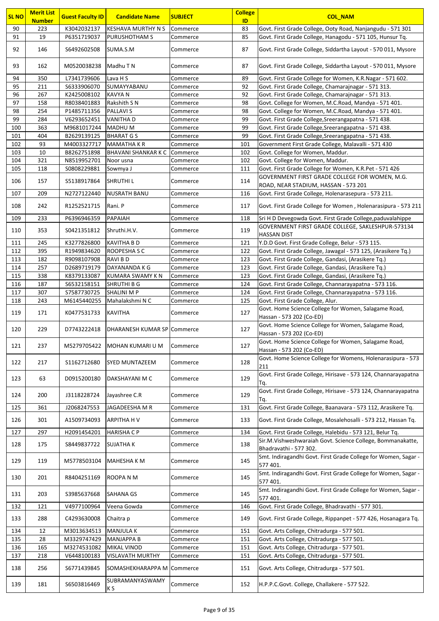| <b>SL NO</b> | <b>Merit List</b><br><b>Number</b> | <b>Guest Faculty ID</b>    | <b>Candidate Name</b>                          | <b>SUBJECT</b>       | <b>College</b><br>ID | <b>COL_NAM</b>                                                                          |
|--------------|------------------------------------|----------------------------|------------------------------------------------|----------------------|----------------------|-----------------------------------------------------------------------------------------|
| 90           | 223                                | K3042032137                | <b>KESHAVA MURTHY N S</b>                      | Commerce             | 83                   | Govt. First Grade College, Ooty Road, Nanjangudu - 571 301                              |
| 91           | 19                                 | P6351719037                | <b>PURUSHOTHAM S</b>                           | Commerce             | 85                   | Govt. First Grade College, Hanagodu - 571 105, Hunsur Tq.                               |
| 92           | 146                                | S6492602508                | SUMA.S.M                                       | Commerce             | 87                   | Govt. First Grade College, Siddartha Layout - 570 011, Mysore                           |
| 93           | 162                                | M0520038238                | Madhu T N                                      | Commerce             | 87                   | Govt. First Grade College, Siddartha Layout - 570 011, Mysore                           |
| 94           | 350                                | L7341739606                | Lava H S                                       | Commerce             | 89                   | Govt. First Grade College for Women, K.R.Nagar - 571 602.                               |
| 95           | 211                                | \$6333906070               | SUMAYYABANU                                    | Commerce             | 92                   | Govt. First Grade College, Chamarajnagar - 571 313.                                     |
| 96           | 267                                | K2425008102                | <b>KAVYAN</b>                                  | Commerce             | 92                   | Govt. First Grade College, Chamarajnagar - 571 313.                                     |
| 97           | 158                                | R8038401883                | Rakshith S N                                   | Commerce             | 98                   | Govt. College for Women, M.C.Road, Mandya - 571 401.                                    |
| 98           | 254                                | P1485711356                | <b>PALLAVIS</b>                                | Commerce             | 98                   | Govt. College for Women, M.C.Road, Mandya - 571 401.                                    |
| 99           | 284                                | V6293652451                | <b>VANITHAD</b>                                | Commerce             | 99                   | Govt. First Grade College, Sreerangapatna - 571 438.                                    |
| 100          | 363                                | M9681017244                | <b>MADHUM</b>                                  | Commerce             | 99                   | Govt. First Grade College, Sreerangapatna - 571 438.                                    |
| 101          | 404                                | B2629139125                | <b>BHARAT GS</b>                               | Commerce             | 99                   | Govt. First Grade College, Sreerangapatna - 571 438.                                    |
| 102<br>103   | 93<br>10                           | M4003327717<br>B8262751898 | <b>MAMATHAKR</b><br><b>BHAVANI SHANKAR K C</b> | Commerce             | 101<br>102           | Government First Grade College, Malavalli - 571 430<br>Govt. College for Women, Maddur. |
| 104          | 321                                | N8519952701                | Noor usna                                      | Commerce<br>Commerce | 102                  | Govt. College for Women, Maddur.                                                        |
| 105          | 118                                | S0808229881                | Sowmya J                                       | Commerce             | 111                  | Govt. First Grade College for Women, K.R.Pet - 571 426                                  |
|              |                                    |                            |                                                |                      |                      | GOVERNMENT FIRST GRADE COLLEGE FOR WOMEN, M.G.                                          |
| 106          | 157                                | S5138917864                | <b>SHRUTHI L</b>                               | Commerce             | 114                  | ROAD, NEAR STADIUM, HASSAN - 573 201                                                    |
| 107          | 209                                | N2727122440                | <b>NUSRATH BANU</b>                            | Commerce             | 116                  | Govt. First Grade College, Holenarasepura - 573 211.                                    |
|              |                                    |                            |                                                |                      |                      |                                                                                         |
| 108          | 242                                | R1252521715                | Rani. P                                        | Commerce             | 117                  | Govt. First Grade College for Women, Holenarasipura - 573 211                           |
| 109          | 233                                | P6396946359                | PAPAIAH                                        | Commerce             | 118                  | Sri H D Devegowda Govt. First Grade College, paduvalahippe                              |
| 110          | 353                                | S0421351812                | Shruthi.H.V.                                   | Commerce             | 119                  | GOVERNMENT FIRST GRADE COLLEGE, SAKLESHPUR-573134                                       |
| 111          | 245                                | K3277826800                | <b>KAVITHA B D</b>                             | Commerce             | 121                  | <b>HASSAN DIST</b><br>Y.D.D Govt. First Grade College, Belur - 573 115.                 |
| 112          | 395                                | R1949834620                | ROOPESHA S C                                   | Commerce             | 122                  | Govt. First Grade College, Jawagal - 573 125, (Arasikere Tq.)                           |
| 113          | 182                                | R9098107908                | <b>RAVIBD</b>                                  | Commerce             | 123                  | Govt. First Grade College, Gandasi, (Arasikere Tq.)                                     |
| 114          | 257                                | D2689719179                | DAYANANDA K G                                  | Commerce             | 123                  | Govt. First Grade College, Gandasi, (Arasikere Tq.)                                     |
| 115          | 338                                | K8379133087                | <b>KUMARA SWAMY KN</b>                         | Commerce             | 123                  | Govt. First Grade College, Gandasi, (Arasikere Tq.)                                     |
| 116          | 187                                | \$6532158151               | <b>SHRUTHI B G</b>                             | Commerce             | 124                  | Govt. First Grade College, Channarayapatna - 573 116.                                   |
| 117          | 307                                | S7587730725                | <b>SHALINI M P</b>                             | Commerce             | 124                  | Govt. First Grade College, Channarayapatna - 573 116.                                   |
| 118          | 243                                | M6145440255                | Mahalakshmi N C                                | Commerce             | 125                  | Govt. First Grade College, Alur.                                                        |
| 119          | 171                                | K0477531733                | <b>KAVITHA</b>                                 | Commerce             | 127                  | Govt. Home Science College for Women, Salagame Road,<br>Hassan - 573 202 (Co-ED)        |
| 120          | 229                                | D7743222418                | <b>IDHARANESH KUMAR SP Commerce</b>            |                      | 127                  | Govt. Home Science College for Women, Salagame Road,                                    |
|              |                                    |                            |                                                |                      |                      | Hassan - 573 202 (Co-ED)<br>Govt. Home Science College for Women, Salagame Road,        |
| 121          | 237                                | M5279705422                | MOHAN KUMARI U M                               | Commerce             | 127                  | Hassan - 573 202 (Co-ED)                                                                |
| 122          | 217                                | S1162712680                | <b>SYED MUNTAZEEM</b>                          | Commerce             | 128                  | Govt. Home Science College for Womens, Holenarasipura - 573<br>211                      |
| 123          | 63                                 | D0915200180                | DAKSHAYANI M C                                 | Commerce             | 129                  | Govt. First Grade College, Hirisave - 573 124, Channarayapatna<br>Tq.                   |
| 124          | 200                                | J3118228724                | Jayashree C.R                                  | Commerce             | 129                  | Govt. First Grade College, Hirisave - 573 124, Channarayapatna<br>Tq.                   |
| 125          | 361                                | J2068247553                | JAGADEESHA M R                                 | Commerce             | 131                  | Govt. First Grade College, Baanavara - 573 112, Arasikere Tq.                           |
| 126          | 301                                | A1509734093                | <b>ARPITHA HV</b>                              | Commerce             | 133                  | Govt. First Grade College, Mosalehosalli - 573 212, Hassan Tq.                          |
| 127          | 297                                | H2091454201                | <b>HARISHA C P</b>                             | Commerce             | 134                  | Govt. First Grade College, Halebidu - 573 121, Belur Tq.                                |
| 128          | 175                                | S8449837722                | <b>SUJATHA K</b>                               | Commerce             | 138                  | Sir.M.Vishweshwaraiah Govt. Science College, Bommanakatte,<br>Bhadravathi - 577 302.    |
| 129          | 119                                | M5778503104                | <b>MAHESHA K M</b>                             | Commerce             | 145                  | Smt. Indiragandhi Govt. First Grade College for Women, Sagar -<br>577 401.              |
| 130          | 201                                | R8404251169                | ROOPA N M                                      | Commerce             | 145                  | Smt. Indiragandhi Govt. First Grade College for Women, Sagar -<br>577 401.              |
| 131          | 203                                | \$3985637668               | <b>SAHANA GS</b>                               | Commerce             | 145                  | Smt. Indiragandhi Govt. First Grade College for Women, Sagar -<br>577 401.              |
| 132          | 121                                | V4977100964                | Veena Gowda                                    | Commerce             | 146                  | Govt. First Grade College, Bhadravathi - 577 301.                                       |
| 133          | 288                                | C4293630008                | Chaitra p                                      | Commerce             | 149                  | Govt. First Grade College, Rippanpet - 577 426, Hosanagara Tq.                          |
| 134          | 12                                 | M3013634513                | <b>MANJULA K</b>                               | Commerce             | 151                  | Govt. Arts College, Chitradurga - 577 501.                                              |
| 135          | 28                                 | M3329747429                | <b>MANJAPPA B</b>                              | Commerce             | 151                  | Govt. Arts College, Chitradurga - 577 501.                                              |
| 136          | 165                                | M3274531082                | <b>MIKAL VINOD</b>                             | Commerce             | 151                  | Govt. Arts College, Chitradurga - 577 501.                                              |
| 137          | 218                                | V6448100183                | <b>VISLAVATH MURTHY</b>                        | Commerce             | 151                  | Govt. Arts College, Chitradurga - 577 501.                                              |
| 138          | 256                                | S6771439845                | SOMASHEKHARAPPA M                              | Commerce             | 151                  | Govt. Arts College, Chitradurga - 577 501.                                              |
| 139          | 181                                | \$6503816469               | SUBRAMANYASWAMY                                | Commerce             | 152                  | H.P.P.C.Govt. College, Challakere - 577 522.                                            |
|              |                                    |                            | K S                                            |                      |                      |                                                                                         |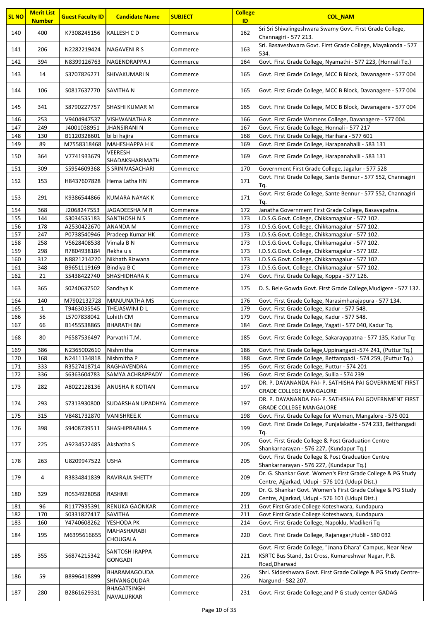| <b>SL NO</b> | <b>Merit List</b><br><b>Number</b> | <b>Guest Faculty ID</b> | <b>Candidate Name</b>            | <b>SUBJECT</b>       | <b>College</b><br>ID | <b>COL NAM</b>                                                                                                                    |
|--------------|------------------------------------|-------------------------|----------------------------------|----------------------|----------------------|-----------------------------------------------------------------------------------------------------------------------------------|
| 140          | 400                                | K7308245156             | <b>KALLESH CD</b>                | Commerce             | 162                  | Sri Sri Shivalingeshwara Swamy Govt. First Grade College,                                                                         |
| 141          | 206                                | N2282219424             | <b>NAGAVENI R S</b>              | Commerce             | 163                  | Channagiri - 577 213.<br>Sri. Basaveshwara Govt. First Grade College, Mayakonda - 577                                             |
|              |                                    |                         |                                  |                      |                      | 534.                                                                                                                              |
| 142          | 394                                | N8399126763             | NAGENDRAPPA J                    | Commerce             | 164                  | Govt. First Grade College, Nyamathi - 577 223, (Honnali Tq.)                                                                      |
| 143          | 14                                 | S3707826271             | SHIVAKUMARI N                    | Commerce             | 165                  | Govt. First Grade College, MCC B Block, Davanagere - 577 004                                                                      |
| 144          | 106                                | S0817637770             | <b>SAVITHA N</b>                 | Commerce             | 165                  | Govt. First Grade College, MCC B Block, Davanagere - 577 004                                                                      |
| 145          | 341                                | S8790227757             | SHASHI KUMAR M                   | Commerce             | 165                  | Govt. First Grade College, MCC B Block, Davanagere - 577 004                                                                      |
| 146          | 253                                | V9404947537             | <b>VISHWANATHA R</b>             | Commerce             | 166                  | Govt. First Grade Womens College, Davanagere - 577 004                                                                            |
| 147          | 249                                | J4001038951             | <b>JHANSIRANI N</b>              | Commerce             | 167                  | Govt. First Grade College, Honnali - 577 217                                                                                      |
| 148          | 130                                | B1120328601             | bi bi hajira                     | Commerce             | 168                  | Govt. First Grade College, Harihara - 577 601                                                                                     |
| 149          | 89                                 | M7558318468             | <b>МАНЕЅНАРРА Н К</b>            | Commerce             | 169                  | Govt. First Grade College, Harapanahalli - 583 131                                                                                |
| 150          | 364                                | V7741933679             | VEERESH<br>SHADAKSHARIMATH       | Commerce             | 169                  | Govt. First Grade College, Harapanahalli - 583 131                                                                                |
| 151          | 309                                | \$5954609368            | S SRINIVASACHARI                 | Commerce             | 170                  | Government First Grade College, Jagalur - 577 528                                                                                 |
| 152          | 153                                | H8437607828             | Hema Latha HN                    | Commerce             | 171                  | Govt. First Grade College, Sante Bennur - 577 552, Channagiri<br>Tq.                                                              |
| 153          | 291                                | K9386544866             | KUMARA NAYAK K                   | Commerce             | 171                  | Govt. First Grade College, Sante Bennur - 577 552, Channagiri<br>Tq.                                                              |
| 154          | 368                                | J2068247553             | JAGADEESHA M R                   |                      | 172                  | Janatha Government First Grade College, Basavapatna.                                                                              |
| 155          | 144                                |                         | <b>SANTHOSH N S</b>              | Commerce<br>Commerce | 173                  |                                                                                                                                   |
|              |                                    | \$3034535183            |                                  |                      |                      | I.D.S.G.Govt. College, Chikkamagalur - 577 102.<br>I.D.S.G.Govt. College, Chikkamagalur - 577 102.                                |
| 156          | 178                                | A2530422670             | <b>ANANDA M</b>                  | Commerce             | 173                  |                                                                                                                                   |
| 157          | 247                                | P0738540946             | Pradeep Kumar HK                 | Commerce             | 173                  | I.D.S.G.Govt. College, Chikkamagalur - 577 102.                                                                                   |
| 158          | 258                                | V5628408538             | Vimala B N                       | Commerce             | 173                  | I.D.S.G.Govt. College, Chikkamagalur - 577 102.                                                                                   |
| 159          | 298                                | R7804938184             | Rekha u s                        | Commerce             | 173                  | I.D.S.G.Govt. College, Chikkamagalur - 577 102.                                                                                   |
| 160          | 312                                | N8821214220             | Nikhath Rizwana                  | Commerce             | 173                  | I.D.S.G.Govt. College, Chikkamagalur - 577 102.                                                                                   |
| 161          | 348                                | B9651119169             | Bindiya B C                      | Commerce             | 173                  | I.D.S.G.Govt. College, Chikkamagalur - 577 102.                                                                                   |
| 162          | 21                                 | S5438422740             | SHASHIDHARA K                    | Commerce             | 174                  | Govt. First Grade College, Koppa - 577 126.                                                                                       |
| 163          | 365                                | S0240637502             | Sandhya K                        | Commerce             | 175                  | D. S. Bele Gowda Govt. First Grade College, Mudigere - 577 132.                                                                   |
| 164          | 140                                | M7902132728             | <b>MANJUNATHA MS</b>             | Commerce             | 176                  | Govt. First Grade College, Narasimharajapura - 577 134.                                                                           |
| 165          | 1                                  | T9463035545             | THEJASWINI D L                   | Commerce             | 179                  | Govt. First Grade College, Kadur - 577 548.                                                                                       |
| 166          | 56                                 | L5707838042             | Lohith CM                        | Commerce             | 179                  | Govt. First Grade College, Kadur - 577 548.                                                                                       |
| 167          | 66                                 | B1455538865             | <b>BHARATH BN</b>                | Commerce             | 184                  | Govt. First Grade College, Yagati - 577 040, Kadur Tq.                                                                            |
| 168          | 80                                 | P6587536497             | Parvathi T.M.                    | Commerce             | 185                  | Govt. First Grade College, Sakarayapatna - 577 135, Kadur Tq:                                                                     |
| 169          | 386                                | N2365002610             | Nishmitha                        | Commerce             | 186                  | Govt. First Grade College, Uppinangadi -574 241, (Puttur Tq.)                                                                     |
| 170          | 168                                | N2411134818             | Nishmitha P                      | Commerce             | 188                  | Govt. First Grade College, Bettampadi - 574 259, (Puttur Tq.)                                                                     |
| 171          | 333                                | R3527418714             | RAGHAVENDRA                      | Commerce             | 195                  | Govt. First Grade College, Puttur - 574 201                                                                                       |
| 172          | 336                                | \$6363604783            | <b>SAMYA ACHRAPPADY</b>          | Commerce             | 196                  | Govt. First Grade College, Sullia - 574 239                                                                                       |
| 173          | 282                                | A8022128136             | ANUSHA R KOTIAN                  | Commerce             | 197                  | DR. P. DAYANANDA PAI- P. SATHISHA PAI GOVERNMENT FIRST<br><b>GRADE COLLEGE MANGALORE</b>                                          |
| 174          | 293                                | \$7313930800            | SUDARSHAN UPADHYA                | Commerce             | 197                  | DR. P. DAYANANDA PAI- P. SATHISHA PAI GOVERNMENT FIRST                                                                            |
| 175          | 315                                | V8481732870             | <b>VANISHREE.K</b>               | Commerce             | 198                  | <b>GRADE COLLEGE MANGALORE</b><br>Govt. First Grade College for Women, Mangalore - 575 001                                        |
|              |                                    |                         |                                  |                      |                      | Govt. First Grade College, Punjalakatte - 574 233, Belthangadi                                                                    |
| 176          | 398                                | S9408739511             | <b>SHASHIPRABHA S</b>            | Commerce             | 199                  | Tq.                                                                                                                               |
| 177          | 225                                | A9234522485             | Akshatha S                       | Commerce             | 205                  | Govt. First Grade College & Post Graduation Centre<br>Shankarnarayan - 576 227, (Kundapur Tq.)                                    |
| 178          | 263                                | U8209947522             | <b>USHA</b>                      | Commerce             | 205                  | Govt. First Grade College & Post Graduation Centre<br>Shankarnarayan - 576 227, (Kundapur Tq.)                                    |
| 179          | 4                                  | R3834841839             | <b>RAVIRAJA SHETTY</b>           | Commerce             | 209                  | Dr. G. Shankar Govt. Women's First Grade College & PG Study<br>Centre, Ajjarkad, Udupi - 576 101 (Udupi Dist.)                    |
| 180          | 329                                | R0534928058             | <b>RASHMI</b>                    | Commerce             | 209                  | Dr. G. Shankar Govt. Women's First Grade College & PG Study<br>Centre, Ajjarkad, Udupi - 576 101 (Udupi Dist.)                    |
| 181          | 96                                 | R1177935391             | <b>RENUKA GAONKAR</b>            | Commerce             | 211                  | Govt First Grade College Koteshwara, Kundapura                                                                                    |
| 182          | 170                                | S0331827417             | <b>SAVITHA</b>                   | Commerce             | 211                  | Govt First Grade College Koteshwara, Kundapura                                                                                    |
| 183          | 160                                | Y4740608262             | YESHODA PK                       | Commerce             | 214                  | Govt. First Grade College, Napoklu, Madikeri Tq                                                                                   |
|              |                                    |                         | MAHASHARABI                      |                      |                      |                                                                                                                                   |
| 184          | 195                                | M6395616655             | <b>CHOUGALA</b>                  | Commerce             | 220                  | Govt. First Grade College, Rajanagar, Hubli - 580 032                                                                             |
| 185          | 355                                | S6874215342             | SANTOSH IRAPPA<br><b>GONGADI</b> | Commerce             | 221                  | Govt. First Grade College, "Jnana Dhara" Campus, Near New<br>KSRTC Bus Stand, 1st Cross, Kumareshwar Nagar, P.B.<br>Road, Dharwad |
| 186          | 59                                 | B8996418899             | BHARAMAGOUDA<br>SHIVANGOUDAR     | Commerce             | 226                  | Shri. Siddeshwara Govt. First Grade College & PG Study Centre-<br>Nargund - 582 207.                                              |
| 187          | 280                                | B2861629331             | BHAGATSINGH<br>NAVALURKAR        | Commerce             | 231                  | Govt. First Grade College, and P G study center GADAG                                                                             |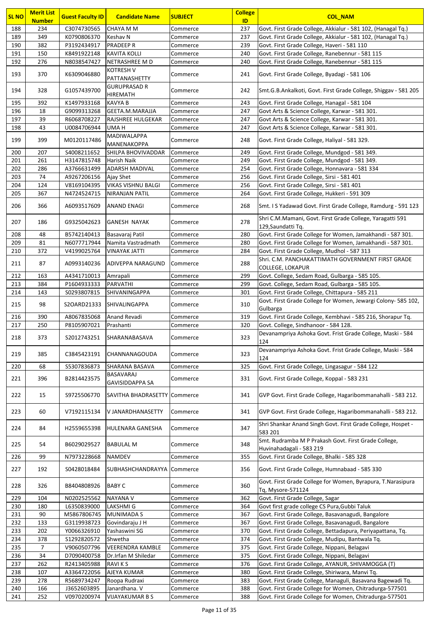| <b>SL NO</b> | <b>Merit List</b><br><b>Number</b> | <b>Guest Faculty ID</b>    | <b>Candidate Name</b>                  | <b>SUBJECT</b>       | <b>College</b><br>ID | <b>COL NAM</b>                                                                                       |
|--------------|------------------------------------|----------------------------|----------------------------------------|----------------------|----------------------|------------------------------------------------------------------------------------------------------|
| 188          | 234                                | C3074730565                | <b>CHAYA M M</b>                       | Commerce             | 237                  | Govt. First Grade College, Akkialur - 581 102, (Hanagal Tq.)                                         |
| 189          | 349                                | K0790806370                | Keshav N                               | Commerce             | 237                  | Govt. First Grade College, Akkialur - 581 102, (Hanagal Tq.)                                         |
| 190          | 382                                | P3192434917                | <b>PRADEEP R</b>                       | Commerce             | 239                  | Govt. First Grade College, Haveri - 581 110                                                          |
| 191          | 150                                | K8491922148                | <b>KAVITA KOLLI</b>                    | Commerce             | 240                  | Govt. First Grade College, Ranebennur - 581 115                                                      |
| 192          | 276                                | N8038547427                | NETRASHREE M D                         | Commerce             | 240                  | Govt. First Grade College, Ranebennur - 581 115                                                      |
| 193          | 370                                | K6309046880                | <b>KOTRESH V</b><br>PATTANASHETTY      | Commerce             | 241                  | Govt. First Grade College, Byadagi - 581 106                                                         |
| 194          | 328                                | G1057439700                | <b>GURUPRASAD R</b><br><b>HIREMATH</b> | Commerce             | 242                  | Smt.G.B.Ankalkoti, Govt. First Grade College, Shiggav - 581 205                                      |
| 195          | 392                                | K1497933168                | <b>KAVYA B</b>                         | Commerce             | 243                  | Govt. First Grade College, Hanagal - 581 104                                                         |
| 196          | 18                                 | G9099313268                | GEETA.M.MARAJJA                        | Commerce             | 247                  | Govt Arts & Science College, Karwar - 581 301.                                                       |
| 197          | 39                                 | R6068708227                | <b>RAJSHREE HULGEKAR</b>               | Commerce             | 247                  | Govt Arts & Science College, Karwar - 581 301.                                                       |
| 198          | 43                                 | U0084706944                | UMA H                                  | Commerce             | 247                  | Govt Arts & Science College, Karwar - 581 301.                                                       |
| 199          | 399                                | M0120117486                | MADIWALAPPA<br>MANENAKOPPA             | Commerce             | 248                  | Govt. First Grade College, Haliyal - 581 329.                                                        |
| 200          | 207                                | S4008211652                | SHILPA BHOVIVADDAR                     | Commerce             | 249                  | Govt. First Grade College, Mundgod - 581 349.                                                        |
| 201          | 261                                | H3147815748                | Harish Naik                            | Commerce             | 249                  | Govt. First Grade College, Mundgod - 581 349.                                                        |
| 202<br>203   | 286<br>74                          | A3766631499<br>A9267206156 | <b>ADARSH MADIVAL</b><br>Ajay Shet     | Commerce<br>Commerce | 254<br>256           | Govt. First Grade College, Honnavara - 581 334<br>Govt. First Grade College, Sirsi - 581 401         |
| 204          | 124                                | V8169104395                | <b>VIKAS VISHNU BALGI</b>              | Commerce             | 256                  | Govt. First Grade College, Sirsi - 581 401                                                           |
| 205          | 367                                | N4724524715                | <b>NIRANJAN PATIL</b>                  | Commerce             | 264                  | Govt. First Grade College, Hukkeri - 591 309                                                         |
|              |                                    |                            |                                        |                      |                      |                                                                                                      |
| 206          | 366                                | A6093517609                | <b>ANAND ENAGI</b>                     | Commerce             | 268                  | Smt. I S Yadawad Govt. First Grade College, Ramdurg - 591 123                                        |
| 207          | 186                                | G9325042623                | <b>GANESH NAYAK</b>                    | Commerce             | 278                  | Shri C.M.Mamani, Govt. First Grade College, Yaragatti 591<br>129, Saundatti Tq.                      |
| 208          | 48                                 | B5742140413                | Basavaraj Patil                        | Commerce             | 280                  | Govt. First Grade College for Women, Jamakhandi - 587 301.                                           |
| 209          | 81                                 | N6077717944                | Namita Vastradmath                     | Commerce             | 280                  | Govt. First Grade College for Women, Jamakhandi - 587 301.                                           |
| 210          | 372                                | V4199025764                | <b>VINAYAK JATTI</b>                   | Commerce             | 284                  | Govt. First Grade College, Mudhol - 587 313                                                          |
| 211          | 87                                 | A0993140236                | <b>ADIVEPPA NARAGUND</b>               | Commerce             | 288                  | Shri. C.M. PANCHAKATTIMATH GOVERNMENT FIRST GRADE<br><b>COLLEGE, LOKAPUR</b>                         |
| 212          | 163                                | A4341710013                | Amrapali                               | Commerce             | 299                  | Govt. College, Sedam Road, Gulbarga - 585 105.                                                       |
| 213          | 384                                | P1604933333                | PARVATHI                               | Commerce             | 299                  | Govt. College, Sedam Road, Gulbarga - 585 105.                                                       |
| 214          | 143                                | S0293807815                | SHIVANINGAPPA                          | Commerce             | 301                  | Govt. First Grade College, Chittapura - 585 211                                                      |
| 215          | 98                                 | S2OARD21333                | <b>SHIVALINGAPPA</b>                   | Commerce             | 310                  | Govt. First Grade College for Women, Jewargi Colony- 585 102,<br>Gulbarga                            |
| 216          | 390                                | A8067835068                | Anand Revadi                           | Commerce             | 319                  | Govt. First Grade College, Kembhavi - 585 216, Shorapur Tq.                                          |
| 217          | 250                                | P8105907021                | Prashanti                              | Commerce             | 320                  | Govt. College, Sindhanoor - 584 128.                                                                 |
| 218          | 373                                | S2012743251                | <b>SHARANABASAVA</b>                   | Commerce             | 323                  | Devanampriya Ashoka Govt. Frist Grade College, Maski - 584<br>124                                    |
| 219          | 385                                | C3845423191                | <b>CHANNANAGOUDA</b>                   | Commerce             | 323                  | Devanampriya Ashoka Govt. Frist Grade College, Maski - 584<br>124                                    |
| 220          | 68                                 | \$5307836873               | SHARANA BASAVA                         | Commerce             | 325                  | Govt. First Grade College, Lingasagur - 584 122                                                      |
| 221          | 396                                | B2814423575                | BASAVARAJ<br><b>GAVISIDDAPPA SA</b>    | Commerce             | 331                  | Govt. First Grade College, Koppal - 583 231                                                          |
| 222          | 15                                 | S9725506770                | SAVITHA BHADRASETTY                    | Commerce             | 341                  | GVP Govt. First Grade College, Hagaribommanahalli - 583 212.                                         |
| 223          | 60                                 | V7192115134                | V JANARDHANASETTY                      | Commerce             | 341                  | GVP Govt. First Grade College, Hagaribommanahalli - 583 212.                                         |
| 224          | 84                                 | H2559655398                | HULENARA GANESHA                       | Commerce             | 347                  | Shri Shankar Anand Singh Govt. First Grade College, Hospet -<br>583 201                              |
| 225          | 54                                 | B6029029527                | <b>BABULAL M</b>                       | Commerce             | 348                  | Smt. Rudramba M P Prakash Govt. First Grade College,<br>Huvinahadagali - 583 219                     |
| 226          | 99                                 | N7973228668                | <b>NAMDEV</b>                          | Commerce             | 355                  | Govt. First Grade College, Bhalki - 585 328                                                          |
| 227          | 192                                | S0428018484                | SUBHASHCHANDRAYYA Commerce             |                      | 356                  | Govt. First Grade College, Humnabaad - 585 330                                                       |
| 228          | 326                                | B8404808926                | <b>BABY C</b>                          | Commerce             | 360                  | Govt. First Grade College for Women, Byrapura, T.Narasipura<br>Tq, Mysore-571124                     |
| 229          | 104                                | N0202525562                | <b>NAYANA V</b>                        | Commerce             | 362                  | Govt. First Grade College, Sagar                                                                     |
| 230          | 180                                | L6350839000                | LAKSHMI G                              | Commerce             | 364                  | Govt first grade college CS Pura, Gubbi Taluk                                                        |
| 231          | 90                                 | M5867806745                | <b>MUNIMADA S</b>                      | Commerce             | 367                  | Govt. First Grade College, Basavanagudi, Bangalore                                                   |
| 232          | 133                                | G3119938723                | Govindaraju J H                        | Commerce             | 367                  | Govt. First Grade College, Basavanagudi, Bangalore                                                   |
| 233          | 202                                | Y0066326910                | Yashaswini SG                          | Commerce             | 370                  | Govt. First Grade College, Bettadapura, Periyapattana, Tq.                                           |
| 234          | 378                                | S1292820572                | Shwetha                                | Commerce             | 374                  | Govt. First Grade College, Mudipu, Bantwala Tq.                                                      |
| 235          | $\overline{7}$                     | V9060507796                | <b>VEERENDRA KAMBLE</b>                | Commerce             | 375                  | Govt. First Grade College, Nippani, Belagavi                                                         |
| 236          | 34                                 | D7090400758                | Dr.Irfan M Shiledar                    | Commerce             | 375                  | Govt. First Grade College, Nippani, Belagavi                                                         |
| 237<br>238   | 262<br>107                         | R2413405988<br>A3364722056 | <b>RAVIKS</b><br>AJEYA KUMAR           | Commerce             | 376<br>380           | Govt. First Grade College, AYANUR, SHIVAMOGGA (T)<br>Govt. First Grade College, Shiriwara, Manvi Tq. |
| 239          | 278                                | R5689734247                | Roopa Rudraxi                          | Commerce<br>Commerce | 383                  | Govt. First Grade College, Managuli, Basavana Bagewadi Tq.                                           |
| 240          | 166                                | J3652603895                | Janardhana. V                          | Commerce             | 388                  | Govt. First Grade College for Women, Chitradurga-577501                                              |
| 241          | 252                                | V0970200974                | <b>VIJAYAKUMAR B S</b>                 | Commerce             | 388                  | Govt. First Grade College for Women, Chitradurga-577501                                              |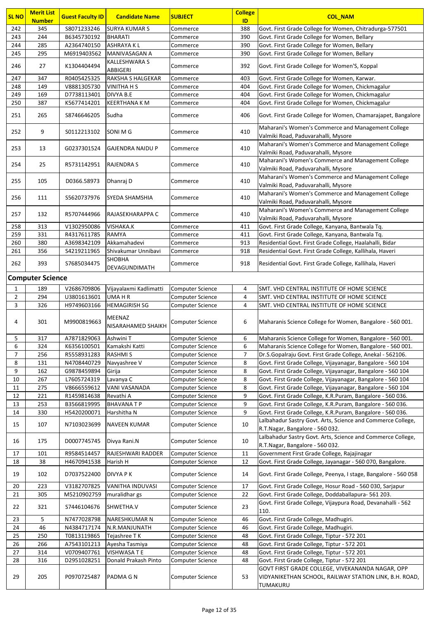| <b>SL NO</b>   | <b>Merit List</b><br><b>Number</b> | <b>Guest Faculty ID</b> | <b>Candidate Name</b>            | <b>SUBJECT</b>          | <b>College</b><br>ID | <b>COL NAM</b>                                                                                                         |  |  |  |
|----------------|------------------------------------|-------------------------|----------------------------------|-------------------------|----------------------|------------------------------------------------------------------------------------------------------------------------|--|--|--|
| 242            | 345                                | S8071233246             | <b>SURYA KUMAR S</b>             | Commerce                | 388                  | Govt. First Grade College for Women, Chitradurga-577501                                                                |  |  |  |
| 243            | 244                                | B6345730192             | <b>BHARATI</b>                   | Commerce                | 390                  | Govt. First Grade College for Women, Bellary                                                                           |  |  |  |
| 244            | 285                                | A2364740150             | <b>ASHRAYAKL</b>                 | Commerce                | 390                  | Govt. First Grade College for Women, Bellary                                                                           |  |  |  |
| 245            | 295                                | M6919403562             | MANIVASAGAN A                    | Commerce                | 390                  | Govt. First Grade College for Women, Bellary                                                                           |  |  |  |
| 246            | 27                                 | K1304404494             | <b>KALLESHWARA S</b><br>ABBIGERI | Commerce                | 392                  | Govt. First Grade College for Women'S, Koppal                                                                          |  |  |  |
| 247            | 347                                | R0405425325             | RAKSHA S HALGEKAR                | Commerce                | 403                  | Govt. First Grade College for Women, Karwar.                                                                           |  |  |  |
| 248            | 149                                | V8881305730             | <b>VINITHA H S</b>               | Commerce                | 404                  | Govt. First Grade College for Women, Chickmagalur                                                                      |  |  |  |
| 249            | 169                                | D7738113401             | DIVYA B.E                        | Commerce                | 404                  | Govt. First Grade College for Women, Chickmagalur                                                                      |  |  |  |
| 250            | 387                                | K5677414201             | <b>KEERTHANA K M</b>             | Commerce                | 404                  | Govt. First Grade College for Women, Chickmagalur                                                                      |  |  |  |
| 251            | 265                                | S8746646205             | Sudha                            | Commerce                | 406                  | Govt. First Grade College for Women, Chamarajapet, Bangalore                                                           |  |  |  |
| 252            | 9                                  | S0112213102             | SONI M G                         | Commerce                | 410                  | Maharani's Women's Commerce and Management College<br>Valmiki Road, Paduvarahalli, Mysore                              |  |  |  |
| 253            | 13                                 | G0237301524             | <b>GAJENDRA NAIDU P</b>          | Commerce                | 410                  | Maharani's Women's Commerce and Management College<br>Valmiki Road, Paduvarahalli, Mysore                              |  |  |  |
| 254            | 25                                 | R5731142951             | <b>RAJENDRA S</b>                | Commerce                | 410                  | Maharani's Women's Commerce and Management College<br>Valmiki Road, Paduvarahalli, Mysore                              |  |  |  |
| 255            | 105                                | D0366.58973             | Dhanraj D                        | Commerce                | 410                  | Maharani's Women's Commerce and Management College<br>Valmiki Road, Paduvarahalli, Mysore                              |  |  |  |
| 256            | 111                                | S5620737976             | SYEDA SHAMSHIA                   | Commerce                | 410                  | Maharani's Women's Commerce and Management College<br>Valmiki Road, Paduvarahalli, Mysore                              |  |  |  |
| 257            | 132                                | R5707444966             | RAJASEKHARAPPA C                 | Commerce                | 410                  | Maharani's Women's Commerce and Management College                                                                     |  |  |  |
|                |                                    |                         |                                  |                         |                      | Valmiki Road, Paduvarahalli, Mysore                                                                                    |  |  |  |
| 258            | 313                                | V1302950086             | VISHAKA.K                        | Commerce                | 411                  | Govt. First Grade College, Kanyana, Bantwala Tq.                                                                       |  |  |  |
| 259            | 331                                | R4317611785             | <b>RAMYA</b>                     | Commerce                | 411                  | Govt. First Grade College, Kanyana, Bantwala Tq.                                                                       |  |  |  |
| 260            | 380                                | A3698342109             | Akkamahadevi                     | Commerce                | 913                  | Residential Govt. First Grade College, Haalahalli, Bidar                                                               |  |  |  |
| 261            | 356                                | S4219211965             | Shivakumar Unnibavi              | Commerce                | 918                  | Residential Govt. First Grade College, Kallihala, Haveri                                                               |  |  |  |
| 262            | 393                                | S7685034475             | <b>SHOBHA</b><br>DEVAGUNDIMATH   | Commerce                | 918                  | Residential Govt. First Grade College, Kallihala, Haveri                                                               |  |  |  |
|                | <b>Computer Science</b>            |                         |                                  |                         |                      |                                                                                                                        |  |  |  |
| 1              | 189                                | V2686709806             | Vijayalaxmi Kadlimatti           | <b>Computer Science</b> | 4                    | SMT. VHD CENTRAL INSTITUTE OF HOME SCIENCE                                                                             |  |  |  |
| $\overline{2}$ | 294                                | U3801613601             | <b>UMAHR</b>                     | <b>Computer Science</b> | 4                    | SMT. VHD CENTRAL INSTITUTE OF HOME SCIENCE                                                                             |  |  |  |
| 3              | 326                                | H9749603166             | <b>HEMAGIRISH SG</b>             | <b>Computer Science</b> | $\overline{4}$       | SMT. VHD CENTRAL INSTITUTE OF HOME SCIENCE                                                                             |  |  |  |
| 4              | 301                                | M9900819663             | MEENAZ<br>NISARAHAMED SHAIKH     | Computer Science        | 6                    | Maharanis Science College for Women, Bangalore - 560 001.                                                              |  |  |  |
| 5              | 317                                | A7871829063             | Ashwini T                        | <b>Computer Science</b> | 6                    | Maharanis Science College for Women, Bangalore - 560 001.                                                              |  |  |  |
| 6              | 324                                | K6356100501             | Kamakshi Katti                   | <b>Computer Science</b> | 6                    | Maharanis Science College for Women, Bangalore - 560 001.                                                              |  |  |  |
| 7              | 256                                | R5558931283             | <b>RASHMIS</b>                   | Computer Science        | 7                    | Dr.S.Gopalraju Govt. First Grade College, Anekal - 562106.                                                             |  |  |  |
| 8              | 131                                | N4708440729             | Navyashree V                     | Computer Science        | 8                    | Govt. First Grade College, Vijayanagar, Bangalore - 560 104                                                            |  |  |  |
| 9              | 162                                | G9878459894             | Girija                           | <b>Computer Science</b> | 8                    | Govt. First Grade College, Vijayanagar, Bangalore - 560 104                                                            |  |  |  |
| $10\,$         | 267                                | L7605724319             | Lavanya C                        | Computer Science        | 8                    | Govt. First Grade College, Vijayanagar, Bangalore - 560 104                                                            |  |  |  |
| 11             | 275                                | V8666559612             | <b>VANI VASANADA</b>             | Computer Science        | 8                    | Govt. First Grade College, Vijayanagar, Bangalore - 560 104                                                            |  |  |  |
| 12             | 221                                | R1459814638             | Revathi A                        | Computer Science        | 9                    | Govt. First Grade College, K.R.Puram, Bangalore - 560 036.                                                             |  |  |  |
| 13             | 253                                | B3566819995             | <b>BHAVANATP</b>                 | Computer Science        | 9                    | Govt. First Grade College, K.R.Puram, Bangalore - 560 036.                                                             |  |  |  |
| 14             | 330                                | H5420200071             | Harshitha N                      | Computer Science        | 9                    | Govt. First Grade College, K.R.Puram, Bangalore - 560 036.                                                             |  |  |  |
| 15             | 107                                | N7103023699             | <b>NAVEEN KUMAR</b>              | Computer Science        | 10                   | Lalbahadur Sastry Govt. Arts, Science and Commerce College,<br>R.T.Nagar, Bangalore - 560 032.                         |  |  |  |
| 16             | 175                                | D0007745745             | Divya Rani.N                     | Computer Science        | 10                   | Lalbahadur Sastry Govt. Arts, Science and Commerce College,<br>R.T.Nagar, Bangalore - 560 032.                         |  |  |  |
| 17             | 101                                | R9584514457             | RAJESHWARI RADDER                | Computer Science        | 11                   | Government First Grade College, Rajajinagar                                                                            |  |  |  |
| 18             | 38                                 | H4670941538             | Harish H                         | Computer Science        | 12                   | Govt. First Grade College, Jayanagar - 560 070, Bangalore.                                                             |  |  |  |
| 19             | 102                                | D7037522400             | <b>DIVYA PK</b>                  | Computer Science        | 14                   | Govt. First Grade College, Peenya, I stage, Bangalore - 560 058                                                        |  |  |  |
| 20             | 223                                | V3182707825             | VANITHA INDUVASI                 | <b>Computer Science</b> | 17                   | Govt. First Grade College, Hosur Road - 560 030, Sarjapur                                                              |  |  |  |
| 21             | 305                                | M5210902759             | muralidhar gs                    | <b>Computer Science</b> | 22                   | Govt. First Grade College, Doddaballapura- 561 203.                                                                    |  |  |  |
| 22             | 321                                | S7446104676             | SHWETHA.V                        | Computer Science        | 23                   | Govt. First Grade College, Vijaypura Road, Devanahalli - 562<br>110.                                                   |  |  |  |
| 23             | 5                                  | N7477028798             | NARESHKUMAR N                    | Computer Science        | 46                   | Govt. First Grade College, Madhugiri.                                                                                  |  |  |  |
| 24             | 46                                 | N4384717174             | N.R.MANJUNATH                    | Computer Science        | 46                   | Govt. First Grade College, Madhugiri.                                                                                  |  |  |  |
| 25             | 250                                | T0813119865             | Tejashree TK                     | <b>Computer Science</b> | 48                   | Govt. First Grade College, Tiptur - 572 201                                                                            |  |  |  |
| 26             | 266                                | A7543101213             | Ayesha Tasmiya                   | Computer Science        | 48                   | Govt. First Grade College, Tiptur - 572 201                                                                            |  |  |  |
| 27             | 314                                | V0709407761             | VISHWASA T E                     | Computer Science        | 48                   | Govt. First Grade College, Tiptur - 572 201                                                                            |  |  |  |
| 28             | 316                                | D2951028251             | Donald Prakash Pinto             | <b>Computer Science</b> | 48                   | Govt. First Grade College, Tiptur - 572 201                                                                            |  |  |  |
| 29             | 205                                | P0970725487             | PADMA G N                        | <b>Computer Science</b> | 53                   | GOVT FIRST GRADE COLLEGE, VIVEKANANDA NAGAR, OPP<br>VIDYANIKETHAN SCHOOL, RAILWAY STATION LINK, B.H. ROAD,<br>TUMAKURU |  |  |  |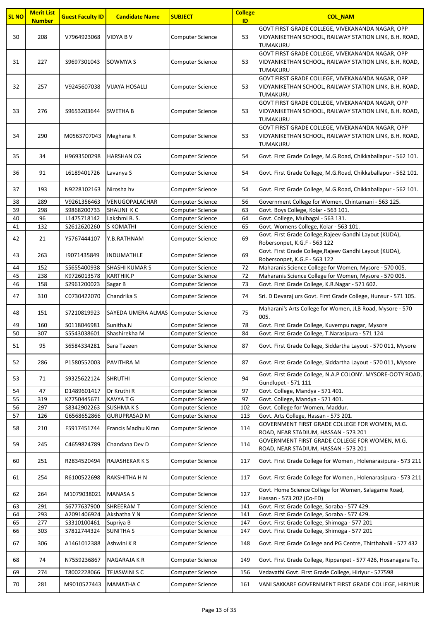| <b>SL NO</b> | <b>Merit List</b><br><b>Number</b> | <b>Guest Faculty ID</b> | <b>Candidate Name</b>               | <b>SUBJECT</b>          | <b>College</b><br>ID | <b>COL NAM</b>                                                                                                                |
|--------------|------------------------------------|-------------------------|-------------------------------------|-------------------------|----------------------|-------------------------------------------------------------------------------------------------------------------------------|
| 30           | 208                                | V7964923068             | <b>VIDYA B V</b>                    | <b>Computer Science</b> | 53                   | GOVT FIRST GRADE COLLEGE, VIVEKANANDA NAGAR, OPP<br>VIDYANIKETHAN SCHOOL, RAILWAY STATION LINK, B.H. ROAD,<br>TUMAKURU        |
| 31           | 227                                | S9697301043             | <b>SOWMYA S</b>                     | <b>Computer Science</b> | 53                   | GOVT FIRST GRADE COLLEGE, VIVEKANANDA NAGAR, OPP<br>VIDYANIKETHAN SCHOOL, RAILWAY STATION LINK, B.H. ROAD,<br>TUMAKURU        |
| 32           | 257                                | V9245607038             | <b>VIJAYA HOSALLI</b>               | <b>Computer Science</b> | 53                   | GOVT FIRST GRADE COLLEGE, VIVEKANANDA NAGAR, OPP<br>VIDYANIKETHAN SCHOOL, RAILWAY STATION LINK, B.H. ROAD,<br><b>TUMAKURU</b> |
| 33           | 276                                | S9653203644             | <b>SWETHA B</b>                     | <b>Computer Science</b> | 53                   | GOVT FIRST GRADE COLLEGE, VIVEKANANDA NAGAR, OPP<br>VIDYANIKETHAN SCHOOL, RAILWAY STATION LINK, B.H. ROAD,<br>TUMAKURU        |
| 34           | 290                                | M0563707043             | Meghana R                           | <b>Computer Science</b> | 53                   | GOVT FIRST GRADE COLLEGE, VIVEKANANDA NAGAR, OPP<br>VIDYANIKETHAN SCHOOL, RAILWAY STATION LINK, B.H. ROAD,<br>TUMAKURU        |
| 35           | 34                                 | H9693500298             | <b>HARSHAN CG</b>                   | <b>Computer Science</b> | 54                   | Govt. First Grade College, M.G.Road, Chikkaballapur - 562 101.                                                                |
| 36           | 91                                 | L6189401726             | Lavanya S                           | Computer Science        | 54                   | Govt. First Grade College, M.G.Road, Chikkaballapur - 562 101.                                                                |
| 37           | 193                                | N9228102163             | Nirosha hv                          | <b>Computer Science</b> | 54                   | Govt. First Grade College, M.G.Road, Chikkaballapur - 562 101.                                                                |
| 38           | 289                                | V9261356463             | VENUGOPALACHAR                      | <b>Computer Science</b> | 56                   | Government College for Women, Chintamani - 563 125.                                                                           |
| 39           | 298                                | S9868200733             | SHALINI KC                          | <b>Computer Science</b> | 63                   | Govt. Boys College, Kolar - 563 101.                                                                                          |
| 40           | 96                                 | L1475718142             | Lakshmi B. S.                       | Computer Science        | 64                   | Govt. College, Mulbagal - 563 131.                                                                                            |
| 41           | 132                                | S2612620260             | S KOMATHI                           | Computer Science        | 65                   | Govt. Womens College, Kolar - 563 101.                                                                                        |
| 42           | 21                                 | Y5767444107             | Y.B.RATHNAM                         | Computer Science        | 69                   | Govt. First Grade College, Rajeev Gandhi Layout (KUDA),<br>Robersonpet, K.G.F - 563 122                                       |
| 43           | 263                                | 19071435849             | <b>INDUMATHI.E</b>                  | <b>Computer Science</b> | 69                   | Govt. First Grade College, Rajeev Gandhi Layout (KUDA),<br>Robersonpet, K.G.F - 563 122                                       |
| 44           | 152                                | S5655400938             | <b>SHASHI KUMAR S</b>               | <b>Computer Science</b> | 72                   | Maharanis Science College for Women, Mysore - 570 005.                                                                        |
| 45           | 238                                | K9726013578             | <b>KARTHIK.P</b>                    | Computer Science        | 72                   | Maharanis Science College for Women, Mysore - 570 005.                                                                        |
| 46           | 158                                | S2961200023             | Sagar B                             | Computer Science        | 73                   | Govt. First Grade College, K.R.Nagar - 571 602.                                                                               |
| 47           | 310                                | C0730422070             | Chandrika S                         | <b>Computer Science</b> | 74                   | Sri. D Devaraj urs Govt. First Grade College, Hunsur - 571 105.                                                               |
| 48           | 151                                | S7210819923             | SAYEDA UMERA ALMAS Computer Science |                         | 75                   | Maharani's Arts College for Women, JLB Road, Mysore - 570<br>005.                                                             |
| 49           | 160                                | S0118046981             | Sunitha.N                           | <b>Computer Science</b> | 78                   | Govt. First Grade College, Kuvempu nagar, Mysore                                                                              |
| 50           | 307                                | \$5543038601            | Shashirekha M                       | Computer Science        | 84                   | Govt. First Grade College, T.Narasipura - 571 124                                                                             |
| 51           | 95                                 | \$6584334281            | Sara Tazeen                         | <b>Computer Science</b> | 87                   | Govt. First Grade College, Siddartha Layout - 570 011, Mysore                                                                 |
| 52           | 286                                | P1580552003             | PAVITHRA M                          | <b>Computer Science</b> | 87                   | Govt. First Grade College, Siddartha Layout - 570 011, Mysore                                                                 |
| 53           | 71                                 | \$9325622124            | <b>SHRUTHI</b>                      | <b>Computer Science</b> | 94                   | Govt. First Grade College, N.A.P COLONY. MYSORE-OOTY ROAD,<br>Gundlupet - 571 111                                             |
| 54           | 47                                 | D1489601417             | Dr Kruthi R                         | Computer Science        | 97                   | Govt. College, Mandya - 571 401.                                                                                              |
| 55           | 319                                | K7750445671             | <b>KAVYATG</b>                      | Computer Science        | 97                   | Govt. College, Mandya - 571 401.                                                                                              |
| 56           | 297                                | \$8342902263            | <b>SUSHMAKS</b>                     | Computer Science        | 102                  | Govt. College for Women, Maddur.                                                                                              |
| 57           | 126                                | G6568652866             | <b>GURUPRASAD M</b>                 | Computer Science        | 113                  | Govt. Arts College, Hassan - 573 201.                                                                                         |
| 58           | 210                                | F5917451744             | Francis Madhu Kiran                 | <b>Computer Science</b> | 114                  | GOVERNMENT FIRST GRADE COLLEGE FOR WOMEN, M.G.<br>ROAD, NEAR STADIUM, HASSAN - 573 201                                        |
| 59           | 245                                | C4659824789             | Chandana Dev D                      | <b>Computer Science</b> | 114                  | GOVERNMENT FIRST GRADE COLLEGE FOR WOMEN, M.G.<br>ROAD, NEAR STADIUM, HASSAN - 573 201                                        |
| 60           | 251                                | R2834520494             | RAJASHEKAR K S                      | <b>Computer Science</b> | 117                  | Govt. First Grade College for Women, Holenarasipura - 573 211                                                                 |
| 61           | 254                                | R6100522698             | RAKSHITHA H N                       | <b>Computer Science</b> | 117                  | Govt. First Grade College for Women, Holenarasipura - 573 211                                                                 |
| 62           | 264                                | M1079038021             | <b>MANASA S</b>                     | <b>Computer Science</b> | 127                  | Govt. Home Science College for Women, Salagame Road,<br>Hassan - 573 202 (Co-ED)                                              |
| 63           | 291                                | S6777637900             | SHREERAM T                          | Computer Science        | 141                  | Govt. First Grade College, Soraba - 577 429.                                                                                  |
| 64           | 293                                | A2091406924             | Akshatha Y N                        | Computer Science        | 141                  | Govt. First Grade College, Soraba - 577 429.                                                                                  |
| 65           | 277                                | \$3310100461            | Supriya B                           | Computer Science        | 147                  | Govt. First Grade College, Shimoga - 577 201                                                                                  |
| 66           | 303                                | S7812744324             | <b>SUNITHA S</b>                    | <b>Computer Science</b> | 147                  | Govt. First Grade College, Shimoga - 577 201                                                                                  |
| 67           | 306                                | A1461012388             | Ashwini KR                          | <b>Computer Science</b> | 148                  | Govt. First Grade College and PG Centre, Thirthahalli - 577 432                                                               |
| 68           | 74                                 | N7559236867             | NAGARAJA K R                        | <b>Computer Science</b> | 149                  | Govt. First Grade College, Rippanpet - 577 426, Hosanagara Tq.                                                                |
| 69           | 274                                | T8002228066             | <b>TEJASWINI S C</b>                | Computer Science        | 156                  | Vedavathi Govt. First Grade College, Hiriyur - 577598                                                                         |
| 70           | 281                                | M9010527443             | <b>MAMATHA C</b>                    | <b>Computer Science</b> | 161                  | VANI SAKKARE GOVERNMENT FIRST GRADE COLLEGE, HIRIYUR                                                                          |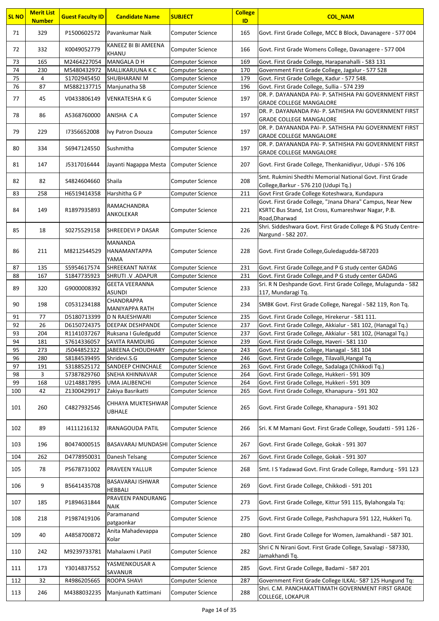| <b>SL NO</b> | <b>Merit List</b><br><b>Number</b> | <b>Guest Faculty ID</b>    | <b>Candidate Name</b>                 | <b>SUBJECT</b>                       | <b>College</b><br>ID | <b>COL_NAM</b>                                                                                                 |
|--------------|------------------------------------|----------------------------|---------------------------------------|--------------------------------------|----------------------|----------------------------------------------------------------------------------------------------------------|
| 71           | 329                                | P1500602572                | Pavankumar Naik                       | Computer Science                     | 165                  | Govt. First Grade College, MCC B Block, Davanagere - 577 004                                                   |
| 72           | 332                                | K0049052779                | KANEEZ BI BI AMEENA<br>KHANU          | Computer Science                     | 166                  | Govt. First Grade Womens College, Davanagere - 577 004                                                         |
| 73           | 165                                | M2464227054                | MANGALA D H                           | Computer Science                     | 169                  | Govt. First Grade College, Harapanahalli - 583 131                                                             |
| 74           | 230                                | M5480432972                | MALLIKARJUNA K C                      | <b>Computer Science</b>              | 170                  | Government First Grade College, Jagalur - 577 528                                                              |
| 75           | 4                                  | \$1702945450               | <b>SHUBHARANI M</b>                   | <b>Computer Science</b>              | 179                  | Govt. First Grade College, Kadur - 577 548.                                                                    |
| 76           | 87                                 | M5882137715                | Manjunatha SB                         | Computer Science                     | 196                  | Govt. First Grade College, Sullia - 574 239                                                                    |
| 77           | 45                                 | V0433806149                | <b>VENKATESHA K G</b>                 | Computer Science                     | 197                  | DR. P. DAYANANDA PAI- P. SATHISHA PAI GOVERNMENT FIRST<br><b>GRADE COLLEGE MANGALORE</b>                       |
| 78           | 86                                 | A5368760000                | ANISHA CA                             | Computer Science                     | 197                  | DR. P. DAYANANDA PAI- P. SATHISHA PAI GOVERNMENT FIRST<br><b>GRADE COLLEGE MANGALORE</b>                       |
| 79           | 229                                | 17356652008                | Ivy Patron Dsouza                     | Computer Science                     | 197                  | DR. P. DAYANANDA PAI- P. SATHISHA PAI GOVERNMENT FIRST<br><b>GRADE COLLEGE MANGALORE</b>                       |
| 80           | 334                                | S6947124550                | Sushmitha                             | Computer Science                     | 197                  | DR. P. DAYANANDA PAI- P. SATHISHA PAI GOVERNMENT FIRST<br><b>GRADE COLLEGE MANGALORE</b>                       |
| 81           | 147                                | J5317016444                | Jayanti Nagappa Mesta                 | Computer Science                     | 207                  | Govt. First Grade College, Thenkanidiyur, Udupi - 576 106                                                      |
| 82           | 82                                 | S4824604660                | Shaila                                | Computer Science                     | 208                  | Smt. Rukmini Shedthi Memorial National Govt. First Grade<br>College, Barkur - 576 210 (Udupi Tq.)              |
| 83           | 258                                | H6519414358                | Harshitha G P                         | Computer Science                     | 211                  | Govt First Grade College Koteshwara, Kundapura                                                                 |
|              |                                    |                            | RAMACHANDRA                           |                                      |                      | Govt. First Grade College, "Jnana Dhara" Campus, Near New                                                      |
| 84           | 149                                | R1897935893                | ANKOLEKAR                             | Computer Science                     | 221                  | KSRTC Bus Stand, 1st Cross, Kumareshwar Nagar, P.B.                                                            |
|              |                                    |                            |                                       |                                      |                      | Road, Dharwad                                                                                                  |
| 85           | 18                                 | S0275529158                | SHREEDEVI P DASAR                     | Computer Science                     | 226                  | Shri. Siddeshwara Govt. First Grade College & PG Study Centre-<br>Nargund - 582 207.                           |
| 86           | 211                                | M8212544529                | <b>MANANDA</b><br><b>HANAMANTAPPA</b> | Computer Science                     | 228                  | Govt. First Grade College, Guledagudda-587203                                                                  |
| 87           | 135                                | S5954617574                | YAMA<br><b>SHREEKANT NAYAK</b>        | Computer Science                     | 231                  |                                                                                                                |
| 88           | 167                                | \$1847735923               | SHRUTI .V .ADAPUR                     | <b>Computer Science</b>              | 231                  | Govt. First Grade College, and P G study center GADAG<br>Govt. First Grade College, and P G study center GADAG |
|              |                                    |                            | <b>GEETA VEERANNA</b>                 |                                      |                      | Sri. R N Deshpande Govt. First Grade College, Mulagunda - 582                                                  |
| 89           | 320                                | G9000008392                | <b>ASUNDI</b><br>CHANDRAPPA           | Computer Science                     | 233                  | 117, Mundaragi Tq.                                                                                             |
| 90           | 198                                | C0531234188                | MANIYAPPA RATH                        | Computer Science                     | 234                  | SMBK Govt. First Grade College, Naregal - 582 119, Ron Tq.                                                     |
| 91           | 77                                 | D5180713399                | <b>D N RAJESHWARI</b>                 | Computer Science                     | 235                  | Govt. First Grade College, Hirekerur - 581 111.                                                                |
| 92           | 26                                 | D6150724375                | <b>DEEPAK DESHPANDE</b>               | Computer Science                     | 237                  | Govt. First Grade College, Akkialur - 581 102, (Hanagal Tq.)                                                   |
| 93           | 204                                | R1141037267                | Ruksana I Guledgudd                   | <b>Computer Science</b>              | 237                  | Govt. First Grade College, Akkialur - 581 102, (Hanagal Tq.)                                                   |
| 94           | 181                                | S7614336057                | SAVITA RAMDURG                        | Computer Science                     | 239                  | Govt. First Grade College, Haveri - 581 110                                                                    |
| 95<br>96     | 273<br>280                         | J5044852322<br>S8184539495 | JABEENA CHOUDHARY<br>Shridevi.S.G     | Computer Science<br>Computer Science | 243<br>246           | Govt. First Grade College, Hanagal - 581 104<br>Govt. First Grade College, Tilavalli, Hangal Tq                |
| 97           | 191                                | S3188525172                | <b>SANDEEP CHINCHALE</b>              | <b>Computer Science</b>              | 263                  | Govt. First Grade College, Sadalaga (Chikkodi Tq.)                                                             |
| 98           | 3                                  | S7387829760                | <b>SNEHA KHINNAVAR</b>                | <b>Computer Science</b>              | 264                  | Govt. First Grade College, Hukkeri - 591 309                                                                   |
| 99           | 168                                | U2148817895                | UMA JALIBENCHI                        | Computer Science                     | 264                  | Govt. First Grade College, Hukkeri - 591 309                                                                   |
| 100          | 42                                 | Z1300429917                | Zakiya Basrikatti                     | Computer Science                     | 265                  | Govt. First Grade College, Khanapura - 591 302                                                                 |
| 101          | 260                                | C4827932546                | CHHAYA MUKTESHWAR<br><b>UBHALE</b>    | Computer Science                     | 265                  | Govt. First Grade College, Khanapura - 591 302                                                                 |
| 102          | 89                                 | 14111216132                | <b>IRANAGOUDA PATIL</b>               | Computer Science                     | 266                  | Sri. K M Mamani Govt. First Grade College, Soudatti - 591 126 -                                                |
| 103          | 196                                | B0474000515                | BASAVARAJ MUNDASHI                    | Computer Science                     | 267                  | Govt. First Grade College, Gokak - 591 307                                                                     |
| 104          | 262                                | D4778950031                | Danesh Telsang                        | Computer Science                     | 267                  | Govt. First Grade College, Gokak - 591 307                                                                     |
| 105          | 78                                 | P5678731002                | <b>PRAVEEN YALLUR</b>                 | Computer Science                     | 268                  | Smt. I S Yadawad Govt. First Grade College, Ramdurg - 591 123                                                  |
| 106          | 9                                  | B5641435708                | BASAVARAJ ISHWAR<br><b>HEBBALI</b>    | Computer Science                     | 269                  | Govt. First Grade College, Chikkodi - 591 201                                                                  |
| 107          | 185                                | P1894631844                | PRAVEEN PANDURANG<br><b>NAIK</b>      | Computer Science                     | 273                  | Govt. First Grade College, Kittur 591 115, Bylahongala Tq:                                                     |
| 108          | 218                                | P1987419106                | Paramanand<br>patgaonkar              | Computer Science                     | 275                  | Govt. First Grade College, Pashchapura 591 122, Hukkeri Tq.                                                    |
| 109          | 40                                 | A4858700872                | Anita Mahadevappa<br>Kolar            | Computer Science                     | 280                  | Govt. First Grade College for Women, Jamakhandi - 587 301.                                                     |
| 110          | 242                                | M9239733781                | Mahalaxmi I.Patil                     | Computer Science                     | 282                  | Shri C N Nirani Govt. First Grade College, Savalagi - 587330,<br>Jamakhandi Tq.                                |
| 111          | 173                                | Y3014837552                | YASMENKOUSAR A<br>SAVANUR             | Computer Science                     | 285                  | Govt. First Grade College, Badami - 587 201                                                                    |
| 112          | 32                                 | R4986205665                | <b>ROOPA SHAVI</b>                    | Computer Science                     | 287                  | Government First Grade College ILKAL- 587 125 Hungund Tq:                                                      |
| 113          | 246                                | M4388032235                | Manjunath Kattimani                   | Computer Science                     | 288                  | Shri. C.M. PANCHAKATTIMATH GOVERNMENT FIRST GRADE<br><b>COLLEGE, LOKAPUR</b>                                   |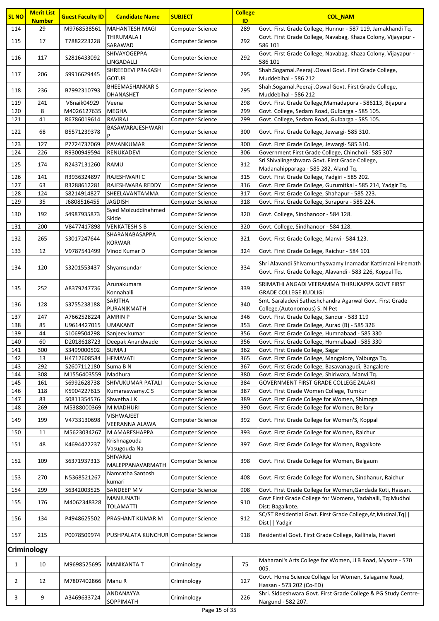| <b>SL NO</b> | <b>Merit List</b><br><b>Number</b> | <b>Guest Faculty ID</b>    | <b>Candidate Name</b>               | <b>SUBJECT</b>                              | <b>College</b><br>ID | <b>COL NAM</b>                                                                                                          |
|--------------|------------------------------------|----------------------------|-------------------------------------|---------------------------------------------|----------------------|-------------------------------------------------------------------------------------------------------------------------|
| 114          | 29                                 | M9768538561                | <b>MAHANTESH MAGI</b>               | Computer Science                            | 289                  | Govt. First Grade College, Hunnur - 587 119, Jamakhandi Tq.                                                             |
|              |                                    |                            | THIRUMALA I                         |                                             |                      | Govt. First Grade College, Navabag, Khaza Colony, Vijayapur -                                                           |
| 115          | 17                                 | T7882223228                | SARAWAD                             | Computer Science                            | 292                  | 586 101                                                                                                                 |
| 116          | 117                                | S2816433092                | SHIVAYOGEPPA<br>LINGADALLI          | <b>Computer Science</b>                     | 292                  | Govt. First Grade College, Navabag, Khaza Colony, Vijayapur -<br>586 101                                                |
| 117          | 206                                | S9916629445                | SHREEDEVI PRAKASH<br><b>GOTUR</b>   | <b>Computer Science</b>                     | 295                  | Shah.Sogamal.Peeraji.Oswal Govt. First Grade College,<br>Muddebihal - 586 212                                           |
| 118          | 236                                | B7992310793                | <b>BHEEMASHANKAR S</b><br>DHANASHET | Computer Science                            | 295                  | Shah.Sogamal.Peeraji.Oswal Govt. First Grade College,<br>Muddebihal - 586 212                                           |
| 119          | 241                                | V6naik04929                | Veena                               | <b>Computer Science</b>                     | 298                  | Govt. First Grade College, Mamadapura - 586113, Bijapura                                                                |
| 120          | 8                                  | M4026127635                | <b>MEGHA</b>                        | <b>Computer Science</b>                     | 299                  | Govt. College, Sedam Road, Gulbarga - 585 105.                                                                          |
| 121          | 41                                 | R6786019614                | RAVIRAJ                             | Computer Science                            | 299                  | Govt. College, Sedam Road, Gulbarga - 585 105.                                                                          |
| 122          | 68                                 | B5571239378                | BASAWARAJESHWARI                    | Computer Science                            | 300                  | Govt. First Grade College, Jewargi- 585 310.                                                                            |
| 123          | 127                                | P7724737069                | PAVANKUMAR                          | Computer Science                            | 300                  | Govt. First Grade College, Jewargi- 585 310.                                                                            |
| 124          | 226                                | R9300949594                | RENUKADEVI                          | Computer Science                            | 306                  | Government First Grade College, Chincholi - 585 307                                                                     |
| 125          | 174                                | R2437131260                | RAMU                                | Computer Science                            | 312                  | Sri Shivalingeshwara Govt. First Grade College,<br>Madanahipparaga - 585 282, Aland Tq.                                 |
| 126          | 141                                | R3936324897                | RAJESHWARI C                        | Computer Science                            | 315                  | Govt. First Grade College, Yadgiri - 585 202.                                                                           |
| 127          | 63                                 | R3288612281                | RAJESHWARA REDDY                    | <b>Computer Science</b>                     | 316                  | Govt. First Grade College, Gurumitkal - 585 214, Yadgir Tq.                                                             |
| 128          | 124                                | S8214914827                | SHEELAVANTAMMA                      | Computer Science                            | 317                  | Govt. First Grade College, Shahapur - 585 223.                                                                          |
| 129          | 35                                 | J6808516455                | JAGDISH                             | <b>Computer Science</b>                     | 318                  | Govt. First Grade College, Surapura - 585 224.                                                                          |
| 130          | 192                                | S4987935873                | Syed Moizuddinahmed<br>Sidde        | Computer Science                            | 320                  | Govt. College, Sindhanoor - 584 128.                                                                                    |
| 131          | 200                                | V8477417898                | <b>VENKATESH S B</b>                | <b>Computer Science</b>                     | 320                  | Govt. College, Sindhanoor - 584 128.                                                                                    |
| 132          | 265                                | S3017247644                | SHARANABASAPPA<br><b>KORWAR</b>     | Computer Science                            | 321                  | Govt. First Grade College, Manvi - 584 123.                                                                             |
| 133          | 12                                 | V9787541499                | Vinod Kumar D                       | Computer Science                            | 324                  | Govt. First Grade College, Raichur - 584 101                                                                            |
| 134          | 120                                | S3201553437                | Shyamsundar                         | Computer Science                            | 334                  | Shri Alavandi Shivamurthyswamy Inamadar Kattimani Hiremath<br>Govt. First Grade College, Alavandi - 583 226, Koppal Tq. |
| 135          | 252                                | A8379247736                | Arunakumara<br>Konnahalli           | Computer Science                            | 339                  | SRIMATHI ANGADI VEERAMMA THIRUKAPPA GOVT FIRST<br><b>GRADE COLLEGE KUDLIGI</b>                                          |
| 136          | 128                                | S3755238188                | SARITHA<br>PURANIKMATH              | Computer Science                            | 340                  | Smt. Saraladevi Satheshchandra Agarwal Govt. First Grade<br>College, (Autonomous) S. N Pet                              |
| 137          | 247                                | A7662528224                | <b>AMRIN P</b>                      | <b>Computer Science</b>                     | 346                  | Govt. First Grade College, Sandur - 583 119                                                                             |
| 138          | 85                                 | U9614427015                | <b>UMAKANT</b>                      | Computer Science                            | 353                  | Govt. First Grade College, Aurad (B) - 585 326                                                                          |
| 139          | 44                                 | \$1069504298               | Sanjeev kumar                       | Computer Science                            | 356                  | Govt. First Grade College, Humnabaad - 585 330                                                                          |
| 140          | 60                                 |                            | D2018618723 Deepak Anandwade        | Computer Science                            | 356                  | Govt. First Grade College, Humnabaad - 585 330                                                                          |
| 141          | 300                                | S3499000502                | SUMA J                              | Computer Science                            | 362                  | Govt. First Grade College, Sagar                                                                                        |
| 142<br>143   | 13<br>292                          | H4712608584<br>S2607112180 | <b>HEMAVATI</b><br>Suma B N         | <b>Computer Science</b><br>Computer Science | 365<br>367           | Govt. First Grade College, Mangalore, Yalburga Tq.<br>Govt. First Grade College, Basavanagudi, Bangalore                |
| 144          | 308                                | M1556403559                | Madhura                             | Computer Science                            | 380                  | Govt. First Grade College, Shiriwara, Manvi Tq.                                                                         |
| 145          | 161                                | S6992628738                | SHIVUKUMAR PATALI                   | <b>Computer Science</b>                     | 384                  | GOVERNMENT FIRST GRADE COLLEGE ZALAKI                                                                                   |
| 146          | 118                                | K5904227615                | Kumaraswamy.C S                     | Computer Science                            | 387                  | Govt. First Grade Women College, Tumkur                                                                                 |
| 147          | 83                                 | S0811354576                | Shwetha J K                         | <b>Computer Science</b>                     | 389                  | Govt. First Grade College for Women, Shimoga                                                                            |
| 148          | 269                                | M5388000369                | M MADHURI                           | Computer Science                            | 390                  | Govt. First Grade College for Women, Bellary                                                                            |
| 149          | 199                                | V4733130698                | <b>VISHWAJEET</b><br>VEERANNA ALAWA | Computer Science                            | 392                  | Govt. First Grade College for Women'S, Koppal                                                                           |
| 150          | 11                                 | M5623034267                | M AMARESHAPPA                       | Computer Science                            | 393                  | Govt. First Grade College for Women, Raichur                                                                            |
| 151          | 48                                 | K4694422237                | Krishnagouda<br>Vasugouda Na        | Computer Science                            | 397                  | Govt. First Grade College for Women, Bagalkote                                                                          |
| 152          | 109                                | S6371937313                | SHIVARAJ<br>MALEPPANAVARMATH        | Computer Science                            | 398                  | Govt. First Grade College for Women, Belgaum                                                                            |
| 153          | 270                                | N5368521267                | Namratha Santosh                    | Computer Science                            | 408                  | Govt. First Grade College for Women, Sindhanur, Raichur                                                                 |
|              |                                    |                            | kumari                              |                                             |                      |                                                                                                                         |
| 154          | 299                                | \$6342003525               | SANDEEP M V<br>MANJUNATH            | <b>Computer Science</b>                     | 908                  | Govt. First Grade College for Women, Gandada Koti, Hassan.<br>Govt First Grade College for Womens, Yadahalli, Tq:Mudhol |
| 155          | 176                                | M4062348328                | <b>TOLAMATTI</b>                    | Computer Science                            | 910                  | Dist: Bagalkote.                                                                                                        |
| 156          | 134                                | P4948625502                | PRASHANT KUMAR M                    | Computer Science                            | 912                  | SC/ST Residential Govt. First Grade College, At, Mudnal, Tq  <br>Dist     Yadgir                                        |
| 157          | 215                                | P0078509974                | PUSHPALATA KUNCHUR Computer Science |                                             | 918                  | Residential Govt. First Grade College, Kallihala, Haveri                                                                |
|              | Criminology                        |                            |                                     |                                             |                      |                                                                                                                         |
| $\mathbf{1}$ | 10                                 | M9698525695                | MANIKANTA T                         | Criminology                                 | 75                   | Maharani's Arts College for Women, JLB Road, Mysore - 570<br>005.                                                       |
| $\mathbf{2}$ | 12                                 | M7807402866                | Manu R                              | Criminology                                 | 127                  | Govt. Home Science College for Women, Salagame Road,<br>Hassan - 573 202 (Co-ED)                                        |
| 3            | 9                                  | A3469633724                | ANDANAYYA<br>SOPPIMATH              | Criminology                                 | 226                  | Shri. Siddeshwara Govt. First Grade College & PG Study Centre-<br>Nargund - 582 207.                                    |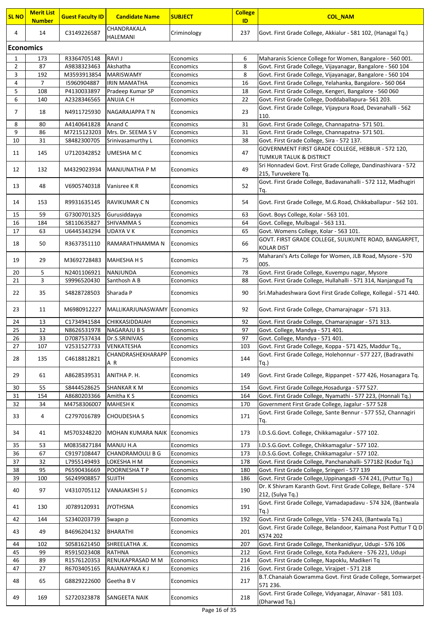| <b>SL NO</b>     | <b>Merit List</b><br><u>Number</u> | <b>Guest Faculty ID</b> | <b>Candidate Name</b>              | <b>SUBJECT</b> | <b>College</b><br>ID | <b>COL_NAM</b>                                                                       |
|------------------|------------------------------------|-------------------------|------------------------------------|----------------|----------------------|--------------------------------------------------------------------------------------|
| 4                | 14                                 | C3149226587             | CHANDRAKALA<br><b>HALEMANI</b>     | Criminology    | 237                  | Govt. First Grade College, Akkialur - 581 102, (Hanagal Tq.)                         |
| <b>Economics</b> |                                    |                         |                                    |                |                      |                                                                                      |
| 1                | 173                                | R3364705148             | RAVI J                             | Economics      | 6                    | Maharanis Science College for Women, Bangalore - 560 001.                            |
| $\overline{2}$   | 87                                 | A9838323463             | Akshatha                           | Economics      | 8                    | Govt. First Grade College, Vijayanagar, Bangalore - 560 104                          |
| 3                | 192                                | M3593913854             | <b>MARISWAMY</b>                   | Economics      | 8                    | Govt. First Grade College, Vijayanagar, Bangalore - 560 104                          |
| 4                | $\overline{7}$                     | 15960904887             | <b>IRIN MAMATHA</b>                | Economics      | 16                   | Govt. First Grade College, Yelahanka, Bangalore.- 560 064                            |
| 5                | 108                                | P4130033897             | Pradeep Kumar SP                   | Economics      | 18                   | Govt. First Grade College, Kengeri, Bangalore - 560 060                              |
| 6                | 140                                | A2328346565             | ANUJA C H                          | Economics      | 22                   | Govt. First Grade College, Doddaballapura- 561 203.                                  |
|                  |                                    |                         |                                    |                |                      | Govt. First Grade College, Vijaypura Road, Devanahalli - 562                         |
| 7                | 18                                 | N4911725930             | NAGARAJAPPA T N                    | Economics      | 23                   | 110.                                                                                 |
| 8                | 80                                 | A4140641828             | Anand C                            | Economics      | 31                   | Govt. First Grade College, Channapatna- 571 501.                                     |
| 9                | 86                                 | M7215123203             | Mrs. Dr. SEEMA S V                 | Economics      | 31                   | Govt. First Grade College, Channapatna- 571 501.                                     |
| 10               | 31                                 | S8482300705             | Srinivasamurthy L                  | Economics      | 38                   | Govt. First Grade College, Sira - 572 137.                                           |
| 11               | 145                                | U7120342852             | UMESHA M C                         | Economics      | 47                   | GOVERNMENT FIRST GRADE COLLEGE, HEBBUR - 572 120,<br>TUMKUR TALUK & DISTRICT         |
| 12               | 132                                | M4329023934             | MANJUNATHA P M                     | Economics      | 49                   | Sri Honnadevi Govt. First Grade College, Dandinashivara - 572<br>215, Turuvekere Tq. |
| 13               | 48                                 | V6905740318             | Vanisree K R                       | Economics      | 52                   | Govt. First Grade College, Badavanahalli - 572 112, Madhugiri<br>Tq.                 |
| 14               | 153                                | R9931635145             | RAVIKUMAR C N                      | Economics      | 54                   | Govt. First Grade College, M.G.Road, Chikkaballapur - 562 101.                       |
| 15               | 59                                 | G7300701325             | Gurusiddayya                       | Economics      | 63                   | Govt. Boys College, Kolar - 563 101.                                                 |
| 16               | 184                                | S8110635827             | SHIVAMMA S                         | Economics      | 64                   | Govt. College, Mulbagal - 563 131.                                                   |
| 17               | 63                                 | U6445343294             | <b>UDAYA V K</b>                   | Economics      | 65                   | Govt. Womens College, Kolar - 563 101.                                               |
| 18               | 50                                 | R3637351110             | RAMARATHNAMMA N                    | Economics      | 66                   | GOVT. FIRST GRADE COLLEGE, SULIKUNTE ROAD, BANGARPET,<br><b>KOLAR DIST</b>           |
| 19               | 29                                 | M3692728483             | <b>MAHESHA H S</b>                 | Economics      | 75                   | Maharani's Arts College for Women, JLB Road, Mysore - 570<br>005.                    |
| 20               | 5                                  | N2401106921             | NANJUNDA                           | Economics      | 78                   | Govt. First Grade College, Kuvempu nagar, Mysore                                     |
| 21               | 3                                  | S9996520430             | Santhosh A B                       | Economics      | 88                   | Govt. First Grade College, Hullahalli - 571 314, Nanjangud Tq                        |
| 22               | 35                                 | S4828728503             | Sharada P                          | Economics      | 90                   | Sri.Mahadeshwara Govt First Grade College, Kollegal - 571 440.                       |
| 23               | 11                                 | M6980912227             | MALLIKARJUNASWAMY Economics        |                | 92                   | Govt. First Grade College, Chamarajnagar - 571 313.                                  |
| 24               | 13                                 | C1734941584             | CHIKKASIDDAIAH                     | Economics      | 92                   | Govt. First Grade College, Chamarajnagar - 571 313.                                  |
| 25               | 12                                 | N8626531978             | NAGARAJU B S                       | Economics      | 97                   | Govt. College, Mandya - 571 401.                                                     |
| 26               | 33                                 | D7087537434             | Dr.S.SRINIVAS                      | Economics      | 97                   | Govt. College, Mandya - 571 401.                                                     |
| 27               | 107                                | V2531527733             | VENKATESHA                         | Economics      | 103                  | Govt. First Grade College, Koppa - 571 425, Maddur Tq.,                              |
| 28               | 135                                | C4618812821             | CHANDRASHEKHARAPP<br>ΑR            | Economics      | 144                  | Govt. First Grade College, Holehonnur - 577 227, (Badravathi<br>$Tq.$ )              |
| 29               | 61                                 | A8628539531             | ANITHA P. H.                       | Economics      | 149                  | Govt. First Grade College, Rippanpet - 577 426, Hosanagara Tq.                       |
| 30               | 55                                 | S8444528625             | SHANKAR K M                        | Economics      | 154                  | Govt. First Grade College, Hosadurga - 577 527.                                      |
| 31               | 154                                | A8680203366             | Amitha K S                         | Economics      | 164                  | Govt. First Grade College, Nyamathi - 577 223, (Honnali Tq.)                         |
| 32               | 34                                 | M4758306007             | <b>MAHESH K</b>                    | Economics      | 170                  | Government First Grade College, Jagalur - 577 528                                    |
| 33               | 4                                  | C2797016789             | CHOUDESHA S                        | Economics      | 171                  | Govt. First Grade College, Sante Bennur - 577 552, Channagiri<br>Tq.                 |
| 34               | 41                                 | M5703248220             | <b>MOHAN KUMARA NAIK Economics</b> |                | 173                  | I.D.S.G.Govt. College, Chikkamagalur - 577 102.                                      |
| 35               | 53                                 | M0835827184             | MANJU H.A                          | Economics      | 173                  | I.D.S.G.Govt. College, Chikkamagalur - 577 102.                                      |
| 36               | 67                                 | C9197108447             | CHANDRAMOULI B G                   | Economics      | 173                  | I.D.S.G.Govt. College, Chikkamagalur - 577 102.                                      |
| 37               | 32                                 | L7955149493             | LOKESHA H M                        | Economics      | 178                  | Govt. First Grade College, Panchanahalli- 577182 (Kodur Tq.)                         |
| 38               | 95                                 | P6590436669             | POORNESHATP                        | Economics      | 180                  | Govt. First Grade College, Sringeri - 577 139                                        |
| 39               | 100                                | S6249908857             | SUJITH                             | Economics      | 186                  | Govt. First Grade College, Uppinangadi -574 241, (Puttur Tq.)                        |
| 40               | 97                                 | V4310705112             | VANAJAKSHI S J                     | Economics      | 190                  | Dr. K Shivram Karanth Govt. First Grade College, Bellare - 574<br>212, (Sulya Tq.)   |
| 41               | 130                                | J0789120931             | <b>JYOTHSNA</b>                    | Economics      | 191                  | Govt. First Grade College, Vamadapadavu - 574 324, (Bantwala<br>Tq.                  |
| 42               | 144                                | S2340203739             | Swapn p                            | Economics      | 192                  | Govt. First Grade College, Vitla - 574 243, (Bantwala Tq.)                           |
| 43               | 49                                 | B4696204132             | <b>BHARATHI</b>                    | Economics      | 201                  | Govt. First Grade College, Belandoor, Kaimana Post Puttur T Q D<br>K574 202          |
| 44               | 102                                | S0581621450             | SHREELATHA .K.                     | Economics      | 207                  | Govt. First Grade College, Thenkanidiyur, Udupi - 576 106                            |
| 45               | 99                                 | R5915023408             | RATHNA                             | Economics      | 212                  | Govt. First Grade College, Kota Padukere - 576 221, Udupi                            |
| 46               | 89                                 | R1576120353             | RENUKAPRASAD M M                   | Economics      | 214                  | Govt. First Grade College, Napoklu, Madikeri Tq                                      |
| 47               | 27                                 | R6703405165             | RAJANAYAKA K J                     | Economics      | 216                  | Govt. First Grade College, Virajpet - 571 218                                        |
| 48               | 65                                 | G8829222600             | Geetha B V                         | Economics      | 217                  | B.T.Chanaiah Gowramma Govt. First Grade College, Somwarpet<br>571 236.               |
| 49               | 169                                | S2720323878             | SANGEETA NAIK                      | Economics      | 218                  | Govt. First Grade College, Vidyanagar, Alnavar - 581 103.<br>(Dharwad Tq.)           |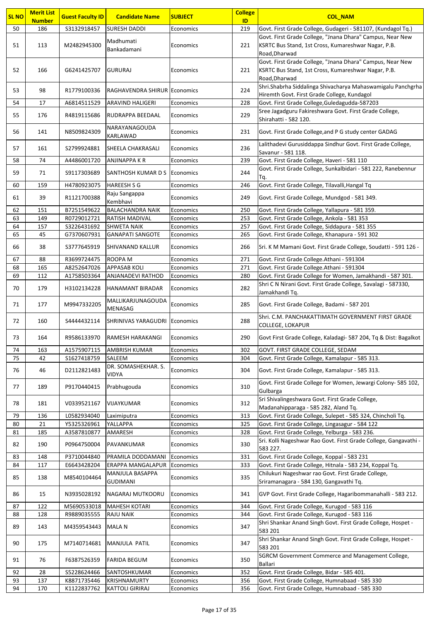| <b>SL NO</b> | <b>Merit List</b><br><b>Number</b> | <b>Guest Faculty ID</b> | <b>Candidate Name</b>                | <b>SUBJECT</b>         | <b>College</b><br>ID | <b>COL NAM</b>                                                                                                              |
|--------------|------------------------------------|-------------------------|--------------------------------------|------------------------|----------------------|-----------------------------------------------------------------------------------------------------------------------------|
| 50           | 186                                | S3132918457             | <b>SURESH DADDI</b>                  | Economics              | 219                  | Govt. First Grade College, Gudageri - 581107, (Kundagol Tq.)                                                                |
|              |                                    |                         |                                      |                        |                      | Govt. First Grade College, "Jnana Dhara" Campus, Near New                                                                   |
| 51           | 113                                | M2482945300             | Madhumati<br>Bankadamani             | Economics              | 221                  | KSRTC Bus Stand, 1st Cross, Kumareshwar Nagar, P.B.                                                                         |
|              |                                    |                         |                                      |                        |                      | Road, Dharwad                                                                                                               |
|              |                                    |                         |                                      |                        |                      | Govt. First Grade College, "Jnana Dhara" Campus, Near New                                                                   |
| 52           | 166                                | G6241425707             | <b>GURURAJ</b>                       | Economics              | 221                  | KSRTC Bus Stand, 1st Cross, Kumareshwar Nagar, P.B.                                                                         |
|              |                                    |                         |                                      |                        |                      | Road, Dharwad<br>Shri.Shabrha Siddalinga Shivacharya Mahaswamigalu Panchgrha                                                |
| 53           | 98                                 | R1779100336             | RAGHAVENDRA SHIRUR Economics         |                        | 224                  | Hiremth Govt. First Grade College, Kundagol                                                                                 |
| 54           | 17                                 | A6814511529             | ARAVIND HALIGERI                     | Economics              | 228                  | Govt. First Grade College, Guledagudda-587203                                                                               |
| 55           |                                    |                         |                                      |                        | 229                  | Sree Jagadguru Fakireshwara Govt. First Grade College,                                                                      |
|              | 176                                | R4819115686             | RUDRAPPA BEEDAAL                     | Economics              |                      | Shirahatti - 582 120.                                                                                                       |
| 56           | 141                                | N8509824309             | NARAYANAGOUDA                        | Economics              | 231                  | Govt. First Grade College, and P G study center GADAG                                                                       |
|              |                                    |                         | <b>KARLAWAD</b>                      |                        |                      |                                                                                                                             |
| 57           | 161                                | S2799924881             | <b>SHEELA CHAKRASALI</b>             | Economics              | 236                  | Lalithadevi Gurusiddappa Sindhur Govt. First Grade College,<br>Savanur - 581 118.                                           |
| 58           | 74                                 | A4486001720             | ANJINAPPA K R                        | Economics              | 239                  | Govt. First Grade College, Haveri - 581 110                                                                                 |
|              |                                    |                         |                                      |                        |                      | Govt. First Grade College, Sunkalbidari - 581 222, Ranebennur                                                               |
| 59           | 71                                 | S9117303689             | SANTHOSH KUMAR D S Economics         |                        | 244                  | Tq.                                                                                                                         |
| 60           | 159                                | H4780923075             | <b>HAREESH S G</b>                   | Economics              | 246                  | Govt. First Grade College, Tilavalli, Hangal Tq                                                                             |
| 61           | 39                                 | R1121700388             | Raju Sangappa                        | Economics              | 249                  | Govt. First Grade College, Mundgod - 581 349.                                                                               |
| 62           | 151                                | B7251549622             | Kembhavi<br><b>BALACHANDRA NAIK</b>  |                        | 250                  |                                                                                                                             |
| 63           | 149                                | R0729012721             | <b>RATISH MADIVAL</b>                | Economics<br>Economics | 253                  | Govt. First Grade College, Yallapura - 581 359.<br>Govt. First Grade College, Ankola - 581 353                              |
| 64           | 157                                | S3226431692             | <b>SHWETA NAIK</b>                   | Economics              | 257                  | Govt. First Grade College, Siddapura - 581 355                                                                              |
| 65           | 45                                 | G7370607931             | <b>GANAPATI SANGOTE</b>              | Economics              | 265                  | Govt. First Grade College, Khanapura - 591 302                                                                              |
| 66           | 38                                 | S3777645919             | <b>SHIVANAND KALLUR</b>              | Economics              | 266                  | Sri. K M Mamani Govt. First Grade College, Soudatti - 591 126 -                                                             |
|              |                                    |                         |                                      |                        |                      |                                                                                                                             |
| 67           | 88                                 | R3699724475             | ROOPA M                              | Economics              | 271                  | Govt. First Grade College.Athani - 591304                                                                                   |
| 68           | 165                                | A8252647026             | <b>APPASAB KOLI</b>                  | Economics              | 271                  | Govt. First Grade College.Athani - 591304                                                                                   |
| 69           | 112                                | A1758503364             | ANJANADEVI RATHOD                    | Economics              | 280                  | Govt. First Grade College for Women, Jamakhandi - 587 301.<br>Shri C N Nirani Govt. First Grade College, Savalagi - 587330, |
| 70           | 179                                | H3102134228             | <b>HANAMANT BIRADAR</b>              | Economics              | 282                  | Jamakhandi Tq.                                                                                                              |
|              |                                    |                         | MALLIKARJUNAGOUDA                    |                        |                      |                                                                                                                             |
| 71           | 177                                | M9947332205             | MENASAG                              | Economics              | 285                  | Govt. First Grade College, Badami - 587 201                                                                                 |
| 72           | 160                                | S4444432114             | SHRINIVAS YARAGUDRI                  | Economics              | 288                  | Shri. C.M. PANCHAKATTIMATH GOVERNMENT FIRST GRADE                                                                           |
|              |                                    |                         |                                      |                        |                      | <b>COLLEGE, LOKAPUR</b>                                                                                                     |
| 73           | 164                                | R9586133970             | <b>RAMESH HARAKANGI</b>              | Economics              | 290                  | Govt First Grade College, Kaladagi- 587 204, Tq & Dist: Bagalkot                                                            |
| 74           | 163                                | A1575907115             | <b>AMBRISH KUMAR</b>                 | Economics              | 302                  | GOVT. FIRST GRADE COLLEGE, SEDAM                                                                                            |
| 75           | 42                                 | S1627418759             | SALEEM                               | Economics              | 304                  | Govt. First Grade College, Kamalapur - 585 313.                                                                             |
| 76           | 46                                 | D2112821483             | DR. SOMASHEKHAR. S.                  | Economics              | 304                  | Govt. First Grade College, Kamalapur - 585 313.                                                                             |
|              |                                    |                         | <b>VIDYA</b>                         |                        |                      |                                                                                                                             |
| 77           | 189                                | P9170440415             | Prabhugouda                          | Economics              | 310                  | Govt. First Grade College for Women, Jewargi Colony- 585 102,                                                               |
|              |                                    |                         |                                      |                        |                      | Gulbarga                                                                                                                    |
| 78           | 181                                | V0339521167             | VIJAYKUMAR                           | Economics              | 312                  | Sri Shivalingeshwara Govt. First Grade College,                                                                             |
| 79           | 136                                | L0582934040             | Laximiputra                          | Economics              | 313                  | Madanahipparaga - 585 282, Aland Tq.<br>Govt. First Grade College, Sulepet - 585 324, Chincholi Tq.                         |
| 80           | 21                                 | Y5325326961             | YALLAPPA                             | Economics              | 325                  | Govt. First Grade College, Lingasagur - 584 122                                                                             |
| 81           | 185                                | A3587810877             | AMARESH                              | Economics              | 328                  | Govt. First Grade College, Yelburga - 583 236.                                                                              |
| 82           | 190                                | P0964750004             | PAVANKUMAR                           | Economics              | 330                  | Sri. Kolli Nageshwar Rao Govt. First Grade College, Gangavathi -                                                            |
|              |                                    |                         |                                      |                        |                      | 583 227.                                                                                                                    |
| 83           | 148                                | P3710044840             | PRAMILA DODDAMANI                    | Economics              | 331                  | Govt. First Grade College, Koppal - 583 231                                                                                 |
| 84           | 117                                | E6643428204             | ERAPPA MANGALAPUR<br>MANJULA BASAPPA | Economics              | 333                  | Govt. First Grade College, Hitnala - 583 234, Koppal Tq.<br>Chilukuri Nageshwar rao Govt. First Grade College,              |
| 85           | 138                                | M8540104464             | <b>GUDIMANI</b>                      | Economics              | 335                  | Sriramanagara - 584 130, Gangavathi Tq.                                                                                     |
|              |                                    |                         |                                      |                        |                      |                                                                                                                             |
| 86           | 15                                 | N3935028192             | NAGARAJ MUTKOORU                     | Economics              | 341                  | GVP Govt. First Grade College, Hagaribommanahalli - 583 212.                                                                |
| 87           | 122                                | M5690533018             | <b>MAHESH KOTARI</b>                 | Economics              | 344                  | Govt. First Grade College, Kurugod - 583 116                                                                                |
| 88           | 128                                | R9889035555             | <b>RAJU NAIK</b>                     | Economics              | 344                  | Govt. First Grade College, Kurugod - 583 116                                                                                |
| 89           | 143                                | M4359543443             | MALA N                               | Economics              | 347                  | Shri Shankar Anand Singh Govt. First Grade College, Hospet -                                                                |
|              |                                    |                         |                                      |                        |                      | 583 201<br>Shri Shankar Anand Singh Govt. First Grade College, Hospet -                                                     |
| 90           | 175                                | M7140714681             | MANJULA PATIL                        | Economics              | 347                  | 583 201                                                                                                                     |
|              |                                    |                         |                                      |                        |                      | SGRCM Government Commerce and Management College,                                                                           |
| 91           | 76                                 | F6387526359             | <b>FARIDA BEGUM</b>                  | Economics              | 350                  | Ballari                                                                                                                     |
| 92           | 28                                 | S5228624466             | SANTOSHKUMAR                         | Economics              | 352                  | Govt. First Grade College, Bidar - 585 401.                                                                                 |
| 93           | 137                                | K8871735446             | KRISHNAMURTY                         | Economics              | 356                  | Govt. First Grade College, Humnabaad - 585 330                                                                              |
| 94           | 170                                | K1122837762             | <b>KATTOLI GIRIRAJ</b>               | Economics              | 356                  | Govt. First Grade College, Humnabaad - 585 330                                                                              |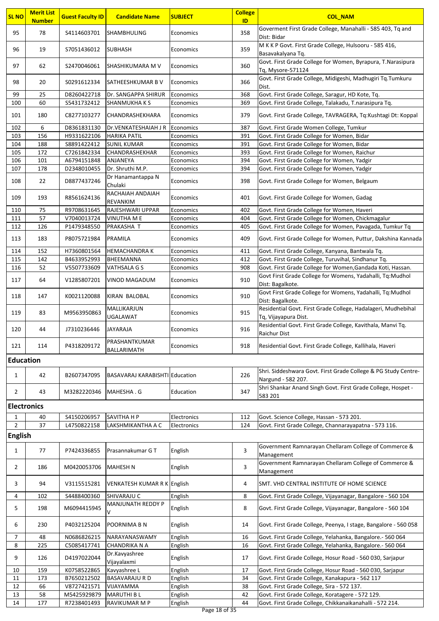| <b>SL NO</b>       | <b>Merit List</b><br><b>Number</b> | <b>Guest Faculty ID</b> | <b>Candidate Name</b>          | <b>SUBJECT</b>           | <b>College</b><br>ID | <b>COL_NAM</b>                                                                                                          |
|--------------------|------------------------------------|-------------------------|--------------------------------|--------------------------|----------------------|-------------------------------------------------------------------------------------------------------------------------|
| 95                 | 78                                 | S4114603701             | <b>SHAMBHULING</b>             | Economics                | 358                  | Goverment First Grade College, Manahalli - 585 403, Tq and<br>Dist: Bidar                                               |
| 96                 | 19                                 | S7051436012             | <b>SUBHASH</b>                 | Economics                | 359                  | M K K P Govt. First Grade College, Hulsooru - 585 416,<br>Basavakalyana Tq.                                             |
| 97                 | 62                                 | S2470046061             | <b>SHASHIKUMARA M V</b>        | Economics                | 360                  | Govt. First Grade College for Women, Byrapura, T.Narasipura<br>Tq, Mysore-571124                                        |
| 98                 | 20                                 | S0291612334             | <b>SATHEESHKUMAR BV</b>        | Economics                | 366                  | Govt. First Grade College, Midigeshi, Madhugiri Tq.Tumkuru<br>Dist.                                                     |
| 99                 | 25                                 | D8260422718             | Dr. SANGAPPA SHIRUR            | Economics                | 368                  | Govt. First Grade College, Saragur, HD Kote, Tq.                                                                        |
| 100                | 60                                 | S5431732412             | <b>SHANMUKHAKS</b>             | Economics                | 369                  | Govt. First Grade College, Talakadu, T.narasipura Tq.                                                                   |
| 101                | 180                                | C8277103277             | CHANDRASHEKHARA                | Economics                | 379                  | Govt. First Grade College, TAVRAGERA, Tq:Kushtagi Dt: Koppal                                                            |
| 102                | 6                                  | D8361831130             | Dr.VENKATESHAIAH J R           | Economics                | 387                  | Govt. First Grade Women College, Tumkur                                                                                 |
| 103                | 156                                | H9331622106             | <b>HARIKA PATIL</b>            | Economics                | 391                  | Govt. First Grade College for Women, Bidar                                                                              |
| 104                | 188                                | S8891422412             | <b>SUNIL KUMAR</b>             | Economics                | 391                  | Govt. First Grade College for Women, Bidar                                                                              |
| 105                | 172                                | C7261842334             | CHANDRASHEKHAR                 | Economics                | 393                  | Govt. First Grade College for Women, Raichur                                                                            |
| 106                | 101                                | A6794151848             | ANJANEYA                       | Economics                | 394                  | Govt. First Grade College for Women, Yadgir                                                                             |
| 107                | 178                                | D2348010455             | Dr. Shruthi M.P.               | Economics                | 394                  | Govt. First Grade College for Women, Yadgir                                                                             |
| 108                | 22                                 | D8877437246             | Dr Hanamantappa N<br>Chulaki   | Economics                | 398                  | Govt. First Grade College for Women, Belgaum                                                                            |
| 109                | 193                                | R8561624136             | RACHAIAH ANDAIAH<br>REVANKIM   | Economics                | 401                  | Govt. First Grade College for Women, Gadag                                                                              |
| 110                | 75                                 | R9708631645             | RAJESHWARI UPPAR               | Economics                | 402                  | Govt. First Grade College for Women, Haveri                                                                             |
| 111                | 57                                 | V7040013724             | VINUTHA M E                    | Economics                | 404                  | Govt. First Grade College for Women, Chickmagalur                                                                       |
| 112                | 126                                | P1479348550             | PRAKASHA T                     | Economics                | 405                  | Govt. First Grade College for Women, Pavagada, Tumkur Tq                                                                |
| 113                | 183                                | P8075721984             | PRAMILA                        | Economics                | 409                  | Govt. First Grade College for Women, Puttur, Dakshina Kannada                                                           |
| 114                | 152                                | H7360801564             | <b>HEMACHANDRAK</b>            | Economics                | 411                  | Govt. First Grade College, Kanyana, Bantwala Tq.                                                                        |
| 115                | 142                                | B4633952993             | BHEEMANNA                      | Economics                | 412                  | Govt. First Grade College, Turuvihal, Sindhanur Tq.                                                                     |
| 116                | 52                                 | V5507733609             | VATHSALA G S                   | Economics                | 908                  | Govt. First Grade College for Women, Gandada Koti, Hassan.<br>Govt First Grade College for Womens, Yadahalli, Tq:Mudhol |
| 117                | 64                                 | V1285807201             | VINOD MAGADUM                  | Economics                | 910                  | Dist: Bagalkote.                                                                                                        |
| 118                | 147                                | K0021120088             | KIRAN BALOBAL                  | Economics                | 910                  | Govt First Grade College for Womens, Yadahalli, Tq:Mudhol<br>Dist: Bagalkote.                                           |
| 119                | 83                                 | M9563950863             | MALLIKARJUN<br><b>UGALAWAT</b> | Economics                | 915                  | Residential Govt. First Grade College, Hadalageri, Mudhebihal<br>Tq, Vijayapura Dist.                                   |
| 120                | 44                                 | J7310236446             | JAYARAJA                       | Economics                | 916                  | Residential Govt. First Grade College, Kavithala, Manvi Tg.<br><b>Raichur Dist</b>                                      |
| 121                | 114                                | P4318209172             | PRASHANTKUMAR<br>BALLARIMATH   | Economics                | 918                  | Residential Govt. First Grade College, Kallihala, Haveri                                                                |
| <b>Education</b>   |                                    |                         |                                |                          |                      |                                                                                                                         |
| $\mathbf{1}$       | 42                                 | B2607347095             | BASAVARAJ KARABISHTI Education |                          | 226                  | Shri. Siddeshwara Govt. First Grade College & PG Study Centre-<br>Nargund - 582 207.                                    |
| $\overline{2}$     | 43                                 | M3282220346             | MAHESHA.G                      | Education                | 347                  | Shri Shankar Anand Singh Govt. First Grade College, Hospet -<br>583 201                                                 |
| <b>Electronics</b> |                                    |                         |                                |                          |                      |                                                                                                                         |
| 1                  | 40                                 | S4150206957             | SAVITHA H P                    | Electronics              | 112                  | Govt. Science College, Hassan - 573 201.                                                                                |
| $\overline{2}$     | 37                                 | L4750822158             | LAKSHMIKANTHA A C              | Electronics              | 124                  | Govt. First Grade College, Channarayapatna - 573 116.                                                                   |
| <b>English</b>     |                                    |                         |                                |                          |                      |                                                                                                                         |
| $\mathbf{1}$       | 77                                 | P7424336855             | Prasannakumar GT               | English                  | 3                    | Government Ramnarayan Chellaram College of Commerce &<br>Management                                                     |
| $\overline{2}$     | 186                                | M0420053706             | <b>MAHESH N</b>                | English                  | 3                    | Government Ramnarayan Chellaram College of Commerce &<br>Management                                                     |
| 3                  | 94                                 | V3115515281             | VENKATESH KUMAR R K English    |                          | 4                    | SMT. VHD CENTRAL INSTITUTE OF HOME SCIENCE                                                                              |
| 4                  | 102                                | S4488400360             | SHIVARAJU C                    | English                  | 8                    | Govt. First Grade College, Vijayanagar, Bangalore - 560 104                                                             |
| 5                  | 198                                | M6094415945             | MANJUNATH REDDY P              | English                  | 8                    | Govt. First Grade College, Vijayanagar, Bangalore - 560 104                                                             |
| 6                  | 230                                | P4032125204             | POORNIMA B N                   | English                  | 14                   | Govt. First Grade College, Peenya, I stage, Bangalore - 560 058                                                         |
| 7                  | 48                                 | N0686826215             | NARAYANASWAMY                  | English                  | 16                   | Govt. First Grade College, Yelahanka, Bangalore.- 560 064                                                               |
| 8                  | 225                                | C5085417741             | CHANDRIKA N A                  | English                  | 16                   | Govt. First Grade College, Yelahanka, Bangalore.- 560 064                                                               |
| 9                  | 126                                | D4197022044             | Dr.Kavyashree<br>Vijayalaxmi   | English                  | 17                   | Govt. First Grade College, Hosur Road - 560 030, Sarjapur                                                               |
| 10                 | 159                                | K0758522865             | Kavyashree L                   | English                  | 17                   | Govt. First Grade College, Hosur Road - 560 030, Sarjapur                                                               |
| 11                 | 173                                | B7650212502             | <b>BASAVARAJU R D</b>          | English                  | 34                   | Govt. First Grade College, Kanakapura - 562 117                                                                         |
| 12                 | 66                                 | V8727421571             | VIJAYAMMA                      | English                  | 38                   | Govt. First Grade College, Sira - 572 137.                                                                              |
| 13                 | 58                                 | M5425929879             | <b>MARUTHI BL</b>              | English                  | 42                   | Govt. First Grade College, Koratagere - 572 129.                                                                        |
| 14                 | 177                                | R7238401493             | RAVIKUMAR M P                  | English<br>Page 18 of 35 | 44                   | Govt. First Grade College, Chikkanaikanahalli - 572 214.                                                                |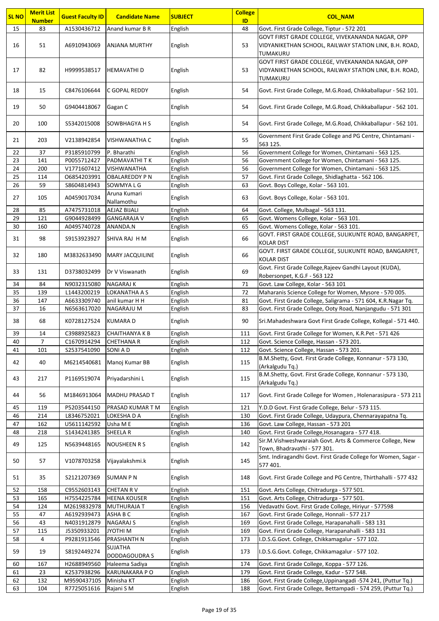| <b>SL NO</b> | <b>Merit List</b><br><b>Number</b> | <b>Guest Faculty ID</b>    | <b>Candidate Name</b>               | <b>SUBJECT</b>     | <b>College</b><br>ID | <b>COL_NAM</b>                                                                                                                 |
|--------------|------------------------------------|----------------------------|-------------------------------------|--------------------|----------------------|--------------------------------------------------------------------------------------------------------------------------------|
| 15           | 83                                 | A1530436712                | Anand kumar B R                     | English            | 48                   | Govt. First Grade College, Tiptur - 572 201                                                                                    |
| 16           | 51                                 | A6910943069                | <b>ANJANA MURTHY</b>                | English            | 53                   | GOVT FIRST GRADE COLLEGE, VIVEKANANDA NAGAR, OPP<br>VIDYANIKETHAN SCHOOL, RAILWAY STATION LINK, B.H. ROAD,<br>TUMAKURU         |
| 17           | 82                                 | H9999538517                | <b>HEMAVATHI D</b>                  | English            | 53                   | GOVT FIRST GRADE COLLEGE, VIVEKANANDA NAGAR, OPP<br>VIDYANIKETHAN SCHOOL, RAILWAY STATION LINK, B.H. ROAD,<br>TUMAKURU         |
| 18           | 15                                 | C8476106644                | C GOPAL REDDY                       | English            | 54                   | Govt. First Grade College, M.G.Road, Chikkaballapur - 562 101.                                                                 |
| 19           | 50                                 | G9404418067                | Gagan C                             | English            | 54                   | Govt. First Grade College, M.G.Road, Chikkaballapur - 562 101.                                                                 |
| 20           | 100                                | S5342015008                | <b>SOWBHAGYA H S</b>                | English            | 54                   | Govt. First Grade College, M.G.Road, Chikkaballapur - 562 101.                                                                 |
| 21           | 203                                | V2138942854                | <b>VISHWANATHA C</b>                | English            | 55                   | Government First Grade College and PG Centre, Chintamani -<br>563 125.                                                         |
| 22           | 37                                 | P3185910799                | P. Bharathi                         | English            | 56                   | Government College for Women, Chintamani - 563 125.                                                                            |
| 23           | 141                                | P0055712427                | PADMAVATHI TK                       | English            | 56                   | Government College for Women, Chintamani - 563 125.                                                                            |
| 24           | 200                                | V1771607412                | <b>VISHWANATHA</b>                  | English            | 56                   | Government College for Women, Chintamani - 563 125.                                                                            |
| 25           | 114                                | 06854203991                | <b>OBALAREDDY PN</b>                | English            | 57                   | Govt. First Grade College, Shidlaghatta - 562 106.                                                                             |
| 26           | 59                                 | S8604814943                | SOWMYA L G<br>Aruna Kumari          | English            | 63                   | Govt. Boys College, Kolar - 563 101.                                                                                           |
| 27           | 105                                | A0459017034                | Nallamothu                          | English            | 63                   | Govt. Boys College, Kolar - 563 101.                                                                                           |
| 28           | 85                                 | A7475731018                | <b>AEJAZ BIJALI</b>                 | English            | 64                   | Govt. College, Mulbagal - 563 131.                                                                                             |
| 29           | 121                                | G9044928499                | <b>GANGARAJA V</b>                  | English            | 65                   | Govt. Womens College, Kolar - 563 101.                                                                                         |
| 30           | 160                                | A0495740728                | ANANDA.N                            | English            | 65                   | Govt. Womens College, Kolar - 563 101.<br>GOVT. FIRST GRADE COLLEGE, SULIKUNTE ROAD, BANGARPET,                                |
| 31           | 98                                 | S9153923927                | SHIVA RAJ H M                       | English            | 66                   | <b>KOLAR DIST</b>                                                                                                              |
| 32           | 180                                | M3832633490                | <b>MARY JACQUILINE</b>              | English            | 66                   | GOVT. FIRST GRADE COLLEGE, SULIKUNTE ROAD, BANGARPET,<br><b>KOLAR DIST</b>                                                     |
| 33           | 131                                | D3738032499                | Dr V Viswanath                      | English            | 69                   | Govt. First Grade College, Rajeev Gandhi Layout (KUDA),<br>Robersonpet, K.G.F - 563 122                                        |
| 34           | 84                                 | N9032315080                | <b>NAGARAJ K</b>                    | English            | 71                   | Govt. Law College, Kolar - 563 101                                                                                             |
| 35           | 139                                | L1443200219                | LOKANATHA A S                       | English            | 72                   | Maharanis Science College for Women, Mysore - 570 005.                                                                         |
| 36           | 147                                | A6633309740                | anil kumar H H                      | English            | 81                   | Govt. First Grade College, Saligrama - 571 604, K.R.Nagar Tq.                                                                  |
| 37<br>38     | 16<br>68                           | N6563617020<br>K0728127524 | <b>NAGARAJU M</b><br><b>KUMARAD</b> | English<br>English | 83<br>90             | Govt. First Grade College, Ooty Road, Nanjangudu - 571 301<br>Sri.Mahadeshwara Govt First Grade College, Kollegal - 571 440.   |
|              |                                    |                            |                                     |                    |                      |                                                                                                                                |
| 39<br>40     | 14<br>7                            | C3988925823<br>C1670914294 | <b>CHAITHANYA K B</b><br>CHETHANA R | English<br>English | 111<br>112           | Govt. First Grade College for Women, K.R.Pet - 571 426<br>Govt. Science College, Hassan - 573 201.                             |
| 41           | 101                                | S2537541090                | SONI A D                            | English            | 112                  | Govt. Science College, Hassan - 573 201.                                                                                       |
| 42           | 40                                 | M6214540681                | Manoj Kumar BB                      | English            | 115                  | B.M.Shetty, Govt. First Grade College, Konnanur - 573 130,<br>(Arkalgudu Tq.)                                                  |
| 43           | 217                                | P1169519074                | Priyadarshini L                     | English            | 115                  | B.M.Shetty, Govt. First Grade College, Konnanur - 573 130,<br>(Arkalgudu Tq.)                                                  |
| 44           | 56                                 | M1846913064                | <b>MADHU PRASAD T</b>               | English            | 117                  | Govt. First Grade College for Women, Holenarasipura - 573 211                                                                  |
| 45           | 119                                | P5203544150                | PRASAD KUMAR T M                    | English            | 121                  | Y.D.D Govt. First Grade College, Belur - 573 115.                                                                              |
| 46           | 214                                | L8346752021                | LOKESHA D A                         | English            | 130                  | Govt. First Grade College, Udaypura, Chennarayapatna Tq.                                                                       |
| 47           | 162                                | U5611142592                | Usha M E                            | English            | 136                  | Govt. Law College, Hassan - 573 201                                                                                            |
| 48           | 218                                | S1434241385                | SHEELA R                            | English            | 140                  | Govt. First Grade College, Hosanagara - 577 418.                                                                               |
| 49           | 125                                | N5639448165                | <b>NOUSHEEN R S</b>                 | English            | 142                  | Sir.M.Vishweshwaraiah Govt. Arts & Commerce College, New<br>Town, Bhadravathi - 577 301.                                       |
| 50           | 57                                 | V1078703258                | Vijayalakshmi.k                     | English            | 145                  | Smt. Indiragandhi Govt. First Grade College for Women, Sagar -<br>577 401.                                                     |
| 51           | 35                                 | S2121207369                | <b>SUMAN P N</b>                    | English            | 148                  | Govt. First Grade College and PG Centre, Thirthahalli - 577 432                                                                |
| 52           | 158                                | C9552603143                | <b>CHETAN RV</b>                    | English            | 151                  | Govt. Arts College, Chitradurga - 577 501.                                                                                     |
| 53           | 165                                | H7554225784                | <b>HEENA KOUSER</b>                 | English            | 151                  | Govt. Arts College, Chitradurga - 577 501.                                                                                     |
| 54           | 124                                | M2619832978                | <b>MUTHURAJA T</b>                  | English            | 156                  | Vedavathi Govt. First Grade College, Hiriyur - 577598                                                                          |
| 55           | 47                                 | A6192939473                | ASHA B C                            | English            | 167                  | Govt. First Grade College, Honnali - 577 217                                                                                   |
| 56           | 43                                 | N4031912879                | <b>NAGARAJ S</b>                    | English            | 169                  | Govt. First Grade College, Harapanahalli - 583 131                                                                             |
| 57           | 115                                | J5350933201                | <b>JYOTHIM</b>                      | English            | 169                  | Govt. First Grade College, Harapanahalli - 583 131                                                                             |
| 58           | 4                                  | P9281913546                | PRASHANTH N<br><b>SUJATHA</b>       | English            | 173                  | I.D.S.G.Govt. College, Chikkamagalur - 577 102.                                                                                |
| 59           | 19                                 | S8192449274                | DODDAGOUDRA S                       | English            | 173                  | I.D.S.G.Govt. College, Chikkamagalur - 577 102.                                                                                |
| 60           | 167                                | H2688949560                | Haleema Sadiya                      | English            | 174                  | Govt. First Grade College, Koppa - 577 126.                                                                                    |
| 61           | 23                                 | K2537938296                | <b>KARUNAKARA PO</b>                | English            | 179                  | Govt. First Grade College, Kadur - 577 548.                                                                                    |
| 62<br>63     | 132<br>104                         | M9590437105<br>R7725051616 | Minisha KT<br>Rajani S M            | English<br>English | 186<br>188           | Govt. First Grade College, Uppinangadi -574 241, (Puttur Tq.)<br>Govt. First Grade College, Bettampadi - 574 259, (Puttur Tq.) |
|              |                                    |                            |                                     |                    |                      |                                                                                                                                |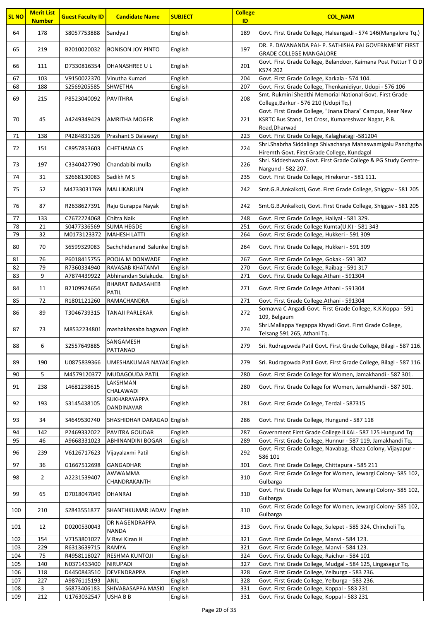| <b>SL NO</b> | <b>Merit List</b><br><b>Number</b> | <b>Guest Faculty ID</b> | <b>Candidate Name</b>                   | <b>SUBJECT</b> | <b>College</b><br>ID | <b>COL_NAM</b>                                                                                                                    |
|--------------|------------------------------------|-------------------------|-----------------------------------------|----------------|----------------------|-----------------------------------------------------------------------------------------------------------------------------------|
| 64           | 178                                | S8057753888             | Sandya.I                                | English        | 189                  | Govt. First Grade College, Haleangadi - 574 146 (Mangalore Tq.)                                                                   |
| 65           | 219                                | B2010020032             | <b>BONISON JOY PINTO</b>                | English        | 197                  | DR. P. DAYANANDA PAI- P. SATHISHA PAI GOVERNMENT FIRST<br><b>GRADE COLLEGE MANGALORE</b>                                          |
| 66           | 111                                | D7330816354             | DHANASHREE U L                          | English        | 201                  | Govt. First Grade College, Belandoor, Kaimana Post Puttur T Q D<br>K574 202                                                       |
| 67           | 103                                | V9150022370             | Vinutha Kumari                          | English        | 204                  | Govt. First Grade College, Karkala - 574 104.                                                                                     |
| 68           | 188                                | S2569205585             | <b>SHWETHA</b>                          | English        | 207                  | Govt. First Grade College, Thenkanidiyur, Udupi - 576 106                                                                         |
| 69           | 215                                | P8523040092             | <b>PAVITHRA</b>                         | English        | 208                  | Smt. Rukmini Shedthi Memorial National Govt. First Grade<br>College, Barkur - 576 210 (Udupi Tq.)                                 |
| 70           | 45                                 | A4249349429             | AMRITHA MOGER                           | English        | 221                  | Govt. First Grade College, "Jnana Dhara" Campus, Near New<br>KSRTC Bus Stand, 1st Cross, Kumareshwar Nagar, P.B.<br>Road, Dharwad |
| 71           | 138                                | P4284831326             | Prashant S Dalawayi                     | English        | 223                  | Govt. First Grade College, Kalaghatagi -581204                                                                                    |
| 72           | 151                                | C8957853603             | <b>CHETHANA CS</b>                      | English        | 224                  | Shri.Shabrha Siddalinga Shivacharya Mahaswamigalu Panchgrha<br>Hiremth Govt. First Grade College, Kundagol                        |
| 73           | 197                                | C3340427790             | Chandabibi mulla                        | English        | 226                  | Shri. Siddeshwara Govt. First Grade College & PG Study Centre-<br>Nargund - 582 207.                                              |
| 74           | 31                                 | S2668130083             | Sadikh M S                              | English        | 235                  | Govt. First Grade College, Hirekerur - 581 111.                                                                                   |
| 75           | 52                                 | M4733031769             | MALLIKARJUN                             | English        | 242                  | Smt.G.B.Ankalkoti, Govt. First Grade College, Shiggav - 581 205                                                                   |
| 76           | 87                                 | R2638627391             | Raju Gurappa Nayak                      | English        | 242                  | Smt.G.B.Ankalkoti, Govt. First Grade College, Shiggav - 581 205                                                                   |
| 77           | 133                                | C7672224068             | Chitra Naik                             | English        | 248                  | Govt. First Grade College, Haliyal - 581 329.                                                                                     |
| 78           | 21                                 | S0477336569             | <b>SUMA HEGDE</b>                       | English        | 251                  | Govt. First Grade College Kumta(U.K) - 581 343                                                                                    |
| 79           | 32                                 | M0173123372             | <b>MAHESH LATTI</b>                     | English        | 264                  | Govt. First Grade College, Hukkeri - 591 309                                                                                      |
| 80           | 70                                 | S6599329083             | Sachchidanand Salunke English           |                | 264                  | Govt. First Grade College, Hukkeri - 591 309                                                                                      |
| 81           | 76                                 | P6018415755             | POOJA M DONWADE                         | English        | 267                  | Govt. First Grade College, Gokak - 591 307                                                                                        |
| 82           | 79                                 | R7360334940             | <b>RAVASAB KHATANVI</b>                 | English        | 270                  | Govt. First Grade College, Raibag - 591 317                                                                                       |
| 83           | 9                                  | A7874439922             | Abhinandan Sulakude.                    | English        | 271                  | Govt. First Grade College.Athani - 591304                                                                                         |
| 84           | 11                                 | B2109924654             | <b>BHARAT BABASAHEB</b><br><b>PATIL</b> | English        | 271                  | Govt. First Grade College.Athani - 591304                                                                                         |
| 85           | 72                                 | R1801121260             | RAMACHANDRA                             | English        | 271                  | Govt. First Grade College.Athani - 591304                                                                                         |
| 86           | 89                                 | T3046739315             | <b>TANAJI PARLEKAR</b>                  | English        | 272                  | Somavva C Angadi Govt. First Grade College, K.K.Koppa - 591<br>109, Belgaum                                                       |
| 87           | 73                                 | M8532234801             | mashakhasaba bagavan English            |                | 274                  | Shri.Mallappa Yegappa Khyadi Govt. First Grade College,<br>Telsang 591 265, Athani Tq.                                            |
| 88           | 6                                  | S2557649885             | SANGAMESH<br>PATTANAD                   | English        | 279                  | Sri. Rudragowda Patil Govt. First Grade College, Bilagi - 587 116.                                                                |
| 89           | 190                                | U0875839366             | UMESHAKUMAR NAYAK English               |                | 279                  | Sri. Rudragowda Patil Govt. First Grade College, Bilagi - 587 116.                                                                |
| 90           | 5                                  | M4579120377             | MUDAGOUDA PATIL                         | English        | 280                  | Govt. First Grade College for Women, Jamakhandi - 587 301.                                                                        |
| 91           | 238                                | L4681238615             | LAKSHMAN<br>CHALAWADI                   | English        | 280                  | Govt. First Grade College for Women, Jamakhandi - 587 301.                                                                        |
| 92           | 193                                | S3145438105             | <b>SUKHARAYAPPA</b><br>DANDINAVAR       | English        | 281                  | Govt. First Grade College, Terdal - 587315                                                                                        |
| 93           | 34                                 | S4649530740             | SHASHIDHAR DARAGAD English              |                | 286                  | Govt. First Grade College, Hungund - 587 118                                                                                      |
| 94           | 142                                | P2469332022             | PAVITRA GOUDAR                          | English        | 287                  | Government First Grade College ILKAL- 587 125 Hungund Tq:                                                                         |
| 95           | 46                                 | A9668331023             | <b>ABHINANDINI BOGAR</b>                | English        | 289                  | Govt. First Grade College, Hunnur - 587 119, Jamakhandi Tq.                                                                       |
| 96           | 239                                | V6126717623             | Vijayalaxmi Patil                       | English        | 292                  | Govt. First Grade College, Navabag, Khaza Colony, Vijayapur -<br>586 101                                                          |
| 97           | 36                                 | G1667512698             | <b>GANGADHAR</b>                        | English        | 301                  | Govt. First Grade College, Chittapura - 585 211                                                                                   |
| 98           | $\overline{2}$                     | A2231539407             | AWWAMMA<br>CHANDRAKANTH                 | English        | 310                  | Govt. First Grade College for Women, Jewargi Colony- 585 102,<br>Gulbarga                                                         |
| 99           | 65                                 | D7018047049             | DHANRAJ                                 | English        | 310                  | Govt. First Grade College for Women, Jewargi Colony- 585 102,<br>Gulbarga                                                         |
| 100          | 210                                | S2843551877             | SHANTHKUMAR JADAV                       | English        | 310                  | Govt. First Grade College for Women, Jewargi Colony- 585 102,<br>Gulbarga                                                         |
| 101          | 12                                 | D0200530043             | DR NAGENDRAPPA<br><b>NANDA</b>          | English        | 313                  | Govt. First Grade College, Sulepet - 585 324, Chincholi Tq.                                                                       |
| 102          | 154                                | V7153801027             | V Ravi Kiran H                          | English        | 321                  | Govt. First Grade College, Manvi - 584 123.                                                                                       |
| 103          | 229                                | R6313639715             | <b>RAMYA</b>                            | English        | 321                  | Govt. First Grade College, Manvi - 584 123.                                                                                       |
| 104          | 75                                 | R4958118027             | <b>RESHMA KUNTOJI</b>                   | English        | 324                  | Govt. First Grade College, Raichur - 584 101                                                                                      |
| 105          | 140                                | N0371433400             | <b>NIRUPADI</b>                         | English        | 327                  | Govt. First Grade College, Mudgal - 584 125, Lingasagur Tq.                                                                       |
| 106          | 118                                | D4450843510             | <b>DEVENDRAPPA</b>                      | English        | 328                  | Govt. First Grade College, Yelburga - 583 236.                                                                                    |
| 107          | 227                                | A9876115193             | ANIL                                    | English        | 328                  | Govt. First Grade College, Yelburga - 583 236.                                                                                    |
| 108          | 3                                  | \$6873406183            | SHIVABASAPPA MASKI                      | English        | 331                  | Govt. First Grade College, Koppal - 583 231                                                                                       |
| 109          | 212                                | U1763032547             | <b>USHABB</b>                           | English        | 331                  | Govt. First Grade College, Koppal - 583 231                                                                                       |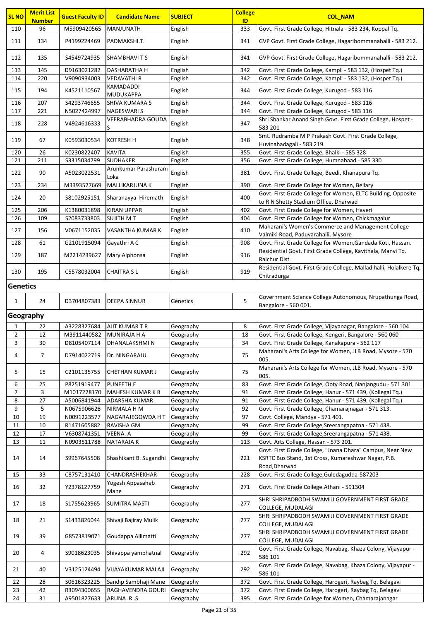| <b>SL NO</b>   | <b>Merit List</b><br><b>Number</b> | <b>Guest Faculty ID</b>    | <b>Candidate Name</b>                  | <b>SUBJECT</b>         | <b>College</b><br>ID | <b>COL NAM</b>                                                                                                   |  |  |  |
|----------------|------------------------------------|----------------------------|----------------------------------------|------------------------|----------------------|------------------------------------------------------------------------------------------------------------------|--|--|--|
| 110            | 96                                 | M5909420565                | MANJUNATH                              | English                | 333                  | Govt. First Grade College, Hitnala - 583 234, Koppal Tq.                                                         |  |  |  |
| 111            | 134                                | P4199224469                | PADMAKSHI.T.                           | English                | 341                  | GVP Govt. First Grade College, Hagaribommanahalli - 583 212.                                                     |  |  |  |
| 112            | 135                                | S4549724935                | SHAMBHAVI T S                          | English                | 341                  | GVP Govt. First Grade College, Hagaribommanahalli - 583 212.                                                     |  |  |  |
| 113            | 145                                | D9163021282                | <b>DASHARATHA H</b>                    | English                | 342                  | Govt. First Grade College, Kampli - 583 132, (Hospet Tq.)                                                        |  |  |  |
| 114            | 220                                | V9090934003                | <b>VEDAVATHIR</b>                      | English                | 342                  | Govt. First Grade College, Kampli - 583 132, (Hospet Tq.)                                                        |  |  |  |
| 115            | 194                                | K4521110567                | KAMADADDI<br><b>MUDUKAPPA</b>          | English                | 344                  | Govt. First Grade College, Kurugod - 583 116                                                                     |  |  |  |
| 116            | 207                                | S4293746655                | <b>SHIVA KUMARA S</b>                  | English                | 344                  | Govt. First Grade College, Kurugod - 583 116                                                                     |  |  |  |
| 117            | 221                                | N5027424997                | <b>NAGESWARIS</b>                      | English                | 344                  | Govt. First Grade College, Kurugod - 583 116                                                                     |  |  |  |
| 118            | 228                                | V4924616333                | <b>VEERABHADRA GOUDA</b><br>S          | English                | 347                  | Shri Shankar Anand Singh Govt. First Grade College, Hospet -<br>583 201                                          |  |  |  |
| 119            | 67                                 | K0593030534                | <b>KOTRESH H</b>                       | English                | 348                  | Smt. Rudramba M P Prakash Govt. First Grade College,<br>Huvinahadagali - 583 219                                 |  |  |  |
| 120            | 26                                 | K0230822407                | <b>KAVITA</b>                          | English                | 355                  | Govt. First Grade College, Bhalki - 585 328                                                                      |  |  |  |
| 121            | 211                                | \$3315034799               | <b>SUDHAKER</b>                        | English                | 356                  | Govt. First Grade College, Humnabaad - 585 330                                                                   |  |  |  |
| 122            | 90                                 | A5023022531                | Arunkumar Parashuram<br>Loka           | English                | 381                  | Govt. First Grade College, Beedi, Khanapura Tq.                                                                  |  |  |  |
| 123            | 234                                | M3393527669                | <b>MALLIKARJUNA K</b>                  | English                | 390                  | Govt. First Grade College for Women, Bellary                                                                     |  |  |  |
| 124            | 20                                 | S8102925151                | Sharanayya Hiremath                    | English                | 400                  | Govt. First Grade College for Women, ELTC Building, Opposite<br>to R N Shetty Stadium Office, Dharwad            |  |  |  |
| 125            | 206                                | K1380031898                | <b>KIRAN UPPAR</b>                     | English                | 402                  | Govt. First Grade College for Women, Haveri                                                                      |  |  |  |
| 126            | 109                                | S2083733803                | SUJITH M T                             | English                | 404                  | Govt. First Grade College for Women, Chickmagalur                                                                |  |  |  |
| 127            | 156                                | V0671152035                | VASANTHA KUMAR K                       | English                | 410                  | Maharani's Women's Commerce and Management College                                                               |  |  |  |
| 128            | 61                                 | G2101915094                | Gayathri A C                           | English                | 908                  | Valmiki Road, Paduvarahalli, Mysore<br>Govt. First Grade College for Women, Gandada Koti, Hassan.                |  |  |  |
|                |                                    |                            |                                        |                        |                      | Residential Govt. First Grade College, Kavithala, Manvi Tq.                                                      |  |  |  |
| 129            | 187                                | M2214239627                | Mary Alphonsa                          | English                | 916                  | <b>Raichur Dist</b>                                                                                              |  |  |  |
| 130            | 195                                | C5578032004                | <b>CHAITRA SL</b>                      | English                | 919                  | Residential Govt. First Grade College, Malladihalli, Holalkere Tq,<br>Chitradurga                                |  |  |  |
|                | <b>Genetics</b>                    |                            |                                        |                        |                      |                                                                                                                  |  |  |  |
|                |                                    |                            |                                        |                        |                      | Government Science College Autonomous, Nrupathunga Road,                                                         |  |  |  |
| $\mathbf{1}$   | 24                                 | D3704807383                | <b>DEEPA SINNUR</b>                    | Genetics               | 5                    | Bangalore - 560 001.                                                                                             |  |  |  |
|                | Geography                          |                            |                                        |                        |                      |                                                                                                                  |  |  |  |
| $\mathbf{1}$   | 22                                 | A3228327684                | AJIT KUMAR T R                         | Geography              | 8                    | Govt. First Grade College, Vijayanagar, Bangalore - 560 104                                                      |  |  |  |
| $\overline{2}$ | 12                                 | M3911440582                | MUNIRAJA H A                           | Geography              | 18                   | Govt. First Grade College, Kengeri, Bangalore - 560 060                                                          |  |  |  |
| 3              | 30                                 | D8105407114                | DHANALAKSHMI N                         | Geography              | 34                   | Govt. First Grade College, Kanakapura - 562 117                                                                  |  |  |  |
| 4              | $\overline{7}$                     | D7914022719                | Dr. NINGARAJU                          | Geography              | 75                   | Maharani's Arts College for Women, JLB Road, Mysore - 570<br>005.                                                |  |  |  |
| 5              | 15                                 | C2101135755                | <b>CHETHAN KUMAR J</b>                 | Geography              | 75                   | Maharani's Arts College for Women, JLB Road, Mysore - 570<br>005.                                                |  |  |  |
| 6              | 25                                 | P8251919477                | <b>PUNEETH E</b>                       | Geography              | 83                   | Govt. First Grade College, Ooty Road, Nanjangudu - 571 301                                                       |  |  |  |
| 7              | 3                                  | M1017228170                | <b>MAHESH KUMAR K B</b>                | Geography              | 91                   | Govt. First Grade College, Hanur - 571 439, (Kollegal Tq.)                                                       |  |  |  |
| 8              | 27                                 | A5006841944                | <b>ADARSHA KUMAR</b>                   | Geography              | 91                   | Govt. First Grade College, Hanur - 571 439, (Kollegal Tq.)                                                       |  |  |  |
| 9<br>$10\,$    | 5<br>19                            | N0675906628<br>N0091223577 | <b>NIRMALA H M</b><br>NAGARAJEGOWDA HT | Geography<br>Geography | 92<br>97             | Govt. First Grade College, Chamarajnagar - 571 313.<br>Govt. College, Mandya - 571 401.                          |  |  |  |
| 11             | 10                                 | R1471605882                | RAVISHA GM                             | Geography              | 99                   | Govt. First Grade College, Sreerangapatna - 571 438.                                                             |  |  |  |
| 12             | 17                                 | V6308741351                | VEENA. A                               | Geography              | 99                   | Govt. First Grade College, Sreerangapatna - 571 438.                                                             |  |  |  |
| 13             | 11                                 | N0903511788                | <b>NATARAJAK</b>                       | Geography              | 113                  | Govt. Arts College, Hassan - 573 201.                                                                            |  |  |  |
| 14             | 14                                 | S9967645508                | Shashikant B. Sugandhi                 | Geography              | 221                  | Govt. First Grade College, "Jnana Dhara" Campus, Near New<br>KSRTC Bus Stand, 1st Cross, Kumareshwar Nagar, P.B. |  |  |  |
| 15             | 33                                 | C8757131410                | CHANDRASHEKHAR                         | Geography              | 228                  | Road, Dharwad<br>Govt. First Grade College, Guledagudda-587203                                                   |  |  |  |
| 16             | 32                                 | Y2378127759                | Yogesh Appasaheb                       | Geography              | 271                  | Govt. First Grade College.Athani - 591304                                                                        |  |  |  |
| 17             | 18                                 | \$1755623965               | Mane<br><b>SUMITRA MASTI</b>           | Geography              | 277                  | SHRI SHRIPADBODH SWAMIJI GOVERNMENT FIRST GRADE                                                                  |  |  |  |
| 18             | 21                                 | \$1433826044               | Shivaji Bajiray Mulik                  | Geography              | 277                  | COLLEGE, MUDALAGI<br>SHRI SHRIPADBODH SWAMIJI GOVERNMENT FIRST GRADE                                             |  |  |  |
| 19             | 39                                 | G8573819071                | Goudappa Allimatti                     | Geography              | 277                  | COLLEGE, MUDALAGI<br>SHRI SHRIPADBODH SWAMIJI GOVERNMENT FIRST GRADE                                             |  |  |  |
| 20             | 4                                  | S9018623035                | Shivappa yambhatnal                    | Geography              | 292                  | COLLEGE, MUDALAGI<br>Govt. First Grade College, Navabag, Khaza Colony, Vijayapur -                               |  |  |  |
|                |                                    |                            |                                        |                        |                      | 586 101                                                                                                          |  |  |  |
| 21             | 40                                 | V3125124494                | <b>VIJAYAKUMAR MALAJI</b>              | Geography              | 292                  | Govt. First Grade College, Navabag, Khaza Colony, Vijayapur -<br>586 101                                         |  |  |  |
| 22             | 28                                 | S0616323225                | Sandip Sambhaji Mane                   | Geography              | 372                  | Govt. First Grade College, Harogeri, Raybag Tq, Belagavi                                                         |  |  |  |
| 23             | 42                                 | R3094300655                | RAGHAVENDRA GOURI                      | Geography              | 372                  | Govt. First Grade College, Harogeri, Raybag Tq, Belagavi                                                         |  |  |  |
| 24             | 31                                 | A9501827633                | ARUNA .R.S                             | Geography              | 395                  | Govt. First Grade College for Women, Chamarajanagar                                                              |  |  |  |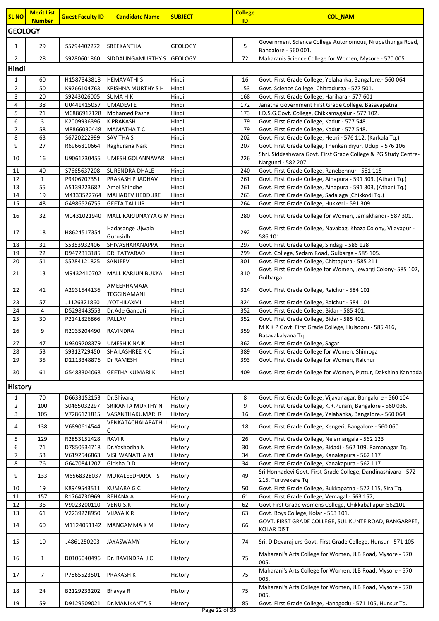| <b>SL NO</b>        | <b>Merit List</b><br><b>Number</b>         | <b>Guest Faculty ID</b>     | <b>Candidate Name</b>                      | <b>SUBJECT</b> | <b>College</b><br>ID | <b>COL NAM</b>                                                                                                              |  |  |  |  |
|---------------------|--------------------------------------------|-----------------------------|--------------------------------------------|----------------|----------------------|-----------------------------------------------------------------------------------------------------------------------------|--|--|--|--|
| <b>GEOLOGY</b>      |                                            |                             |                                            |                |                      |                                                                                                                             |  |  |  |  |
| 1                   | 29                                         | S5794402272                 | <b>SREEKANTHA</b>                          | <b>GEOLOGY</b> | 5                    | Government Science College Autonomous, Nrupathunga Road,                                                                    |  |  |  |  |
|                     | 28                                         |                             |                                            |                | 72                   | Bangalore - 560 001.<br>Maharanis Science College for Women, Mysore - 570 005.                                              |  |  |  |  |
| 2                   | SIDDALINGAMURTHY S GEOLOGY<br>\$9280601860 |                             |                                            |                |                      |                                                                                                                             |  |  |  |  |
| Hindi               |                                            |                             |                                            |                |                      |                                                                                                                             |  |  |  |  |
| $\mathbf{1}$        | 60                                         | H1587343818                 | <b>HEMAVATHI S</b>                         | Hindi          | 16<br>153            | Govt. First Grade College, Yelahanka, Bangalore.- 560 064                                                                   |  |  |  |  |
| $\mathbf{2}$<br>3   | 50<br>20                                   | K9266104763<br>\$9243026005 | <b>KRISHNA MURTHY S H</b><br><b>SUMAHK</b> | Hindi<br>Hindi | 168                  | Govt. Science College, Chitradurga - 577 501.<br>Govt. First Grade College, Harihara - 577 601                              |  |  |  |  |
| 4                   | 38                                         | U0441415057                 | <b>UMADEVIE</b>                            | Hindi          | 172                  | Janatha Government First Grade College, Basavapatna.                                                                        |  |  |  |  |
| 5                   | 21                                         | M6886917128                 | <b>Mohamed Pasha</b>                       | Hindi          | 173                  | I.D.S.G.Govt. College, Chikkamagalur - 577 102.                                                                             |  |  |  |  |
| 6                   | 3                                          | K2009936396                 | <b>K PRAKASH</b>                           | Hindi          | 179                  | Govt. First Grade College, Kadur - 577 548.                                                                                 |  |  |  |  |
| $\overline{7}$      | 58                                         | M8866030448                 | <b>MAMATHATC</b>                           | Hindi          | 179                  | Govt. First Grade College, Kadur - 577 548.                                                                                 |  |  |  |  |
| 8                   | 63                                         | S6720222999                 | <b>SAVITHA S</b>                           | Hindi          | 202                  | Govt. First Grade College, Hebri - 576 112, (Karkala Tq.)                                                                   |  |  |  |  |
| 9                   | 27                                         | R6966810664                 | Raghurana Naik                             | Hindi          | 207                  | Govt. First Grade College, Thenkanidiyur, Udupi - 576 106<br>Shri. Siddeshwara Govt. First Grade College & PG Study Centre- |  |  |  |  |
| 10                  | 16                                         | U9061730455                 | UMESH GOLANNAVAR                           | Hindi          | 226                  | Nargund - 582 207.                                                                                                          |  |  |  |  |
| 11                  | 40                                         | S7665637208                 | <b>SURENDRA DHALE</b>                      | Hindi          | 240                  | Govt. First Grade College, Ranebennur - 581 115                                                                             |  |  |  |  |
| 12                  | 1                                          | P9406707351                 | PRAKASH P JADHAV                           | Hindi          | 261                  | Govt. First Grade College, Ainapura - 591 303, (Athani Tq.)                                                                 |  |  |  |  |
| 13                  | 55                                         | A5139223682                 | Amol Shindhe                               | Hindi          | 261                  | Govt. First Grade College, Ainapura - 591 303, (Athani Tq.)                                                                 |  |  |  |  |
| 14                  | 19                                         | M4333522764                 | <b>MAHADEV HEDDURE</b>                     | Hindi          | 263                  | Govt. First Grade College, Sadalaga (Chikkodi Tq.)                                                                          |  |  |  |  |
| 15                  | 48                                         | G4986526755                 | <b>GEETA TALLUR</b>                        | Hindi          | 264                  | Govt. First Grade College, Hukkeri - 591 309                                                                                |  |  |  |  |
| 16                  | 32                                         | M0431021940                 | MALLIKARJUNAYYA G M Hindi                  |                | 280                  | Govt. First Grade College for Women, Jamakhandi - 587 301.                                                                  |  |  |  |  |
| 17                  | 18                                         | H8624517354                 | Hadasange Ujwala<br>Gurusidh               | Hindi          | 292                  | Govt. First Grade College, Navabag, Khaza Colony, Vijayapur -<br>586 101                                                    |  |  |  |  |
| 18                  | 31                                         | \$5353932406                | SHIVASHARANAPPA                            | Hindi          | 297                  | Govt. First Grade College, Sindagi - 586 128                                                                                |  |  |  |  |
| 19                  | 22                                         | D9472313185                 | DR. TATYARAO                               | Hindi          | 299                  | Govt. College, Sedam Road, Gulbarga - 585 105.                                                                              |  |  |  |  |
| 20                  | 51                                         | S5284121825                 | SANJEEV                                    | Hindi          | 301                  | Govt. First Grade College, Chittapura - 585 211                                                                             |  |  |  |  |
| 21                  | 13                                         | M9432410702                 | <b>MALLIKARJUN BUKKA</b>                   | Hindi          | 310                  | Govt. First Grade College for Women, Jewargi Colony- 585 102,<br>Gulbarga                                                   |  |  |  |  |
| 22                  | 41                                         | A2931544136                 | AMEERHAMAJA<br>TEGGINAMANI                 | Hindi          | 324                  | Govt. First Grade College, Raichur - 584 101                                                                                |  |  |  |  |
| 23                  | 57                                         | J1126321860                 | <b>JYOTHILAXMI</b>                         | Hindi          | 324                  | Govt. First Grade College, Raichur - 584 101                                                                                |  |  |  |  |
| 24<br>25            | 4<br>30                                    | D5298443553                 | Dr.Ade Ganpati<br>PALLAVI                  | Hindi          | 352<br>352           | Govt. First Grade College, Bidar - 585 401.                                                                                 |  |  |  |  |
|                     |                                            | P2141826866                 |                                            | Hindi          |                      | Govt. First Grade College, Bidar - 585 401.<br>M K K P Govt. First Grade College, Hulsooru - 585 416,                       |  |  |  |  |
| 26                  | 9                                          | R2035204490                 | <b>RAVINDRA</b>                            | Hindi          | 359                  | Basavakalyana Tq.                                                                                                           |  |  |  |  |
| 27                  | 47                                         | U9309708379                 | <b>UMESH K NAIK</b>                        | Hindi          | 362                  | Govt. First Grade College, Sagar                                                                                            |  |  |  |  |
| 28                  | 53                                         | S9312729450                 | SHAILASHREE K C                            | Hindi          | 389                  | Govt. First Grade College for Women, Shimoga                                                                                |  |  |  |  |
| 29                  | 35                                         | D2113348876                 | Dr RAMESH                                  | Hindi          | 393                  | Govt. First Grade College for Women, Raichur                                                                                |  |  |  |  |
| 30                  | 61                                         | G5488304068                 | <b>GEETHA KUMARI K</b>                     | Hindi          | 409                  | Govt. First Grade College for Women, Puttur, Dakshina Kannada                                                               |  |  |  |  |
| <b>History</b>      |                                            |                             |                                            |                |                      |                                                                                                                             |  |  |  |  |
| $\mathbf{1}$        | 70                                         | D6633152153                 | Dr.Shivaraj                                | History        | 8                    | Govt. First Grade College, Vijayanagar, Bangalore - 560 104                                                                 |  |  |  |  |
| $\overline{2}$      | 100                                        | S0465032297                 | SRIKANTA MURTHY N                          | History        | 9                    | Govt. First Grade College, K.R.Puram, Bangalore - 560 036.                                                                  |  |  |  |  |
| 3                   | 105                                        | V7286121815                 | <b>VASANTHAKUMARI R</b>                    | History        | 16                   | Govt. First Grade College, Yelahanka, Bangalore.- 560 064                                                                   |  |  |  |  |
| 4                   | 138                                        | V6890614544                 | VENKATACHALAPATHI L<br>С                   | History        | 18                   | Govt. First Grade College, Kengeri, Bangalore - 560 060                                                                     |  |  |  |  |
| 5                   | 129                                        | R2853151428                 | <b>RAVI R</b>                              | History        | 26                   | Govt. First Grade College, Nelamangala - 562 123                                                                            |  |  |  |  |
| 6                   | 71                                         | D7850534718                 | Dr.Yashodha N                              | History        | 30                   | Govt. First Grade College, Bidadi - 562 109, Ramanagar Tq.                                                                  |  |  |  |  |
| $\overline{7}$<br>8 | 53<br>76                                   | V6192546863<br>G6470841207  | VISHWANATHA M<br>Girisha D.D               | History        | 34<br>34             | Govt. First Grade College, Kanakapura - 562 117<br>Govt. First Grade College, Kanakapura - 562 117                          |  |  |  |  |
|                     |                                            |                             |                                            | History        |                      | Sri Honnadevi Govt. First Grade College, Dandinashivara - 572                                                               |  |  |  |  |
| 9                   | 133                                        | M6568328037                 | MURALEEDHARA T S                           | History        | 49                   | 215, Turuvekere Tq.                                                                                                         |  |  |  |  |
| 10                  | 19                                         | K8949543511                 | KUMARA G C                                 | History        | 50                   | Govt. First Grade College, Bukkapatna - 572 115, Sira Tq.                                                                   |  |  |  |  |
| 11                  | 157                                        | R1764730969                 | REHANA A                                   | History        | 61                   | Govt. First Grade College, Vemagal - 563 157,                                                                               |  |  |  |  |
| 12                  | 36                                         | V9023200110                 | VENU S.K                                   | History        | 62                   | Govt First Grade womens College, Chikkaballapur-562101                                                                      |  |  |  |  |
| 13                  | 61                                         | V2239228950                 | <b>VIJAYA K R</b>                          | History        | 63                   | Govt. Boys College, Kolar - 563 101.                                                                                        |  |  |  |  |
| 14                  | 60                                         | M1124051142                 | MANGAMMA K M                               | History        | 66                   | GOVT. FIRST GRADE COLLEGE, SULIKUNTE ROAD, BANGARPET,<br><b>KOLAR DIST</b>                                                  |  |  |  |  |
| 15                  | 10                                         | J4861250203                 | JAYASWAMY                                  | History        | 74                   | Sri. D Devaraj urs Govt. First Grade College, Hunsur - 571 105.                                                             |  |  |  |  |
| 16                  | $\mathbf{1}$                               | D0106040496                 | Dr. RAVINDRA J C                           | History        | 75                   | Maharani's Arts College for Women, JLB Road, Mysore - 570<br>005.                                                           |  |  |  |  |
| 17                  | $\overline{7}$                             | P7865523501                 | PRAKASH K                                  | History        | 75                   | Maharani's Arts College for Women, JLB Road, Mysore - 570<br>005.                                                           |  |  |  |  |
| 18                  | 24                                         | B2129233202                 | Bhavya R                                   | History        | 75                   | Maharani's Arts College for Women, JLB Road, Mysore - 570<br>005.                                                           |  |  |  |  |
| 19                  | 59                                         | D9129509021                 | Dr.MANIKANTA S                             | History        | 85                   | Govt. First Grade College, Hanagodu - 571 105, Hunsur Tq.                                                                   |  |  |  |  |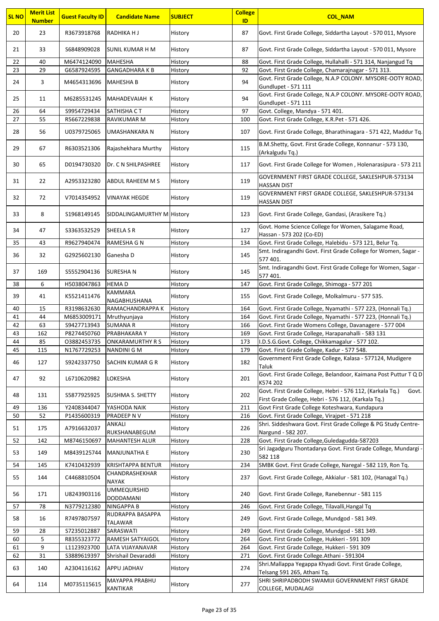| <b>SL NO</b> | <b>Merit List</b><br><b>Number</b> | <b>Guest Faculty ID</b>    | <b>Candidate Name</b>          | <b>SUBJECT</b>     | <b>College</b><br>ID | <b>COL_NAM</b>                                                                                                            |
|--------------|------------------------------------|----------------------------|--------------------------------|--------------------|----------------------|---------------------------------------------------------------------------------------------------------------------------|
| 20           | 23                                 | R3673918768                | RADHIKA H J                    | History            | 87                   | Govt. First Grade College, Siddartha Layout - 570 011, Mysore                                                             |
| 21           | 33                                 | S6848909028                | SUNIL KUMAR H M                | History            | 87                   | Govt. First Grade College, Siddartha Layout - 570 011, Mysore                                                             |
| 22           | 40                                 | M6474124090                | <b>MAHESHA</b>                 | History            | 88                   | Govt. First Grade College, Hullahalli - 571 314, Nanjangud Tq                                                             |
| 23           | 29                                 | G6587924595                | <b>GANGADHARAKB</b>            | History            | 92                   | Govt. First Grade College, Chamarajnagar - 571 313.                                                                       |
| 24           | 3                                  | M4654313696                | <b>MAHESHA B</b>               | History            | 94                   | Govt. First Grade College, N.A.P COLONY. MYSORE-OOTY ROAD,<br>Gundlupet - 571 111                                         |
|              |                                    |                            |                                |                    |                      | Govt. First Grade College, N.A.P COLONY. MYSORE-OOTY ROAD,                                                                |
| 25           | 11                                 | M6285531245                | MAHADEVAIAH K                  | History            | 94                   | Gundlupet - 571 111                                                                                                       |
| 26<br>27     | 64<br>55                           | S9954729434                | SATHISHA CT                    | History            | 97                   | Govt. College, Mandya - 571 401.                                                                                          |
|              |                                    | R5667229838                | RAVIKUMAR M                    | History            | 100                  | Govt. First Grade College, K.R.Pet - 571 426.                                                                             |
| 28           | 56                                 | U0379725065                | UMASHANKARA N                  | History            | 107                  | Govt. First Grade College, Bharathinagara - 571 422, Maddur Tq.                                                           |
| 29           | 67                                 | R6303521306                | Rajashekhara Murthy            | History            | 115                  | B.M.Shetty, Govt. First Grade College, Konnanur - 573 130,<br>(Arkalgudu Tq.)                                             |
| 30           | 65                                 | D0194730320                | Dr. C N SHILPASHREE            | History            | 117                  | Govt. First Grade College for Women, Holenarasipura - 573 211                                                             |
| 31           | 22                                 | A2953323280                | ABDUL RAHEEM M S               | History            | 119                  | GOVERNMENT FIRST GRADE COLLEGE, SAKLESHPUR-573134<br><b>HASSAN DIST</b>                                                   |
| 32           | 72                                 | V7014354952                | <b>VINAYAK HEGDE</b>           | History            | 119                  | GOVERNMENT FIRST GRADE COLLEGE, SAKLESHPUR-573134<br><b>HASSAN DIST</b>                                                   |
| 33           | 8                                  | S1968149145                | SIDDALINGAMURTHY M History     |                    | 123                  | Govt. First Grade College, Gandasi, (Arasikere Tq.)                                                                       |
| 34           | 47                                 | \$3363532529               | SHEELA S R                     | History            | 127                  | Govt. Home Science College for Women, Salagame Road,                                                                      |
| 35           | 43                                 | R9627940474                | RAMESHA G N                    | History            | 134                  | Hassan - 573 202 (Co-ED)<br>Govt. First Grade College, Halebidu - 573 121, Belur Tq.                                      |
|              |                                    |                            |                                |                    |                      | Smt. Indiragandhi Govt. First Grade College for Women, Sagar -                                                            |
| 36           | 32                                 | G2925602130                | Ganesha D                      | History            | 145                  | 577 401.                                                                                                                  |
| 37           | 169                                | \$5552904136               | <b>SURESHAN</b>                | History            | 145                  | Smt. Indiragandhi Govt. First Grade College for Women, Sagar -<br>577 401.                                                |
| 38           | 6                                  | H5038047863                | <b>HEMAD</b>                   | History            | 147                  | Govt. First Grade College, Shimoga - 577 201                                                                              |
| 39           | 41                                 | K5521411476                | KAMMARA<br>NAGABHUSHANA        | History            | 155                  | Govt. First Grade College, Molkalmuru - 577 535.                                                                          |
| 40           | 15                                 | R3198632630                | RAMACHANDRAPPA K               | History            | 164                  | Govt. First Grade College, Nyamathi - 577 223, (Honnali Tq.)                                                              |
| 41           | 44                                 | M6853009171                | Mruthyunjaya                   | History            | 164                  | Govt. First Grade College, Nyamathi - 577 223, (Honnali Tq.)                                                              |
| 42           | 63                                 | S9427713943                | <b>SUMANA R</b>                | History            | 166                  | Govt. First Grade Womens College, Davanagere - 577 004                                                                    |
| 43           | 162                                | P8274450760                | PRABHAKARA Y                   | History            | 169                  | Govt. First Grade College, Harapanahalli - 583 131                                                                        |
| 44           | 85                                 | 03882453735                | ONKARAMURTHY R S               | History            | 173                  | I.D.S.G.Govt. College, Chikkamagalur - 577 102.                                                                           |
| 45           | 115                                | N1767729253                | NANDINI G M                    | History            | 179                  | Govt. First Grade College, Kadur - 577 548.                                                                               |
| 46           | 127                                | S9242337750                | SACHIN KUMAR G R               | History            | 182                  | Government First Grade College, Kalasa - 577124, Mudigere<br>Taluk                                                        |
| 47           | 92                                 | L6710620982                | LOKESHA                        | History            | 201                  | Govt. First Grade College, Belandoor, Kaimana Post Puttur T Q D<br>K574 202                                               |
| 48           | 131                                | S5877925925                | <b>SUSHMA S. SHETTY</b>        | History            | 202                  | Govt. First Grade College, Hebri - 576 112, (Karkala Tg.)<br>Govt.<br>First Grade College, Hebri - 576 112, (Karkala Tg.) |
| 49           | 136                                | Y2408344047                | YASHODA NAIK                   | History            | 211                  | Govt First Grade College Koteshwara, Kundapura                                                                            |
| 50           | 52                                 | P1435600319                | PRADEEP N V                    | History            | 216                  | Govt. First Grade College, Virajpet - 571 218                                                                             |
|              |                                    |                            | ANKALI                         |                    |                      | Shri. Siddeshwara Govt. First Grade College & PG Study Centre-                                                            |
| 51           | 175                                | A7916632037                | RUKSHANABEGUM                  | History            | 226                  | Nargund - 582 207.                                                                                                        |
| 52           | 142                                | M8746150697                | <b>MAHANTESH ALUR</b>          | History            | 228                  | Govt. First Grade College, Guledagudda-587203                                                                             |
| 53           | 149                                | M8439125744                | <b>MANJUNATHA E</b>            | History            | 230                  | Sri Jagadguru Thontadarya Govt. First Grade College, Mundargi -<br>582 118                                                |
| 54           | 145                                | K7410432939                | <b>KRISHTAPPA BENTUR</b>       | History            | 234                  | SMBK Govt. First Grade College, Naregal - 582 119, Ron Tq.                                                                |
| 55           | 144                                | C4468810504                | CHANDRASHEKHAR<br><b>NAYAK</b> | History            | 237                  | Govt. First Grade College, Akkialur - 581 102, (Hanagal Tq.)                                                              |
| 56           | 171                                | U8243903116                | <b>UMMEQURSHID</b>             | History            | 240                  | Govt. First Grade College, Ranebennur - 581 115                                                                           |
|              |                                    |                            | <b>DODDAMANI</b>               |                    |                      |                                                                                                                           |
| 57<br>58     | 78<br>16                           | N3779212380<br>R7497807597 | NINGAPPA B<br>RUDRAPPA BASAPPA | History<br>History | 246<br>249           | Govt. First Grade College, Tilavalli, Hangal Tq<br>Govt. First Grade College, Mundgod - 581 349.                          |
|              |                                    |                            | TALAWAR                        |                    |                      |                                                                                                                           |
| 59           | 28                                 | S7235012887                | SARASWATI                      | History            | 249                  | Govt. First Grade College, Mundgod - 581 349.                                                                             |
| 60           | 5                                  | R8355323772                | RAMESH SATYAIGOL               | History            | 264                  | Govt. First Grade College, Hukkeri - 591 309                                                                              |
| 61           | 9                                  | L1123923700                | LATA VIJAYANAVAR               | History            | 264                  | Govt. First Grade College, Hukkeri - 591 309                                                                              |
| 62           | 31                                 | S3889619397                | Shrishail Devaraddi            | History            | 271                  | Govt. First Grade College.Athani - 591304                                                                                 |
| 63           | 140                                | A2304116162                | <b>APPU JADHAV</b>             | History            | 274                  | Shri.Mallappa Yegappa Khyadi Govt. First Grade College,<br>Telsang 591 265, Athani Tq.                                    |
| 64           | 114                                | M0735115615                | MAYAPPA PRABHU<br>KANTIKAR     | History            | 277                  | SHRI SHRIPADBODH SWAMIJI GOVERNMENT FIRST GRADE<br>COLLEGE, MUDALAGI                                                      |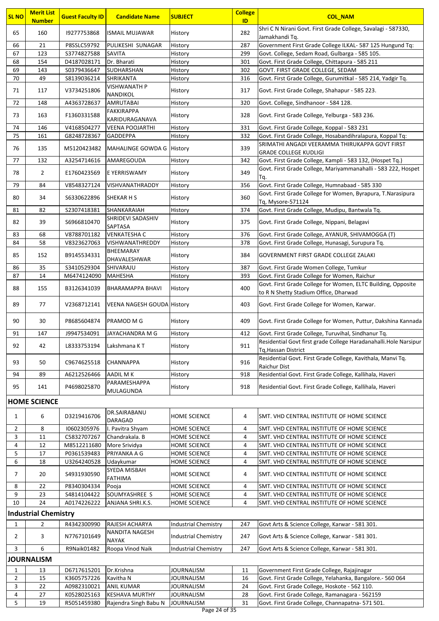| <b>SL NO</b>   | <b>Merit List</b><br><b>Number</b> | <b>Guest Faculty ID</b>    | <b>Candidate Name</b>               | <b>SUBJECT</b>                             | <b>College</b><br>ID | <b>COL NAM</b>                                                                                        |
|----------------|------------------------------------|----------------------------|-------------------------------------|--------------------------------------------|----------------------|-------------------------------------------------------------------------------------------------------|
| 65             | 160                                | 19277753868                | <b>ISMAIL MUJAWAR</b>               | History                                    | 282                  | Shri C N Nirani Govt. First Grade College, Savalagi - 587330,                                         |
| 66             | 21                                 | P8SSLC59792                | PULIKESHI SUNAGAR                   | History                                    | 287                  | Jamakhandi Tq.<br>Government First Grade College ILKAL- 587 125 Hungund Tq:                           |
| 67             | 123                                | S3774827588                | <b>SAVITA</b>                       | History                                    | 299                  | Govt. College, Sedam Road, Gulbarga - 585 105.                                                        |
| 68             | 154                                | D4187028171                | Dr. Bharati                         | History                                    | 301                  | Govt. First Grade College, Chittapura - 585 211                                                       |
| 69             | 143                                | S0379436647                | SUDHARSHAN                          | History                                    | 302                  | GOVT. FIRST GRADE COLLEGE, SEDAM                                                                      |
| 70             | 49                                 | S8139036214                | <b>SHRIKANTA</b>                    | History                                    | 316                  | Govt. First Grade College, Gurumitkal - 585 214, Yadgir Tq.                                           |
| 71             | 117                                | V3734251806                | <b>VISHWANATH P</b><br>NANDIKOL     | History                                    | 317                  | Govt. First Grade College, Shahapur - 585 223.                                                        |
| 72             | 148                                | A4363728637                | <b>AMRUTABAI</b>                    | History                                    | 320                  | Govt. College, Sindhanoor - 584 128.                                                                  |
| 73             | 163                                | F1360331588                | <b>FAKKIRAPPA</b><br>KARIDURAGANAVA | History                                    | 328                  | Govt. First Grade College, Yelburga - 583 236.                                                        |
| 74             | 146                                | V4168504277                | <b>VEENA POOJARTHI</b>              | History                                    | 331                  | Govt. First Grade College, Koppal - 583 231                                                           |
| 75             | 161                                | G8248728367                | GADDEPPA                            | History                                    | 332                  | Govt. First Grade College, Hosabandihralapura, Koppal Tq:                                             |
| 76             | 135                                | M5120423482                | MAHALINGE GOWDA G History           |                                            | 339                  | SRIMATHI ANGADI VEERAMMA THIRUKAPPA GOVT FIRST<br><b>GRADE COLLEGE KUDLIGI</b>                        |
| 77             | 132                                | A3254714616                | AMAREGOUDA                          | History                                    | 342                  | Govt. First Grade College, Kampli - 583 132, (Hospet Tq.)                                             |
| 78             | $\overline{2}$                     | E1760423569                | <b>E YERRISWAMY</b>                 | History                                    | 349                  | Govt. First Grade College, Mariyammanahalli - 583 222, Hospet<br>Tq.                                  |
| 79             | 84                                 | V8548327124                | VISHVANATHRADDY                     | History                                    | 356                  | Govt. First Grade College, Humnabaad - 585 330                                                        |
| 80             | 34                                 | \$6330622896               | <b>SHEKAR H S</b>                   | History                                    | 360                  | Govt. First Grade College for Women, Byrapura, T.Narasipura<br>Tq, Mysore-571124                      |
| 81             | 82                                 | S2307418381                | SHANKARAIAH                         | History                                    | 374                  | Govt. First Grade College, Mudipu, Bantwala Tq.                                                       |
| 82             | 39                                 | \$6966810470               | SHRIDEVI SADASHIV<br>SAPTASA        | History                                    | 375                  | Govt. First Grade College, Nippani, Belagavi                                                          |
| 83             | 68                                 | V8788701182                | <b>VENKATESHA C</b>                 | History                                    | 376                  | Govt. First Grade College, AYANUR, SHIVAMOGGA (T)                                                     |
| 84             | 58                                 | V8323627063                | <b>VISHWANATHREDDY</b>              | History                                    | 378                  | Govt. First Grade College, Hunasagi, Surupura Tq.                                                     |
| 85             | 152                                | B9145534331                | BHEEMARAY<br>DHAVALESHWAR           | History                                    | 384                  | <b>GOVERNMENT FIRST GRADE COLLEGE ZALAKI</b>                                                          |
| 86             | 35                                 | S3410529304                | SHIVARAJU                           | History                                    | 387                  | Govt. First Grade Women College, Tumkur                                                               |
| 87             | 14                                 | M6474124090                | <b>MAHESHA</b>                      | History                                    | 393                  | Govt. First Grade College for Women, Raichur                                                          |
| 88             | 155                                | B3126341039                | <b>BHARAMAPPA BHAVI</b>             | History                                    | 400                  | Govt. First Grade College for Women, ELTC Building, Opposite<br>to R N Shetty Stadium Office, Dharwad |
| 89             | 77                                 | V2368712141                | VEENA NAGESH GOUDA History          |                                            | 403                  | Govt. First Grade College for Women, Karwar.                                                          |
| 90             | 30                                 | P8685604874                | PRAMOD M G                          | History                                    | 409                  | Govt. First Grade College for Women, Puttur, Dakshina Kannada                                         |
| 91             | 147                                | J9947534091                | JAYACHANDRA M G                     | History                                    | 412                  | Govt. First Grade College, Turuvihal, Sindhanur Tq.                                                   |
| 92             | 42                                 | L8333753194                | Lakshmana KT                        | History                                    | 911                  | Residential Govt first grade College Haradanahalli. Hole Narsipur<br>Tq, Hassan District              |
| 93             | 50                                 | C9674625518                | <b>CHANNAPPA</b>                    | History                                    | 916                  | Residential Govt. First Grade College, Kavithala, Manvi Tq.<br>Raichur Dist                           |
| 94             | 89                                 | A6212526466                | AADIL M K                           | History                                    | 918                  | Residential Govt. First Grade College, Kallihala, Haveri                                              |
| 95             | 141                                | P4698025870                | PARAMESHAPPA                        | History                                    | 918                  | Residential Govt. First Grade College, Kallihala, Haveri                                              |
|                |                                    |                            | MULAGUNDA                           |                                            |                      |                                                                                                       |
|                | <b>HOME SCIENCE</b>                |                            |                                     |                                            |                      |                                                                                                       |
| 1              | 6                                  | D3219416706                | DR.SAIRABANU<br><b>DARAGAD</b>      | <b>HOME SCIENCE</b>                        | 4                    | SMT. VHD CENTRAL INSTITUTE OF HOME SCIENCE                                                            |
| $\overline{2}$ | 8                                  | 10602305976                | I. Pavitra Shyam                    | HOME SCIENCE                               | 4                    | SMT. VHD CENTRAL INSTITUTE OF HOME SCIENCE                                                            |
| 3              | 11                                 | C5832707267                | Chandrakala. B                      | <b>HOME SCIENCE</b>                        | 4                    | SMT. VHD CENTRAL INSTITUTE OF HOME SCIENCE                                                            |
| 4              | 12                                 | M8512211680                | More Srividya                       | HOME SCIENCE                               | 4                    | SMT. VHD CENTRAL INSTITUTE OF HOME SCIENCE                                                            |
| 5              | 17                                 | P0361539483                | PRIYANKA A G                        | HOME SCIENCE                               | 4                    | SMT. VHD CENTRAL INSTITUTE OF HOME SCIENCE                                                            |
| 6<br>7         | 18<br>20                           | U3264240528<br>S4931930590 | Udaykumar<br>SYEDA MISBAH           | <b>HOME SCIENCE</b><br><b>HOME SCIENCE</b> | 4<br>4               | SMT. VHD CENTRAL INSTITUTE OF HOME SCIENCE<br>SMT. VHD CENTRAL INSTITUTE OF HOME SCIENCE              |
|                |                                    |                            | <b>FATHIMA</b>                      |                                            |                      |                                                                                                       |
| 8              | 22                                 | P8340304334                | Pooja                               | <b>HOME SCIENCE</b>                        | 4                    | SMT. VHD CENTRAL INSTITUTE OF HOME SCIENCE                                                            |
| 9<br>10        | 23<br>24                           | S4814104422<br>A0174226222 | SOUMYASHREE S<br>ANJANA SHRI.K.S.   | HOME SCIENCE<br>HOME SCIENCE               | 4<br>4               | SMT. VHD CENTRAL INSTITUTE OF HOME SCIENCE<br>SMT. VHD CENTRAL INSTITUTE OF HOME SCIENCE              |
|                |                                    |                            |                                     |                                            |                      |                                                                                                       |
|                | <b>Industrial Chemistry</b>        |                            |                                     |                                            |                      |                                                                                                       |
| $\mathbf{1}$   | $\overline{2}$                     | R4342300990                | RAJESH ACHARYA<br>NANDITA NAGESH    | <b>Industrial Chemistry</b>                | 247                  | Govt Arts & Science College, Karwar - 581 301.                                                        |
| $\overline{2}$ | 3                                  | N7767101649                | <b>NAYAK</b>                        | <b>Industrial Chemistry</b>                | 247                  | Govt Arts & Science College, Karwar - 581 301.                                                        |
| 3              | 6                                  | R9Naik01482                | Roopa Vinod Naik                    | <b>Industrial Chemistry</b>                | 247                  | Govt Arts & Science College, Karwar - 581 301.                                                        |
|                | <b>JOURNALISM</b>                  |                            |                                     |                                            |                      |                                                                                                       |
| 1              | 13                                 | D6717615201                | Dr.Krishna                          | JOURNALISM                                 | 11                   | Government First Grade College, Rajajinagar                                                           |
| $\overline{2}$ | 15                                 | K3605757226                | Kavitha N                           | <b>JOURNALISM</b>                          | 16                   | Govt. First Grade College, Yelahanka, Bangalore.- 560 064                                             |
| 3              | 22                                 | A0982310021                | <b>ANIL KUMAR</b>                   | JOURNALISM                                 | 24                   | Govt. First Grade College, Hoskote - 562 110.                                                         |
| 4              | 27                                 | K0528025163                | <b>KESHAVA MURTHY</b>               | <b>JOURNALISM</b>                          | 28                   | Govt. First Grade College, Ramanagara - 562159                                                        |
| 5              | 19                                 | R5051459380                | Rajendra Singh Babu N               | <b>JOURNALISM</b><br>$D280$ 24 of $25$     | 31                   | Govt. First Grade College, Channapatna- 571 501.                                                      |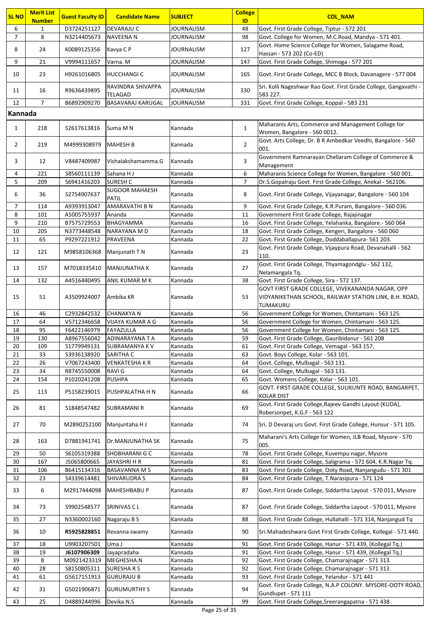| <b>SL NO</b>   | <b>Merit List</b><br><b>Number</b> | <b>Guest Faculty ID</b>    | <b>Candidate Name</b>                 | <b>SUBJECT</b>     | <b>College</b><br>ID | <b>COL NAM</b>                                                                                                         |
|----------------|------------------------------------|----------------------------|---------------------------------------|--------------------|----------------------|------------------------------------------------------------------------------------------------------------------------|
| 6              | 1                                  | D3724251127                | <b>DEVARAJU C</b>                     | <b>JOURNALISM</b>  | 48                   | Govt. First Grade College, Tiptur - 572 201                                                                            |
| $\overline{7}$ | 8                                  | N3214405673                | NAVEENA N                             | JOURNALISM         | 98                   | Govt. College for Women, M.C.Road, Mandya - 571 401.                                                                   |
| 8              | 24                                 | K0089125356                | Kavya C P                             | JOURNALISM         | 127                  | Govt. Home Science College for Women, Salagame Road,<br>Hassan - 573 202 (Co-ED)                                       |
| 9              | 21                                 | V9994111657                | Varna. M                              | JOURNALISM         | 147                  | Govt. First Grade College, Shimoga - 577 201                                                                           |
| 10             | 23                                 | H9261016805                | <b>HUCCHANGIC</b>                     | JOURNALISM         | 165                  | Govt. First Grade College, MCC B Block, Davanagere - 577 004                                                           |
| 11             | 16                                 | R9636439895                | RAVINDRA SHIVAPPA                     | JOURNALISM         | 330                  | Sri. Kolli Nageshwar Rao Govt. First Grade College, Gangavathi -                                                       |
|                |                                    |                            | TELAGAD                               |                    |                      | 583 227.                                                                                                               |
| 12             | $\overline{7}$                     | B6892909270                | <b>BASAVARAJ KARUGAL</b>              | <b>JOURNALISM</b>  | 331                  | Govt. First Grade College, Koppal - 583 231                                                                            |
| Kannada        |                                    |                            |                                       |                    |                      |                                                                                                                        |
| $\mathbf{1}$   | 218                                | S2617613816                | Suma M N                              | Kannada            | $\mathbf{1}$         | Maharanis Arts, Commerce and Management College for<br>Women, Bangalore - 560 0012.                                    |
| $\overline{2}$ | 219                                | M4999308979                | <b>MAHESH B</b>                       | Kannada            | $\overline{2}$       | Govt. Arts College, Dr. B R Ambedkar Veedhi, Bangalore - 560<br>001.                                                   |
| 3              | 12                                 | V8487409987                | Vishalakshamamma.G                    | Kannada            | 3                    | Government Ramnarayan Chellaram College of Commerce &<br>Management                                                    |
| 4              | 221                                | S8560111139                | Sahana HJ                             | Kannada            | 6                    | Maharanis Science College for Women, Bangalore - 560 001.                                                              |
| 5              | 209                                | S6941416203                | <b>SURESH C</b>                       | Kannada            | 7                    | Dr.S.Gopalraju Govt. First Grade College, Anekal - 562106.                                                             |
| 6              | 36                                 | S2754907637                | <b>SUGOOR MAHAESH</b><br><b>PATIL</b> | Kannada            | 8                    | Govt. First Grade College, Vijayanagar, Bangalore - 560 104                                                            |
| 7              | 114                                | A9393913047                | <b>AMARAVATHI B N</b>                 | Kannada            | 9                    | Govt. First Grade College, K.R.Puram, Bangalore - 560 036.                                                             |
| 8              | 101                                | A5005755937                | Ananda                                | Kannada            | 11                   | Government First Grade College, Rajajinagar                                                                            |
| 9              | 210                                | B7575729553                | BHAGYAMMA                             | Kannada            | 16                   | Govt. First Grade College, Yelahanka, Bangalore.- 560 064                                                              |
| 10             | 205                                | N3773448548                | NARAYANA M D                          | Kannada            | 18                   | Govt. First Grade College, Kengeri, Bangalore - 560 060                                                                |
| 11             | 65                                 | P9297221912                | PRAVEENA                              | Kannada            | 22                   | Govt. First Grade College, Doddaballapura- 561 203.                                                                    |
| 12             | 121                                | M9858106368                | Manjunath T N                         | Kannada            | 23                   | Govt. First Grade College, Vijaypura Road, Devanahalli - 562<br>110.                                                   |
| 13             | 157                                | M7018335410                | MANJUNATHA K                          | Kannada            | 27                   | Govt. First Grade College, Thyamagondglu - 562 132,<br>Nelamangala Tq.                                                 |
| 14             | 132                                | A4516440495                | ANIL KUMAR M K                        | Kannada            | 38                   | Govt. First Grade College, Sira - 572 137.                                                                             |
| 15             | 51                                 | A3509924007                | Ambika KR                             | Kannada            | 53                   | GOVT FIRST GRADE COLLEGE, VIVEKANANDA NAGAR, OPP<br>VIDYANIKETHAN SCHOOL, RAILWAY STATION LINK, B.H. ROAD,<br>TUMAKURU |
| 16             | 46                                 | C2932842532                | CHANAKYA N                            | Kannada            | 56                   | Government College for Women, Chintamani - 563 125.                                                                    |
| 17             | 64                                 | V5712346658                | VIJAYA KUMAR A G                      | Kannada            | 56                   | Government College for Women, Chintamani - 563 125.                                                                    |
| 18             | 95                                 | F6422146979                | FAYAZULLA                             | Kannada            | 56                   | Government College for Women, Chintamani - 563 125.                                                                    |
| 19             | 130                                | A8967556042                | ADINARAYANA T A                       | Kannada            | 59                   | Govt. First Grade College, Gauribidanur - 561 208                                                                      |
| 20             | 109                                | S1779949131                | SUBRAMANYA K V                        | Kannada            | 61                   | Govt. First Grade College, Vemagal - 563 157,                                                                          |
| 21             | 33                                 | \$3936138920               | SARITHA C                             | Kannada            | 63                   | Govt. Boys College, Kolar - 563 101.                                                                                   |
| 22<br>23       | 26<br>34                           | V7067243400<br>R8745550008 | <b>VENKATESHAKR</b><br><b>RAVIG</b>   | Kannada            | 64<br>64             | Govt. College, Mulbagal - 563 131.<br>Govt. College, Mulbagal - 563 131.                                               |
| 24             | 154                                | P1020241208                | <b>PUSHPA</b>                         | Kannada<br>Kannada | 65                   | Govt. Womens College, Kolar - 563 101.                                                                                 |
| 25             | 113                                | P5158239015                | PUSHPALATHA H N                       | Kannada            | 66                   | GOVT. FIRST GRADE COLLEGE, SULIKUNTE ROAD, BANGARPET,<br>KOLAR DIST                                                    |
| 26             | 81                                 | S1848547482                | SUBRAMANI R                           | Kannada            | 69                   | Govt. First Grade College, Rajeev Gandhi Layout (KUDA),<br>Robersonpet, K.G.F - 563 122                                |
| 27             | 70                                 | M2890252100                | Manjuntaha H J                        | Kannada            | 74                   | Sri. D Devaraj urs Govt. First Grade College, Hunsur - 571 105.                                                        |
| 28             | 163                                | D7881941741                | Dr.MANJUNATHA SK                      | Kannada            | 75                   | Maharani's Arts College for Women, JLB Road, Mysore - 570<br>005.                                                      |
| 29             | 50                                 | \$6105319388               | SHOBHARANI G C                        | Kannada            | 78                   | Govt. First Grade College, Kuvempu nagar, Mysore                                                                       |
| 30             | 167                                | J5065800665                | JAYASHRI H R                          | Kannada            | 81                   | Govt. First Grade College, Saligrama - 571 604, K.R.Nagar Tq.                                                          |
| 31             | 106                                | B6415134316                | <b>BASAVANNA M S</b>                  | Kannada            | 83                   | Govt. First Grade College, Ooty Road, Nanjangudu - 571 301                                                             |
| 32             | 23                                 | S4339614481                | SHIVARUDRA S                          | Kannada            | 84                   | Govt. First Grade College, T.Narasipura - 571 124                                                                      |
| 33             | 6                                  | M2917444098                | MAHESHBABU P                          | Kannada            | 87                   | Govt. First Grade College, Siddartha Layout - 570 011, Mysore                                                          |
| 34             | 73                                 | S9902548577                | SRINIVAS C L                          | Kannada            | 87                   | Govt. First Grade College, Siddartha Layout - 570 011, Mysore                                                          |
| 35             | 27                                 | N3360002160                | Nagaraju B S                          | Kannada            | 88                   | Govt. First Grade College, Hullahalli - 571 314, Nanjangud Tq                                                          |
| 36             | 10                                 | R5925828851                | Revanna swamy                         | Kannada            | 90                   | Sri.Mahadeshwara Govt First Grade College, Kollegal - 571 440.                                                         |
| 37             | 18                                 | U9903207501                | Uma J                                 | Kannada            | 91                   | Govt. First Grade College, Hanur - 571 439, (Kollegal Tq.)                                                             |
| 38             | 19                                 | J6107906309                | Jayapradaha                           | Kannada            | 91                   | Govt. First Grade College, Hanur - 571 439, (Kollegal Tq.)                                                             |
| 39             | 8                                  | M0921423319                | MEGHESHA.N                            | Kannada            | 92                   | Govt. First Grade College, Chamarajnagar - 571 313.                                                                    |
| 40             | 28                                 | \$8150805311               | <b>SURESHARS</b>                      | Kannada            | 92                   | Govt. First Grade College, Chamarajnagar - 571 313.                                                                    |
| 41             | 61                                 | G5617151913                | <b>GURURAJU B</b>                     | Kannada            | 93                   | Govt. First Grade College, Yelandur - 571 441                                                                          |
| 42             | 31                                 | G5021906871                | <b>GURUMURTHY S</b>                   | Kannada            | 94                   | Govt. First Grade College, N.A.P COLONY. MYSORE-OOTY ROAD,<br>Gundlupet - 571 111                                      |
| 43             | 25                                 | D4889244996                | Devika.N.S                            | Kannada            | 99                   | Govt. First Grade College, Sreerangapatna - 571 438.                                                                   |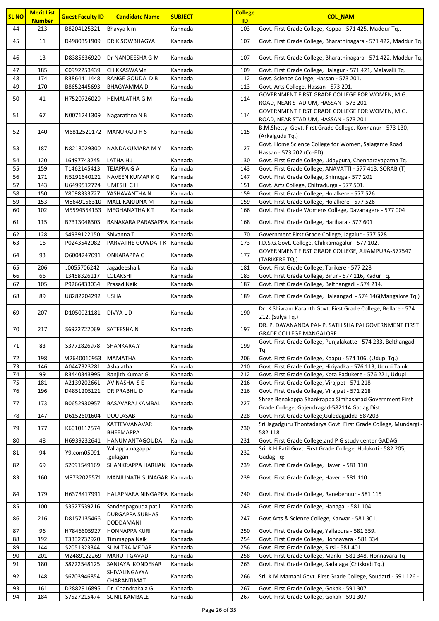| <b>SL NO</b> | <b>Merit List</b> | <b>Guest Faculty ID</b> | <b>Candidate Name</b>               | <b>SUBJECT</b> | <b>College</b> | <b>COL_NAM</b>                                                                                          |
|--------------|-------------------|-------------------------|-------------------------------------|----------------|----------------|---------------------------------------------------------------------------------------------------------|
|              | <b>Number</b>     |                         |                                     |                | ID             |                                                                                                         |
| 44           | 213               | B8204125321             | Bhavya k m                          | Kannada        | 103            | Govt. First Grade College, Koppa - 571 425, Maddur Tq.,                                                 |
| 45           | 11                | D4980351909             | DR.K SOWBHAGYA                      | Kannada        | 107            | Govt. First Grade College, Bharathinagara - 571 422, Maddur Tq.                                         |
| 46           | 13                | D8385636920             | Dr NANDEESHA G M                    | Kannada        | 107            | Govt. First Grade College, Bharathinagara - 571 422, Maddur Tq.                                         |
| 47           | 185               | C0992253439             | CHIKKASWAMY                         | Kannada        | 109            | Govt. First Grade College, Halagur - 571 421, Malavalli Tq.                                             |
| 48           | 174               | R3864411448             | RANGE GOUDA D B                     | Kannada        | 112            | Govt. Science College, Hassan - 573 201.                                                                |
| 49           | 170               | B8652445693             | <b>BHAGYAMMAD</b>                   | Kannada        | 113            | Govt. Arts College, Hassan - 573 201.                                                                   |
|              |                   |                         |                                     |                |                | GOVERNMENT FIRST GRADE COLLEGE FOR WOMEN, M.G.                                                          |
| 50           | 41                | H7520726029             | <b>HEMALATHA G M</b>                | Kannada        | 114            | ROAD, NEAR STADIUM, HASSAN - 573 201                                                                    |
| 51           | 67                | N0071241309             | Nagarathna N B                      | Kannada        | 114            | GOVERNMENT FIRST GRADE COLLEGE FOR WOMEN, M.G.<br>ROAD, NEAR STADIUM, HASSAN - 573 201                  |
| 52           | 140               | M6812520172             | <b>MANURAJU H S</b>                 | Kannada        | 115            | B.M.Shetty, Govt. First Grade College, Konnanur - 573 130,<br>(Arkalgudu Tq.)                           |
| 53           | 187               | N8218029300             | NANDAKUMARA MY                      | Kannada        | 127            | Govt. Home Science College for Women, Salagame Road,<br>Hassan - 573 202 (Co-ED)                        |
| 54           | 120               | L6497743245             | LATHA H J                           | Kannada        | 130            | Govt. First Grade College, Udaypura, Chennarayapatna Tq.                                                |
| 55           | 159               | T1462145413             | TEJAPPA G A                         | Kannada        | 143            | Govt. First Grade College, ANAVATTI - 577 413, SORAB (T)                                                |
| 56           | 171               | N5191640121             | <b>NAVEEN KUMAR K G</b>             | Kannada        | 147            | Govt. First Grade College, Shimoga - 577 201                                                            |
| 57           | 143               | U6499512724             | UMESHI C H                          | Kannada        | 151            | Govt. Arts College, Chitradurga - 577 501.                                                              |
| 58           | 150               | Y8098333727             | YASHAVANTHA N                       | Kannada        | 159            | Govt. First Grade College, Holalkere - 577 526                                                          |
| 59           | 153               | M8649156310             | MALLIKARJUNA M                      | Kannada        | 159            | Govt. First Grade College, Holalkere - 577 526                                                          |
| 60           | 102               | M5594554153             | <b>MEGHANATHA KT</b>                | Kannada        | 166            | Govt. First Grade Womens College, Davanagere - 577 004                                                  |
| 61           | 115               | B7313048303             | BANAKARA PARASAPPA Kannada          |                | 168            | Govt. First Grade College, Harihara - 577 601                                                           |
|              |                   |                         |                                     |                |                |                                                                                                         |
| 62           | 128               | S4939122150             | Shivanna T                          | Kannada        | 170            | Government First Grade College, Jagalur - 577 528                                                       |
| 63           | 16                | P0243542082             | PARVATHE GOWDA TK                   | Kannada        | 173            | I.D.S.G.Govt. College, Chikkamagalur - 577 102.                                                         |
| 64           | 93                | 06004247091             | <b>ONKARAPPA G</b>                  | Kannada        | 177            | GOVERNMENT FIRST GRADE COLLEGE, AJJAMPURA-577547<br>(TARIKERE TQ.)                                      |
| 65           | 206               | J0055706242             | Jagadeesha k                        | Kannada        | 181            | Govt. First Grade College, Tarikere - 577 228                                                           |
| 66           | 66                | L3458326117             | LOLAKSHI                            | Kannada        | 183            | Govt. First Grade College, Birur - 577 116, Kadur Tq.                                                   |
| 67           | 105               | P9266433034             | Prasad Naik                         | Kannada        | 187            | Govt. First Grade College, Belthangadi - 574 214.                                                       |
| 68           | 89                | U8282204292             | USHA                                | Kannada        | 189            | Govt. First Grade College, Haleangadi - 574 146(Mangalore Tq.)                                          |
|              |                   |                         |                                     |                |                | Dr. K Shivram Karanth Govt. First Grade College, Bellare - 574                                          |
| 69           | 207               | D1050921181             | DIVYA L D                           | Kannada        | 190            | 212, (Sulya Tq.)<br>DR. P. DAYANANDA PAI- P. SATHISHA PAI GOVERNMENT FIRST                              |
| 70           | 217               | S6922722069             | SATEESHA N                          | Kannada        | 197            | <b>GRADE COLLEGE MANGALORE</b>                                                                          |
| 71           | 83                | S3772826978             | SHANKARA.Y                          | Kannada        | 199            | Govt. First Grade College, Punjalakatte - 574 233, Belthangadi<br>Tq.                                   |
| 72           | 198               | M2640010953             | <b>MAMATHA</b>                      | Kannada        | 206            | Govt. First Grade College, Kaapu - 574 106, (Udupi Tq.)                                                 |
| 73           | 146               | A0447323281             | Ashalatha                           | Kannada        | 210            | Govt. First Grade College, Hiriyadka - 576 113, Udupi Taluk.                                            |
| 74           | 99                | R3440343995             | Ranjith Kumar G                     | Kannada        | 212            | Govt. First Grade College, Kota Padukere - 576 221, Udupi                                               |
| 75           | 181               | A2139202661             | AVINASHA SE                         | Kannada        | 216            | Govt. First Grade College, Virajpet - 571 218                                                           |
| 76           | 196               | D4851205121             | <b>DR.PRABHUD</b>                   | Kannada        | 216            | Govt. First Grade College, Virajpet - 571 218                                                           |
| 77           | 173               | B0652930957             | BASAVARAJ KAMBALI                   | Kannada        | 227            | Shree Benakappa Shankrappa Simhasanad Government First<br>Grade College, Gajendragad-582114 Gadag Dist. |
| 78           | 147               | D6152601604             | <b>DOULASAB</b>                     | Kannada        | 228            | Govt. First Grade College, Guledagudda-587203                                                           |
| 79           | 177               | K6010112574             | KATTEVVANAVAR                       | Kannada        | 230            | Sri Jagadguru Thontadarya Govt. First Grade College, Mundargi ·                                         |
| 80           | 48                | H6939232641             | <b>BHEEMAPPA</b><br>HANUMANTAGOUDA  | Kannada        | 231            | 582 118<br>Govt. First Grade College, and P G study center GADAG                                        |
| 81           | 94                | Y9.com05091             | Yallappa.nagappa<br>.gulagan        | Kannada        | 232            | Sri. K H Patil Govt. First Grade College, Hulukoti - 582 205,<br>Gadag Tq:                              |
| 82           | 69                | S2091549169             | SHANKRAPPA HARIJAN                  | Kannada        | 239            | Govt. First Grade College, Haveri - 581 110                                                             |
| 83           | 160               | M8732025571             | MANJUNATH SUNAGAR Kannada           |                | 239            | Govt. First Grade College, Haveri - 581 110                                                             |
| 84           | 179               | H6378417991             | HALAPNARA NINGAPPA Kannada          |                | 240            | Govt. First Grade College, Ranebennur - 581 115                                                         |
| 85           | 100               | \$3527539216            | Sandeepagouda patil                 | Kannada        | 243            | Govt. First Grade College, Hanagal - 581 104                                                            |
| 86           | 216               | D8157135466             | <b>DURGAPPA SUBHAS</b><br>DODDAMANI | Kannada        | 247            | Govt Arts & Science College, Karwar - 581 301.                                                          |
| 87           | 96                | H7846605927             | <b>HONNAPPA KURI</b>                | Kannada        | 250            | Govt. First Grade College, Yallapura - 581 359.                                                         |
| 88           | 192               | T3332732920             | Timmappa Naik                       | Kannada        | 254            | Govt. First Grade College, Honnavara - 581 334                                                          |
| 89           | 144               | S2051323344             | <b>SUMITRA MEDAR</b>                | Kannada        | 256            | Govt. First Grade College, Sirsi - 581 401                                                              |
| 90           | 201               | M2489122269             | <b>MARUTI GAVADI</b>                | Kannada        | 258            | Govt. First Grade College, Manki - 581 348, Honnavara Tq                                                |
| 91           | 180               | S8722548125             | SANJAYA KONDEKAR                    | Kannada        | 263            | Govt. First Grade College, Sadalaga (Chikkodi Tq.)                                                      |
| 92           | 148               | S6703946854             | SHIVALINGAYYA                       | Kannada        | 266            | Sri. K M Mamani Govt. First Grade College, Soudatti - 591 126 -                                         |
|              |                   |                         | CHARANTIMAT                         |                |                |                                                                                                         |
| 93           | 161               | D2882916895             | Dr. Chandrakala G                   | Kannada        | 267            | Govt. First Grade College, Gokak - 591 307                                                              |
| 94           | 184               | S7527215474             | <b>SUNIL KAMBALE</b>                | Kannada        | 267            | Govt. First Grade College, Gokak - 591 307                                                              |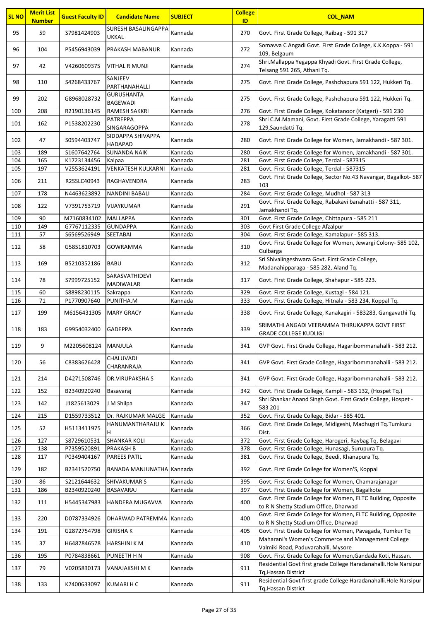| SURESH BASALINGAPPA<br>95<br>59<br>S7981424903<br>Kannada<br>270<br>Govt. First Grade College, Raibag - 591 317<br>UKKAL<br>Somavva C Angadi Govt. First Grade College, K.K.Koppa - 591<br>96<br>272<br>104<br>P5456943039<br>PRAKASH MABANUR<br>Kannada<br>109, Belgaum<br>Shri.Mallappa Yegappa Khyadi Govt. First Grade College,<br>97<br>274<br>42<br>V4260609375<br>VITHAL R MUNJI<br>Kannada<br>Telsang 591 265, Athani Tq.<br>SANJEEV<br>98<br>275<br>110<br>S4268433767<br>Govt. First Grade College, Pashchapura 591 122, Hukkeri Tq.<br>Kannada<br>PARTHANAHALLI<br><b>GURUSHANTA</b><br>99<br>275<br>202<br>G8968028732<br>Govt. First Grade College, Pashchapura 591 122, Hukkeri Tq.<br>Kannada<br><b>BAGEWADI</b><br>208<br>R2190136145<br><b>RAMESH SAKKRI</b><br>276<br>Govt. First Grade College, Kokatanoor (Katgeri) - 591 230<br>100<br>Kannada<br><b>PATREPPA</b><br>Shri C.M.Mamani, Govt. First Grade College, Yaragatti 591<br>278<br>101<br>P1538202230<br>162<br>Kannada<br>SINGARAGOPPA<br>129, Saundatti Tq.<br>SIDDAPPA SHIVAPPA<br>47<br>S0594403747<br>102<br>Kannada<br>280<br>Govt. First Grade College for Women, Jamakhandi - 587 301.<br><b>HADAPAD</b><br>103<br>189<br>S1607642764<br><b>SUNANDA NAIK</b><br>Kannada<br>280<br>Govt. First Grade College for Women, Jamakhandi - 587 301.<br>Govt. First Grade College, Terdal - 587315<br>104<br>165<br>K1723134456<br>281<br>Kannada<br>Kalpaa<br>Govt. First Grade College, Terdal - 587315<br>105<br>197<br>V2553624191<br><b>VENKATESH KULKARNI</b><br>281<br>Kannada<br>Govt. First Grade College, Sector No.43 Navangar, Bagalkot- 587<br>283<br>106<br>211<br>R2SSLC40943<br>RAGHAVENDRA<br>Kannada<br>103<br>Govt. First Grade College, Mudhol - 587 313<br>107<br>178<br>N4463623892<br><b>NANDINI BABALI</b><br>284<br>Kannada<br>Govt. First Grade College, Rabakavi banahatti - 587 311,<br>291<br>108<br>122<br>V7391753719<br>VIJAYKUMAR<br>Kannada<br>Jamakhandi Tq.<br>109<br>90<br><b>MALLAPPA</b><br>301<br>Govt. First Grade College, Chittapura - 585 211<br>M7160834102<br>Kannada<br>110<br>149<br>G7767112335<br><b>GUNDAPPA</b><br>303<br>Govt First Grade College Afzalpur<br>Kannada<br>Govt. First Grade College, Kamalapur - 585 313.<br>111<br>57<br>S6569526949<br><b>SEETABAI</b><br>304<br>Kannada<br>Govt. First Grade College for Women, Jewargi Colony- 585 102,<br>112<br>58<br>310<br>G5851810703<br><b>GOWRAMMA</b><br>Kannada<br>Gulbarga<br>Sri Shivalingeshwara Govt. First Grade College,<br>113<br>169<br><b>BABU</b><br>312<br>B5210352186<br>Kannada<br>Madanahipparaga - 585 282, Aland Tq.<br>SARASVATHIDEVI<br>114<br>78<br>S7999725152<br>317<br>Govt. First Grade College, Shahapur - 585 223.<br>Kannada<br><b>MADIWALAR</b><br>115<br>60<br>S8898230115<br>329<br>Govt. First Grade College, Kustagi - 584 121.<br>Sakrappa<br>Kannada<br>116<br>71<br>P1770907640<br>PUNITHA.M<br>333<br>Govt. First Grade College, Hitnala - 583 234, Koppal Tq.<br>Kannada<br>117<br>199<br>338<br>M6156431305<br><b>MARY GRACY</b><br>Kannada<br>Govt. First Grade College, Kanakagiri - 583283, Gangavathi Tq.<br>SRIMATHI ANGADI VEERAMMA THIRUKAPPA GOVT FIRST<br>118<br>183<br>339<br>G9954032400<br><b>GADEPPA</b><br>Kannada<br><b>GRADE COLLEGE KUDLIGI</b><br>119<br>9<br>M2205608124 MANJULA<br>Kannada<br>341<br>GVP Govt. First Grade College, Hagaribommanahalli - 583 212.<br>CHALUVADI<br>56<br>C8383626428<br>GVP Govt. First Grade College, Hagaribommanahalli - 583 212.<br>120<br>Kannada<br>341<br>CHARANRAJA<br>GVP Govt. First Grade College, Hagaribommanahalli - 583 212.<br>121<br>214<br>D4271508746<br>DR.VIRUPAKSHA S<br>Kannada<br>341<br>342<br>Govt. First Grade College, Kampli - 583 132, (Hospet Tq.)<br>122<br>152<br>B2340920240<br>Basavaraj<br>Kannada<br>Shri Shankar Anand Singh Govt. First Grade College, Hospet -<br>123<br>347<br>142<br>J1825613029<br>J M Shilpa<br>Kannada<br>583 201<br>Govt. First Grade College, Bidar - 585 401.<br>215<br>D1559733512<br>Dr. RAJKUMAR MALGE<br>Kannada<br>124<br>352<br>Govt. First Grade College, Midigeshi, Madhugiri Tg.Tumkuru<br>HANUMANTHARAJU K<br>125<br>52<br>H5113411975<br>Kannada<br>366<br>H<br>Dist.<br>126<br>127<br>S8729610531<br><b>SHANKAR KOLI</b><br>Kannada<br>372<br>Govt. First Grade College, Harogeri, Raybag Tq, Belagavi<br>127<br>P7359520891<br><b>PRAKASH B</b><br>378<br>Govt. First Grade College, Hunasagi, Surupura Tq.<br>138<br>Kannada<br>128<br>Govt. First Grade College, Beedi, Khanapura Tq.<br>117<br>P0349404167<br>PAREES PATIL<br>381<br>Kannada<br>129<br>182<br>392<br>B2341520750<br>BANADA MANJUNATHA Kannada<br>Govt. First Grade College for Women'S, Koppal<br>86<br><b>SHIVAKUMAR S</b><br>395<br>Govt. First Grade College for Women, Chamarajanagar<br>130<br>S2121644632<br>Kannada<br>131<br>B2340920240<br>397<br>Govt. First Grade College for Women, Bagalkote<br>186<br><b>BASAVARAJ</b><br>Kannada<br>Govt. First Grade College for Women, ELTC Building, Opposite<br>132<br>400<br>111<br>H5445347983<br>HANDERA MUGAVVA<br>Kannada<br>to R N Shetty Stadium Office, Dharwad<br>Govt. First Grade College for Women, ELTC Building, Opposite<br>133<br>220<br>400<br>D0787334926<br>DHARWAD PATREMMA   Kannada<br>to R N Shetty Stadium Office, Dharwad<br>G2872754798<br><b>GIRISHAK</b><br>Govt. First Grade College for Women, Pavagada, Tumkur Tq<br>134<br>191<br>Kannada<br>405<br>Maharani's Women's Commerce and Management College<br>135<br>410<br>37<br>H6487846578<br><b>HARSHINI K M</b><br>Kannada<br>Valmiki Road, Paduvarahalli, Mysore<br>Govt. First Grade College for Women, Gandada Koti, Hassan.<br>136<br>195<br>P0784838661<br>PUNEETH H N<br>Kannada<br>908<br>Residential Govt first grade College Haradanahalli. Hole Narsipur<br>137<br>79<br>V0205830173<br>VANAJAKSHI M K<br>Kannada<br>911<br>Tq, Hassan District<br>Residential Govt first grade College Haradanahalli. Hole Narsipur<br>911<br>138<br>133<br>K7400633097<br><b>KUMARI H C</b><br>Kannada<br>Tq, Hassan District | <b>SL NO</b> | <b>Merit List</b><br><b>Number</b> | <b>Guest Faculty ID</b> | <b>Candidate Name</b> | <b>SUBJECT</b> | <b>College</b><br>ID | <b>COL NAM</b> |
|---------------------------------------------------------------------------------------------------------------------------------------------------------------------------------------------------------------------------------------------------------------------------------------------------------------------------------------------------------------------------------------------------------------------------------------------------------------------------------------------------------------------------------------------------------------------------------------------------------------------------------------------------------------------------------------------------------------------------------------------------------------------------------------------------------------------------------------------------------------------------------------------------------------------------------------------------------------------------------------------------------------------------------------------------------------------------------------------------------------------------------------------------------------------------------------------------------------------------------------------------------------------------------------------------------------------------------------------------------------------------------------------------------------------------------------------------------------------------------------------------------------------------------------------------------------------------------------------------------------------------------------------------------------------------------------------------------------------------------------------------------------------------------------------------------------------------------------------------------------------------------------------------------------------------------------------------------------------------------------------------------------------------------------------------------------------------------------------------------------------------------------------------------------------------------------------------------------------------------------------------------------------------------------------------------------------------------------------------------------------------------------------------------------------------------------------------------------------------------------------------------------------------------------------------------------------------------------------------------------------------------------------------------------------------------------------------------------------------------------------------------------------------------------------------------------------------------------------------------------------------------------------------------------------------------------------------------------------------------------------------------------------------------------------------------------------------------------------------------------------------------------------------------------------------------------------------------------------------------------------------------------------------------------------------------------------------------------------------------------------------------------------------------------------------------------------------------------------------------------------------------------------------------------------------------------------------------------------------------------------------------------------------------------------------------------------------------------------------------------------------------------------------------------------------------------------------------------------------------------------------------------------------------------------------------------------------------------------------------------------------------------------------------------------------------------------------------------------------------------------------------------------------------------------------------------------------------------------------------------------------------------------------------------------------------------------------------------------------------------------------------------------------------------------------------------------------------------------------------------------------------------------------------------------------------------------------------------------------------------------------------------------------------------------------------------------------------------------------------------------------------------------------------------------------------------------------------------------------------------------------------------------------------------------------------------------------------------------------------------------------------------------------------------------------------------------------------------------------------------------------------------------------------------------------------------------------------------------------------------------------------------------------------------------------------------------------------------------------------------------------------------------------------------------------------------------------------------------------------------------------------------------------------------------------------------------------------------------------------------------------------------------------------------------------------------------------------------------------------------------------------------------------------------------------------------------------------------------------------------------------------------------------------------------------------------------------------------------------------------------------------------------------------------------------------------------------------------------------|--------------|------------------------------------|-------------------------|-----------------------|----------------|----------------------|----------------|
|                                                                                                                                                                                                                                                                                                                                                                                                                                                                                                                                                                                                                                                                                                                                                                                                                                                                                                                                                                                                                                                                                                                                                                                                                                                                                                                                                                                                                                                                                                                                                                                                                                                                                                                                                                                                                                                                                                                                                                                                                                                                                                                                                                                                                                                                                                                                                                                                                                                                                                                                                                                                                                                                                                                                                                                                                                                                                                                                                                                                                                                                                                                                                                                                                                                                                                                                                                                                                                                                                                                                                                                                                                                                                                                                                                                                                                                                                                                                                                                                                                                                                                                                                                                                                                                                                                                                                                                                                                                                                                                                                                                                                                                                                                                                                                                                                                                                                                                                                                                                                                                                                                                                                                                                                                                                                                                                                                                                                                                                                                                                                                                                                                                                                                                                                                                                                                                                                                                                                                                                                                                                                                   |              |                                    |                         |                       |                |                      |                |
|                                                                                                                                                                                                                                                                                                                                                                                                                                                                                                                                                                                                                                                                                                                                                                                                                                                                                                                                                                                                                                                                                                                                                                                                                                                                                                                                                                                                                                                                                                                                                                                                                                                                                                                                                                                                                                                                                                                                                                                                                                                                                                                                                                                                                                                                                                                                                                                                                                                                                                                                                                                                                                                                                                                                                                                                                                                                                                                                                                                                                                                                                                                                                                                                                                                                                                                                                                                                                                                                                                                                                                                                                                                                                                                                                                                                                                                                                                                                                                                                                                                                                                                                                                                                                                                                                                                                                                                                                                                                                                                                                                                                                                                                                                                                                                                                                                                                                                                                                                                                                                                                                                                                                                                                                                                                                                                                                                                                                                                                                                                                                                                                                                                                                                                                                                                                                                                                                                                                                                                                                                                                                                   |              |                                    |                         |                       |                |                      |                |
|                                                                                                                                                                                                                                                                                                                                                                                                                                                                                                                                                                                                                                                                                                                                                                                                                                                                                                                                                                                                                                                                                                                                                                                                                                                                                                                                                                                                                                                                                                                                                                                                                                                                                                                                                                                                                                                                                                                                                                                                                                                                                                                                                                                                                                                                                                                                                                                                                                                                                                                                                                                                                                                                                                                                                                                                                                                                                                                                                                                                                                                                                                                                                                                                                                                                                                                                                                                                                                                                                                                                                                                                                                                                                                                                                                                                                                                                                                                                                                                                                                                                                                                                                                                                                                                                                                                                                                                                                                                                                                                                                                                                                                                                                                                                                                                                                                                                                                                                                                                                                                                                                                                                                                                                                                                                                                                                                                                                                                                                                                                                                                                                                                                                                                                                                                                                                                                                                                                                                                                                                                                                                                   |              |                                    |                         |                       |                |                      |                |
|                                                                                                                                                                                                                                                                                                                                                                                                                                                                                                                                                                                                                                                                                                                                                                                                                                                                                                                                                                                                                                                                                                                                                                                                                                                                                                                                                                                                                                                                                                                                                                                                                                                                                                                                                                                                                                                                                                                                                                                                                                                                                                                                                                                                                                                                                                                                                                                                                                                                                                                                                                                                                                                                                                                                                                                                                                                                                                                                                                                                                                                                                                                                                                                                                                                                                                                                                                                                                                                                                                                                                                                                                                                                                                                                                                                                                                                                                                                                                                                                                                                                                                                                                                                                                                                                                                                                                                                                                                                                                                                                                                                                                                                                                                                                                                                                                                                                                                                                                                                                                                                                                                                                                                                                                                                                                                                                                                                                                                                                                                                                                                                                                                                                                                                                                                                                                                                                                                                                                                                                                                                                                                   |              |                                    |                         |                       |                |                      |                |
|                                                                                                                                                                                                                                                                                                                                                                                                                                                                                                                                                                                                                                                                                                                                                                                                                                                                                                                                                                                                                                                                                                                                                                                                                                                                                                                                                                                                                                                                                                                                                                                                                                                                                                                                                                                                                                                                                                                                                                                                                                                                                                                                                                                                                                                                                                                                                                                                                                                                                                                                                                                                                                                                                                                                                                                                                                                                                                                                                                                                                                                                                                                                                                                                                                                                                                                                                                                                                                                                                                                                                                                                                                                                                                                                                                                                                                                                                                                                                                                                                                                                                                                                                                                                                                                                                                                                                                                                                                                                                                                                                                                                                                                                                                                                                                                                                                                                                                                                                                                                                                                                                                                                                                                                                                                                                                                                                                                                                                                                                                                                                                                                                                                                                                                                                                                                                                                                                                                                                                                                                                                                                                   |              |                                    |                         |                       |                |                      |                |
|                                                                                                                                                                                                                                                                                                                                                                                                                                                                                                                                                                                                                                                                                                                                                                                                                                                                                                                                                                                                                                                                                                                                                                                                                                                                                                                                                                                                                                                                                                                                                                                                                                                                                                                                                                                                                                                                                                                                                                                                                                                                                                                                                                                                                                                                                                                                                                                                                                                                                                                                                                                                                                                                                                                                                                                                                                                                                                                                                                                                                                                                                                                                                                                                                                                                                                                                                                                                                                                                                                                                                                                                                                                                                                                                                                                                                                                                                                                                                                                                                                                                                                                                                                                                                                                                                                                                                                                                                                                                                                                                                                                                                                                                                                                                                                                                                                                                                                                                                                                                                                                                                                                                                                                                                                                                                                                                                                                                                                                                                                                                                                                                                                                                                                                                                                                                                                                                                                                                                                                                                                                                                                   |              |                                    |                         |                       |                |                      |                |
|                                                                                                                                                                                                                                                                                                                                                                                                                                                                                                                                                                                                                                                                                                                                                                                                                                                                                                                                                                                                                                                                                                                                                                                                                                                                                                                                                                                                                                                                                                                                                                                                                                                                                                                                                                                                                                                                                                                                                                                                                                                                                                                                                                                                                                                                                                                                                                                                                                                                                                                                                                                                                                                                                                                                                                                                                                                                                                                                                                                                                                                                                                                                                                                                                                                                                                                                                                                                                                                                                                                                                                                                                                                                                                                                                                                                                                                                                                                                                                                                                                                                                                                                                                                                                                                                                                                                                                                                                                                                                                                                                                                                                                                                                                                                                                                                                                                                                                                                                                                                                                                                                                                                                                                                                                                                                                                                                                                                                                                                                                                                                                                                                                                                                                                                                                                                                                                                                                                                                                                                                                                                                                   |              |                                    |                         |                       |                |                      |                |
|                                                                                                                                                                                                                                                                                                                                                                                                                                                                                                                                                                                                                                                                                                                                                                                                                                                                                                                                                                                                                                                                                                                                                                                                                                                                                                                                                                                                                                                                                                                                                                                                                                                                                                                                                                                                                                                                                                                                                                                                                                                                                                                                                                                                                                                                                                                                                                                                                                                                                                                                                                                                                                                                                                                                                                                                                                                                                                                                                                                                                                                                                                                                                                                                                                                                                                                                                                                                                                                                                                                                                                                                                                                                                                                                                                                                                                                                                                                                                                                                                                                                                                                                                                                                                                                                                                                                                                                                                                                                                                                                                                                                                                                                                                                                                                                                                                                                                                                                                                                                                                                                                                                                                                                                                                                                                                                                                                                                                                                                                                                                                                                                                                                                                                                                                                                                                                                                                                                                                                                                                                                                                                   |              |                                    |                         |                       |                |                      |                |
|                                                                                                                                                                                                                                                                                                                                                                                                                                                                                                                                                                                                                                                                                                                                                                                                                                                                                                                                                                                                                                                                                                                                                                                                                                                                                                                                                                                                                                                                                                                                                                                                                                                                                                                                                                                                                                                                                                                                                                                                                                                                                                                                                                                                                                                                                                                                                                                                                                                                                                                                                                                                                                                                                                                                                                                                                                                                                                                                                                                                                                                                                                                                                                                                                                                                                                                                                                                                                                                                                                                                                                                                                                                                                                                                                                                                                                                                                                                                                                                                                                                                                                                                                                                                                                                                                                                                                                                                                                                                                                                                                                                                                                                                                                                                                                                                                                                                                                                                                                                                                                                                                                                                                                                                                                                                                                                                                                                                                                                                                                                                                                                                                                                                                                                                                                                                                                                                                                                                                                                                                                                                                                   |              |                                    |                         |                       |                |                      |                |
|                                                                                                                                                                                                                                                                                                                                                                                                                                                                                                                                                                                                                                                                                                                                                                                                                                                                                                                                                                                                                                                                                                                                                                                                                                                                                                                                                                                                                                                                                                                                                                                                                                                                                                                                                                                                                                                                                                                                                                                                                                                                                                                                                                                                                                                                                                                                                                                                                                                                                                                                                                                                                                                                                                                                                                                                                                                                                                                                                                                                                                                                                                                                                                                                                                                                                                                                                                                                                                                                                                                                                                                                                                                                                                                                                                                                                                                                                                                                                                                                                                                                                                                                                                                                                                                                                                                                                                                                                                                                                                                                                                                                                                                                                                                                                                                                                                                                                                                                                                                                                                                                                                                                                                                                                                                                                                                                                                                                                                                                                                                                                                                                                                                                                                                                                                                                                                                                                                                                                                                                                                                                                                   |              |                                    |                         |                       |                |                      |                |
|                                                                                                                                                                                                                                                                                                                                                                                                                                                                                                                                                                                                                                                                                                                                                                                                                                                                                                                                                                                                                                                                                                                                                                                                                                                                                                                                                                                                                                                                                                                                                                                                                                                                                                                                                                                                                                                                                                                                                                                                                                                                                                                                                                                                                                                                                                                                                                                                                                                                                                                                                                                                                                                                                                                                                                                                                                                                                                                                                                                                                                                                                                                                                                                                                                                                                                                                                                                                                                                                                                                                                                                                                                                                                                                                                                                                                                                                                                                                                                                                                                                                                                                                                                                                                                                                                                                                                                                                                                                                                                                                                                                                                                                                                                                                                                                                                                                                                                                                                                                                                                                                                                                                                                                                                                                                                                                                                                                                                                                                                                                                                                                                                                                                                                                                                                                                                                                                                                                                                                                                                                                                                                   |              |                                    |                         |                       |                |                      |                |
|                                                                                                                                                                                                                                                                                                                                                                                                                                                                                                                                                                                                                                                                                                                                                                                                                                                                                                                                                                                                                                                                                                                                                                                                                                                                                                                                                                                                                                                                                                                                                                                                                                                                                                                                                                                                                                                                                                                                                                                                                                                                                                                                                                                                                                                                                                                                                                                                                                                                                                                                                                                                                                                                                                                                                                                                                                                                                                                                                                                                                                                                                                                                                                                                                                                                                                                                                                                                                                                                                                                                                                                                                                                                                                                                                                                                                                                                                                                                                                                                                                                                                                                                                                                                                                                                                                                                                                                                                                                                                                                                                                                                                                                                                                                                                                                                                                                                                                                                                                                                                                                                                                                                                                                                                                                                                                                                                                                                                                                                                                                                                                                                                                                                                                                                                                                                                                                                                                                                                                                                                                                                                                   |              |                                    |                         |                       |                |                      |                |
|                                                                                                                                                                                                                                                                                                                                                                                                                                                                                                                                                                                                                                                                                                                                                                                                                                                                                                                                                                                                                                                                                                                                                                                                                                                                                                                                                                                                                                                                                                                                                                                                                                                                                                                                                                                                                                                                                                                                                                                                                                                                                                                                                                                                                                                                                                                                                                                                                                                                                                                                                                                                                                                                                                                                                                                                                                                                                                                                                                                                                                                                                                                                                                                                                                                                                                                                                                                                                                                                                                                                                                                                                                                                                                                                                                                                                                                                                                                                                                                                                                                                                                                                                                                                                                                                                                                                                                                                                                                                                                                                                                                                                                                                                                                                                                                                                                                                                                                                                                                                                                                                                                                                                                                                                                                                                                                                                                                                                                                                                                                                                                                                                                                                                                                                                                                                                                                                                                                                                                                                                                                                                                   |              |                                    |                         |                       |                |                      |                |
|                                                                                                                                                                                                                                                                                                                                                                                                                                                                                                                                                                                                                                                                                                                                                                                                                                                                                                                                                                                                                                                                                                                                                                                                                                                                                                                                                                                                                                                                                                                                                                                                                                                                                                                                                                                                                                                                                                                                                                                                                                                                                                                                                                                                                                                                                                                                                                                                                                                                                                                                                                                                                                                                                                                                                                                                                                                                                                                                                                                                                                                                                                                                                                                                                                                                                                                                                                                                                                                                                                                                                                                                                                                                                                                                                                                                                                                                                                                                                                                                                                                                                                                                                                                                                                                                                                                                                                                                                                                                                                                                                                                                                                                                                                                                                                                                                                                                                                                                                                                                                                                                                                                                                                                                                                                                                                                                                                                                                                                                                                                                                                                                                                                                                                                                                                                                                                                                                                                                                                                                                                                                                                   |              |                                    |                         |                       |                |                      |                |
|                                                                                                                                                                                                                                                                                                                                                                                                                                                                                                                                                                                                                                                                                                                                                                                                                                                                                                                                                                                                                                                                                                                                                                                                                                                                                                                                                                                                                                                                                                                                                                                                                                                                                                                                                                                                                                                                                                                                                                                                                                                                                                                                                                                                                                                                                                                                                                                                                                                                                                                                                                                                                                                                                                                                                                                                                                                                                                                                                                                                                                                                                                                                                                                                                                                                                                                                                                                                                                                                                                                                                                                                                                                                                                                                                                                                                                                                                                                                                                                                                                                                                                                                                                                                                                                                                                                                                                                                                                                                                                                                                                                                                                                                                                                                                                                                                                                                                                                                                                                                                                                                                                                                                                                                                                                                                                                                                                                                                                                                                                                                                                                                                                                                                                                                                                                                                                                                                                                                                                                                                                                                                                   |              |                                    |                         |                       |                |                      |                |
|                                                                                                                                                                                                                                                                                                                                                                                                                                                                                                                                                                                                                                                                                                                                                                                                                                                                                                                                                                                                                                                                                                                                                                                                                                                                                                                                                                                                                                                                                                                                                                                                                                                                                                                                                                                                                                                                                                                                                                                                                                                                                                                                                                                                                                                                                                                                                                                                                                                                                                                                                                                                                                                                                                                                                                                                                                                                                                                                                                                                                                                                                                                                                                                                                                                                                                                                                                                                                                                                                                                                                                                                                                                                                                                                                                                                                                                                                                                                                                                                                                                                                                                                                                                                                                                                                                                                                                                                                                                                                                                                                                                                                                                                                                                                                                                                                                                                                                                                                                                                                                                                                                                                                                                                                                                                                                                                                                                                                                                                                                                                                                                                                                                                                                                                                                                                                                                                                                                                                                                                                                                                                                   |              |                                    |                         |                       |                |                      |                |
|                                                                                                                                                                                                                                                                                                                                                                                                                                                                                                                                                                                                                                                                                                                                                                                                                                                                                                                                                                                                                                                                                                                                                                                                                                                                                                                                                                                                                                                                                                                                                                                                                                                                                                                                                                                                                                                                                                                                                                                                                                                                                                                                                                                                                                                                                                                                                                                                                                                                                                                                                                                                                                                                                                                                                                                                                                                                                                                                                                                                                                                                                                                                                                                                                                                                                                                                                                                                                                                                                                                                                                                                                                                                                                                                                                                                                                                                                                                                                                                                                                                                                                                                                                                                                                                                                                                                                                                                                                                                                                                                                                                                                                                                                                                                                                                                                                                                                                                                                                                                                                                                                                                                                                                                                                                                                                                                                                                                                                                                                                                                                                                                                                                                                                                                                                                                                                                                                                                                                                                                                                                                                                   |              |                                    |                         |                       |                |                      |                |
|                                                                                                                                                                                                                                                                                                                                                                                                                                                                                                                                                                                                                                                                                                                                                                                                                                                                                                                                                                                                                                                                                                                                                                                                                                                                                                                                                                                                                                                                                                                                                                                                                                                                                                                                                                                                                                                                                                                                                                                                                                                                                                                                                                                                                                                                                                                                                                                                                                                                                                                                                                                                                                                                                                                                                                                                                                                                                                                                                                                                                                                                                                                                                                                                                                                                                                                                                                                                                                                                                                                                                                                                                                                                                                                                                                                                                                                                                                                                                                                                                                                                                                                                                                                                                                                                                                                                                                                                                                                                                                                                                                                                                                                                                                                                                                                                                                                                                                                                                                                                                                                                                                                                                                                                                                                                                                                                                                                                                                                                                                                                                                                                                                                                                                                                                                                                                                                                                                                                                                                                                                                                                                   |              |                                    |                         |                       |                |                      |                |
|                                                                                                                                                                                                                                                                                                                                                                                                                                                                                                                                                                                                                                                                                                                                                                                                                                                                                                                                                                                                                                                                                                                                                                                                                                                                                                                                                                                                                                                                                                                                                                                                                                                                                                                                                                                                                                                                                                                                                                                                                                                                                                                                                                                                                                                                                                                                                                                                                                                                                                                                                                                                                                                                                                                                                                                                                                                                                                                                                                                                                                                                                                                                                                                                                                                                                                                                                                                                                                                                                                                                                                                                                                                                                                                                                                                                                                                                                                                                                                                                                                                                                                                                                                                                                                                                                                                                                                                                                                                                                                                                                                                                                                                                                                                                                                                                                                                                                                                                                                                                                                                                                                                                                                                                                                                                                                                                                                                                                                                                                                                                                                                                                                                                                                                                                                                                                                                                                                                                                                                                                                                                                                   |              |                                    |                         |                       |                |                      |                |
|                                                                                                                                                                                                                                                                                                                                                                                                                                                                                                                                                                                                                                                                                                                                                                                                                                                                                                                                                                                                                                                                                                                                                                                                                                                                                                                                                                                                                                                                                                                                                                                                                                                                                                                                                                                                                                                                                                                                                                                                                                                                                                                                                                                                                                                                                                                                                                                                                                                                                                                                                                                                                                                                                                                                                                                                                                                                                                                                                                                                                                                                                                                                                                                                                                                                                                                                                                                                                                                                                                                                                                                                                                                                                                                                                                                                                                                                                                                                                                                                                                                                                                                                                                                                                                                                                                                                                                                                                                                                                                                                                                                                                                                                                                                                                                                                                                                                                                                                                                                                                                                                                                                                                                                                                                                                                                                                                                                                                                                                                                                                                                                                                                                                                                                                                                                                                                                                                                                                                                                                                                                                                                   |              |                                    |                         |                       |                |                      |                |
|                                                                                                                                                                                                                                                                                                                                                                                                                                                                                                                                                                                                                                                                                                                                                                                                                                                                                                                                                                                                                                                                                                                                                                                                                                                                                                                                                                                                                                                                                                                                                                                                                                                                                                                                                                                                                                                                                                                                                                                                                                                                                                                                                                                                                                                                                                                                                                                                                                                                                                                                                                                                                                                                                                                                                                                                                                                                                                                                                                                                                                                                                                                                                                                                                                                                                                                                                                                                                                                                                                                                                                                                                                                                                                                                                                                                                                                                                                                                                                                                                                                                                                                                                                                                                                                                                                                                                                                                                                                                                                                                                                                                                                                                                                                                                                                                                                                                                                                                                                                                                                                                                                                                                                                                                                                                                                                                                                                                                                                                                                                                                                                                                                                                                                                                                                                                                                                                                                                                                                                                                                                                                                   |              |                                    |                         |                       |                |                      |                |
|                                                                                                                                                                                                                                                                                                                                                                                                                                                                                                                                                                                                                                                                                                                                                                                                                                                                                                                                                                                                                                                                                                                                                                                                                                                                                                                                                                                                                                                                                                                                                                                                                                                                                                                                                                                                                                                                                                                                                                                                                                                                                                                                                                                                                                                                                                                                                                                                                                                                                                                                                                                                                                                                                                                                                                                                                                                                                                                                                                                                                                                                                                                                                                                                                                                                                                                                                                                                                                                                                                                                                                                                                                                                                                                                                                                                                                                                                                                                                                                                                                                                                                                                                                                                                                                                                                                                                                                                                                                                                                                                                                                                                                                                                                                                                                                                                                                                                                                                                                                                                                                                                                                                                                                                                                                                                                                                                                                                                                                                                                                                                                                                                                                                                                                                                                                                                                                                                                                                                                                                                                                                                                   |              |                                    |                         |                       |                |                      |                |
|                                                                                                                                                                                                                                                                                                                                                                                                                                                                                                                                                                                                                                                                                                                                                                                                                                                                                                                                                                                                                                                                                                                                                                                                                                                                                                                                                                                                                                                                                                                                                                                                                                                                                                                                                                                                                                                                                                                                                                                                                                                                                                                                                                                                                                                                                                                                                                                                                                                                                                                                                                                                                                                                                                                                                                                                                                                                                                                                                                                                                                                                                                                                                                                                                                                                                                                                                                                                                                                                                                                                                                                                                                                                                                                                                                                                                                                                                                                                                                                                                                                                                                                                                                                                                                                                                                                                                                                                                                                                                                                                                                                                                                                                                                                                                                                                                                                                                                                                                                                                                                                                                                                                                                                                                                                                                                                                                                                                                                                                                                                                                                                                                                                                                                                                                                                                                                                                                                                                                                                                                                                                                                   |              |                                    |                         |                       |                |                      |                |
|                                                                                                                                                                                                                                                                                                                                                                                                                                                                                                                                                                                                                                                                                                                                                                                                                                                                                                                                                                                                                                                                                                                                                                                                                                                                                                                                                                                                                                                                                                                                                                                                                                                                                                                                                                                                                                                                                                                                                                                                                                                                                                                                                                                                                                                                                                                                                                                                                                                                                                                                                                                                                                                                                                                                                                                                                                                                                                                                                                                                                                                                                                                                                                                                                                                                                                                                                                                                                                                                                                                                                                                                                                                                                                                                                                                                                                                                                                                                                                                                                                                                                                                                                                                                                                                                                                                                                                                                                                                                                                                                                                                                                                                                                                                                                                                                                                                                                                                                                                                                                                                                                                                                                                                                                                                                                                                                                                                                                                                                                                                                                                                                                                                                                                                                                                                                                                                                                                                                                                                                                                                                                                   |              |                                    |                         |                       |                |                      |                |
|                                                                                                                                                                                                                                                                                                                                                                                                                                                                                                                                                                                                                                                                                                                                                                                                                                                                                                                                                                                                                                                                                                                                                                                                                                                                                                                                                                                                                                                                                                                                                                                                                                                                                                                                                                                                                                                                                                                                                                                                                                                                                                                                                                                                                                                                                                                                                                                                                                                                                                                                                                                                                                                                                                                                                                                                                                                                                                                                                                                                                                                                                                                                                                                                                                                                                                                                                                                                                                                                                                                                                                                                                                                                                                                                                                                                                                                                                                                                                                                                                                                                                                                                                                                                                                                                                                                                                                                                                                                                                                                                                                                                                                                                                                                                                                                                                                                                                                                                                                                                                                                                                                                                                                                                                                                                                                                                                                                                                                                                                                                                                                                                                                                                                                                                                                                                                                                                                                                                                                                                                                                                                                   |              |                                    |                         |                       |                |                      |                |
|                                                                                                                                                                                                                                                                                                                                                                                                                                                                                                                                                                                                                                                                                                                                                                                                                                                                                                                                                                                                                                                                                                                                                                                                                                                                                                                                                                                                                                                                                                                                                                                                                                                                                                                                                                                                                                                                                                                                                                                                                                                                                                                                                                                                                                                                                                                                                                                                                                                                                                                                                                                                                                                                                                                                                                                                                                                                                                                                                                                                                                                                                                                                                                                                                                                                                                                                                                                                                                                                                                                                                                                                                                                                                                                                                                                                                                                                                                                                                                                                                                                                                                                                                                                                                                                                                                                                                                                                                                                                                                                                                                                                                                                                                                                                                                                                                                                                                                                                                                                                                                                                                                                                                                                                                                                                                                                                                                                                                                                                                                                                                                                                                                                                                                                                                                                                                                                                                                                                                                                                                                                                                                   |              |                                    |                         |                       |                |                      |                |
|                                                                                                                                                                                                                                                                                                                                                                                                                                                                                                                                                                                                                                                                                                                                                                                                                                                                                                                                                                                                                                                                                                                                                                                                                                                                                                                                                                                                                                                                                                                                                                                                                                                                                                                                                                                                                                                                                                                                                                                                                                                                                                                                                                                                                                                                                                                                                                                                                                                                                                                                                                                                                                                                                                                                                                                                                                                                                                                                                                                                                                                                                                                                                                                                                                                                                                                                                                                                                                                                                                                                                                                                                                                                                                                                                                                                                                                                                                                                                                                                                                                                                                                                                                                                                                                                                                                                                                                                                                                                                                                                                                                                                                                                                                                                                                                                                                                                                                                                                                                                                                                                                                                                                                                                                                                                                                                                                                                                                                                                                                                                                                                                                                                                                                                                                                                                                                                                                                                                                                                                                                                                                                   |              |                                    |                         |                       |                |                      |                |
|                                                                                                                                                                                                                                                                                                                                                                                                                                                                                                                                                                                                                                                                                                                                                                                                                                                                                                                                                                                                                                                                                                                                                                                                                                                                                                                                                                                                                                                                                                                                                                                                                                                                                                                                                                                                                                                                                                                                                                                                                                                                                                                                                                                                                                                                                                                                                                                                                                                                                                                                                                                                                                                                                                                                                                                                                                                                                                                                                                                                                                                                                                                                                                                                                                                                                                                                                                                                                                                                                                                                                                                                                                                                                                                                                                                                                                                                                                                                                                                                                                                                                                                                                                                                                                                                                                                                                                                                                                                                                                                                                                                                                                                                                                                                                                                                                                                                                                                                                                                                                                                                                                                                                                                                                                                                                                                                                                                                                                                                                                                                                                                                                                                                                                                                                                                                                                                                                                                                                                                                                                                                                                   |              |                                    |                         |                       |                |                      |                |
|                                                                                                                                                                                                                                                                                                                                                                                                                                                                                                                                                                                                                                                                                                                                                                                                                                                                                                                                                                                                                                                                                                                                                                                                                                                                                                                                                                                                                                                                                                                                                                                                                                                                                                                                                                                                                                                                                                                                                                                                                                                                                                                                                                                                                                                                                                                                                                                                                                                                                                                                                                                                                                                                                                                                                                                                                                                                                                                                                                                                                                                                                                                                                                                                                                                                                                                                                                                                                                                                                                                                                                                                                                                                                                                                                                                                                                                                                                                                                                                                                                                                                                                                                                                                                                                                                                                                                                                                                                                                                                                                                                                                                                                                                                                                                                                                                                                                                                                                                                                                                                                                                                                                                                                                                                                                                                                                                                                                                                                                                                                                                                                                                                                                                                                                                                                                                                                                                                                                                                                                                                                                                                   |              |                                    |                         |                       |                |                      |                |
|                                                                                                                                                                                                                                                                                                                                                                                                                                                                                                                                                                                                                                                                                                                                                                                                                                                                                                                                                                                                                                                                                                                                                                                                                                                                                                                                                                                                                                                                                                                                                                                                                                                                                                                                                                                                                                                                                                                                                                                                                                                                                                                                                                                                                                                                                                                                                                                                                                                                                                                                                                                                                                                                                                                                                                                                                                                                                                                                                                                                                                                                                                                                                                                                                                                                                                                                                                                                                                                                                                                                                                                                                                                                                                                                                                                                                                                                                                                                                                                                                                                                                                                                                                                                                                                                                                                                                                                                                                                                                                                                                                                                                                                                                                                                                                                                                                                                                                                                                                                                                                                                                                                                                                                                                                                                                                                                                                                                                                                                                                                                                                                                                                                                                                                                                                                                                                                                                                                                                                                                                                                                                                   |              |                                    |                         |                       |                |                      |                |
|                                                                                                                                                                                                                                                                                                                                                                                                                                                                                                                                                                                                                                                                                                                                                                                                                                                                                                                                                                                                                                                                                                                                                                                                                                                                                                                                                                                                                                                                                                                                                                                                                                                                                                                                                                                                                                                                                                                                                                                                                                                                                                                                                                                                                                                                                                                                                                                                                                                                                                                                                                                                                                                                                                                                                                                                                                                                                                                                                                                                                                                                                                                                                                                                                                                                                                                                                                                                                                                                                                                                                                                                                                                                                                                                                                                                                                                                                                                                                                                                                                                                                                                                                                                                                                                                                                                                                                                                                                                                                                                                                                                                                                                                                                                                                                                                                                                                                                                                                                                                                                                                                                                                                                                                                                                                                                                                                                                                                                                                                                                                                                                                                                                                                                                                                                                                                                                                                                                                                                                                                                                                                                   |              |                                    |                         |                       |                |                      |                |
|                                                                                                                                                                                                                                                                                                                                                                                                                                                                                                                                                                                                                                                                                                                                                                                                                                                                                                                                                                                                                                                                                                                                                                                                                                                                                                                                                                                                                                                                                                                                                                                                                                                                                                                                                                                                                                                                                                                                                                                                                                                                                                                                                                                                                                                                                                                                                                                                                                                                                                                                                                                                                                                                                                                                                                                                                                                                                                                                                                                                                                                                                                                                                                                                                                                                                                                                                                                                                                                                                                                                                                                                                                                                                                                                                                                                                                                                                                                                                                                                                                                                                                                                                                                                                                                                                                                                                                                                                                                                                                                                                                                                                                                                                                                                                                                                                                                                                                                                                                                                                                                                                                                                                                                                                                                                                                                                                                                                                                                                                                                                                                                                                                                                                                                                                                                                                                                                                                                                                                                                                                                                                                   |              |                                    |                         |                       |                |                      |                |
|                                                                                                                                                                                                                                                                                                                                                                                                                                                                                                                                                                                                                                                                                                                                                                                                                                                                                                                                                                                                                                                                                                                                                                                                                                                                                                                                                                                                                                                                                                                                                                                                                                                                                                                                                                                                                                                                                                                                                                                                                                                                                                                                                                                                                                                                                                                                                                                                                                                                                                                                                                                                                                                                                                                                                                                                                                                                                                                                                                                                                                                                                                                                                                                                                                                                                                                                                                                                                                                                                                                                                                                                                                                                                                                                                                                                                                                                                                                                                                                                                                                                                                                                                                                                                                                                                                                                                                                                                                                                                                                                                                                                                                                                                                                                                                                                                                                                                                                                                                                                                                                                                                                                                                                                                                                                                                                                                                                                                                                                                                                                                                                                                                                                                                                                                                                                                                                                                                                                                                                                                                                                                                   |              |                                    |                         |                       |                |                      |                |
|                                                                                                                                                                                                                                                                                                                                                                                                                                                                                                                                                                                                                                                                                                                                                                                                                                                                                                                                                                                                                                                                                                                                                                                                                                                                                                                                                                                                                                                                                                                                                                                                                                                                                                                                                                                                                                                                                                                                                                                                                                                                                                                                                                                                                                                                                                                                                                                                                                                                                                                                                                                                                                                                                                                                                                                                                                                                                                                                                                                                                                                                                                                                                                                                                                                                                                                                                                                                                                                                                                                                                                                                                                                                                                                                                                                                                                                                                                                                                                                                                                                                                                                                                                                                                                                                                                                                                                                                                                                                                                                                                                                                                                                                                                                                                                                                                                                                                                                                                                                                                                                                                                                                                                                                                                                                                                                                                                                                                                                                                                                                                                                                                                                                                                                                                                                                                                                                                                                                                                                                                                                                                                   |              |                                    |                         |                       |                |                      |                |
|                                                                                                                                                                                                                                                                                                                                                                                                                                                                                                                                                                                                                                                                                                                                                                                                                                                                                                                                                                                                                                                                                                                                                                                                                                                                                                                                                                                                                                                                                                                                                                                                                                                                                                                                                                                                                                                                                                                                                                                                                                                                                                                                                                                                                                                                                                                                                                                                                                                                                                                                                                                                                                                                                                                                                                                                                                                                                                                                                                                                                                                                                                                                                                                                                                                                                                                                                                                                                                                                                                                                                                                                                                                                                                                                                                                                                                                                                                                                                                                                                                                                                                                                                                                                                                                                                                                                                                                                                                                                                                                                                                                                                                                                                                                                                                                                                                                                                                                                                                                                                                                                                                                                                                                                                                                                                                                                                                                                                                                                                                                                                                                                                                                                                                                                                                                                                                                                                                                                                                                                                                                                                                   |              |                                    |                         |                       |                |                      |                |
|                                                                                                                                                                                                                                                                                                                                                                                                                                                                                                                                                                                                                                                                                                                                                                                                                                                                                                                                                                                                                                                                                                                                                                                                                                                                                                                                                                                                                                                                                                                                                                                                                                                                                                                                                                                                                                                                                                                                                                                                                                                                                                                                                                                                                                                                                                                                                                                                                                                                                                                                                                                                                                                                                                                                                                                                                                                                                                                                                                                                                                                                                                                                                                                                                                                                                                                                                                                                                                                                                                                                                                                                                                                                                                                                                                                                                                                                                                                                                                                                                                                                                                                                                                                                                                                                                                                                                                                                                                                                                                                                                                                                                                                                                                                                                                                                                                                                                                                                                                                                                                                                                                                                                                                                                                                                                                                                                                                                                                                                                                                                                                                                                                                                                                                                                                                                                                                                                                                                                                                                                                                                                                   |              |                                    |                         |                       |                |                      |                |
|                                                                                                                                                                                                                                                                                                                                                                                                                                                                                                                                                                                                                                                                                                                                                                                                                                                                                                                                                                                                                                                                                                                                                                                                                                                                                                                                                                                                                                                                                                                                                                                                                                                                                                                                                                                                                                                                                                                                                                                                                                                                                                                                                                                                                                                                                                                                                                                                                                                                                                                                                                                                                                                                                                                                                                                                                                                                                                                                                                                                                                                                                                                                                                                                                                                                                                                                                                                                                                                                                                                                                                                                                                                                                                                                                                                                                                                                                                                                                                                                                                                                                                                                                                                                                                                                                                                                                                                                                                                                                                                                                                                                                                                                                                                                                                                                                                                                                                                                                                                                                                                                                                                                                                                                                                                                                                                                                                                                                                                                                                                                                                                                                                                                                                                                                                                                                                                                                                                                                                                                                                                                                                   |              |                                    |                         |                       |                |                      |                |
|                                                                                                                                                                                                                                                                                                                                                                                                                                                                                                                                                                                                                                                                                                                                                                                                                                                                                                                                                                                                                                                                                                                                                                                                                                                                                                                                                                                                                                                                                                                                                                                                                                                                                                                                                                                                                                                                                                                                                                                                                                                                                                                                                                                                                                                                                                                                                                                                                                                                                                                                                                                                                                                                                                                                                                                                                                                                                                                                                                                                                                                                                                                                                                                                                                                                                                                                                                                                                                                                                                                                                                                                                                                                                                                                                                                                                                                                                                                                                                                                                                                                                                                                                                                                                                                                                                                                                                                                                                                                                                                                                                                                                                                                                                                                                                                                                                                                                                                                                                                                                                                                                                                                                                                                                                                                                                                                                                                                                                                                                                                                                                                                                                                                                                                                                                                                                                                                                                                                                                                                                                                                                                   |              |                                    |                         |                       |                |                      |                |
|                                                                                                                                                                                                                                                                                                                                                                                                                                                                                                                                                                                                                                                                                                                                                                                                                                                                                                                                                                                                                                                                                                                                                                                                                                                                                                                                                                                                                                                                                                                                                                                                                                                                                                                                                                                                                                                                                                                                                                                                                                                                                                                                                                                                                                                                                                                                                                                                                                                                                                                                                                                                                                                                                                                                                                                                                                                                                                                                                                                                                                                                                                                                                                                                                                                                                                                                                                                                                                                                                                                                                                                                                                                                                                                                                                                                                                                                                                                                                                                                                                                                                                                                                                                                                                                                                                                                                                                                                                                                                                                                                                                                                                                                                                                                                                                                                                                                                                                                                                                                                                                                                                                                                                                                                                                                                                                                                                                                                                                                                                                                                                                                                                                                                                                                                                                                                                                                                                                                                                                                                                                                                                   |              |                                    |                         |                       |                |                      |                |
|                                                                                                                                                                                                                                                                                                                                                                                                                                                                                                                                                                                                                                                                                                                                                                                                                                                                                                                                                                                                                                                                                                                                                                                                                                                                                                                                                                                                                                                                                                                                                                                                                                                                                                                                                                                                                                                                                                                                                                                                                                                                                                                                                                                                                                                                                                                                                                                                                                                                                                                                                                                                                                                                                                                                                                                                                                                                                                                                                                                                                                                                                                                                                                                                                                                                                                                                                                                                                                                                                                                                                                                                                                                                                                                                                                                                                                                                                                                                                                                                                                                                                                                                                                                                                                                                                                                                                                                                                                                                                                                                                                                                                                                                                                                                                                                                                                                                                                                                                                                                                                                                                                                                                                                                                                                                                                                                                                                                                                                                                                                                                                                                                                                                                                                                                                                                                                                                                                                                                                                                                                                                                                   |              |                                    |                         |                       |                |                      |                |
|                                                                                                                                                                                                                                                                                                                                                                                                                                                                                                                                                                                                                                                                                                                                                                                                                                                                                                                                                                                                                                                                                                                                                                                                                                                                                                                                                                                                                                                                                                                                                                                                                                                                                                                                                                                                                                                                                                                                                                                                                                                                                                                                                                                                                                                                                                                                                                                                                                                                                                                                                                                                                                                                                                                                                                                                                                                                                                                                                                                                                                                                                                                                                                                                                                                                                                                                                                                                                                                                                                                                                                                                                                                                                                                                                                                                                                                                                                                                                                                                                                                                                                                                                                                                                                                                                                                                                                                                                                                                                                                                                                                                                                                                                                                                                                                                                                                                                                                                                                                                                                                                                                                                                                                                                                                                                                                                                                                                                                                                                                                                                                                                                                                                                                                                                                                                                                                                                                                                                                                                                                                                                                   |              |                                    |                         |                       |                |                      |                |
|                                                                                                                                                                                                                                                                                                                                                                                                                                                                                                                                                                                                                                                                                                                                                                                                                                                                                                                                                                                                                                                                                                                                                                                                                                                                                                                                                                                                                                                                                                                                                                                                                                                                                                                                                                                                                                                                                                                                                                                                                                                                                                                                                                                                                                                                                                                                                                                                                                                                                                                                                                                                                                                                                                                                                                                                                                                                                                                                                                                                                                                                                                                                                                                                                                                                                                                                                                                                                                                                                                                                                                                                                                                                                                                                                                                                                                                                                                                                                                                                                                                                                                                                                                                                                                                                                                                                                                                                                                                                                                                                                                                                                                                                                                                                                                                                                                                                                                                                                                                                                                                                                                                                                                                                                                                                                                                                                                                                                                                                                                                                                                                                                                                                                                                                                                                                                                                                                                                                                                                                                                                                                                   |              |                                    |                         |                       |                |                      |                |
|                                                                                                                                                                                                                                                                                                                                                                                                                                                                                                                                                                                                                                                                                                                                                                                                                                                                                                                                                                                                                                                                                                                                                                                                                                                                                                                                                                                                                                                                                                                                                                                                                                                                                                                                                                                                                                                                                                                                                                                                                                                                                                                                                                                                                                                                                                                                                                                                                                                                                                                                                                                                                                                                                                                                                                                                                                                                                                                                                                                                                                                                                                                                                                                                                                                                                                                                                                                                                                                                                                                                                                                                                                                                                                                                                                                                                                                                                                                                                                                                                                                                                                                                                                                                                                                                                                                                                                                                                                                                                                                                                                                                                                                                                                                                                                                                                                                                                                                                                                                                                                                                                                                                                                                                                                                                                                                                                                                                                                                                                                                                                                                                                                                                                                                                                                                                                                                                                                                                                                                                                                                                                                   |              |                                    |                         |                       |                |                      |                |
|                                                                                                                                                                                                                                                                                                                                                                                                                                                                                                                                                                                                                                                                                                                                                                                                                                                                                                                                                                                                                                                                                                                                                                                                                                                                                                                                                                                                                                                                                                                                                                                                                                                                                                                                                                                                                                                                                                                                                                                                                                                                                                                                                                                                                                                                                                                                                                                                                                                                                                                                                                                                                                                                                                                                                                                                                                                                                                                                                                                                                                                                                                                                                                                                                                                                                                                                                                                                                                                                                                                                                                                                                                                                                                                                                                                                                                                                                                                                                                                                                                                                                                                                                                                                                                                                                                                                                                                                                                                                                                                                                                                                                                                                                                                                                                                                                                                                                                                                                                                                                                                                                                                                                                                                                                                                                                                                                                                                                                                                                                                                                                                                                                                                                                                                                                                                                                                                                                                                                                                                                                                                                                   |              |                                    |                         |                       |                |                      |                |
|                                                                                                                                                                                                                                                                                                                                                                                                                                                                                                                                                                                                                                                                                                                                                                                                                                                                                                                                                                                                                                                                                                                                                                                                                                                                                                                                                                                                                                                                                                                                                                                                                                                                                                                                                                                                                                                                                                                                                                                                                                                                                                                                                                                                                                                                                                                                                                                                                                                                                                                                                                                                                                                                                                                                                                                                                                                                                                                                                                                                                                                                                                                                                                                                                                                                                                                                                                                                                                                                                                                                                                                                                                                                                                                                                                                                                                                                                                                                                                                                                                                                                                                                                                                                                                                                                                                                                                                                                                                                                                                                                                                                                                                                                                                                                                                                                                                                                                                                                                                                                                                                                                                                                                                                                                                                                                                                                                                                                                                                                                                                                                                                                                                                                                                                                                                                                                                                                                                                                                                                                                                                                                   |              |                                    |                         |                       |                |                      |                |
|                                                                                                                                                                                                                                                                                                                                                                                                                                                                                                                                                                                                                                                                                                                                                                                                                                                                                                                                                                                                                                                                                                                                                                                                                                                                                                                                                                                                                                                                                                                                                                                                                                                                                                                                                                                                                                                                                                                                                                                                                                                                                                                                                                                                                                                                                                                                                                                                                                                                                                                                                                                                                                                                                                                                                                                                                                                                                                                                                                                                                                                                                                                                                                                                                                                                                                                                                                                                                                                                                                                                                                                                                                                                                                                                                                                                                                                                                                                                                                                                                                                                                                                                                                                                                                                                                                                                                                                                                                                                                                                                                                                                                                                                                                                                                                                                                                                                                                                                                                                                                                                                                                                                                                                                                                                                                                                                                                                                                                                                                                                                                                                                                                                                                                                                                                                                                                                                                                                                                                                                                                                                                                   |              |                                    |                         |                       |                |                      |                |
|                                                                                                                                                                                                                                                                                                                                                                                                                                                                                                                                                                                                                                                                                                                                                                                                                                                                                                                                                                                                                                                                                                                                                                                                                                                                                                                                                                                                                                                                                                                                                                                                                                                                                                                                                                                                                                                                                                                                                                                                                                                                                                                                                                                                                                                                                                                                                                                                                                                                                                                                                                                                                                                                                                                                                                                                                                                                                                                                                                                                                                                                                                                                                                                                                                                                                                                                                                                                                                                                                                                                                                                                                                                                                                                                                                                                                                                                                                                                                                                                                                                                                                                                                                                                                                                                                                                                                                                                                                                                                                                                                                                                                                                                                                                                                                                                                                                                                                                                                                                                                                                                                                                                                                                                                                                                                                                                                                                                                                                                                                                                                                                                                                                                                                                                                                                                                                                                                                                                                                                                                                                                                                   |              |                                    |                         |                       |                |                      |                |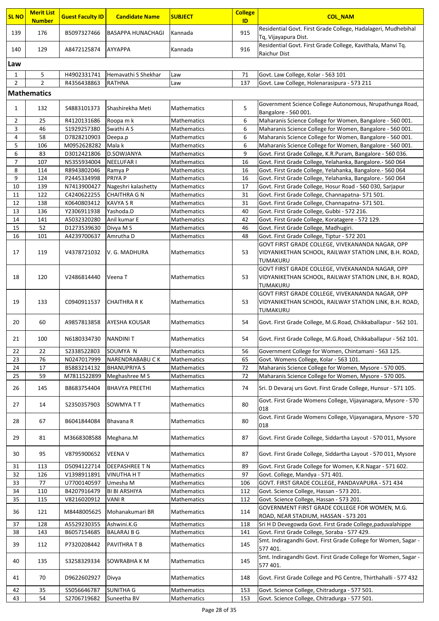| <b>SL NO</b>   | <b>Merit List</b>  | <b>Guest Faculty ID</b>    | <b>Candidate Name</b>          | <b>SUBJECT</b>             | <b>College</b> | <b>COL NAM</b>                                                                                                         |  |  |  |
|----------------|--------------------|----------------------------|--------------------------------|----------------------------|----------------|------------------------------------------------------------------------------------------------------------------------|--|--|--|
|                | <b>Number</b>      |                            |                                |                            | ID             |                                                                                                                        |  |  |  |
| 139            | 176                | B5097327466                | <b>BASAPPA HUNACHAGI</b>       | Kannada                    | 915            | Residential Govt. First Grade College, Hadalageri, Mudhebihal<br>Tq, Vijayapura Dist.                                  |  |  |  |
|                |                    |                            |                                |                            |                | Residential Govt. First Grade College, Kavithala, Manvi Tq.                                                            |  |  |  |
| 140            | 129                | A8472125874                | <b>AYYAPPA</b>                 | Kannada                    | 916            | <b>Raichur Dist</b>                                                                                                    |  |  |  |
| Law            |                    |                            |                                |                            |                |                                                                                                                        |  |  |  |
| $\mathbf{1}$   | 5                  | H4902331741                | Hemavathi S Shekhar            | Law                        | 71             | Govt. Law College, Kolar - 563 101                                                                                     |  |  |  |
| $\overline{2}$ | $\overline{2}$     | R4356438863                | <b>RATHNA</b>                  | Law                        | 137            | Govt. Law College, Holenarasipura - 573 211                                                                            |  |  |  |
|                | <b>Mathematics</b> |                            |                                |                            |                |                                                                                                                        |  |  |  |
|                |                    |                            |                                |                            |                |                                                                                                                        |  |  |  |
| $\mathbf{1}$   | 132                | S4883101373                | Shashirekha Meti               | Mathematics                | 5              | Government Science College Autonomous, Nrupathunga Road,<br>Bangalore - 560 001.                                       |  |  |  |
| 2              | 25                 | R4120131686                | Roopa m k                      | Mathematics                | 6              | Maharanis Science College for Women, Bangalore - 560 001.                                                              |  |  |  |
| 3              | 46                 | \$1929257380               | Swathi AS                      | Mathematics                | 6              | Maharanis Science College for Women, Bangalore - 560 001.                                                              |  |  |  |
| 4              | 58                 | D7828210903                | Deepa.p                        | Mathematics                | 6              | Maharanis Science College for Women, Bangalore - 560 001.                                                              |  |  |  |
| 5              | 106                | M0952628282                | Mala k                         | <b>Mathematics</b>         | 6              | Maharanis Science College for Women, Bangalore - 560 001.                                                              |  |  |  |
| 6              | 83                 | D3012421806                | D.SOWJANYA                     | Mathematics                | 9              | Govt. First Grade College, K.R.Puram, Bangalore - 560 036.                                                             |  |  |  |
| $\overline{7}$ | 107                | N5355934004                | <b>NEELUFAR I</b>              | <b>Mathematics</b>         | 16             | Govt. First Grade College, Yelahanka, Bangalore.- 560 064                                                              |  |  |  |
| 8<br>9         | 114                | R8943802046                | Ramya P                        | Mathematics                | 16             | Govt. First Grade College, Yelahanka, Bangalore.- 560 064                                                              |  |  |  |
| 10             | 124<br>139         | P2445334998<br>N7413900427 | PRIYA P<br>Nageshri kalashetty | Mathematics<br>Mathematics | 16<br>17       | Govt. First Grade College, Yelahanka, Bangalore.- 560 064<br>Govt. First Grade College, Hosur Road - 560 030, Sarjapur |  |  |  |
| 11             | 122                | C4240622255                | <b>CHAITHRA G N</b>            | Mathematics                | 31             | Govt. First Grade College, Channapatna- 571 501.                                                                       |  |  |  |
| 12             | 138                | K0640803412                | <b>KAVYA S R</b>               | <b>Mathematics</b>         | 31             | Govt. First Grade College, Channapatna- 571 501.                                                                       |  |  |  |
| 13             | 136                | Y2306911938                | Yashoda.D                      | <b>Mathematics</b>         | 40             | Govt. First Grade College, Gubbi - 572 216.                                                                            |  |  |  |
| 14             | 141                | A5032320280                | Anil kumar E                   | <b>Mathematics</b>         | 42             | Govt. First Grade College, Koratagere - 572 129.                                                                       |  |  |  |
| 15             | 52                 | D1273539630                | Divya M S                      | Mathematics                | 46             | Govt. First Grade College, Madhugiri.                                                                                  |  |  |  |
| 16             | 101                | A4239700637                | Amrutha D                      | Mathematics                | 48             | Govt. First Grade College, Tiptur - 572 201                                                                            |  |  |  |
|                |                    |                            |                                |                            |                | GOVT FIRST GRADE COLLEGE, VIVEKANANDA NAGAR, OPP                                                                       |  |  |  |
| 17             | 119                | V4378721032                | V. G. MADHURA                  | Mathematics                | 53             | VIDYANIKETHAN SCHOOL, RAILWAY STATION LINK, B.H. ROAD,<br><b>TUMAKURU</b>                                              |  |  |  |
|                |                    |                            |                                |                            |                | GOVT FIRST GRADE COLLEGE, VIVEKANANDA NAGAR, OPP                                                                       |  |  |  |
| 18             | 120                | V2486814440                | Veena T                        | <b>Mathematics</b>         | 53             | VIDYANIKETHAN SCHOOL, RAILWAY STATION LINK, B.H. ROAD,                                                                 |  |  |  |
|                |                    |                            |                                |                            |                | TUMAKURU                                                                                                               |  |  |  |
|                |                    |                            |                                |                            |                | GOVT FIRST GRADE COLLEGE, VIVEKANANDA NAGAR, OPP                                                                       |  |  |  |
| 19             | 133                | C0940911537                | <b>CHAITHRA R K</b>            | Mathematics                | 53             | VIDYANIKETHAN SCHOOL, RAILWAY STATION LINK, B.H. ROAD,                                                                 |  |  |  |
|                |                    |                            |                                |                            |                | TUMAKURU                                                                                                               |  |  |  |
| 20             | 60                 | A9857813858                | AYESHA KOUSAR                  | Mathematics                | 54             | Govt. First Grade College, M.G.Road, Chikkaballapur - 562 101.                                                         |  |  |  |
|                |                    |                            |                                |                            |                |                                                                                                                        |  |  |  |
| 21             | 100                | N6180334730                | <b>NANDINIT</b>                | <b>Mathematics</b>         | 54             | Govt. First Grade College, M.G.Road, Chikkaballapur - 562 101.                                                         |  |  |  |
| 22             | 22                 | \$2338522803               | SOUMYA N                       | Mathematics                | 56             | Government College for Women, Chintamani - 563 125.                                                                    |  |  |  |
| 23             | 76                 | N0247017999                | NARENDRABABU CK                | Mathematics                | 65             | Govt. Womens College, Kolar - 563 101.                                                                                 |  |  |  |
| 24             | 17                 | B5883214132                | <b>BHANUPRIYA S</b>            | Mathematics                | 72             | Maharanis Science College for Women, Mysore - 570 005.                                                                 |  |  |  |
| 25             | 59                 | M7811522899                | Meghashree M S                 | Mathematics                | 72             | Maharanis Science College for Women, Mysore - 570 005.                                                                 |  |  |  |
| 26             | 145                | B8683754404                | <b>BHAVYA PREETHI</b>          | Mathematics                | 74             | Sri. D Devaraj urs Govt. First Grade College, Hunsur - 571 105.                                                        |  |  |  |
|                |                    |                            |                                |                            |                |                                                                                                                        |  |  |  |
| 27             | 14                 | \$2350357903               | SOWMYA TT                      | Mathematics                | 80             | Govt. First Grade Womens College, Vijayanagara, Mysore - 570<br>018                                                    |  |  |  |
|                |                    |                            |                                |                            |                | Govt. First Grade Womens College, Vijayanagara, Mysore - 570                                                           |  |  |  |
| 28             | 67                 | B6041844084                | Bhavana R                      | <b>Mathematics</b>         | 80             | 018                                                                                                                    |  |  |  |
| 29             |                    |                            |                                |                            | 87             |                                                                                                                        |  |  |  |
|                | 81                 | M3668308588                | Meghana.M                      | Mathematics                |                | Govt. First Grade College, Siddartha Layout - 570 011, Mysore                                                          |  |  |  |
| 30             | 95                 | V8795900652                | <b>VEENA V</b>                 | Mathematics                | 87             | Govt. First Grade College, Siddartha Layout - 570 011, Mysore                                                          |  |  |  |
|                |                    |                            |                                |                            |                |                                                                                                                        |  |  |  |
| 31<br>32       | 113<br>126         | D5094122714<br>V1398911891 | DEEPASHREE TN                  | Mathematics                | 89<br>97       | Govt. First Grade College for Women, K.R.Nagar - 571 602.                                                              |  |  |  |
| 33             | 77                 | U7700140597                | <b>VINUTHA H T</b><br>Umesha M | Mathematics<br>Mathematics | 106            | Govt. College, Mandya - 571 401.<br>GOVT. FIRST GRADE COLLEGE, PANDAVAPURA - 571 434                                   |  |  |  |
| 34             | 110                | B4207916479                | <b>BI BI ARSHIYA</b>           | Mathematics                | 112            | Govt. Science College, Hassan - 573 201.                                                                               |  |  |  |
| 35             | 115                | V8216020912                | VANI R                         | Mathematics                | 112            | Govt. Science College, Hassan - 573 201.                                                                               |  |  |  |
| 36             | 121                | M8448005625                | Mohanakumari BR                | <b>Mathematics</b>         | 114            | GOVERNMENT FIRST GRADE COLLEGE FOR WOMEN, M.G.                                                                         |  |  |  |
|                |                    |                            |                                |                            |                | ROAD, NEAR STADIUM, HASSAN - 573 201                                                                                   |  |  |  |
| 37             | 128                | A5529230355                | Ashwini.K.G                    | Mathematics                | 118            | Sri H D Devegowda Govt. First Grade College, paduvalahippe                                                             |  |  |  |
| 38             | 143                | B6057154685                | <b>BALARAJ B G</b>             | Mathematics                | 141            | Govt. First Grade College, Soraba - 577 429.                                                                           |  |  |  |
| 39             | 112                | P7320208442                | <b>PAVITHRA T B</b>            | Mathematics                | 145            | Smt. Indiragandhi Govt. First Grade College for Women, Sagar -<br>577 401.                                             |  |  |  |
|                |                    |                            |                                |                            |                | Smt. Indiragandhi Govt. First Grade College for Women, Sagar -                                                         |  |  |  |
| 40             | 135                | \$3258329334               | SOWRABHA K M                   | Mathematics                | 145            | 577 401.                                                                                                               |  |  |  |
|                |                    |                            |                                |                            |                |                                                                                                                        |  |  |  |
| 41             | 70                 | D9622602927                | Divya                          | Mathematics                | 148            | Govt. First Grade College and PG Centre, Thirthahalli - 577 432                                                        |  |  |  |
| 42             | 35                 | S5056646787                | <b>SUNITHA G</b>               | <b>Mathematics</b>         | 153            | Govt. Science College, Chitradurga - 577 501.                                                                          |  |  |  |
| 43             | 54                 | S2706719682                | Suneetha BV                    | Mathematics                | 153            | Govt. Science College, Chitradurga - 577 501.                                                                          |  |  |  |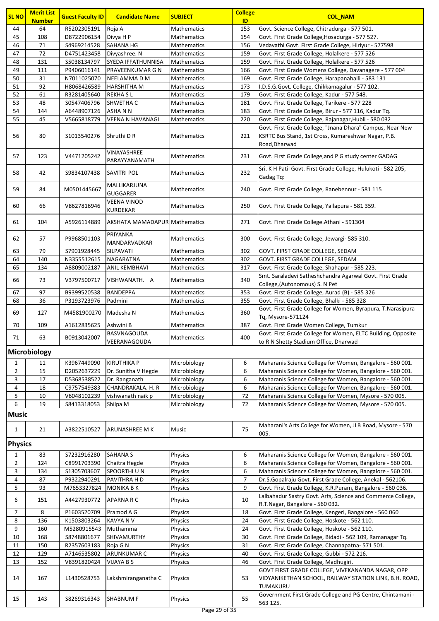| <b>SL NO</b>   | <b>Merit List</b><br><b>Number</b> | <b>Guest Faculty ID</b>     | <b>Candidate Name</b>              | <b>SUBJECT</b>                    | <b>College</b><br>ID | <b>COL_NAM</b>                                                                                                                    |
|----------------|------------------------------------|-----------------------------|------------------------------------|-----------------------------------|----------------------|-----------------------------------------------------------------------------------------------------------------------------------|
| 44             | 64                                 | R5202305191                 | Roja A                             | Mathematics                       | 153                  | Govt. Science College, Chitradurga - 577 501.                                                                                     |
| 45             | 108                                | D8722906154                 | Divya H P                          | Mathematics                       | 154                  | Govt. First Grade College, Hosadurga - 577 527.                                                                                   |
| 46             | 71                                 | S4969214528                 | SAHANA HG                          | Mathematics                       | 156                  | Vedavathi Govt. First Grade College, Hiriyur - 577598                                                                             |
| 47             | 72                                 | D4751423458                 | Divyashree. N                      | <b>Mathematics</b>                | 159                  | Govt. First Grade College, Holalkere - 577 526                                                                                    |
| 48             | 131                                | S5038134797                 | SYEDA IFFATHUNNISA                 | <b>Mathematics</b>                | 159                  | Govt. First Grade College, Holalkere - 577 526                                                                                    |
| 49             | 111                                | P9406016141                 | PRAVEENKUMAR G N                   | <b>Mathematics</b>                | 166                  | Govt. First Grade Womens College, Davanagere - 577 004                                                                            |
| 50             | 31                                 | N7011025070                 | NEELAMMA D M                       | Mathematics                       | 169                  | Govt. First Grade College, Harapanahalli - 583 131                                                                                |
| 51             | 92                                 | H8068426589                 | HARSHITHA M                        | <b>Mathematics</b>                | 173                  | I.D.S.G.Govt. College, Chikkamagalur - 577 102.                                                                                   |
| 52<br>53       | 61<br>48                           | R3281405640                 | <b>REKHASL</b><br>SHWETHA C        | Mathematics                       | 179                  | Govt. First Grade College, Kadur - 577 548.                                                                                       |
| 54             | 144                                | S0547406796<br>A6448907126  | ASHA N N                           | Mathematics<br><b>Mathematics</b> | 181<br>183           | Govt. First Grade College, Tarikere - 577 228<br>Govt. First Grade College, Birur - 577 116, Kadur Tq.                            |
| 55             | 45                                 | V5665818779                 | <b>VEENA N HAVANAGI</b>            | <b>Mathematics</b>                | 220                  | Govt. First Grade College, Rajanagar, Hubli - 580 032                                                                             |
| 56             | 80                                 | \$1013540276                | Shruthi D R                        | <b>Mathematics</b>                | 221                  | Govt. First Grade College, "Jnana Dhara" Campus, Near New<br>KSRTC Bus Stand, 1st Cross, Kumareshwar Nagar, P.B.<br>Road, Dharwad |
| 57             | 123                                | V4471205242                 | VINAYASHREE<br>PARAYYANAMATH       | <b>Mathematics</b>                | 231                  | Govt. First Grade College, and P G study center GADAG                                                                             |
| 58             | 42                                 | S9834107438                 | SAVITRI POL                        | Mathematics                       | 232                  | Sri. K H Patil Govt. First Grade College, Hulukoti - 582 205,<br>Gadag Tq:                                                        |
| 59             | 84                                 | M0501445667                 | MALLIKARJUNA<br><b>GUGGARER</b>    | Mathematics                       | 240                  | Govt. First Grade College, Ranebennur - 581 115                                                                                   |
| 60             | 66                                 | V8627816946                 | VEENA VINOD<br>KURDEKAR            | <b>Mathematics</b>                | 250                  | Govt. First Grade College, Yallapura - 581 359.                                                                                   |
| 61             | 104                                | A5926114889                 | AKSHATA MAMADAPUR Mathematics      |                                   | 271                  | Govt. First Grade College. Athani - 591304                                                                                        |
| 62             | 57                                 | P9968501103                 | PRIYANKA<br>MANDARVADKAR           | Mathematics                       | 300                  | Govt. First Grade College, Jewargi- 585 310.                                                                                      |
| 63             | 79                                 | S7901928445                 | SILPAVATI                          | Mathematics                       | 302                  | GOVT. FIRST GRADE COLLEGE, SEDAM                                                                                                  |
| 64             | 140                                | N3355512615                 | NAGARATNA                          | <b>Mathematics</b>                | 302                  | GOVT. FIRST GRADE COLLEGE, SEDAM                                                                                                  |
| 65             | 134                                | A8809002187                 | <b>ANIL KEMBHAVI</b>               | Mathematics                       | 317                  | Govt. First Grade College, Shahapur - 585 223.                                                                                    |
| 66             | 73                                 | V3797500717                 | VISHWANATH. A                      | Mathematics                       | 340                  | Smt. Saraladevi Satheshchandra Agarwal Govt. First Grade<br>College, (Autonomous) S. N Pet                                        |
| 67             | 97                                 | B9399520538                 | <b>BANDEPPA</b>                    | Mathematics                       | 353                  | Govt. First Grade College, Aurad (B) - 585 326                                                                                    |
| 68             | 36                                 | P3193723976                 | Padmini                            | Mathematics                       | 355                  | Govt. First Grade College, Bhalki - 585 328                                                                                       |
| 69             | 127                                | M4581900270                 | Madesha N                          | <b>Mathematics</b>                | 360                  | Govt. First Grade College for Women, Byrapura, T.Narasipura<br>Tq, Mysore-571124                                                  |
| 70             | 109                                | A1612835625                 | Ashwini B                          | Mathematics                       | 387                  | Govt. First Grade Women College, Tumkur                                                                                           |
| 71             | 63                                 | B0913042007                 | <b>BASVNAGOUDA</b><br>VEERANAGOUDA | <b>Mathematics</b>                | 400                  | Govt. First Grade College for Women, ELTC Building, Opposite<br>to R N Shetty Stadium Office, Dharwad                             |
|                | Microbiology                       |                             |                                    |                                   |                      |                                                                                                                                   |
| 1              | 11                                 | K3967449090                 | <b>KIRUTHIKA P</b>                 | Microbiology                      | 6                    | Maharanis Science College for Women, Bangalore - 560 001.                                                                         |
| $\overline{2}$ | 15                                 | D2052637229                 | Dr. Sunitha V Hegde                | Microbiology                      | 6                    | Maharanis Science College for Women, Bangalore - 560 001.                                                                         |
| 3              | 17                                 | D5368538522                 | Dr. Ranganath                      | Microbiology                      | 6                    | Maharanis Science College for Women, Bangalore - 560 001.                                                                         |
| 4              | 18                                 | C9757549383                 | CHANDRAKALA. H. R                  | Microbiology                      | 6                    | Maharanis Science College for Women, Bangalore - 560 001.                                                                         |
| 5              | 10                                 | V6048102239                 | vishwanath naik p                  | Microbiology                      | 72                   | Maharanis Science College for Women, Mysore - 570 005.                                                                            |
| 6              | 19                                 | S8413318053                 | Shilpa M                           | Microbiology                      | 72                   | Maharanis Science College for Women, Mysore - 570 005.                                                                            |
| <b>Music</b>   |                                    |                             |                                    |                                   |                      |                                                                                                                                   |
| $\mathbf{1}$   | 21                                 | A3822510527                 | ARUNASHREE M K                     | Music                             | 75                   | Maharani's Arts College for Women, JLB Road, Mysore - 570<br>005.                                                                 |
| <b>Physics</b> |                                    |                             |                                    |                                   |                      |                                                                                                                                   |
| $\mathbf{1}$   | 83                                 | S7232916280                 | SAHANA S                           | Physics                           | 6                    | Maharanis Science College for Women, Bangalore - 560 001.                                                                         |
| $\overline{2}$ | 124                                | C8991703390                 | Chaitra Hegde                      | Physics                           | 6                    | Maharanis Science College for Women, Bangalore - 560 001.                                                                         |
| 3              | 134<br>87                          | \$1305703607<br>P9322940291 | SPOORTHI U N<br>PAVITHRA H D       | Physics<br>Physics                | 6<br>$\overline{7}$  | Maharanis Science College for Women, Bangalore - 560 001.<br>Dr.S.Gopalraju Govt. First Grade College, Anekal - 562106.           |
| 4<br>5         | 93                                 | M7653327824                 | MONIKA B K                         | <b>Physics</b>                    | 9                    | Govt. First Grade College, K.R.Puram, Bangalore - 560 036.                                                                        |
|                |                                    |                             |                                    |                                   |                      | Lalbahadur Sastry Govt. Arts, Science and Commerce College,                                                                       |
| 6              | 151                                | A4427930772                 | APARNA R C                         | Physics                           | 10                   | R.T.Nagar, Bangalore - 560 032.                                                                                                   |
| 7              | 8                                  | P1603520709                 | Pramod A G                         | Physics                           | 18                   | Govt. First Grade College, Kengeri, Bangalore - 560 060                                                                           |
| 8              | 136                                | K1503803264                 | <b>KAVYA N V</b>                   | Physics                           | 24                   | Govt. First Grade College, Hoskote - 562 110.                                                                                     |
| 9              | 160                                | M5280915543                 | Muthamma                           | Physics                           | 24                   | Govt. First Grade College, Hoskote - 562 110.                                                                                     |
| 10             | 168                                | S8748801677                 | SHIVAMURTHY                        | Physics                           | 30                   | Govt. First Grade College, Bidadi - 562 109, Ramanagar Tq.                                                                        |
| 11             | 150                                | R2357603183                 | Roja G N                           | Physics                           | 31                   | Govt. First Grade College, Channapatna- 571 501.                                                                                  |
| 12             | 129                                | A7146535802                 | ARUNKUMAR C                        | Physics                           | 40                   | Govt. First Grade College, Gubbi - 572 216.                                                                                       |
| 13             | 152                                | V8391820424                 | VIJAYA B S                         | Physics                           | 46                   | Govt. First Grade College, Madhugiri.<br>GOVT FIRST GRADE COLLEGE, VIVEKANANDA NAGAR, OPP                                         |
| 14             | 167                                | L1430528753                 | Lakshmiranganatha C                | Physics                           | 53                   | VIDYANIKETHAN SCHOOL, RAILWAY STATION LINK, B.H. ROAD,<br>TUMAKURU                                                                |
| 15             | 143                                | S8269316343                 | SHABNUM F                          | <b>Physics</b>                    | 55                   | Government First Grade College and PG Centre, Chintamani -<br>563 125.                                                            |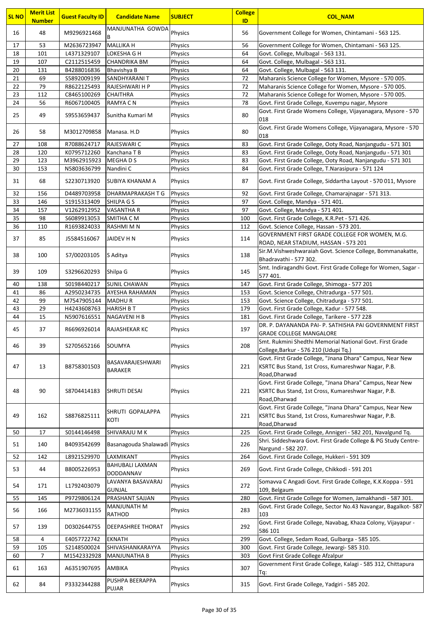| <b>SL NO</b> | <b>Merit List</b> | <b>Guest Faculty ID</b> | <b>Candidate Name</b>         | <b>SUBJECT</b> | <b>College</b> | <b>COL_NAM</b>                                                                                                                 |
|--------------|-------------------|-------------------------|-------------------------------|----------------|----------------|--------------------------------------------------------------------------------------------------------------------------------|
|              | <b>Number</b>     |                         |                               |                | ID             |                                                                                                                                |
| 16           | 48                | M9296921468             | MANJUNATHA GOWDA<br>В         | Physics        | 56             | Government College for Women, Chintamani - 563 125.                                                                            |
| 17           | 53                | M2636723947             | <b>MALLIKA H</b>              | <b>Physics</b> | 56             | Government College for Women, Chintamani - 563 125.                                                                            |
| 18           | 101               | L4371329107             | LOKESHA G H                   | Physics        | 64             | Govt. College, Mulbagal - 563 131.                                                                                             |
| 19           | 107               | C2112515459             | <b>CHANDRIKA BM</b>           | Physics        | 64             | Govt. College, Mulbagal - 563 131.                                                                                             |
| 20           | 131               | B4288016836             | Bhavishya B                   | Physics        | 64             | Govt. College, Mulbagal - 563 131.                                                                                             |
| 21           | 69                | S5892009199             | SANDHYARANI T                 | Physics        | 72             | Maharanis Science College for Women, Mysore - 570 005.                                                                         |
| 22           | 79                | R8622125493             | RAJESHWARI H P                | Physics        | 72             | Maharanis Science College for Women, Mysore - 570 005.                                                                         |
| 23           | 112               | C8465100269             | <b>CHAITHRA</b>               | <b>Physics</b> | 72             | Maharanis Science College for Women, Mysore - 570 005.                                                                         |
| 24           | 56                | R6067100405             | RAMYA C N                     | Physics        | 78             | Govt. First Grade College, Kuvempu nagar, Mysore<br>Govt. First Grade Womens College, Vijayanagara, Mysore - 570               |
| 25           | 49                | S9553659437             | Sunitha Kumari M              | <b>Physics</b> | 80             | 018                                                                                                                            |
|              |                   |                         |                               |                |                | Govt. First Grade Womens College, Vijayanagara, Mysore - 570                                                                   |
| 26           | 58                | M3012709858             | Manasa. H.D                   | Physics        | 80             | 018                                                                                                                            |
| 27           | 108               | R7088624717             | RAJESWARI C                   | Physics        | 83             | Govt. First Grade College, Ooty Road, Nanjangudu - 571 301                                                                     |
| 28           | 120               | K0795712260             | Kanchana T B                  | Physics        | 83             | Govt. First Grade College, Ooty Road, Nanjangudu - 571 301                                                                     |
| 29           | 123               | M3962915923             | MEGHA D S                     | Physics        | 83             | Govt. First Grade College, Ooty Road, Nanjangudu - 571 301                                                                     |
| 30           | 153               | N5803636799             | Nandini C                     | Physics        | 84             | Govt. First Grade College, T.Narasipura - 571 124                                                                              |
| 31           | 68                | S2230713920             | <b>SUBIYA KHANAM A</b>        | Physics        | 87             | Govt. First Grade College, Siddartha Layout - 570 011, Mysore                                                                  |
| 32           | 156               | D4489703958             | DHARMAPRAKASH T G             | Physics        | 92             | Govt. First Grade College, Chamarajnagar - 571 313.                                                                            |
| 33           | 146               | \$1915313409            | SHILPA G S                    | Physics        | 97             | Govt. College, Mandya - 571 401.                                                                                               |
| 34           | 157               | V1262912952             | <b>VASANTHA R</b>             | Physics        | 97             | Govt. College, Mandya - 571 401.                                                                                               |
| 35           | 98                | S6089913053             | SMITHA C M                    | Physics        | 100            | Govt. First Grade College, K.R.Pet - 571 426.                                                                                  |
| 36           | 110               | R1693824033             | RASHMI M N                    | Physics        | 112            | Govt. Science College, Hassan - 573 201.                                                                                       |
| 37           | 85                | J5584516067             | JAIDEV H N                    | Physics        | 114            | GOVERNMENT FIRST GRADE COLLEGE FOR WOMEN, M.G.                                                                                 |
|              |                   |                         |                               |                |                | ROAD, NEAR STADIUM, HASSAN - 573 201                                                                                           |
| 38           | 100               | S7/00203105             | S Aditya                      | Physics        | 138            | Sir.M.Vishweshwaraiah Govt. Science College, Bommanakatte,                                                                     |
|              |                   |                         |                               |                |                | Bhadravathi - 577 302.                                                                                                         |
| 39           | 109               | \$3296620293            | Shilpa G                      | Physics        | 145            | Smt. Indiragandhi Govt. First Grade College for Women, Sagar -<br>577 401.                                                     |
| 40           | 138               | S0198440217             | <b>SUNIL CHAWAN</b>           | Physics        | 147            | Govt. First Grade College, Shimoga - 577 201                                                                                   |
| 41           | 86                | A2950234735             | AYESHA RAHAMAN                | Physics        | 153            | Govt. Science College, Chitradurga - 577 501.                                                                                  |
| 42           | 99                | M7547905144             | <b>MADHUR</b>                 | Physics        | 153            | Govt. Science College, Chitradurga - 577 501.                                                                                  |
| 43           | 29                | H4243608763             | <b>HARISH B T</b>             | Physics        | 179            | Govt. First Grade College, Kadur - 577 548.                                                                                    |
| 44           | 15                | N5907616551             | NAGAVENI H B                  | Physics        | 181            | Govt. First Grade College, Tarikere - 577 228                                                                                  |
| 45           | 37                | R6696926014             | <b>RAJASHEKAR KC</b>          | Physics        | 197            | DR. P. DAYANANDA PAI- P. SATHISHA PAI GOVERNMENT FIRST                                                                         |
|              |                   |                         |                               |                |                | GRADE COLLEGE MANGALORE                                                                                                        |
| 46           | 39                | S2705652166             | SOUMYA                        | Physics        | 208            | Smt. Rukmini Shedthi Memorial National Govt. First Grade                                                                       |
|              |                   |                         |                               |                |                | College, Barkur - 576 210 (Udupi Tq.)<br>Govt. First Grade College, "Jnana Dhara" Campus, Near New                             |
| 47           | 13                | B8758301503             | BASAVARAJESHWARI              | Physics        | 221            | KSRTC Bus Stand, 1st Cross, Kumareshwar Nagar, P.B.                                                                            |
|              |                   |                         | <b>BARAKER</b>                |                |                | Road, Dharwad                                                                                                                  |
|              |                   |                         |                               |                |                | Govt. First Grade College, "Jnana Dhara" Campus, Near New                                                                      |
| 48           | 90                | S8704414183             | SHRUTI DESAI                  | Physics        | 221            | KSRTC Bus Stand, 1st Cross, Kumareshwar Nagar, P.B.                                                                            |
|              |                   |                         |                               |                |                | Road, Dharwad                                                                                                                  |
|              |                   |                         | SHRUTI GOPALAPPA              |                |                | Govt. First Grade College, "Jnana Dhara" Campus, Near New                                                                      |
| 49           | 162               | S8876825111             | KOTI                          | Physics        | 221            | KSRTC Bus Stand, 1st Cross, Kumareshwar Nagar, P.B.                                                                            |
|              |                   |                         |                               |                |                | Road, Dharwad                                                                                                                  |
| 50           | 17                | S0144146498             | SHIVARAJU M K                 | Physics        | 225            | Govt. First Grade College, Annigeri - 582 201, Navalgund Tq.<br>Shri. Siddeshwara Govt. First Grade College & PG Study Centre- |
| 51           | 140               | B4093542699             | Basanagouda Shalawadi Physics |                | 226            | Nargund - 582 207.                                                                                                             |
| 52           | 142               | L8921529970             | LAXMIKANT                     | Physics        | 264            | Govt. First Grade College, Hukkeri - 591 309                                                                                   |
|              |                   |                         | BAHUBALI LAXMAN               |                |                |                                                                                                                                |
| 53           | 44                | B8005226953             | DODDANNAV                     | Physics        | 269            | Govt. First Grade College, Chikkodi - 591 201                                                                                  |
| 54           | 171               | L1792403079             | LAVANYA BASAVARAJ             | Physics        | 272            | Somavva C Angadi Govt. First Grade College, K.K.Koppa - 591                                                                    |
|              |                   |                         | <b>GUNJAL</b>                 |                |                | 109, Belgaum                                                                                                                   |
| 55           | 145               | P9729806124             | PRASHANT SAJJAN               | Physics        | 280            | Govt. First Grade College for Women, Jamakhandi - 587 301.                                                                     |
| 56           | 166               | M2736031155             | MANJUNATH M                   | Physics        | 283            | Govt. First Grade College, Sector No.43 Navangar, Bagalkot- 587                                                                |
|              |                   |                         | RATHOD                        |                |                | 103                                                                                                                            |
| 57           | 139               | D0302644755             | DEEPASHREE THORAT             | Physics        | 292            | Govt. First Grade College, Navabag, Khaza Colony, Vijayapur -<br>586 101                                                       |
| 58           | 4                 | E4057722742             | <b>EKNATH</b>                 | Physics        | 299            | Govt. College, Sedam Road, Gulbarga - 585 105.                                                                                 |
| 59           | 105               | S2148500024             | SHIVASHANKARAYYA              | Physics        | 300            | Govt. First Grade College, Jewargi- 585 310.                                                                                   |
| 60           | $\overline{7}$    | M1542332928             | <b>MANJUNATHA B</b>           | Physics        | 303            | Govt First Grade College Afzalpur                                                                                              |
|              |                   |                         |                               |                |                | Government First Grade College, Kalagi - 585 312, Chittapura                                                                   |
| 61           | 163               | A6351907695             | AMBIKA                        | Physics        | 307            | Tq:                                                                                                                            |
| 62           | 84                | P3332344288             | PUSHPA BEERAPPA               | Physics        | 315            | Govt. First Grade College, Yadgiri - 585 202.                                                                                  |
|              |                   |                         | PUJAR                         |                |                |                                                                                                                                |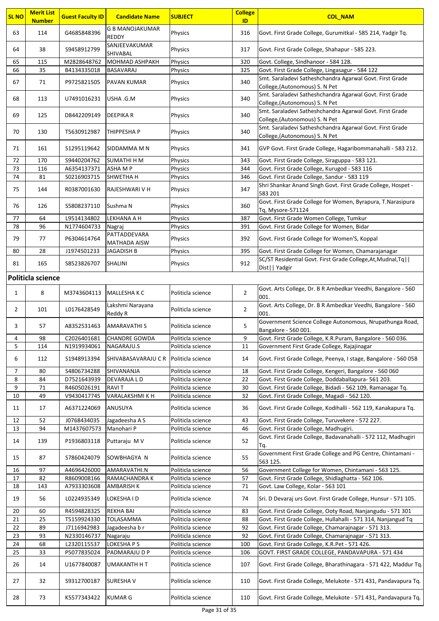| <b>SL NO</b>   | <b>Merit List</b><br><b>Number</b> | <b>Guest Faculty ID</b>    | <b>Candidate Name</b>                     | <b>SUBJECT</b>                         | <b>College</b><br>ID | <b>COL_NAM</b>                                                                                            |
|----------------|------------------------------------|----------------------------|-------------------------------------------|----------------------------------------|----------------------|-----------------------------------------------------------------------------------------------------------|
| 63             | 114                                | G4685848396                | <b>G B MANOJAKUMAR</b>                    | Physics                                | 316                  | Govt. First Grade College, Gurumitkal - 585 214, Yadgir Tq.                                               |
| 64             | 38                                 | S9458912799                | <b>REDDY</b><br>SANJEEVAKUMAR             | Physics                                | 317                  | Govt. First Grade College, Shahapur - 585 223.                                                            |
|                |                                    |                            | SHIVABAL                                  |                                        |                      |                                                                                                           |
| 65<br>66       | 115<br>35                          | M2828648762<br>B4134335018 | <b>MOHMAD ASHPAKH</b><br><b>BASAVARAJ</b> | Physics<br>Physics                     | 320<br>325           | Govt. College, Sindhanoor - 584 128.<br>Govt. First Grade College, Lingasagur - 584 122                   |
|                |                                    |                            |                                           |                                        |                      | Smt. Saraladevi Satheshchandra Agarwal Govt. First Grade                                                  |
| 67             | 71                                 | P9725821505                | <b>PAVAN KUMAR</b>                        | Physics                                | 340                  | College, (Autonomous) S. N Pet                                                                            |
| 68             | 113                                | U7491016231                | USHA .G.M                                 | Physics                                | 340                  | Smt. Saraladevi Satheshchandra Agarwal Govt. First Grade<br>College, (Autonomous) S. N Pet                |
|                |                                    |                            |                                           |                                        |                      | Smt. Saraladevi Satheshchandra Agarwal Govt. First Grade                                                  |
| 69             | 125                                | D8442209149                | <b>DEEPIKAR</b>                           | <b>Physics</b>                         | 340                  | College, (Autonomous) S. N Pet                                                                            |
| 70             | 130                                | T5630912987                | <b>THIPPESHAP</b>                         | <b>Physics</b>                         | 340                  | Smt. Saraladevi Satheshchandra Agarwal Govt. First Grade<br>College, (Autonomous) S. N Pet                |
| 71             | 161                                | S1295119642                | SIDDAMMA M N                              | Physics                                | 341                  | GVP Govt. First Grade College, Hagaribommanahalli - 583 212.                                              |
| 72             | 170                                | S9440204762                | <b>SUMATHI H M</b>                        | Physics                                | 343                  | Govt. First Grade College, Siraguppa - 583 121.                                                           |
| 73             | 116                                | A6354137371                | ASHA M P                                  | Physics                                | 344                  | Govt. First Grade College, Kurugod - 583 116                                                              |
| 74             | 81                                 | S0216903715                | <b>SHWETHAH</b>                           | Physics                                | 346                  | Govt. First Grade College, Sandur - 583 119                                                               |
| 75             | 144                                | R0387001630                | RAJESHWARI V H                            | <b>Physics</b>                         | 347                  | Shri Shankar Anand Singh Govt. First Grade College, Hospet -<br>583 201                                   |
| 76             | 126                                | S5808237110                | Sushma N                                  | Physics                                | 360                  | Govt. First Grade College for Women, Byrapura, T.Narasipura                                               |
|                |                                    |                            |                                           |                                        |                      | Tq, Mysore-571124                                                                                         |
| 77             | 64                                 | L9514134802                | LEKHANA A H                               | Physics                                | 387                  | Govt. First Grade Women College, Tumkur                                                                   |
| 78             | 96                                 | N1774604733                | Nagraj                                    | <b>Physics</b>                         | 391                  | Govt. First Grade College for Women, Bidar                                                                |
| 79             | 77                                 | P6304614764                | PATTADDEVARA<br><b>MATHADA AISW</b>       | Physics                                | 392                  | Govt. First Grade College for Women'S, Koppal                                                             |
| 80             | 28                                 | J1974501233                | <b>JAGADISH B</b>                         | Physics                                | 395                  | Govt. First Grade College for Women, Chamarajanagar                                                       |
| 81             | 165                                | S8523826707                | <b>SHALINI</b>                            | Physics                                | 912                  | SC/ST Residential Govt. First Grade College, At, Mudnal, Tq                                               |
|                |                                    |                            |                                           |                                        |                      | Dist     Yadgir                                                                                           |
|                | Politicla science                  |                            |                                           |                                        |                      |                                                                                                           |
| $\mathbf{1}$   | 8                                  | M3743604113                | <b>MALLESHAKC</b>                         | Politicla science                      | $\overline{2}$       | Govt. Arts College, Dr. B R Ambedkar Veedhi, Bangalore - 560<br>001.                                      |
| $\overline{2}$ | 101                                | L0176428549                | Lakshmi Narayana<br>Reddy R               | Politicla science                      | $\overline{2}$       | Govt. Arts College, Dr. B R Ambedkar Veedhi, Bangalore - 560<br>001.                                      |
| 3              | 57                                 | A8352531463                | <b>AMARAVATHIS</b>                        | Politicla science                      | 5                    | Government Science College Autonomous, Nrupathunga Road,                                                  |
|                |                                    |                            |                                           |                                        | 9                    | Bangalore - 560 001.                                                                                      |
| 4<br>5         | 98                                 | C2026401681<br>N1919934061 | <b>CHANDRE GOWDA</b><br>NAGARAJU.S        | Politicla science<br>Politicla science |                      | Govt. First Grade College, K.R.Puram, Bangalore - 560 036.<br>Government First Grade College, Rajajinagar |
| 6              | 114<br>112                         | S1948913394                | SHIVABASAVARAJU C R                       | Politicla science                      | 11<br>14             | Govt. First Grade College, Peenya, I stage, Bangalore - 560 058                                           |
|                |                                    |                            |                                           |                                        |                      |                                                                                                           |
| $\overline{7}$ | 80                                 | S4806734288                | SHIVANANJA                                | Politicla science                      | 18                   | Govt. First Grade College, Kengeri, Bangalore - 560 060                                                   |
| 8              | 84                                 | D7521643939                | DEVARAJA L D                              | Politicla science                      | 22                   | Govt. First Grade College, Doddaballapura- 561 203.                                                       |
| 9              | 71                                 | R4605026191                | <b>RAVIT</b>                              | Politicla science                      | 30                   | Govt. First Grade College, Bidadi - 562 109, Ramanagar Tq.                                                |
| 10             | 49                                 | V9430417745                | VARALAKSHMI K H                           | Politicla science                      | 32                   | Govt. First Grade College, Magadi - 562 120.                                                              |
| 11             | 17                                 | A6371224069                | ANUSUYA                                   | Politicla science                      | 36                   | Govt. First Grade College, Kodihalli - 562 119, Kanakapura Tq.                                            |
| 12             | 52                                 | J0768434035                | Jagadeesha A S                            | Politicla science                      | 43                   | Govt. First Grade College, Turuvekere - 572 227.                                                          |
| 13             | 94                                 | M1437607573                | Manohari P                                | Politicla science                      | 46                   | Govt. First Grade College, Madhugiri.                                                                     |
| 14             | 139                                | P1936803118                | Puttaraju M V                             | Politicla science                      | 52                   | Govt. First Grade College, Badavanahalli - 572 112, Madhugiri<br>Tq.                                      |
| 15             | 87                                 | S7860424079                | SOWBHAGYA N                               | Politicla science                      | 55                   | Government First Grade College and PG Centre, Chintamani -                                                |
| 16             | 97                                 | A4696426000                | AMARAVATHI.N                              | Politicla science                      | 56                   | 563 125.<br>Government College for Women, Chintamani - 563 125.                                           |
| 17             | 82                                 | R8609008166                | RAMACHANDRA K                             | Politicla science                      | 57                   | Govt. First Grade College, Shidlaghatta - 562 106.                                                        |
| 18             | 143                                | A7933303608                | <b>AMBARISH K</b>                         | Politicla science                      | 71                   | Govt. Law College, Kolar - 563 101                                                                        |
|                |                                    |                            |                                           |                                        |                      |                                                                                                           |
| 19             | 56                                 | L0224935349                | LOKESHA I D                               | Politicla science                      | 74                   | Sri. D Devaraj urs Govt. First Grade College, Hunsur - 571 105.                                           |
| 20             | 60                                 | R4594828325                | <b>REKHA BAI</b>                          | Politicla science                      | 83                   | Govt. First Grade College, Ooty Road, Nanjangudu - 571 301                                                |
| 21             | 25                                 | T5159924330                | TOLASAMMA                                 | Politicla science                      | 88                   | Govt. First Grade College, Hullahalli - 571 314, Nanjangud Tq                                             |
| 22             | 89                                 | J7116942983                | Jagadeesha b r                            | Politicla science                      | 92                   | Govt. First Grade College, Chamarajnagar - 571 313.                                                       |
| 23             | 93                                 | N2330146737                | Nagaraju                                  | Politicla science                      | 92                   | Govt. First Grade College, Chamarajnagar - 571 313.                                                       |
| 24             | 68                                 | L2320115537                | <b>LOKESHAPS</b>                          | Politicla science                      | 100                  | Govt. First Grade College, K.R.Pet - 571 426.                                                             |
| 25             | 33                                 | P5077835024                | PADMARAJU D P                             | Politicla science                      | 106                  | GOVT. FIRST GRADE COLLEGE, PANDAVAPURA - 571 434                                                          |
| 26             | 14                                 | U1677840087                | UMAKANTH H T                              | Politicla science                      | 107                  | Govt. First Grade College, Bharathinagara - 571 422, Maddur Tq.                                           |
| 27             | 32                                 | S9312700187                | <b>SURESHAV</b>                           | Politicla science                      | 110                  | Govt. First Grade College, Melukote - 571 431, Pandavapura Tq.                                            |
| 28             | 73                                 | K5577343422                | <b>KUMAR G</b>                            | Politicla science                      | 110                  | Govt. First Grade College, Melukote - 571 431, Pandavapura Tq.                                            |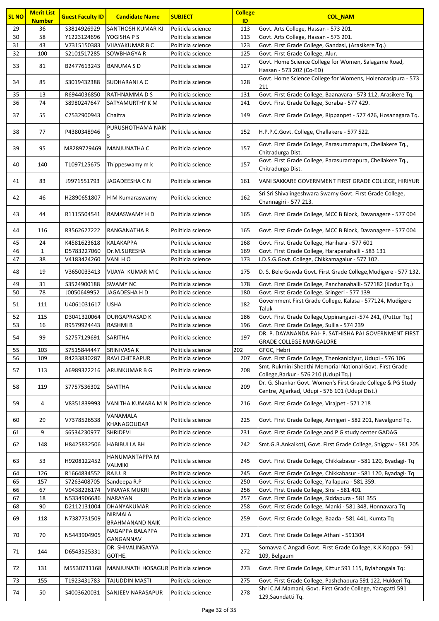| <b>SL NO</b> | <b>Merit List</b><br><b>Number</b> | <b>Guest Faculty ID</b> | <b>Candidate Name</b>                | <b>SUBJECT</b>    | <b>College</b><br>ID | <b>COL NAM</b>                                                                                                 |
|--------------|------------------------------------|-------------------------|--------------------------------------|-------------------|----------------------|----------------------------------------------------------------------------------------------------------------|
| 29           | 36                                 | S3814926929             | SANTHOSH KUMAR KJ                    | Politicla science | 113                  | Govt. Arts College, Hassan - 573 201.                                                                          |
| 30           | 58                                 | Y1223124696             | YOGISHA P S                          | Politicla science | 113                  | Govt. Arts College, Hassan - 573 201.                                                                          |
| 31           | 43                                 | V7315150383             | <b>VIJAYAKUMAR B C</b>               | Politicla science | 123                  | Govt. First Grade College, Gandasi, (Arasikere Tq.)                                                            |
| 32           | 100                                | S2101517285             | <b>SOWBHAGYA R</b>                   | Politicla science | 125                  | Govt. First Grade College, Alur.                                                                               |
| 33           | 81                                 | B2477613243             | <b>BANUMASD</b>                      | Politicla science | 127                  | Govt. Home Science College for Women, Salagame Road,                                                           |
| 34           | 85                                 | S3019432388             | <b>SUDHARANI A C</b>                 | Politicla science | 128                  | Hassan - 573 202 (Co-ED)<br>Govt. Home Science College for Womens, Holenarasipura - 573                        |
| 35           | 13                                 | R6944036850             | <b>RATHNAMMADS</b>                   | Politicla science | 131                  | 211<br>Govt. First Grade College, Baanavara - 573 112, Arasikere Tq.                                           |
| 36           | 74                                 | S8980247647             | SATYAMURTHY K M                      | Politicla science | 141                  | Govt. First Grade College, Soraba - 577 429.                                                                   |
|              |                                    |                         |                                      |                   |                      |                                                                                                                |
| 37           | 55                                 | C7532900943             | Chaitra<br>PURUSHOTHAMA NAIK         | Politicla science | 149                  | Govt. First Grade College, Rippanpet - 577 426, Hosanagara Tq.                                                 |
| 38           | 77                                 | P4380348946             | lS.                                  | Politicla science | 152                  | H.P.P.C.Govt. College, Challakere - 577 522.<br>Govt. First Grade College, Parasuramapura, Chellakere Tq.,     |
| 39           | 95                                 | M8289729469             | MANJUNATHA C                         | Politicla science | 157                  | Chitradurga Dist.<br>Govt. First Grade College, Parasuramapura, Chellakere Tq.,                                |
| 40           | 140                                | T1097125675             | Thippeswamy m k                      | Politicla science | 157                  | Chitradurga Dist.                                                                                              |
| 41           | 83                                 | J9971551793             | JAGADEESHA C N                       | Politicla science | 161                  | VANI SAKKARE GOVERNMENT FIRST GRADE COLLEGE, HIRIYUR                                                           |
| 42           | 46                                 | H2890651807             | H M Kumaraswamy                      | Politicla science | 162                  | Sri Sri Shivalingeshwara Swamy Govt. First Grade College,<br>Channagiri - 577 213.                             |
| 43           | 44                                 | R1115504541             | RAMASWAMY H D                        | Politicla science | 165                  | Govt. First Grade College, MCC B Block, Davanagere - 577 004                                                   |
| 44           | 116                                | R3562627222             | <b>RANGANATHA R</b>                  | Politicla science | 165                  | Govt. First Grade College, MCC B Block, Davanagere - 577 004                                                   |
| 45           | 24                                 | K4581623618             | KALAKAPPA                            | Politicla science | 168                  | Govt. First Grade College, Harihara - 577 601                                                                  |
| 46           | 1                                  | D5783227060             | Dr.M.SURESHA                         | Politicla science | 169                  | Govt. First Grade College, Harapanahalli - 583 131                                                             |
| 47           | 38                                 | V4183424260             | VANI HO                              | Politicla science | 173                  | I.D.S.G.Govt. College, Chikkamagalur - 577 102.                                                                |
| 48           | 19                                 | V3650033413             | VIJAYA KUMAR M C                     | Politicla science | 175                  | D. S. Bele Gowda Govt. First Grade College, Mudigere - 577 132.                                                |
| 49           | 31                                 | S3524900188             | <b>SWAMY NC</b>                      | Politicla science | 178                  | Govt. First Grade College, Panchanahalli- 577182 (Kodur Tq.)                                                   |
| 50           | 78                                 | J0050649952             | JAGADESHA H D                        | Politicla science | 180                  | Govt. First Grade College, Sringeri - 577 139                                                                  |
| 51           | 111                                | U4061031617             | <b>USHA</b>                          | Politicla science | 182                  | Government First Grade College, Kalasa - 577124, Mudigere<br>Taluk                                             |
| 52           | 115                                | D3041320064             | <b>DURGAPRASAD K</b>                 | Politicla science | 186                  | Govt. First Grade College, Uppinangadi -574 241, (Puttur Tq.)                                                  |
| 53           | 16                                 | R9579924443             | <b>RASHMIB</b>                       | Politicla science | 196                  | Govt. First Grade College, Sullia - 574 239                                                                    |
| 54           | 99                                 | S2757129691             | <b>SARITHA</b>                       | Politicla science | 197                  | DR. P. DAYANANDA PAI- P. SATHISHA PAI GOVERNMENT FIRST<br><b>GRADE COLLEGE MANGALORE</b>                       |
| 55           | 103                                | S7515844447             | <b>SRINIVASA K</b>                   | Politicla science | 202                  | GFGC, Hebri                                                                                                    |
| 56           | 109                                | R4233830287             | RAVI CHITRAPUR                       | Politicla science | 207                  | Govt. First Grade College, Thenkanidiyur, Udupi - 576 106                                                      |
| 57           | 113                                | A6989322216             | <b>ARUNKUMAR B G</b>                 | Politicla science | 208                  | Smt. Rukmini Shedthi Memorial National Govt. First Grade<br>College, Barkur - 576 210 (Udupi Tq.)              |
| 58           | 119                                | S7757536302             | SAVITHA                              | Politicla science | 209                  | Dr. G. Shankar Govt. Women's First Grade College & PG Study<br>Centre, Ajjarkad, Udupi - 576 101 (Udupi Dist.) |
| 59           | 4                                  | V8351839993             | VANITHA KUMARA M N Politicla science |                   | 216                  | Govt. First Grade College, Virajpet - 571 218                                                                  |
| 60           | 29                                 | V7378526538             | VANAMALA<br><b>KHANAGOUDAR</b>       | Politicla science | 225                  | Govt. First Grade College, Annigeri - 582 201, Navalgund Tq.                                                   |
| 61           | 9                                  | S6534230977             | <b>SHRIDEVI</b>                      | Politicla science | 231                  | Govt. First Grade College, and P G study center GADAG                                                          |
| 62           | 148                                | H8425832506             | <b>HABIBULLA BH</b>                  | Politicla science | 242                  | Smt.G.B.Ankalkoti, Govt. First Grade College, Shiggav - 581 205                                                |
| 63           | 53                                 | H9208122452             | HANUMANTAPPA M<br>VALMIKI            | Politicla science | 245                  | Govt. First Grade College, Chikkabasur - 581 120, Byadagi- Tq                                                  |
| 64           | 126                                | R1664834552             | RAJU.R                               | Politicla science | 245                  | Govt. First Grade College, Chikkabasur - 581 120, Byadagi- Tq                                                  |
| 65           | 157                                | S7263408705             | Sandeepa R.P                         | Politicla science | 250                  | Govt. First Grade College, Yallapura - 581 359.                                                                |
| 66           | 67                                 | V9438226174             | <b>VINAYAK MUKRI</b>                 | Politicla science | 256                  | Govt. First Grade College, Sirsi - 581 401                                                                     |
| 67           | 18                                 | N5334906686             | <b>NARAYAN</b>                       | Politicla science | 257                  | Govt. First Grade College, Siddapura - 581 355                                                                 |
| 68           | 90                                 | D2112131004             | DHANYAKUMAR                          | Politicla science | 258                  | Govt. First Grade College, Manki - 581 348, Honnavara Tq                                                       |
| 69           | 118                                | N7387731509             | NIRMALA<br>BRAHMANAND NAIK           | Politicla science | 259                  | Govt. First Grade College, Baada - 581 441, Kumta Tq                                                           |
| 70           | 70                                 | N5443904905             | NAGAPPA BALAPPA<br>GANGANNAV         | Politicla science | 271                  | Govt. First Grade College.Athani - 591304                                                                      |
| 71           | 144                                | D6543525331             | DR. SHIVALINGAYYA<br>GOTHE.          | Politicla science | 272                  | Somavva C Angadi Govt. First Grade College, K.K.Koppa - 591<br>109, Belgaum                                    |
| 72           | 131                                | M5530731168             | MANJUNATH HOSAGUR Politicla science  |                   | 273                  | Govt. First Grade College, Kittur 591 115, Bylahongala Tq:                                                     |
| 73           | 155                                | T1923431783             | TAJUDDIN MASTI                       | Politicla science | 275                  | Govt. First Grade College, Pashchapura 591 122, Hukkeri Tq.                                                    |
| 74           | 50                                 | S4003620031             | <b>SANJEEV NARASAPUR</b>             | Politicla science | 278                  | Shri C.M.Mamani, Govt. First Grade College, Yaragatti 591<br>129, Saundatti Tq.                                |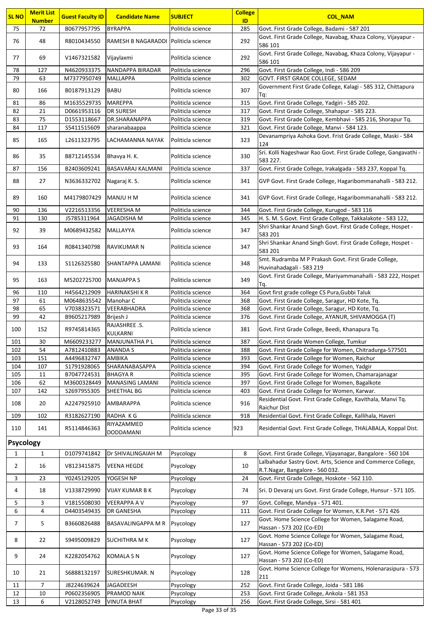| <b>SL NO</b>     | <b>Merit List</b><br><b>Number</b> | <b>Guest Faculty ID</b>    | <b>Candidate Name</b>                | <b>SUBJECT</b>                         | <b>College</b><br>ID | <b>COL_NAM</b>                                                                                              |
|------------------|------------------------------------|----------------------------|--------------------------------------|----------------------------------------|----------------------|-------------------------------------------------------------------------------------------------------------|
| 75               | 72                                 | B0677957795                | <b>BYRAPPA</b>                       | Politicla science                      | 285                  | Govt. First Grade College, Badami - 587 201                                                                 |
|                  |                                    |                            |                                      |                                        |                      | Govt. First Grade College, Navabag, Khaza Colony, Vijayapur -                                               |
| 76               | 48                                 | R8010434550                | RAMESH B NAGARADDI Politicla science |                                        | 292                  | 586 101                                                                                                     |
| 77               | 69                                 | V1467321582                | Vijaylaxmi                           | Politicla science                      | 292                  | Govt. First Grade College, Navabag, Khaza Colony, Vijayapur -                                               |
|                  |                                    |                            |                                      |                                        |                      | 586 101                                                                                                     |
| 78<br>79         | 127<br>63                          | N4620933375<br>M7377950749 | NANDAPPA BIRADAR<br><b>MALLAPPA</b>  | Politicla science<br>Politicla science | 296<br>302           | Govt. First Grade College, Indi - 586 209<br>GOVT. FIRST GRADE COLLEGE, SEDAM                               |
|                  |                                    |                            |                                      |                                        |                      | Government First Grade College, Kalagi - 585 312, Chittapura                                                |
| 80               | 166                                | B0187913129                | BABU                                 | Politicla science                      | 307                  | Tq:                                                                                                         |
| 81               | 86                                 | M1635529735                | <b>MAREPPA</b>                       | Politicla science                      | 315                  | Govt. First Grade College, Yadgiri - 585 202.                                                               |
| 82               | 21                                 | D0661953116                | <b>DR SURESH</b>                     | Politicla science                      | 317                  | Govt. First Grade College, Shahapur - 585 223.                                                              |
| 83<br>84         | 75<br>117                          | D1553118667                | DR.SHARANAPPA                        | Politicla science                      | 319                  | Govt. First Grade College, Kembhavi - 585 216, Shorapur Tq.                                                 |
|                  |                                    | S5411515609                | sharanabaappa                        | Politicla science                      | 321                  | Govt. First Grade College, Manvi - 584 123.<br>Devanampriya Ashoka Govt. Frist Grade College, Maski - 584   |
| 85               | 165                                | L2611323795                | LACHAMANNA NAYAK                     | Politicla science                      | 323                  | 124                                                                                                         |
| 86               | 35                                 |                            |                                      | Politicla science                      | 330                  | Sri. Kolli Nageshwar Rao Govt. First Grade College, Gangavathi -                                            |
|                  |                                    | B8712145534                | Bhavya H. K.                         |                                        |                      | 583 227.                                                                                                    |
| 87               | 156                                | B2403609241                | <b>BASAVARAJ KALMANI</b>             | Politicla science                      | 337                  | Govt. First Grade College, Irakalgada - 583 237, Koppal Tq.                                                 |
| 88               | 27                                 | N3636332702                | Nagaraj K. S.                        | Politicla science                      | 341                  | GVP Govt. First Grade College, Hagaribommanahalli - 583 212.                                                |
|                  |                                    |                            |                                      |                                        |                      |                                                                                                             |
| 89               | 160                                | M4179807429                | MANJU H M                            | Politicla science                      | 341                  | GVP Govt. First Grade College, Hagaribommanahalli - 583 212.                                                |
| 90               | 136                                | V2216513356                | <b>VEERESHAM</b>                     | Politicla science                      | 344                  | Govt. First Grade College, Kurugod - 583 116                                                                |
| 91               | 130                                | J5785311964                | JAGADISHA M                          | Politicla science                      | 345                  | H. S. M. S. Govt. First Grade College, Takkalakote - 583 122,                                               |
| 92               | 39                                 | M0689432582                | MALLAYYA                             | Politicla science                      | 347                  | Shri Shankar Anand Singh Govt. First Grade College, Hospet -                                                |
|                  |                                    |                            |                                      |                                        |                      | 583 201<br>Shri Shankar Anand Singh Govt. First Grade College, Hospet -                                     |
| 93               | 164                                | R0841340798                | <b>RAVIKUMAR N</b>                   | Politicla science                      | 347                  | 583 201                                                                                                     |
|                  |                                    |                            |                                      |                                        |                      | Smt. Rudramba M P Prakash Govt. First Grade College,                                                        |
| 94               | 133                                | S1126325580                | SHANTAPPA LAMANI                     | Politicla science                      | 348                  | Huvinahadagali - 583 219                                                                                    |
| 95               | 163                                | M5202725700                | <b>MANJAPPA S</b>                    | Politicla science                      | 349                  | Govt. First Grade College, Mariyammanahalli - 583 222, Hospet                                               |
|                  |                                    |                            |                                      |                                        |                      | Tq.                                                                                                         |
| 96<br>97         | 110                                | H4564212909                | <b>HARINAKSHI K R</b>                | Politicla science                      | 364                  | Govt first grade college CS Pura, Gubbi Taluk                                                               |
| 98               | 61<br>65                           | M0648635542<br>V7038323571 | Manohar C<br>VEERABHADRA             | Politicla science<br>Politicla science | 368<br>368           | Govt. First Grade College, Saragur, HD Kote, Tq.<br>Govt. First Grade College, Saragur, HD Kote, Tq.        |
| 99               | 42                                 | B9605217989                | Brijesh J                            | Politicla science                      | 376                  | Govt. First Grade College, AYANUR, SHIVAMOGGA (T)                                                           |
|                  |                                    |                            | RAJASHREE .S.                        |                                        |                      |                                                                                                             |
| 100              | 152                                | R9745814365                | KULKARNI                             | Politicla science                      | 381                  | Govt. First Grade College, Beedi, Khanapura Tq.                                                             |
| 101              | 30                                 | M6609233277                | MANJUNATHA P L                       | Politicla science                      | 387                  | Govt. First Grade Women College, Tumkur                                                                     |
| 102              | 54                                 | A7812410883                | ANANDA S                             | Politicla science                      | 388                  | Govt. First Grade College for Women, Chitradurga-577501                                                     |
| 103              | 151                                | A4496832747                | AMBIKA                               | Politicla science                      | 393                  | Govt. First Grade College for Women, Raichur                                                                |
| 104              | 107                                | S1791928065                | SHARANABASAPPA                       | Politicla science                      | 394                  | Govt. First Grade College for Women, Yadgir                                                                 |
| 105              | 11                                 | B7047724531                | <b>BHAGYAR</b>                       | Politicla science                      | 395                  | Govt. First Grade College for Women, Chamarajanagar                                                         |
| 106              | 62                                 | M3600328449                | <b>MANASING LAMANI</b>               | Politicla science                      | 397                  | Govt. First Grade College for Women, Bagalkote                                                              |
| 107              | 142                                | S2697955305                | SHEETHAL BG                          | Politicla science                      | 403                  | Govt. First Grade College for Women, Karwar.<br>Residential Govt. First Grade College, Kavithala, Manvi Tq. |
| 108              | 20                                 | A2247925910                | <b>AMBARAPPA</b>                     | Politicla science                      | 916                  | Raichur Dist                                                                                                |
| 109              | 102                                | R3182627190                | RADHA KG                             | Politicla science                      | 918                  | Residential Govt. First Grade College, Kallihala, Haveri                                                    |
| 110              | 141                                | R5114846363                | RIYAZAMMED                           | Politicla science                      | 923                  | Residential Govt. First Grade College, THALABALA, Koppal Dist.                                              |
|                  |                                    |                            | <b>DODDAMANI</b>                     |                                        |                      |                                                                                                             |
| <b>Psycology</b> |                                    |                            |                                      |                                        |                      |                                                                                                             |
| 1                | 1                                  | D1079741842                | Dr SHIVALINGAIAH M                   | Psycology                              | 8                    | Govt. First Grade College, Vijayanagar, Bangalore - 560 104                                                 |
| $\overline{2}$   | 16                                 | V8123415875                | <b>VEENA HEGDE</b>                   | Psycology                              | 10                   | Lalbahadur Sastry Govt. Arts, Science and Commerce College,                                                 |
|                  |                                    |                            |                                      |                                        |                      | R.T.Nagar, Bangalore - 560 032.                                                                             |
| 3                | 23                                 | Y0245129205                | YOGESH NP                            | Psycology                              | 24                   | Govt. First Grade College, Hoskote - 562 110.                                                               |
| 4                | 18                                 | V1338729990                | VIJAY KUMAR B K                      | Psycology                              | 74                   | Sri. D Devaraj urs Govt. First Grade College, Hunsur - 571 105.                                             |
| 5                | 3                                  | V1815508030                | <b>VEERAPPA A V</b>                  | Psycology                              | 97                   | Govt. College, Mandya - 571 401.                                                                            |
| 6                | 4                                  | D4403549435                | DR GANESHA                           | Psycology                              | 111                  | Govt. First Grade College for Women, K.R.Pet - 571 426                                                      |
| 7                | 5                                  | B3660826488                | BASAVALINGAPPA M R                   | Psycology                              | 127                  | Govt. Home Science College for Women, Salagame Road,                                                        |
|                  |                                    |                            |                                      |                                        |                      | Hassan - 573 202 (Co-ED)                                                                                    |
| 8                | 22                                 | S9495009829                | <b>SUCHITHRA M K</b>                 | Psycology                              | 127                  | Govt. Home Science College for Women, Salagame Road,                                                        |
|                  |                                    |                            |                                      |                                        |                      | Hassan - 573 202 (Co-ED)<br>Govt. Home Science College for Women, Salagame Road,                            |
| 9                | 24                                 | K2282054762                | <b>KOMALA S N</b>                    | Psycology                              | 127                  | Hassan - 573 202 (Co-ED)                                                                                    |
|                  |                                    |                            |                                      |                                        |                      | Govt. Home Science College for Womens, Holenarasipura - 573                                                 |
| 10               | 21                                 | S6888132197                | SURESHKUMAR. N                       | Psycology                              | 128                  | 211                                                                                                         |
| 11               | 7                                  | J8224639624                | JAGADEESH                            | Psycology                              | 252                  | Govt. First Grade College, Joida - 581 186                                                                  |
| 12               | 10                                 | P0602356905                | PRAMOD NAIK                          | Psycology                              | 253                  | Govt. First Grade College, Ankola - 581 353                                                                 |
| 13               | 6                                  | V2128052749                | <b>VINUTA BHAT</b>                   | Psycology                              | 256                  | Govt. First Grade College, Sirsi - 581 401                                                                  |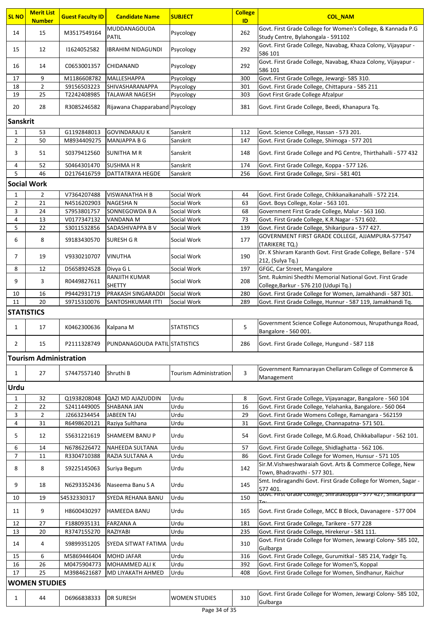| <b>SL NO</b>      | <b>Merit List</b><br><b>Number</b> | <b>Guest Faculty ID</b> | <b>Candidate Name</b>           | <b>SUBJECT</b>                | <b>College</b><br>ID | <b>COL NAM</b>                                                                                     |
|-------------------|------------------------------------|-------------------------|---------------------------------|-------------------------------|----------------------|----------------------------------------------------------------------------------------------------|
| 14                | 15                                 | M3517549164             | MUDDANAGOUDA<br>PATIL           | Psycology                     | 262                  | Govt. First Grade College for Women's College, & Kannada P.G<br>Study Centre, Bylahongala - 591102 |
| 15                | 12                                 | 11624052582             | <b>IBRAHIM NIDAGUNDI</b>        | Psycology                     | 292                  | Govt. First Grade College, Navabag, Khaza Colony, Vijayapur -<br>586 101                           |
| 16                | 14                                 | C0653001357             | <b>CHIDANAND</b>                | Psycology                     | 292                  | Govt. First Grade College, Navabag, Khaza Colony, Vijayapur -<br>586 101                           |
| 17                | 9                                  | M1186608782             | MALLESHAPPA                     | Psycology                     | 300                  | Govt. First Grade College, Jewargi- 585 310.                                                       |
| 18                | $\overline{2}$                     | S9156503223             | SHIVASHARANAPPA                 | Psycology                     | 301                  | Govt. First Grade College, Chittapura - 585 211                                                    |
| 19                | 25                                 | T2242408985             | TALAWAR NAGESH                  | Psycology                     | 303                  | Govt First Grade College Afzalpur                                                                  |
| 20                | 28                                 | R3085246582             | Rijawana Chapparaband Psycology |                               | 381                  | Govt. First Grade College, Beedi, Khanapura Tq.                                                    |
| <b>Sanskrit</b>   |                                    |                         |                                 |                               |                      |                                                                                                    |
| $\mathbf{1}$      | 53                                 | G1192848013             | <b>GOVINDARAJU K</b>            | Sanskrit                      | 112                  | Govt. Science College, Hassan - 573 201.                                                           |
| $\overline{2}$    | 50                                 | M8934409275             | <b>MANJAPPA B G</b>             | Sanskrit                      | 147                  | Govt. First Grade College, Shimoga - 577 201                                                       |
| 3                 | 51                                 | S0379412560             | <b>SUNITHA M R</b>              | Sanskrit                      | 148                  | Govt. First Grade College and PG Centre, Thirthahalli - 577 432                                    |
| 4                 | 52                                 | S0464301470             | <b>SUSHMAHR</b>                 | Sanskrit                      | 174                  | Govt. First Grade College, Koppa - 577 126.                                                        |
| 5                 | 46<br><b>Social Work</b>           | D2176416759             | <b>DATTATRAYA HEGDE</b>         | Sanskrit                      | 256                  | Govt. First Grade College, Sirsi - 581 401                                                         |
| $\mathbf{1}$      | 2                                  | V7364207488             | <b>VISWANATHA H B</b>           | Social Work                   | 44                   | Govt. First Grade College, Chikkanaikanahalli - 572 214.                                           |
| $\overline{2}$    | 21                                 | N4516202903             | <b>NAGESHAN</b>                 | Social Work                   | 63                   | Govt. Boys College, Kolar - 563 101.                                                               |
| 3                 | 24                                 | S7953801757             | SONNEGOWDA B A                  | Social Work                   | 68                   | Government First Grade College, Malur - 563 160.                                                   |
| 4                 | 13                                 | V0177347132             | VANDANA M                       | Social Work                   | 73                   | Govt. First Grade College, K.R.Nagar - 571 602.                                                    |
| 5                 | 22                                 | S3011532856             | SADASHIVAPPA B V                | Social Work                   | 139                  | Govt. First Grade College, Shikaripura - 577 427.                                                  |
| 6                 | 8                                  | S9183430570             | <b>SURESH G R</b>               | Social Work                   | 177                  | GOVERNMENT FIRST GRADE COLLEGE, AJJAMPURA-577547<br>(TARIKERE TQ.)                                 |
| 7                 | 19                                 | V9330210707             | <b>VINUTHA</b>                  | Social Work                   | 190                  | Dr. K Shivram Karanth Govt. First Grade College, Bellare - 574<br>212, (Sulya Tq.)                 |
| 8                 | 12                                 | D5658924528             | Divya G L                       | Social Work                   | 197                  | GFGC, Car Street, Mangalore                                                                        |
| 9                 | 3                                  | R0449827611             | RANJITH KUMAR<br><b>SHETTY</b>  | Social Work                   | 208                  | Smt. Rukmini Shedthi Memorial National Govt. First Grade<br>College, Barkur - 576 210 (Udupi Tq.)  |
| 10                | 16                                 | P9442931719             | PRAKASH SINGARADDI              | Social Work                   | 280                  | Govt. First Grade College for Women, Jamakhandi - 587 301.                                         |
| 11                | 20                                 | S9715310076             | SANTOSHKUMAR ITTI               | Social Work                   | 289                  | Govt. First Grade College, Hunnur - 587 119, Jamakhandi Tq.                                        |
| <b>STATISTICS</b> |                                    |                         |                                 |                               |                      |                                                                                                    |
| $\mathbf{1}$      | 17                                 | K0462300636             | Kalpana M                       | <b>STATISTICS</b>             | 5                    | Government Science College Autonomous, Nrupathunga Road,<br>Bangalore - 560 001.                   |
| $\overline{2}$    | 15                                 | P2111328749             | PUNDANAGOUDA PATIL STATISTICS   |                               | 286                  | Govt. First Grade College, Hungund - 587 118                                                       |
|                   | <b>Tourism Administration</b>      |                         |                                 |                               |                      |                                                                                                    |
| $\mathbf{1}$      | 27                                 | S7447557140             | Shruthi B                       | <b>Tourism Administration</b> | 3                    | Government Ramnarayan Chellaram College of Commerce &<br>Management                                |
| <b>Urdu</b>       |                                    |                         |                                 |                               |                      |                                                                                                    |
| 1                 | 32                                 | Q1938208048             | QAZI MD AJAZUDDIN               | Urdu                          | 8                    | Govt. First Grade College, Vijayanagar, Bangalore - 560 104                                        |
| $\overline{2}$    | 22                                 | S2411449005             | SHABANA JAN                     | Urdu                          | 16                   | Govt. First Grade College, Yelahanka, Bangalore.- 560 064                                          |
| 3                 | $\overline{2}$                     | J2663234454             | <b>JABEEN TAJ</b>               | Urdu                          | 29                   | Govt. First Grade Womens College, Ramangara - 562159                                               |
| 4                 | 31                                 | R6498620121             | Raziya Sulthana                 | Urdu                          | 31                   | Govt. First Grade College, Channapatna- 571 501.                                                   |
| 5                 | 12                                 | S5631221619             | SHAMEEM BANU P                  | Urdu                          | 54                   | Govt. First Grade College, M.G.Road, Chikkaballapur - 562 101.                                     |
| 6                 | 14                                 | N6786226472             | NAHEEDA SULTANA                 | Urdu                          | 57                   | Govt. First Grade College, Shidlaghatta - 562 106.                                                 |
| $\overline{7}$    | 11                                 | R3304710388             | RAZIA SULTANA A                 | Urdu                          | 86                   | Govt. First Grade College for Women, Hunsur - 571 105                                              |
| 8                 | 8                                  | S9225145063             | Suriya Begum                    | Urdu                          | 142                  | Sir.M.Vishweshwaraiah Govt. Arts & Commerce College, New<br>Town, Bhadravathi - 577 301.           |
| 9                 | 18                                 | N6293352436             | Naseema Banu S A                | Urdu                          | 145                  | Smt. Indiragandhi Govt. First Grade College for Women, Sagar -<br>577 401.                         |
| 10                | 19                                 | S4532330317             | SYEDA REHANA BANU               | Urdu                          | 150                  | Govt. First Grade College, Shiralakoppa - 577 427, Shikaripura                                     |
| 11                | 9                                  | H8600430297             | <b>HAMEEDA BANU</b>             | Urdu                          | 165                  | Govt. First Grade College, MCC B Block, Davanagere - 577 004                                       |
| 12                | 27                                 | F1880935131             | <b>FARZANA A</b>                | Urdu                          | 181                  | Govt. First Grade College, Tarikere - 577 228                                                      |
| 13                | 20                                 | R3747155270             | RAZIYABI                        | Urdu                          | 235                  | Govt. First Grade College, Hirekerur - 581 111.                                                    |
| 14                | 4                                  | S9899351205             | SYEDA SITWAT FATIMA             | Urdu                          | 310                  | Govt. First Grade College for Women, Jewargi Colony- 585 102,<br>Gulbarga                          |
| 15                | 6                                  | M5869446404             | <b>MOHD JAFAR</b>               | Urdu                          | 316                  | Govt. First Grade College, Gurumitkal - 585 214, Yadgir Tq.                                        |
| 16                | 26                                 | M0475904773             | MOHAMMED ALI K                  | Urdu                          | 392                  | Govt. First Grade College for Women'S, Koppal                                                      |
| 17                | 25                                 | M3984621687             | <b>MD LIYAKATH AHMED</b>        | Urdu                          | 408                  | Govt. First Grade College for Women, Sindhanur, Raichur                                            |
|                   | <b>WOMEN STUDIES</b>               |                         |                                 |                               |                      |                                                                                                    |
| 1                 | 44                                 | D6966838333             | <b>DR SURESH</b>                | <b>WOMEN STUDIES</b>          | 310                  | Govt. First Grade College for Women, Jewargi Colony- 585 102,<br>Gulbarga                          |
|                   |                                    |                         |                                 |                               |                      |                                                                                                    |